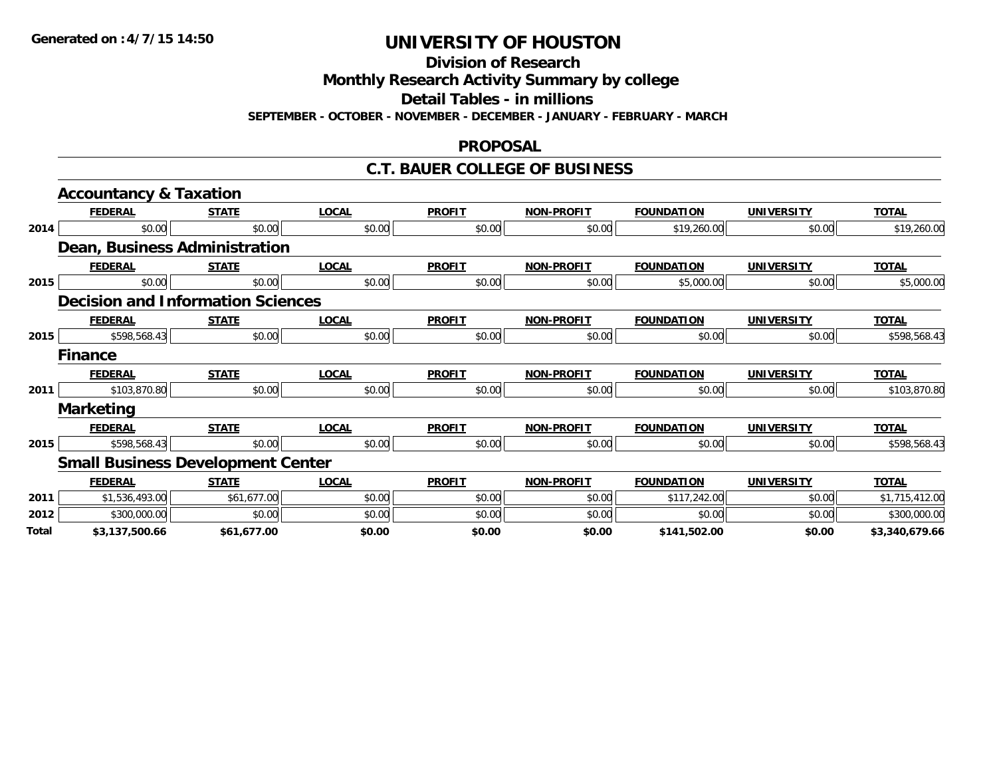**Division of Research**

**Monthly Research Activity Summary by college**

**Detail Tables - in millions**

**SEPTEMBER - OCTOBER - NOVEMBER - DECEMBER - JANUARY - FEBRUARY - MARCH**

#### **PROPOSAL**

### **C.T. BAUER COLLEGE OF BUSINESS**

|       | <b>Accountancy &amp; Taxation</b>        |              |              |               |                   |                   |                   |                |
|-------|------------------------------------------|--------------|--------------|---------------|-------------------|-------------------|-------------------|----------------|
|       | <b>FEDERAL</b>                           | <b>STATE</b> | <b>LOCAL</b> | <b>PROFIT</b> | <b>NON-PROFIT</b> | <b>FOUNDATION</b> | <b>UNIVERSITY</b> | <b>TOTAL</b>   |
| 2014  | \$0.00                                   | \$0.00       | \$0.00       | \$0.00        | \$0.00            | \$19,260.00       | \$0.00            | \$19,260.00    |
|       | Dean, Business Administration            |              |              |               |                   |                   |                   |                |
|       | <b>FEDERAL</b>                           | <b>STATE</b> | <b>LOCAL</b> | <b>PROFIT</b> | <b>NON-PROFIT</b> | <b>FOUNDATION</b> | <b>UNIVERSITY</b> | <b>TOTAL</b>   |
| 2015  | \$0.00                                   | \$0.00       | \$0.00       | \$0.00        | \$0.00            | \$5,000.00        | \$0.00            | \$5,000.00     |
|       | <b>Decision and Information Sciences</b> |              |              |               |                   |                   |                   |                |
|       | <b>FEDERAL</b>                           | <b>STATE</b> | <b>LOCAL</b> | <b>PROFIT</b> | <b>NON-PROFIT</b> | <b>FOUNDATION</b> | <b>UNIVERSITY</b> | <b>TOTAL</b>   |
| 2015  | \$598,568.43                             | \$0.00       | \$0.00       | \$0.00        | \$0.00            | \$0.00            | \$0.00            | \$598,568.43   |
|       | <b>Finance</b>                           |              |              |               |                   |                   |                   |                |
|       | <b>FEDERAL</b>                           | <b>STATE</b> | <b>LOCAL</b> | <b>PROFIT</b> | <b>NON-PROFIT</b> | <b>FOUNDATION</b> | <b>UNIVERSITY</b> | <b>TOTAL</b>   |
| 2011  | \$103,870.80                             | \$0.00       | \$0.00       | \$0.00        | \$0.00            | \$0.00            | \$0.00            | \$103,870.80   |
|       | <b>Marketing</b>                         |              |              |               |                   |                   |                   |                |
|       | <b>FEDERAL</b>                           | <b>STATE</b> | <b>LOCAL</b> | <b>PROFIT</b> | <b>NON-PROFIT</b> | <b>FOUNDATION</b> | <b>UNIVERSITY</b> | <b>TOTAL</b>   |
| 2015  | \$598,568.43                             | \$0.00       | \$0.00       | \$0.00        | \$0.00            | \$0.00            | \$0.00            | \$598,568.43   |
|       | <b>Small Business Development Center</b> |              |              |               |                   |                   |                   |                |
|       | <b>FEDERAL</b>                           | <b>STATE</b> | <b>LOCAL</b> | <b>PROFIT</b> | <b>NON-PROFIT</b> | <b>FOUNDATION</b> | <b>UNIVERSITY</b> | <b>TOTAL</b>   |
| 2011  | \$1,536,493.00                           | \$61,677.00  | \$0.00       | \$0.00        | \$0.00            | \$117,242.00      | \$0.00            | \$1,715,412.00 |
| 2012  | \$300,000.00                             | \$0.00       | \$0.00       | \$0.00        | \$0.00            | \$0.00            | \$0.00            | \$300,000.00   |
| Total | \$3,137,500.66                           | \$61,677.00  | \$0.00       | \$0.00        | \$0.00            | \$141,502.00      | \$0.00            | \$3,340,679.66 |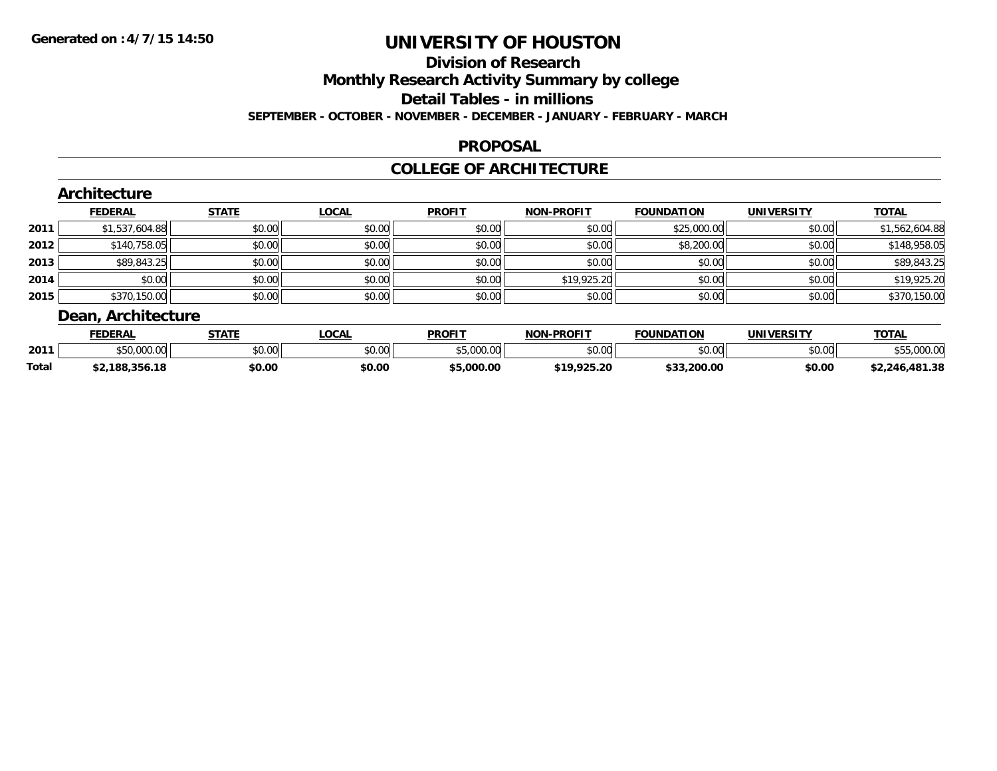### **Division of Research**

**Monthly Research Activity Summary by college**

**Detail Tables - in millions**

**SEPTEMBER - OCTOBER - NOVEMBER - DECEMBER - JANUARY - FEBRUARY - MARCH**

### **PROPOSAL**

### **COLLEGE OF ARCHITECTURE**

|      | Architecture       |              |              |               |                   |                   |                   |                |
|------|--------------------|--------------|--------------|---------------|-------------------|-------------------|-------------------|----------------|
|      | <b>FEDERAL</b>     | <b>STATE</b> | <b>LOCAL</b> | <b>PROFIT</b> | <b>NON-PROFIT</b> | <b>FOUNDATION</b> | <b>UNIVERSITY</b> | <b>TOTAL</b>   |
| 2011 | \$1,537,604.88     | \$0.00       | \$0.00       | \$0.00        | \$0.00            | \$25,000.00       | \$0.00            | \$1,562,604.88 |
| 2012 | \$140,758.05       | \$0.00       | \$0.00       | \$0.00        | \$0.00            | \$8,200.00        | \$0.00            | \$148,958.05   |
| 2013 | \$89,843.25        | \$0.00       | \$0.00       | \$0.00        | \$0.00            | \$0.00            | \$0.00            | \$89,843.25    |
| 2014 | \$0.00             | \$0.00       | \$0.00       | \$0.00        | \$19,925.20       | \$0.00            | \$0.00            | \$19,925.20    |
| 2015 | \$370,150.00       | \$0.00       | \$0.00       | \$0.00        | \$0.00            | \$0.00            | \$0.00            | \$370,150.00   |
|      | Dean, Architecture |              |              |               |                   |                   |                   |                |

|              | <b>FEDERAL</b> | <b>STATE</b> | <b>OCAL</b>   | <b>PROFIT</b> | <b>J-PROFIT</b><br>NON | FOUNDATION             | IINIIVEDCITV   | <b>TOTAL</b>   |
|--------------|----------------|--------------|---------------|---------------|------------------------|------------------------|----------------|----------------|
| 2011         | uu.uu          | \$0.00       | 0000<br>vv.vv | 000<br>$\sim$ | \$0.00                 | $\sim$ $\sim$<br>JU.UU | ልስ ባህ<br>PU.UU | $\Omega$       |
| <b>Total</b> | ,188,356.18    | \$0.00       | \$0.00        | 000.0۲ ن      | \$19,925.20            | \$33,200.00            | \$0.00         | \$2,246,481.38 |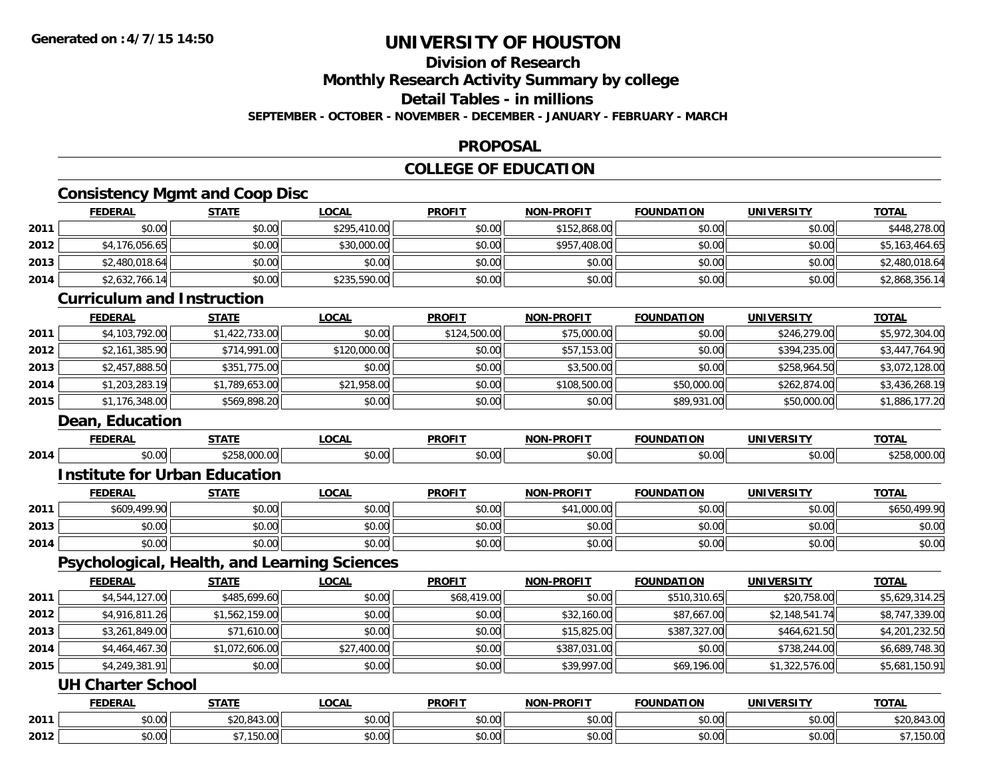## **Division of Research**

**Monthly Research Activity Summary by college**

**Detail Tables - in millions**

**SEPTEMBER - OCTOBER - NOVEMBER - DECEMBER - JANUARY - FEBRUARY - MARCH**

### **PROPOSAL**

## **COLLEGE OF EDUCATION**

## **Consistency Mgmt and Coop Disc**

|      | <b>FEDERAL</b>                               | <b>STATE</b>   | <b>LOCAL</b> | <b>PROFIT</b> | <b>NON-PROFIT</b> | <b>FOUNDATION</b> | <b>UNIVERSITY</b> | <b>TOTAL</b>   |
|------|----------------------------------------------|----------------|--------------|---------------|-------------------|-------------------|-------------------|----------------|
| 2011 | \$0.00                                       | \$0.00         | \$295,410.00 | \$0.00        | \$152,868.00      | \$0.00            | \$0.00            | \$448,278.00   |
| 2012 | \$4,176,056.65                               | \$0.00         | \$30,000.00  | \$0.00        | \$957,408.00      | \$0.00            | \$0.00            | \$5,163,464.65 |
| 2013 | \$2,480,018.64                               | \$0.00         | \$0.00       | \$0.00        | \$0.00            | \$0.00            | \$0.00            | \$2,480,018.64 |
| 2014 | \$2,632,766.14                               | \$0.00         | \$235,590.00 | \$0.00        | \$0.00            | \$0.00            | \$0.00            | \$2,868,356.14 |
|      | <b>Curriculum and Instruction</b>            |                |              |               |                   |                   |                   |                |
|      | <b>FEDERAL</b>                               | <b>STATE</b>   | <b>LOCAL</b> | <b>PROFIT</b> | <b>NON-PROFIT</b> | <b>FOUNDATION</b> | <b>UNIVERSITY</b> | <b>TOTAL</b>   |
| 2011 | \$4,103,792.00                               | \$1,422,733.00 | \$0.00       | \$124,500.00  | \$75,000.00       | \$0.00            | \$246,279.00      | \$5,972,304.00 |
| 2012 | \$2,161,385.90                               | \$714,991.00   | \$120,000.00 | \$0.00        | \$57,153.00       | \$0.00            | \$394,235.00      | \$3,447,764.90 |
| 2013 | \$2,457,888.50                               | \$351,775.00   | \$0.00       | \$0.00        | \$3,500.00        | \$0.00            | \$258,964.50      | \$3,072,128.00 |
| 2014 | \$1,203,283.19                               | \$1,789,653.00 | \$21,958.00  | \$0.00        | \$108,500.00      | \$50,000.00       | \$262,874.00      | \$3,436,268.19 |
| 2015 | \$1,176,348.00                               | \$569,898.20   | \$0.00       | \$0.00        | \$0.00            | \$89,931.00       | \$50,000.00       | \$1,886,177.20 |
|      | Dean, Education                              |                |              |               |                   |                   |                   |                |
|      | <b>FEDERAL</b>                               | <b>STATE</b>   | <b>LOCAL</b> | <b>PROFIT</b> | NON-PROFIT        | <b>FOUNDATION</b> | <b>UNIVERSITY</b> | <b>TOTAL</b>   |
| 2014 | \$0.00                                       | \$258,000.00   | \$0.00       | \$0.00        | \$0.00            | \$0.00            | \$0.00            | \$258,000.00   |
|      | <b>Institute for Urban Education</b>         |                |              |               |                   |                   |                   |                |
|      | <b>FEDERAL</b>                               | <b>STATE</b>   | <b>LOCAL</b> | <b>PROFIT</b> | NON-PROFIT        | <b>FOUNDATION</b> | <b>UNIVERSITY</b> | <b>TOTAL</b>   |
| 2011 | \$609,499.90                                 | \$0.00         | \$0.00       | \$0.00        | \$41,000.00       | \$0.00            | \$0.00            | \$650,499.90   |
| 2013 | \$0.00                                       | \$0.00         | \$0.00       | \$0.00        | \$0.00            | \$0.00            | \$0.00            | \$0.00         |
| 2014 | \$0.00                                       | \$0.00         | \$0.00       | \$0.00        | \$0.00            | \$0.00            | \$0.00            | \$0.00         |
|      | Psychological, Health, and Learning Sciences |                |              |               |                   |                   |                   |                |
|      | <b>FEDERAL</b>                               | <b>STATE</b>   | <b>LOCAL</b> | <b>PROFIT</b> | <b>NON-PROFIT</b> | <b>FOUNDATION</b> | <b>UNIVERSITY</b> | <b>TOTAL</b>   |
| 2011 | \$4,544,127.00                               | \$485,699.60   | \$0.00       | \$68,419.00   | \$0.00            | \$510,310.65      | \$20,758.00       | \$5,629,314.25 |
| 2012 | \$4,916,811.26                               | \$1,562,159.00 | \$0.00       | \$0.00        | \$32,160.00       | \$87,667.00       | \$2,148,541.74    | \$8,747,339.00 |
| 2013 | \$3,261,849.00                               | \$71,610.00    | \$0.00       | \$0.00        | \$15,825.00       | \$387,327.00      | \$464,621.50      | \$4,201,232.50 |
| 2014 | \$4,464,467.30                               | \$1,072,606.00 | \$27,400.00  | \$0.00        | \$387,031.00      | \$0.00            | \$738,244.00      | \$6,689,748.30 |
| 2015 | \$4,249,381.91                               | \$0.00         | \$0.00       | \$0.00        | \$39,997.00       | \$69,196.00       | \$1,322,576.00    | \$5,681,150.91 |
|      | <b>UH Charter School</b>                     |                |              |               |                   |                   |                   |                |
|      | <b>FEDERAL</b>                               | <b>STATE</b>   | <b>LOCAL</b> | <b>PROFIT</b> | <b>NON-PROFIT</b> | <b>FOUNDATION</b> | <b>UNIVERSITY</b> | <b>TOTAL</b>   |
| 2011 | \$0.00                                       | \$20,843.00    | \$0.00       | \$0.00        | \$0.00            | \$0.00            | \$0.00            | \$20,843.00    |
| 2012 | \$0.00                                       | \$7,150.00     | \$0.00       | \$0.00        | \$0.00            | \$0.00            | \$0.00            | \$7,150.00     |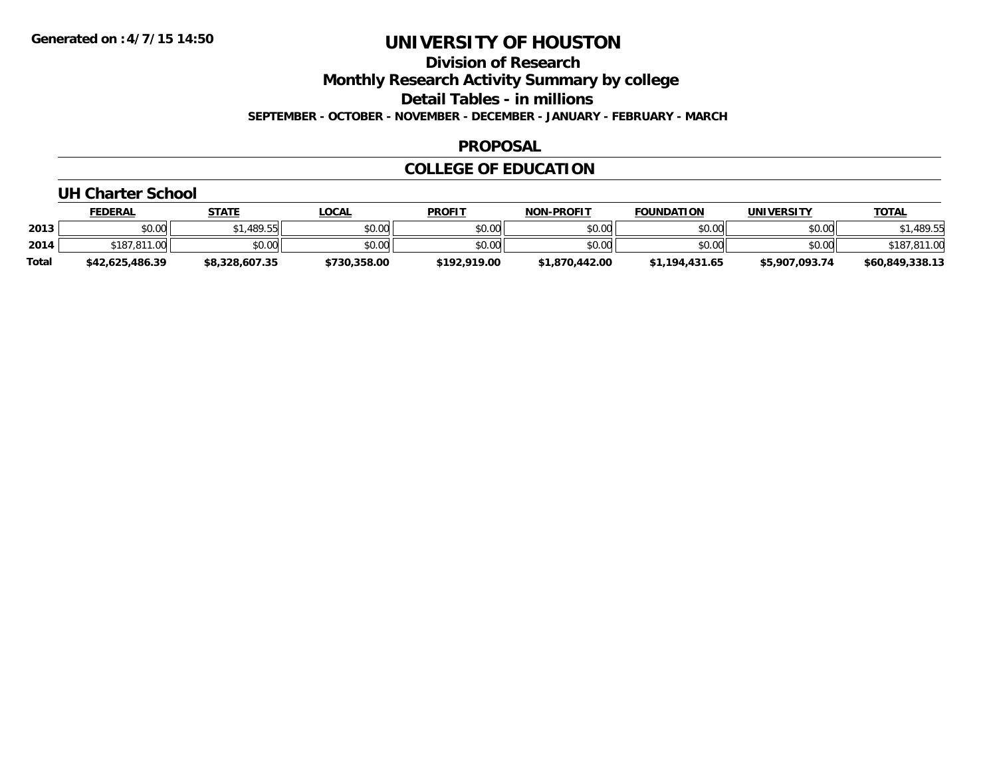**Division of Research**

**Monthly Research Activity Summary by college**

**Detail Tables - in millions**

**SEPTEMBER - OCTOBER - NOVEMBER - DECEMBER - JANUARY - FEBRUARY - MARCH**

### **PROPOSAL**

## **COLLEGE OF EDUCATION**

### **UH Charter School**

|              | <b>FEDERAL</b>  | <b>STATE</b>   | _OCAL        | <b>PROFIT</b> | <b>NON-PROFIT</b> | <b>FOUNDATION</b> | <b>UNIVERSITY</b> | <u>TOTAL</u>    |
|--------------|-----------------|----------------|--------------|---------------|-------------------|-------------------|-------------------|-----------------|
| 2013         | \$0.00          | \$1,489.55     | \$0.00       | \$0.00        | \$0.00            | \$0.00            | \$0.00            | ,489.55         |
| 2014         | \$187<br>011.00 | \$0.00         | \$0.00       | \$0.00        | \$0.00            | \$0.00            | \$0.00            | \$18,           |
| <b>Total</b> | \$42.625.486.39 | \$8,328,607.35 | \$730,358.00 | \$192,919.00  | \$1,870,442.00    | \$1,194,431.65    | \$5,907,093.74    | \$60,849,338.13 |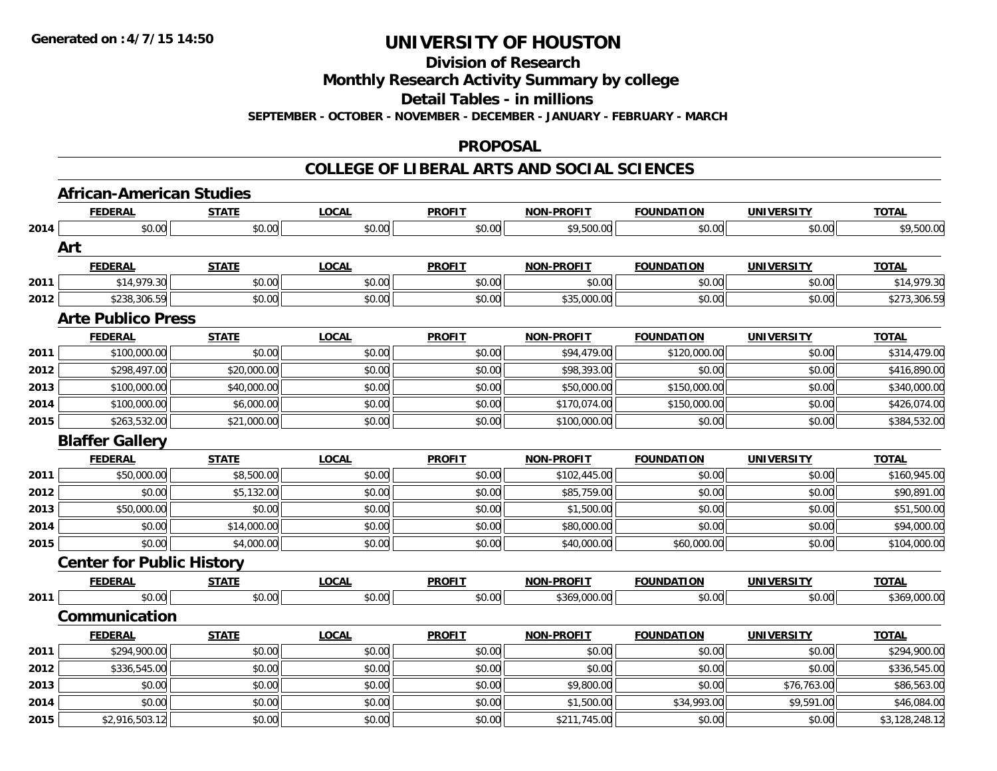**Division of Research**

**Monthly Research Activity Summary by college**

**Detail Tables - in millions**

**SEPTEMBER - OCTOBER - NOVEMBER - DECEMBER - JANUARY - FEBRUARY - MARCH**

#### **PROPOSAL**

#### **COLLEGE OF LIBERAL ARTS AND SOCIAL SCIENCES**

|      | <b>African-American Studies</b>  |              |              |               |                   |                   |                   |                |
|------|----------------------------------|--------------|--------------|---------------|-------------------|-------------------|-------------------|----------------|
|      | <b>FEDERAL</b>                   | <b>STATE</b> | <b>LOCAL</b> | <b>PROFIT</b> | <b>NON-PROFIT</b> | <b>FOUNDATION</b> | <b>UNIVERSITY</b> | <b>TOTAL</b>   |
| 2014 | \$0.00                           | \$0.00       | \$0.00       | \$0.00        | \$9,500.00        | \$0.00            | \$0.00            | \$9,500.00     |
|      | Art                              |              |              |               |                   |                   |                   |                |
|      | <b>FEDERAL</b>                   | <b>STATE</b> | <b>LOCAL</b> | <b>PROFIT</b> | <b>NON-PROFIT</b> | <b>FOUNDATION</b> | <b>UNIVERSITY</b> | <b>TOTAL</b>   |
| 2011 | \$14,979.30                      | \$0.00       | \$0.00       | \$0.00        | \$0.00            | \$0.00            | \$0.00            | \$14,979.30    |
| 2012 | \$238,306.59                     | \$0.00       | \$0.00       | \$0.00        | \$35,000.00       | \$0.00            | \$0.00            | \$273,306.59   |
|      | <b>Arte Publico Press</b>        |              |              |               |                   |                   |                   |                |
|      | <b>FEDERAL</b>                   | <b>STATE</b> | <b>LOCAL</b> | <b>PROFIT</b> | <b>NON-PROFIT</b> | <b>FOUNDATION</b> | <b>UNIVERSITY</b> | <b>TOTAL</b>   |
| 2011 | \$100,000.00                     | \$0.00       | \$0.00       | \$0.00        | \$94,479.00       | \$120,000.00      | \$0.00            | \$314,479.00   |
| 2012 | \$298,497.00                     | \$20,000.00  | \$0.00       | \$0.00        | \$98,393.00       | \$0.00            | \$0.00            | \$416,890.00   |
| 2013 | \$100,000.00                     | \$40,000.00  | \$0.00       | \$0.00        | \$50,000.00       | \$150,000.00      | \$0.00            | \$340,000.00   |
| 2014 | \$100,000.00                     | \$6,000.00   | \$0.00       | \$0.00        | \$170,074.00      | \$150,000.00      | \$0.00            | \$426,074.00   |
| 2015 | \$263,532.00                     | \$21,000.00  | \$0.00       | \$0.00        | \$100,000.00      | \$0.00            | \$0.00            | \$384,532.00   |
|      | <b>Blaffer Gallery</b>           |              |              |               |                   |                   |                   |                |
|      | <b>FEDERAL</b>                   | <b>STATE</b> | <b>LOCAL</b> | <b>PROFIT</b> | <b>NON-PROFIT</b> | <b>FOUNDATION</b> | <b>UNIVERSITY</b> | <b>TOTAL</b>   |
| 2011 | \$50,000.00                      | \$8,500.00   | \$0.00       | \$0.00        | \$102,445.00      | \$0.00            | \$0.00            | \$160,945.00   |
| 2012 | \$0.00                           | \$5,132.00   | \$0.00       | \$0.00        | \$85,759.00       | \$0.00            | \$0.00            | \$90,891.00    |
| 2013 | \$50,000.00                      | \$0.00       | \$0.00       | \$0.00        | \$1,500.00        | \$0.00            | \$0.00            | \$51,500.00    |
| 2014 | \$0.00                           | \$14,000.00  | \$0.00       | \$0.00        | \$80,000.00       | \$0.00            | \$0.00            | \$94,000.00    |
| 2015 | \$0.00                           | \$4,000.00   | \$0.00       | \$0.00        | \$40,000.00       | \$60,000.00       | \$0.00            | \$104,000.00   |
|      | <b>Center for Public History</b> |              |              |               |                   |                   |                   |                |
|      | <b>FEDERAL</b>                   | <b>STATE</b> | <b>LOCAL</b> | <b>PROFIT</b> | <b>NON-PROFIT</b> | <b>FOUNDATION</b> | <b>UNIVERSITY</b> | <b>TOTAL</b>   |
| 2011 | \$0.00                           | \$0.00       | \$0.00       | \$0.00        | \$369,000.00      | \$0.00            | \$0.00            | \$369,000.00   |
|      | Communication                    |              |              |               |                   |                   |                   |                |
|      | <b>FEDERAL</b>                   | <b>STATE</b> | <b>LOCAL</b> | <b>PROFIT</b> | <b>NON-PROFIT</b> | <b>FOUNDATION</b> | <b>UNIVERSITY</b> | <b>TOTAL</b>   |
| 2011 | \$294,900.00                     | \$0.00       | \$0.00       | \$0.00        | \$0.00            | \$0.00            | \$0.00            | \$294,900.00   |
| 2012 | \$336,545.00                     | \$0.00       | \$0.00       | \$0.00        | \$0.00            | \$0.00            | \$0.00            | \$336,545.00   |
| 2013 | \$0.00                           | \$0.00       | \$0.00       | \$0.00        | \$9,800.00        | \$0.00            | \$76,763.00       | \$86,563.00    |
| 2014 | \$0.00                           | \$0.00       | \$0.00       | \$0.00        | \$1,500.00        | \$34,993.00       | \$9,591.00        | \$46,084.00    |
| 2015 | \$2,916,503.12                   | \$0.00       | \$0.00       | \$0.00        | \$211,745.00      | \$0.00            | \$0.00            | \$3,128,248.12 |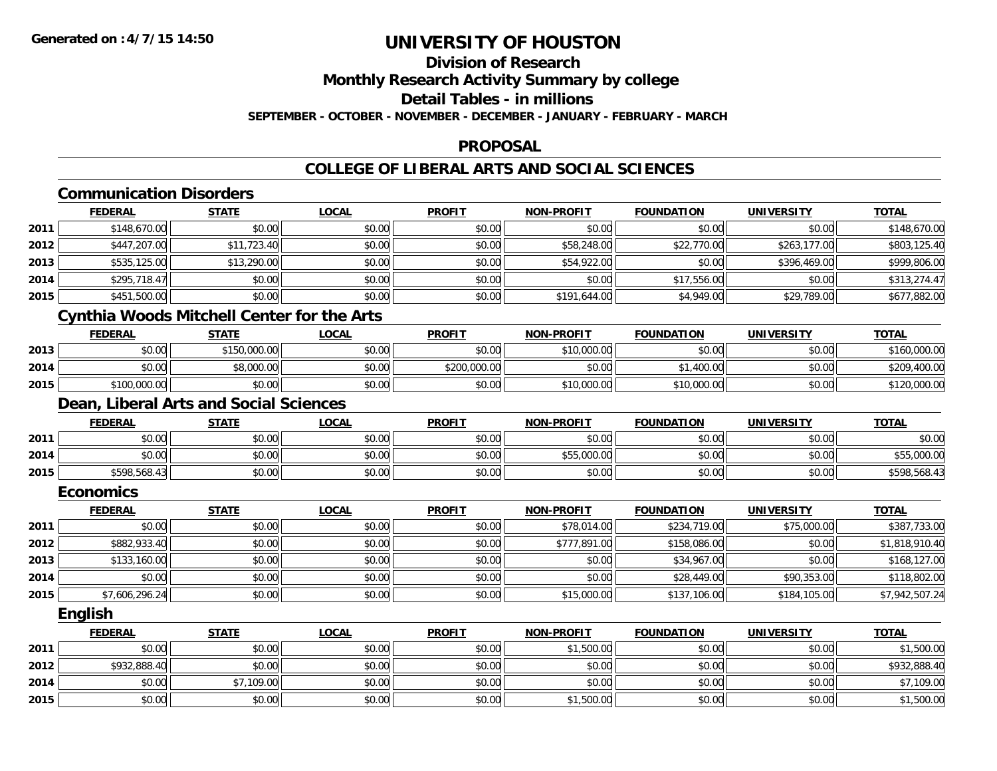## **Division of Research**

**Monthly Research Activity Summary by college**

**Detail Tables - in millions**

**SEPTEMBER - OCTOBER - NOVEMBER - DECEMBER - JANUARY - FEBRUARY - MARCH**

#### **PROPOSAL**

## **COLLEGE OF LIBERAL ARTS AND SOCIAL SCIENCES**

## **Communication Disorders**

|      | <b>FEDERAL</b> | <b>STATE</b> | <b>LOCAL</b> | <b>PROFIT</b> | <b>NON-PROFIT</b> | <b>FOUNDATION</b> | <b>UNIVERSITY</b> | <b>TOTAL</b> |
|------|----------------|--------------|--------------|---------------|-------------------|-------------------|-------------------|--------------|
| 2011 | \$148,670.00   | \$0.00       | \$0.00       | \$0.00        | \$0.00            | \$0.00            | \$0.00            | \$148,670.00 |
| 2012 | \$447,207.00   | \$11,723.40  | \$0.00       | \$0.00        | \$58,248.00       | \$22,770.00       | \$263,177.00      | \$803,125.40 |
| 2013 | \$535,125.00   | \$13,290.00  | \$0.00       | \$0.00        | \$54,922.00       | \$0.00            | \$396,469.00      | \$999,806.00 |
| 2014 | \$295,718.47   | \$0.00       | \$0.00       | \$0.00        | \$0.00            | \$17,556.00       | \$0.00            | \$313,274.47 |
| 2015 | \$451,500.00   | \$0.00       | \$0.00       | \$0.00        | \$191,644.00      | \$4,949.00        | \$29,789.00       | \$677,882.00 |
|      | .              |              |              |               |                   |                   |                   |              |

#### **Cynthia Woods Mitchell Center for the Arts**

|      | <u>FEDERAL</u> | <u>STATE</u> | <b>LOCAL</b> | <b>PROFIT</b> | <b>NON-PROFIT</b> | <b>FOUNDATION</b> | UNIVERSITY | <b>TOTAL</b> |
|------|----------------|--------------|--------------|---------------|-------------------|-------------------|------------|--------------|
| 2013 | \$0.00         | \$150,000.00 | \$0.00       | \$0.00        | \$10,000.00       | \$0.00            | \$0.00     | \$160,000.00 |
| 2014 | \$0.00         | \$8,000.00   | \$0.00       | \$200,000.00  | \$0.00            | .400.00           | \$0.00     | \$209,400.00 |
| 2015 | \$100,000.00   | \$0.00       | \$0.00       | \$0.00        | \$10,000.00       | \$10,000.00       | \$0.00     | \$120,000.00 |

## **Dean, Liberal Arts and Social Sciences**

|      | <b>FEDERAL</b> | <b>STATE</b> | <b>LOCAL</b> | <b>PROFIT</b> | <b>NON-PROFIT</b> | <b>FOUNDATION</b> | <b>UNIVERSITY</b> | <b>TOTAL</b> |
|------|----------------|--------------|--------------|---------------|-------------------|-------------------|-------------------|--------------|
| 2011 | ልስ ሰሰ<br>DU.UG | \$0.00       | \$0.00       | \$0.00        | \$0.00            | \$0.00            | \$0.00            | \$0.00       |
| 2014 | \$0.00         | \$0.00       | \$0.00       | \$0.00        | \$55,000.00       | \$0.00            | \$0.00            | \$55,000.00  |
| 2015 | \$598,568.43   | \$0.00       | \$0.00       | \$0.00        | \$0.00            | \$0.00            | \$0.00            | \$598,568.43 |

#### **Economics**

|      | <b>FEDERAL</b> | <b>STATE</b> | <u>LOCAL</u> | <b>PROFIT</b> | <b>NON-PROFIT</b> | <b>FOUNDATION</b> | UNIVERSITY   | <b>TOTAL</b>   |
|------|----------------|--------------|--------------|---------------|-------------------|-------------------|--------------|----------------|
| 2011 | \$0.00         | \$0.00       | \$0.00       | \$0.00        | \$78,014.00       | \$234,719,00      | \$75,000.00  | \$387,733.00   |
| 2012 | \$882,933.40   | \$0.00       | \$0.00       | \$0.00        | \$777.891.00      | \$158,086.00      | \$0.00       | \$1,818,910.40 |
| 2013 | \$133,160.00   | \$0.00       | \$0.00       | \$0.00        | \$0.00            | \$34,967.00       | \$0.00       | \$168,127.00   |
| 2014 | \$0.00         | \$0.00       | \$0.00       | \$0.00        | \$0.00            | \$28,449.00       | \$90,353.00  | \$118,802.00   |
| 2015 | \$7,606,296.24 | \$0.00       | \$0.00       | \$0.00        | \$15,000.00       | \$137,106.00      | \$184,105.00 | \$7,942,507.24 |

**English**

|      | <u>FEDERAL</u> | STATE      | <u>LOCAL</u> | <b>PROFIT</b> | <b>NON-PROFIT</b> | <b>FOUNDATION</b> | <b>UNIVERSITY</b> | <b>TOTAL</b> |
|------|----------------|------------|--------------|---------------|-------------------|-------------------|-------------------|--------------|
| 2011 | \$0.00         | \$0.00     | \$0.00       | \$0.00        | \$1,500.00        | \$0.00            | \$0.00            | \$1,500.00   |
| 2012 | \$932,888.40   | \$0.00     | \$0.00       | \$0.00        | \$0.00            | \$0.00            | \$0.00            | \$932,888.40 |
| 2014 | \$0.00         | \$7,109.00 | \$0.00       | \$0.00        | \$0.00            | \$0.00            | \$0.00            | \$7,109.00   |
| 2015 | \$0.00         | \$0.00     | \$0.00       | \$0.00        | \$1,500.00        | \$0.00            | \$0.00            | \$1,500.00   |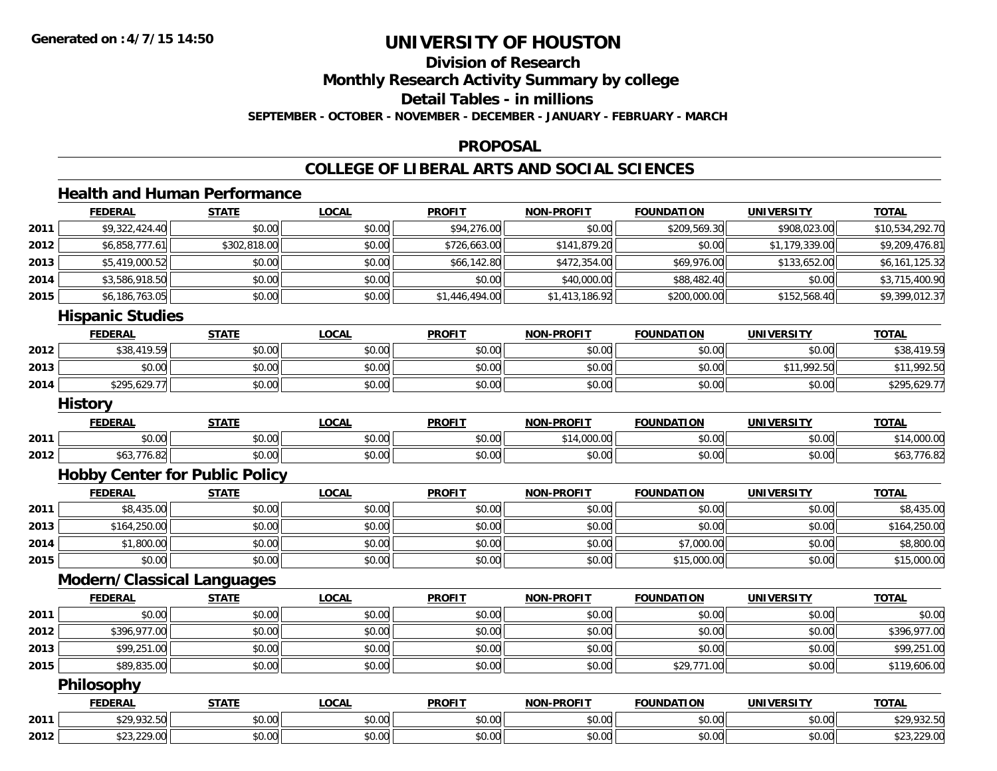## **Division of Research**

**Monthly Research Activity Summary by college**

**Detail Tables - in millions**

**SEPTEMBER - OCTOBER - NOVEMBER - DECEMBER - JANUARY - FEBRUARY - MARCH**

#### **PROPOSAL**

### **COLLEGE OF LIBERAL ARTS AND SOCIAL SCIENCES**

#### **Health and Human Performance**

|      | <b>FEDERAL</b>                        | <b>STATE</b> | <b>LOCAL</b> | <b>PROFIT</b>  | <b>NON-PROFIT</b> | <b>FOUNDATION</b> | <b>UNIVERSITY</b> | <b>TOTAL</b>    |
|------|---------------------------------------|--------------|--------------|----------------|-------------------|-------------------|-------------------|-----------------|
| 2011 | \$9,322,424.40                        | \$0.00       | \$0.00       | \$94,276.00    | \$0.00            | \$209,569.30      | \$908,023.00      | \$10,534,292.70 |
| 2012 | \$6,858,777.61                        | \$302,818.00 | \$0.00       | \$726,663.00   | \$141,879.20      | \$0.00            | \$1,179,339.00    | \$9,209,476.81  |
| 2013 | \$5,419,000.52                        | \$0.00       | \$0.00       | \$66,142.80    | \$472,354.00      | \$69,976.00       | \$133,652.00      | \$6,161,125.32  |
| 2014 | \$3,586,918.50                        | \$0.00       | \$0.00       | \$0.00         | \$40,000.00       | \$88,482.40       | \$0.00            | \$3,715,400.90  |
| 2015 | \$6,186,763.05                        | \$0.00       | \$0.00       | \$1,446,494.00 | \$1,413,186.92    | \$200,000.00      | \$152,568.40      | \$9,399,012.37  |
|      | <b>Hispanic Studies</b>               |              |              |                |                   |                   |                   |                 |
|      | <b>FEDERAL</b>                        | <b>STATE</b> | <b>LOCAL</b> | <b>PROFIT</b>  | <b>NON-PROFIT</b> | <b>FOUNDATION</b> | <b>UNIVERSITY</b> | <b>TOTAL</b>    |
| 2012 | \$38,419.59                           | \$0.00       | \$0.00       | \$0.00         | \$0.00            | \$0.00            | \$0.00            | \$38,419.59     |
| 2013 | \$0.00                                | \$0.00       | \$0.00       | \$0.00         | \$0.00            | \$0.00            | \$11,992.50       | \$11,992.50     |
| 2014 | \$295,629.77                          | \$0.00       | \$0.00       | \$0.00         | \$0.00            | \$0.00            | \$0.00            | \$295,629.77    |
|      | <b>History</b>                        |              |              |                |                   |                   |                   |                 |
|      | <b>FEDERAL</b>                        | <b>STATE</b> | <b>LOCAL</b> | <b>PROFIT</b>  | <b>NON-PROFIT</b> | <b>FOUNDATION</b> | <b>UNIVERSITY</b> | <b>TOTAL</b>    |
| 2011 | \$0.00                                | \$0.00       | \$0.00       | \$0.00         | \$14,000.00       | \$0.00            | \$0.00            | \$14,000.00     |
| 2012 | \$63,776.82                           | \$0.00       | \$0.00       | \$0.00         | \$0.00            | \$0.00            | \$0.00            | \$63,776.82     |
|      | <b>Hobby Center for Public Policy</b> |              |              |                |                   |                   |                   |                 |
|      | <b>FEDERAL</b>                        | <b>STATE</b> | <b>LOCAL</b> | <b>PROFIT</b>  | <b>NON-PROFIT</b> | <b>FOUNDATION</b> | <b>UNIVERSITY</b> | <b>TOTAL</b>    |
| 2011 | \$8,435.00                            | \$0.00       | \$0.00       | \$0.00         | \$0.00            | \$0.00            | \$0.00            | \$8,435.00      |
| 2013 | \$164,250.00                          | \$0.00       | \$0.00       | \$0.00         | \$0.00            | \$0.00            | \$0.00            | \$164,250.00    |
| 2014 | \$1,800.00                            | \$0.00       | \$0.00       | \$0.00         | \$0.00            | \$7,000.00        | \$0.00            | \$8,800.00      |
| 2015 | \$0.00                                | \$0.00       | \$0.00       | \$0.00         | \$0.00            | \$15,000.00       | \$0.00            | \$15,000.00     |
|      | <b>Modern/Classical Languages</b>     |              |              |                |                   |                   |                   |                 |
|      | <b>FEDERAL</b>                        | <b>STATE</b> | <b>LOCAL</b> | <b>PROFIT</b>  | <b>NON-PROFIT</b> | <b>FOUNDATION</b> | <b>UNIVERSITY</b> | <b>TOTAL</b>    |
| 2011 | \$0.00                                | \$0.00       | \$0.00       | \$0.00         | \$0.00            | \$0.00            | \$0.00            | \$0.00          |
| 2012 | \$396,977.00                          | \$0.00       | \$0.00       | \$0.00         | \$0.00            | \$0.00            | \$0.00            | \$396,977.00    |
| 2013 | \$99,251.00                           | \$0.00       | \$0.00       | \$0.00         | \$0.00            | \$0.00            | \$0.00            | \$99,251.00     |
| 2015 | \$89,835.00                           | \$0.00       | \$0.00       | \$0.00         | \$0.00            | \$29,771.00       | \$0.00            | \$119,606.00    |
|      | Philosophy                            |              |              |                |                   |                   |                   |                 |
|      | <b>FEDERAL</b>                        | <b>STATE</b> | <b>LOCAL</b> | <b>PROFIT</b>  | <b>NON-PROFIT</b> | <b>FOUNDATION</b> | <b>UNIVERSITY</b> | <b>TOTAL</b>    |
| 2011 | \$29,932.50                           | \$0.00       | \$0.00       | \$0.00         | \$0.00            | \$0.00            | \$0.00            | \$29,932.50     |
| 2012 | \$23,229.00                           | \$0.00       | \$0.00       | \$0.00         | \$0.00            | \$0.00            | \$0.00            | \$23,229.00     |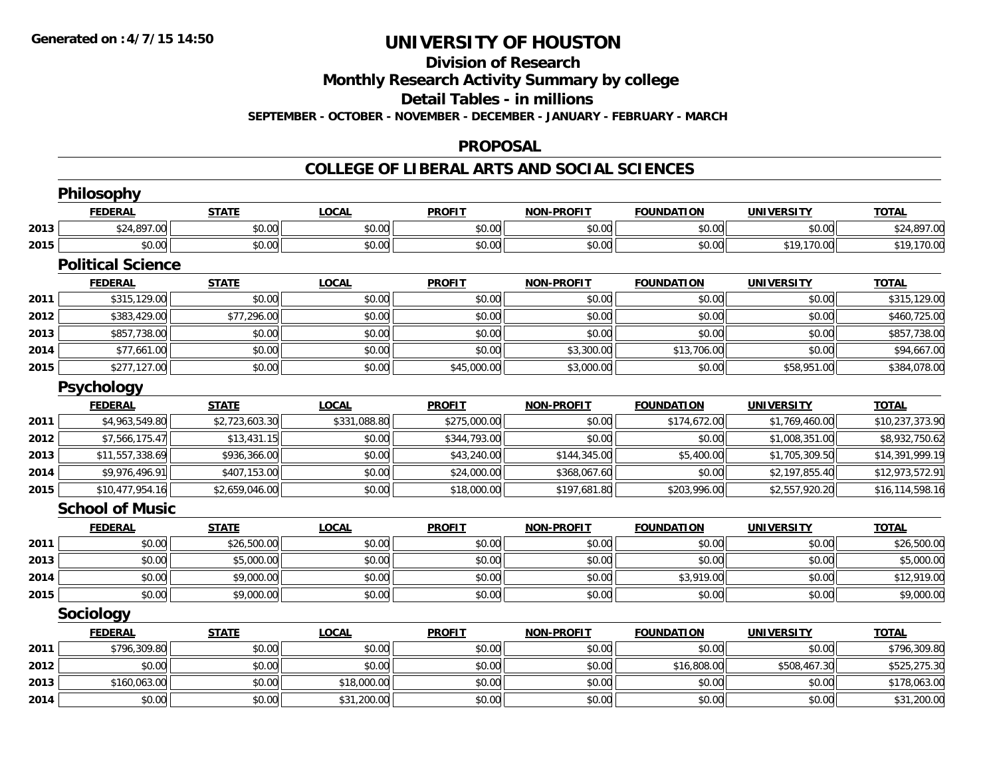## **Division of Research**

**Monthly Research Activity Summary by college**

**Detail Tables - in millions**

**SEPTEMBER - OCTOBER - NOVEMBER - DECEMBER - JANUARY - FEBRUARY - MARCH**

#### **PROPOSAL**

### **COLLEGE OF LIBERAL ARTS AND SOCIAL SCIENCES**

|      | Philosophy               |                |              |               |                   |                   |                   |                 |
|------|--------------------------|----------------|--------------|---------------|-------------------|-------------------|-------------------|-----------------|
|      | <b>FEDERAL</b>           | <b>STATE</b>   | <b>LOCAL</b> | <b>PROFIT</b> | <b>NON-PROFIT</b> | <b>FOUNDATION</b> | <b>UNIVERSITY</b> | <b>TOTAL</b>    |
| 2013 | \$24,897.00              | \$0.00         | \$0.00       | \$0.00        | \$0.00            | \$0.00            | \$0.00            | \$24,897.00     |
| 2015 | \$0.00                   | \$0.00         | \$0.00       | \$0.00        | \$0.00            | \$0.00            | \$19,170.00       | \$19,170.00     |
|      | <b>Political Science</b> |                |              |               |                   |                   |                   |                 |
|      | <b>FEDERAL</b>           | <b>STATE</b>   | <b>LOCAL</b> | <b>PROFIT</b> | <b>NON-PROFIT</b> | <b>FOUNDATION</b> | <b>UNIVERSITY</b> | <b>TOTAL</b>    |
| 2011 | \$315,129.00             | \$0.00         | \$0.00       | \$0.00        | \$0.00            | \$0.00            | \$0.00            | \$315,129.00    |
| 2012 | \$383,429.00             | \$77,296.00    | \$0.00       | \$0.00        | \$0.00            | \$0.00            | \$0.00            | \$460,725.00    |
| 2013 | \$857,738.00             | \$0.00         | \$0.00       | \$0.00        | \$0.00            | \$0.00            | \$0.00            | \$857,738.00    |
| 2014 | \$77,661.00              | \$0.00         | \$0.00       | \$0.00        | \$3,300.00        | \$13,706.00       | \$0.00            | \$94,667.00     |
| 2015 | \$277,127.00             | \$0.00         | \$0.00       | \$45,000.00   | \$3,000.00        | \$0.00            | \$58,951.00       | \$384,078.00    |
|      | Psychology               |                |              |               |                   |                   |                   |                 |
|      | <b>FEDERAL</b>           | <b>STATE</b>   | <b>LOCAL</b> | <b>PROFIT</b> | <b>NON-PROFIT</b> | <b>FOUNDATION</b> | <b>UNIVERSITY</b> | <b>TOTAL</b>    |
| 2011 | \$4,963,549.80           | \$2,723,603.30 | \$331,088.80 | \$275,000.00  | \$0.00            | \$174,672.00      | \$1,769,460.00    | \$10,237,373.90 |
| 2012 | \$7,566,175.47           | \$13,431.15    | \$0.00       | \$344,793.00  | \$0.00            | \$0.00            | \$1,008,351.00    | \$8,932,750.62  |
| 2013 | \$11,557,338.69          | \$936,366.00   | \$0.00       | \$43,240.00   | \$144,345.00      | \$5,400.00        | \$1,705,309.50    | \$14,391,999.19 |
| 2014 | \$9,976,496.91           | \$407,153.00   | \$0.00       | \$24,000.00   | \$368,067.60      | \$0.00            | \$2,197,855.40    | \$12,973,572.91 |
| 2015 | \$10,477,954.16          | \$2,659,046.00 | \$0.00       | \$18,000.00   | \$197,681.80      | \$203,996.00      | \$2,557,920.20    | \$16,114,598.16 |
|      | <b>School of Music</b>   |                |              |               |                   |                   |                   |                 |
|      | <b>FEDERAL</b>           | <b>STATE</b>   | <b>LOCAL</b> | <b>PROFIT</b> | <b>NON-PROFIT</b> | <b>FOUNDATION</b> | <b>UNIVERSITY</b> | <b>TOTAL</b>    |
| 2011 | \$0.00                   | \$26,500.00    | \$0.00       | \$0.00        | \$0.00            | \$0.00            | \$0.00            | \$26,500.00     |
| 2013 | \$0.00                   | \$5,000.00     | \$0.00       | \$0.00        | \$0.00            | \$0.00            | \$0.00            | \$5,000.00      |
| 2014 | \$0.00                   | \$9,000.00     | \$0.00       | \$0.00        | \$0.00            | \$3,919.00        | \$0.00            | \$12,919.00     |
| 2015 | \$0.00                   | \$9,000.00     | \$0.00       | \$0.00        | \$0.00            | \$0.00            | \$0.00            | \$9,000.00      |
|      | Sociology                |                |              |               |                   |                   |                   |                 |
|      | <b>FEDERAL</b>           | <b>STATE</b>   | <b>LOCAL</b> | <b>PROFIT</b> | <b>NON-PROFIT</b> | <b>FOUNDATION</b> | <b>UNIVERSITY</b> | <b>TOTAL</b>    |
| 2011 | \$796,309.80             | \$0.00         | \$0.00       | \$0.00        | \$0.00            | \$0.00            | \$0.00            | \$796,309.80    |
| 2012 | \$0.00                   | \$0.00         | \$0.00       | \$0.00        | \$0.00            | \$16,808.00       | \$508,467.30      | \$525,275.30    |
| 2013 | \$160,063.00             | \$0.00         | \$18,000.00  | \$0.00        | \$0.00            | \$0.00            | \$0.00            | \$178,063.00    |
| 2014 | \$0.00                   | \$0.00         | \$31,200.00  | \$0.00        | \$0.00            | \$0.00            | \$0.00            | \$31,200.00     |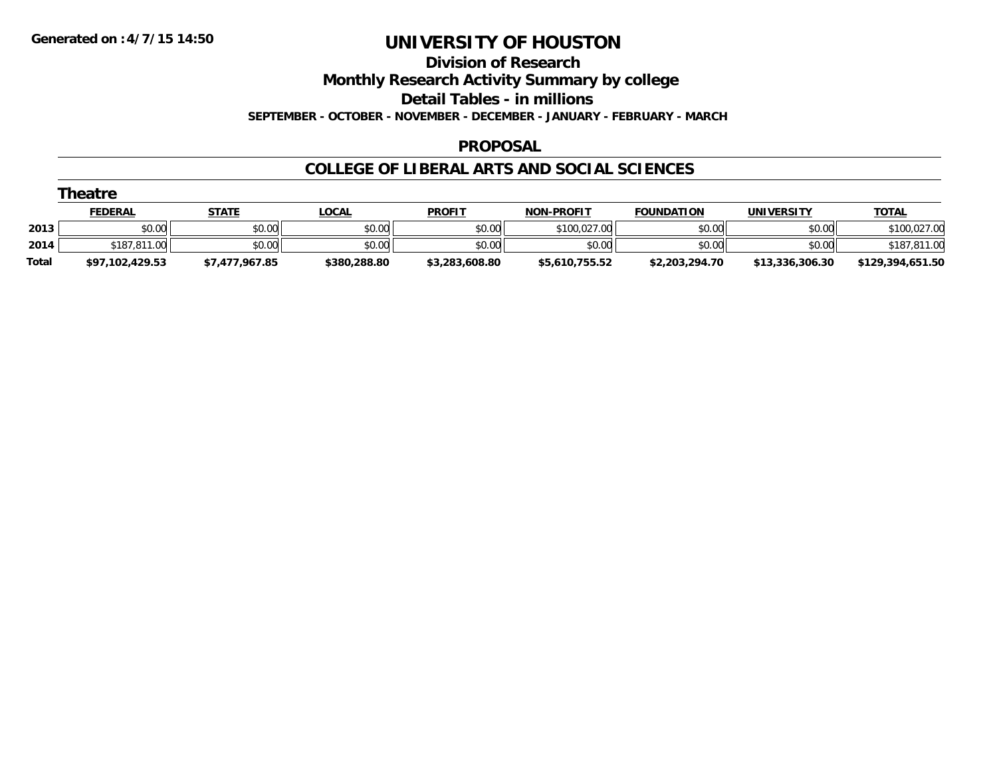#### **Division of Research**

**Monthly Research Activity Summary by college**

**Detail Tables - in millions**

**SEPTEMBER - OCTOBER - NOVEMBER - DECEMBER - JANUARY - FEBRUARY - MARCH**

#### **PROPOSAL**

#### **COLLEGE OF LIBERAL ARTS AND SOCIAL SCIENCES**

|              | Theatre         |                |              |                |                   |                   |                 |                  |
|--------------|-----------------|----------------|--------------|----------------|-------------------|-------------------|-----------------|------------------|
|              | <b>FEDERAL</b>  | STATE          | <u>LOCAL</u> | <b>PROFIT</b>  | <b>NON-PROFIT</b> | <b>FOUNDATION</b> | UNIVERSITY      | <b>TOTAL</b>     |
| 2013         | \$0.00          | \$0.00         | \$0.00       | \$0.00         | \$100.027.00      | \$0.00            | \$0.00          | \$100,027.00     |
| 2014         | \$187,811,00    | \$0.00         | \$0.00       | \$0.00         | \$0.00            | \$0.00            | \$0.00          | \$187,811.00     |
| <b>Total</b> | \$97,102,429.53 | \$7,477,967.85 | \$380,288.80 | \$3,283,608.80 | \$5,610,755.52    | \$2,203,294.70    | \$13,336,306.30 | \$129,394,651.50 |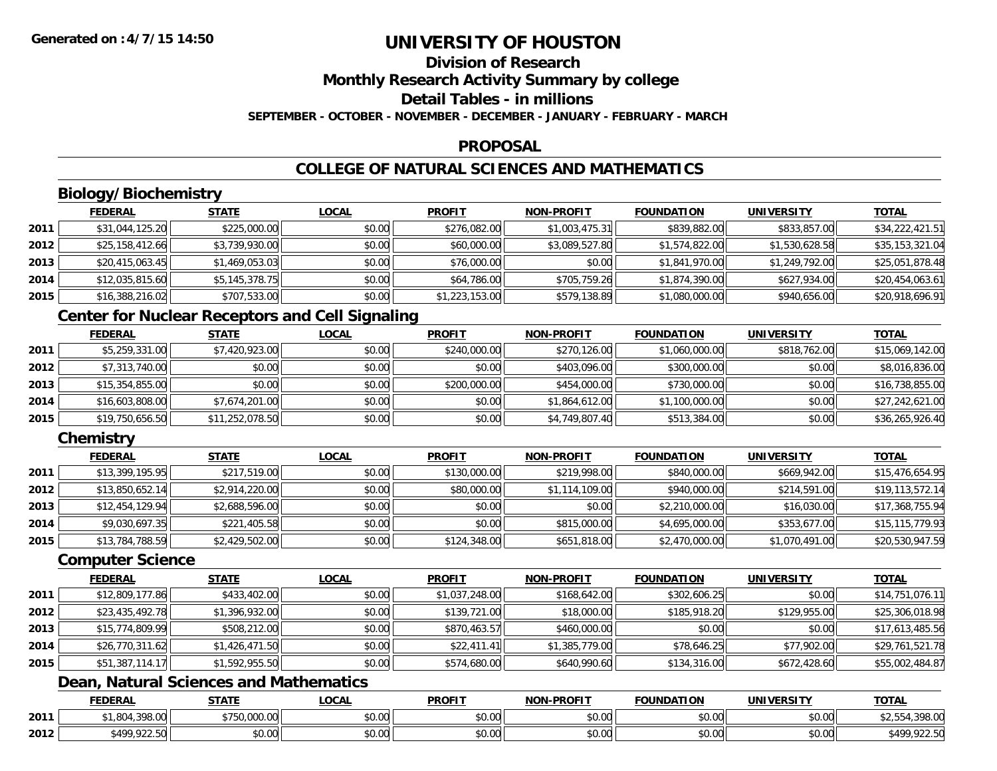# **Division of Research**

**Monthly Research Activity Summary by college**

## **Detail Tables - in millions**

**SEPTEMBER - OCTOBER - NOVEMBER - DECEMBER - JANUARY - FEBRUARY - MARCH**

### **PROPOSAL**

## **COLLEGE OF NATURAL SCIENCES AND MATHEMATICS**

## **Biology/Biochemistry**

|      | <b>FEDERAL</b>  | <b>STATE</b>   | <b>LOCAL</b> | <b>PROFIT</b>  | <b>NON-PROFIT</b> | <b>FOUNDATION</b> | <b>UNIVERSITY</b> | <b>TOTAL</b>    |
|------|-----------------|----------------|--------------|----------------|-------------------|-------------------|-------------------|-----------------|
| 2011 | \$31,044,125.20 | \$225,000.00   | \$0.00       | \$276,082.00   | \$1,003,475.31    | \$839,882.00      | \$833,857.00      | \$34,222,421.51 |
| 2012 | \$25,158,412.66 | \$3,739,930.00 | \$0.00       | \$60,000.00    | \$3,089,527.80    | \$1,574,822.00    | \$1,530,628.58    | \$35,153,321.04 |
| 2013 | \$20,415,063.45 | \$1,469,053.03 | \$0.00       | \$76,000.00    | \$0.00            | \$1,841,970.00    | \$1,249,792.00    | \$25,051,878.48 |
| 2014 | \$12,035,815.60 | \$5,145,378.75 | \$0.00       | \$64,786.00    | \$705,759.26      | \$1,874,390.00    | \$627,934.00      | \$20,454,063.61 |
| 2015 | \$16,388,216.02 | \$707,533.00   | \$0.00       | \$1,223,153.00 | \$579,138.89      | \$1,080,000.00    | \$940,656.00      | \$20,918,696.91 |

### **Center for Nuclear Receptors and Cell Signaling**

|      | <b>FEDERAL</b>  | <b>STATE</b>    | <b>LOCAL</b> | <b>PROFIT</b> | <b>NON-PROFIT</b> | <b>FOUNDATION</b> | <b>UNIVERSITY</b> | <b>TOTAL</b>    |
|------|-----------------|-----------------|--------------|---------------|-------------------|-------------------|-------------------|-----------------|
| 2011 | \$5,259,331.00  | \$7,420,923.00  | \$0.00       | \$240,000.00  | \$270,126.00      | \$1,060,000.00    | \$818,762.00      | \$15,069,142.00 |
| 2012 | \$7,313,740.00  | \$0.00          | \$0.00       | \$0.00        | \$403,096.00      | \$300,000.00      | \$0.00            | \$8,016,836.00  |
| 2013 | \$15,354,855.00 | \$0.00          | \$0.00       | \$200,000.00  | \$454,000.00      | \$730,000.00      | \$0.00            | \$16,738,855.00 |
| 2014 | \$16,603,808.00 | \$7,674,201.00  | \$0.00       | \$0.00        | \$1,864,612.00    | \$1,100,000.00    | \$0.00            | \$27,242,621.00 |
| 2015 | \$19,750,656.50 | \$11,252,078.50 | \$0.00       | \$0.00        | \$4,749,807.40    | \$513,384.00      | \$0.00            | \$36,265,926.40 |

### **Chemistry**

|      | <b>FEDERAL</b>  | <b>STATE</b>   | <b>LOCAL</b> | <b>PROFIT</b> | <b>NON-PROFIT</b> | <b>FOUNDATION</b> | <b>UNIVERSITY</b> | <b>TOTAL</b>    |
|------|-----------------|----------------|--------------|---------------|-------------------|-------------------|-------------------|-----------------|
| 2011 | \$13,399,195.95 | \$217,519.00   | \$0.00       | \$130,000.00  | \$219,998.00      | \$840,000.00      | \$669,942.00      | \$15,476,654.95 |
| 2012 | \$13,850,652.14 | \$2,914,220.00 | \$0.00       | \$80,000.00   | \$1,114,109.00    | \$940,000.00      | \$214,591.00      | \$19,113,572.14 |
| 2013 | \$12,454,129.94 | \$2,688,596.00 | \$0.00       | \$0.00        | \$0.00            | \$2,210,000.00    | \$16,030.00       | \$17,368,755.94 |
| 2014 | \$9,030,697.35  | \$221,405.58   | \$0.00       | \$0.00        | \$815,000.00      | \$4,695,000.00    | \$353,677.00      | \$15,115,779.93 |
| 2015 | \$13,784,788.59 | \$2,429,502.00 | \$0.00       | \$124,348.00  | \$651,818.00      | \$2,470,000.00    | \$1,070,491.00    | \$20,530,947.59 |

#### **Computer Science**

|      | <b>FEDERAL</b>  | <b>STATE</b>   | <b>LOCAL</b> | <b>PROFIT</b>  | <b>NON-PROFIT</b> | <b>FOUNDATION</b> | <b>UNIVERSITY</b> | <b>TOTAL</b>    |
|------|-----------------|----------------|--------------|----------------|-------------------|-------------------|-------------------|-----------------|
| 2011 | \$12,809,177.86 | \$433,402.00   | \$0.00       | \$1,037,248.00 | \$168,642.00      | \$302,606.25      | \$0.00            | \$14,751,076.11 |
| 2012 | \$23,435,492.78 | \$1,396,932.00 | \$0.00       | \$139,721.00   | \$18,000.00       | \$185,918.20      | \$129,955,00      | \$25,306,018.98 |
| 2013 | \$15,774,809.99 | \$508,212.00   | \$0.00       | \$870,463.57   | \$460,000.00      | \$0.00            | \$0.00            | \$17,613,485.56 |
| 2014 | \$26,770,311.62 | \$1,426,471.50 | \$0.00       | \$22,411.41    | \$1,385,779.00    | \$78,646.25       | \$77,902.00       | \$29,761,521.78 |
| 2015 | \$51,387,114.17 | \$1,592,955.50 | \$0.00       | \$574,680.00   | \$640,990.60      | \$134,316.00      | \$672,428.60      | \$55,002,484.87 |

## **Dean, Natural Sciences and Mathematics**

|      | <b>FEDERAL</b>                | $- - - - -$               | <b>_OCAI</b>       | <b>PROFIT</b>      | <b>J-PROFIT</b><br>ארות | FOUNDATION     | UNIVERSITY                             | <b>TOTA</b>               |
|------|-------------------------------|---------------------------|--------------------|--------------------|-------------------------|----------------|----------------------------------------|---------------------------|
| 2011 | 20000<br>$\Omega$<br>70.UU    | 000<br>$\sim$<br>u,uuu.uu | 0.000<br>vu.uu     | 0000<br>vu.ov      | 0000<br>vu.vu           | \$0.00         | $\mathfrak{g}$ $\mathfrak{g}$<br>DU.UG | 0000<br>, J 70. UU        |
| 2012 | <b>\$400,022.50</b><br>122.00 | 0000<br>JU.UU             | $\sim$ 00<br>vv.vv | $\sim$ 00<br>JU.UU | 0000<br><b>DU.UG</b>    | 0000<br>\$0.00 | \$0.00                                 | 922.50<br>t 100<br>722.JU |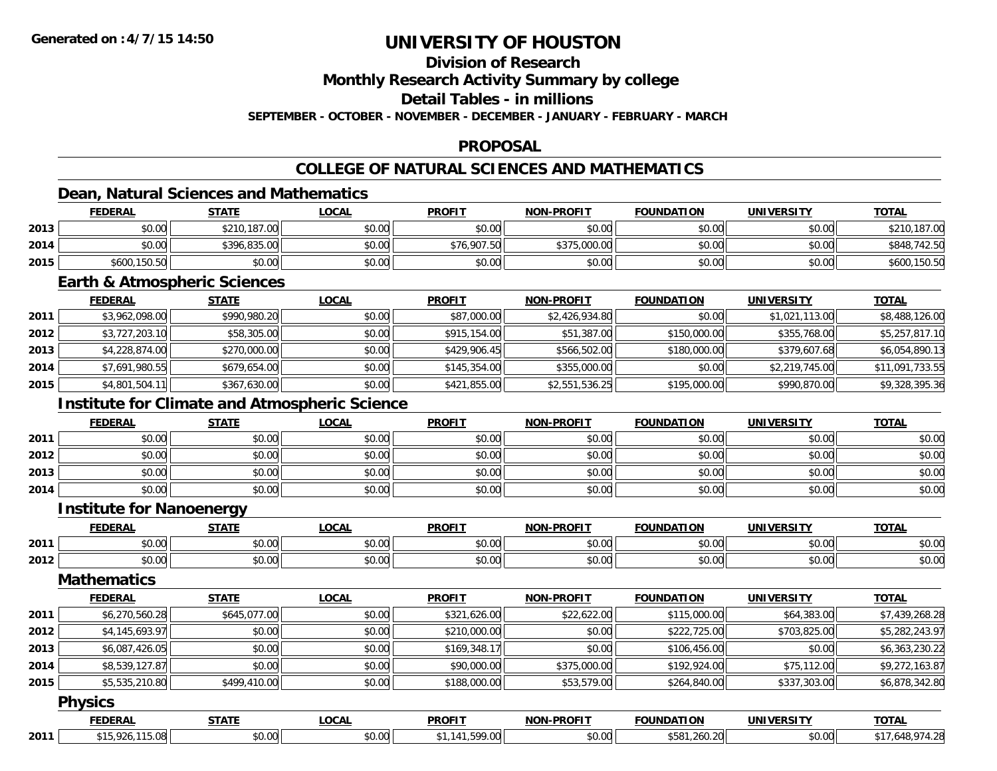## **Division of Research**

**Monthly Research Activity Summary by college**

**Detail Tables - in millions**

**SEPTEMBER - OCTOBER - NOVEMBER - DECEMBER - JANUARY - FEBRUARY - MARCH**

### **PROPOSAL**

## **COLLEGE OF NATURAL SCIENCES AND MATHEMATICS**

### **Dean, Natural Sciences and Mathematics**

|      | <b>FEDERAL</b> | <b>STATE</b> | <b>LOCAL</b> | <b>PROFIT</b> | <b>NON-PROFIT</b> | <b>FOUNDATION</b> | UNIVERSITY | <b>TOTAL</b>      |
|------|----------------|--------------|--------------|---------------|-------------------|-------------------|------------|-------------------|
| 2013 | \$0.00         | \$210,187.00 | \$0.00       | \$0.00        | \$0.00            | \$0.00            | \$0.00     | ,187.00           |
| 2014 | \$0.00         | \$396,835,00 | \$0.00       | \$76,907.50   | \$375,000.00      | \$0.00            | \$0.00     | .742.50<br>\$848. |
| 2015 | \$600,150.50   | \$0.00       | \$0.00       | \$0.00        | \$0.00            | \$0.00            | \$0.00     | \$600,150.50      |

### **Earth & Atmospheric Sciences**

|      | <b>FEDERAL</b> | <u>STATE</u> | <b>LOCAL</b> | <b>PROFIT</b> | <b>NON-PROFIT</b> | <b>FOUNDATION</b> | <b>UNIVERSITY</b> | <u>TOTAL</u>    |
|------|----------------|--------------|--------------|---------------|-------------------|-------------------|-------------------|-----------------|
| 2011 | \$3,962,098.00 | \$990,980.20 | \$0.00       | \$87,000.00   | \$2,426,934.80    | \$0.00            | \$1,021,113.00    | \$8,488,126.00  |
| 2012 | \$3,727,203.10 | \$58,305.00  | \$0.00       | \$915,154.00  | \$51,387.00       | \$150,000.00      | \$355,768.00      | \$5,257,817.10  |
| 2013 | \$4,228,874.00 | \$270,000.00 | \$0.00       | \$429,906.45  | \$566,502.00      | \$180,000.00      | \$379,607.68      | \$6,054,890.13  |
| 2014 | \$7,691,980.55 | \$679,654.00 | \$0.00       | \$145,354.00  | \$355,000.00      | \$0.00            | \$2,219,745.00    | \$11,091,733.55 |
| 2015 | \$4,801,504.11 | \$367,630.00 | \$0.00       | \$421,855.00  | \$2,551,536.25    | \$195,000.00      | \$990,870.00      | \$9,328,395.36  |

### **Institute for Climate and Atmospheric Science**

|      | <b>FEDERAL</b> | <b>STATE</b> | <u>LOCAL</u> | <b>PROFIT</b> | <b>NON-PROFIT</b> | <b>FOUNDATION</b> | <b>UNIVERSITY</b> | <b>TOTAL</b> |
|------|----------------|--------------|--------------|---------------|-------------------|-------------------|-------------------|--------------|
| 2011 | \$0.00         | \$0.00       | \$0.00       | \$0.00        | \$0.00            | \$0.00            | \$0.00            | \$0.00       |
| 2012 | \$0.00         | \$0.00       | \$0.00       | \$0.00        | \$0.00            | \$0.00            | \$0.00            | \$0.00       |
| 2013 | \$0.00         | \$0.00       | \$0.00       | \$0.00        | \$0.00            | \$0.00            | \$0.00            | \$0.00       |
| 2014 | \$0.00         | \$0.00       | \$0.00       | \$0.00        | \$0.00            | \$0.00            | \$0.00            | \$0.00       |

### **Institute for Nanoenergy**

|      | <b>FEDERAI</b> | 27.77              | <b>OCAL</b>            | <b>PROFIT</b> | -PROFIT<br>NON     | <b>FOUNDATION</b>      | <b>IINIVEDSITV</b> | <b>TOTA</b>            |
|------|----------------|--------------------|------------------------|---------------|--------------------|------------------------|--------------------|------------------------|
| 2011 | \$0.00         | $\sim$ 00<br>טט.טע | $\sim$ $\sim$<br>vv.vv | 0000<br>JU.UL | $\sim$ 00<br>pu.uu | $\sim$ $\sim$<br>JU.UU | $\sim$ 00<br>vv.vv | $\sim$ $\sim$<br>DU.UG |
| 2012 | \$0.00         | ሶስ ሰሰ<br>JU.UU     | 0000<br>JU.UU          | 0000<br>JU.UU | $\sim$ 00<br>J∪.∪u | $\sim$ 00<br>JU.UU     | ሰሰ ሰሰ<br>JU.UU     | $\sim$<br>ง∪.∪บ        |

### **Mathematics**

|      | <b>FEDERAL</b> | <b>STATE</b> | <b>LOCAL</b> | <b>PROFIT</b> | <b>NON-PROFIT</b> | <b>FOUNDATION</b> | <b>UNIVERSITY</b> | <b>TOTAL</b>   |
|------|----------------|--------------|--------------|---------------|-------------------|-------------------|-------------------|----------------|
| 2011 | \$6,270,560.28 | \$645,077,00 | \$0.00       | \$321,626,00  | \$22,622.00       | \$115,000.00      | \$64,383.00       | \$7,439,268.28 |
| 2012 | \$4,145,693.97 | \$0.00       | \$0.00       | \$210,000.00  | \$0.00            | \$222,725.00      | \$703,825.00      | \$5,282,243.97 |
| 2013 | \$6,087,426.05 | \$0.00       | \$0.00       | \$169,348.17  | \$0.00            | \$106,456.00      | \$0.00            | \$6,363,230.22 |
| 2014 | \$8,539,127.87 | \$0.00       | \$0.00       | \$90,000.00   | \$375,000.00      | \$192,924.00      | \$75,112.00       | \$9,272,163.87 |
| 2015 | \$5,535,210.80 | \$499,410.00 | \$0.00       | \$188,000.00  | \$53,579.00       | \$264,840.00      | \$337,303.00      | \$6,878,342.80 |

#### **Physics**

|      | <b>FEDERAL</b> | $- - - - -$   | <b>_OCAL</b> | <b>PROFIT</b>         | <b>NON-PROFIT</b>  | <b>FOUNDATION</b><br>ном | UNIVERSIT          | <b>TOTAL</b> |
|------|----------------|---------------|--------------|-----------------------|--------------------|--------------------------|--------------------|--------------|
| 2011 | 15.O8L         | 0000<br>JU.UU | \$0.00       | 500<br>$\overline{a}$ | $\sim$ 00<br>JU.UU | \$581<br>.260.20         | $\sim$ 00<br>DU.U¢ | −.∠          |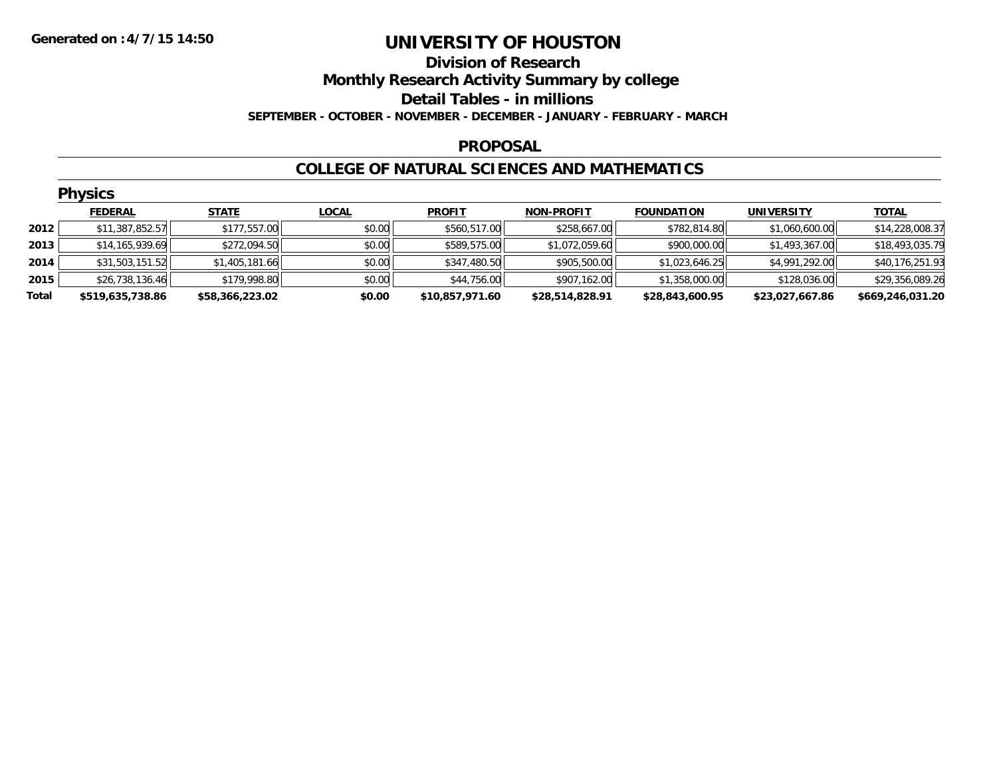### **Division of Research Monthly Research Activity Summary by college Detail Tables - in millions SEPTEMBER - OCTOBER - NOVEMBER - DECEMBER - JANUARY - FEBRUARY - MARCH**

#### **PROPOSAL**

### **COLLEGE OF NATURAL SCIENCES AND MATHEMATICS**

|       | <b>Physics</b>    |                 |              |                 |                   |                   |                   |                  |  |  |  |
|-------|-------------------|-----------------|--------------|-----------------|-------------------|-------------------|-------------------|------------------|--|--|--|
|       | <b>FEDERAL</b>    | <b>STATE</b>    | <b>LOCAL</b> | <b>PROFIT</b>   | <b>NON-PROFIT</b> | <b>FOUNDATION</b> | <b>UNIVERSITY</b> | <b>TOTAL</b>     |  |  |  |
| 2012  | \$11,387,852.57   | \$177,557.00    | \$0.00       | \$560,517.00    | \$258,667.00      | \$782,814.80      | \$1,060,600.00    | \$14,228,008.37  |  |  |  |
| 2013  | \$14, 165, 939.69 | \$272,094.50    | \$0.00       | \$589,575.00    | \$1,072,059.60    | \$900,000.00      | \$1,493,367.00    | \$18,493,035.79  |  |  |  |
| 2014  | \$31,503,151.52   | \$1,405,181.66  | \$0.00       | \$347,480.50    | \$905,500.00      | \$1,023,646.25    | \$4,991,292.00    | \$40,176,251.93  |  |  |  |
| 2015  | \$26,738,136.46   | \$179,998.80    | \$0.00       | \$44,756.00     | \$907,162.00      | \$1,358,000.00    | \$128,036.00      | \$29,356,089.26  |  |  |  |
| Total | \$519,635,738.86  | \$58,366,223.02 | \$0.00       | \$10,857,971.60 | \$28,514,828.91   | \$28,843,600.95   | \$23,027,667.86   | \$669,246,031.20 |  |  |  |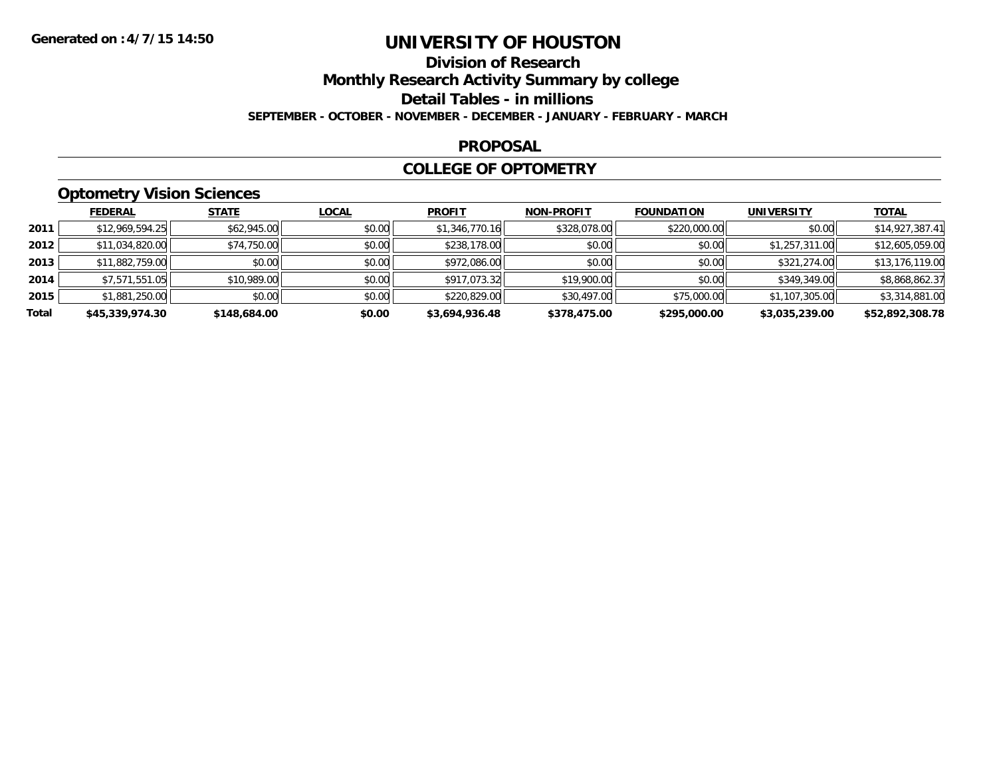### **Division of ResearchMonthly Research Activity Summary by college Detail Tables - in millions SEPTEMBER - OCTOBER - NOVEMBER - DECEMBER - JANUARY - FEBRUARY - MARCH**

#### **PROPOSAL**

### **COLLEGE OF OPTOMETRY**

## **Optometry Vision Sciences**

|       | <b>FEDERAL</b>  | <b>STATE</b> | <b>LOCAL</b> | <b>PROFIT</b>  | <b>NON-PROFIT</b> | <b>FOUNDATION</b> | <b>UNIVERSITY</b> | <b>TOTAL</b>    |
|-------|-----------------|--------------|--------------|----------------|-------------------|-------------------|-------------------|-----------------|
| 2011  | \$12,969,594.25 | \$62,945.00  | \$0.00       | \$1,346,770.16 | \$328,078.00      | \$220,000.00      | \$0.00            | \$14,927,387.41 |
| 2012  | \$11,034,820.00 | \$74,750.00  | \$0.00       | \$238,178.00   | \$0.00            | \$0.00            | \$1,257,311.00    | \$12,605,059.00 |
| 2013  | \$11,882,759.00 | \$0.00       | \$0.00       | \$972,086.00   | \$0.00            | \$0.00            | \$321,274.00      | \$13,176,119.00 |
| 2014  | \$7,571,551.05  | \$10,989.00  | \$0.00       | \$917,073.32   | \$19,900.00       | \$0.00            | \$349,349.00      | \$8,868,862.37  |
| 2015  | \$1,881,250.00  | \$0.00       | \$0.00       | \$220,829.00   | \$30,497.00       | \$75,000.00       | \$1,107,305.00    | \$3,314,881.00  |
| Total | \$45,339,974.30 | \$148,684.00 | \$0.00       | \$3,694,936.48 | \$378,475.00      | \$295,000.00      | \$3,035,239.00    | \$52,892,308.78 |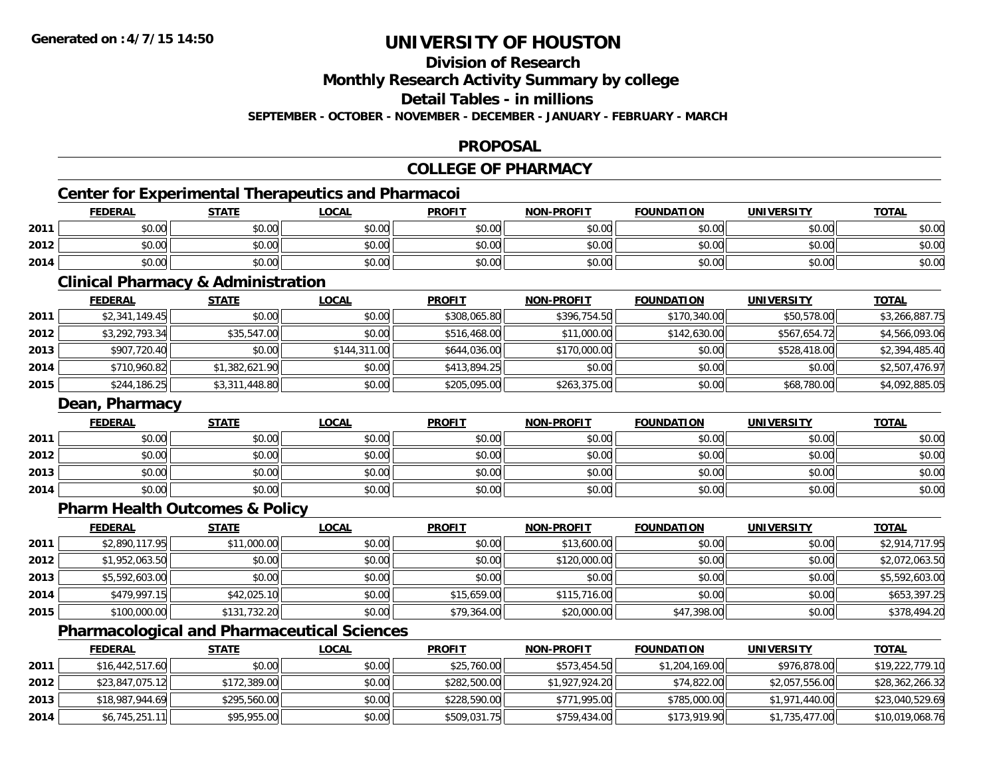## **Division of Research**

**Monthly Research Activity Summary by college**

**Detail Tables - in millions**

**SEPTEMBER - OCTOBER - NOVEMBER - DECEMBER - JANUARY - FEBRUARY - MARCH**

### **PROPOSAL**

#### **COLLEGE OF PHARMACY**

## **Center for Experimental Therapeutics and Pharmacoi**

|      | <b>FEDERAL</b> | <b>STATE</b> | <b>LOCAL</b> | <b>PROFIT</b> | <b>NON-PROFIT</b> | <b>FOUNDATION</b> | UNIVERSITY | <b>TOTAL</b> |
|------|----------------|--------------|--------------|---------------|-------------------|-------------------|------------|--------------|
| 2011 | nn na<br>pu.uu | \$0.00       | \$0.00       | \$0.00        | \$0.00            | \$0.00            | \$0.00     | \$0.00       |
| 2012 | \$0.00         | \$0.00       | \$0.00       | \$0.00        | \$0.00            | \$0.00            | \$0.00     | \$0.00       |
| 2014 | \$0.00         | \$0.00       | \$0.00       | \$0.00        | \$0.00            | \$0.00            | \$0.00     | \$0.00       |

<u> 1989 - Johann Stoff, Amerikaansk politiker († 1958)</u>

### **Clinical Pharmacy & Administration**

|      | <b>FEDERAL</b> | <b>STATE</b>   | <b>LOCAL</b> | <b>PROFIT</b> | <b>NON-PROFIT</b> | <b>FOUNDATION</b> | <b>UNIVERSITY</b> | <b>TOTAL</b>   |
|------|----------------|----------------|--------------|---------------|-------------------|-------------------|-------------------|----------------|
| 2011 | \$2,341,149.45 | \$0.00         | \$0.00       | \$308,065.80  | \$396,754.50      | \$170,340.00      | \$50,578.00       | \$3,266,887.75 |
| 2012 | \$3,292,793.34 | \$35,547.00    | \$0.00       | \$516,468.00  | \$11,000.00       | \$142,630.00      | \$567,654.72      | \$4,566,093.06 |
| 2013 | \$907,720.40   | \$0.00         | \$144,311.00 | \$644,036.00  | \$170,000.00      | \$0.00            | \$528,418.00      | \$2,394,485.40 |
| 2014 | \$710,960.82   | \$1,382,621.90 | \$0.00       | \$413,894.25  | \$0.00            | \$0.00            | \$0.00            | \$2,507,476.97 |
| 2015 | \$244,186.25   | \$3,311,448.80 | \$0.00       | \$205,095.00  | \$263,375.00      | \$0.00            | \$68,780.00       | \$4,092,885.05 |

### **Dean, Pharmacy**

|      | <b>FEDERAL</b> | <b>STATE</b> | <b>LOCAL</b> | <b>PROFIT</b> | <b>NON-PROFIT</b> | <b>FOUNDATION</b> | <b>UNIVERSITY</b> | <b>TOTAL</b> |
|------|----------------|--------------|--------------|---------------|-------------------|-------------------|-------------------|--------------|
| 2011 | \$0.00         | \$0.00       | \$0.00       | \$0.00        | \$0.00            | \$0.00            | \$0.00            | \$0.00       |
| 2012 | \$0.00         | \$0.00       | \$0.00       | \$0.00        | \$0.00            | \$0.00            | \$0.00            | \$0.00       |
| 2013 | \$0.00         | \$0.00       | \$0.00       | \$0.00        | \$0.00            | \$0.00            | \$0.00            | \$0.00       |
| 2014 | \$0.00         | \$0.00       | \$0.00       | \$0.00        | \$0.00            | \$0.00            | \$0.00            | \$0.00       |

## **Pharm Health Outcomes & Policy**

|      | <b>FEDERAL</b> | <b>STATE</b> | <u>LOCAL</u> | <b>PROFIT</b> | <b>NON-PROFIT</b> | <b>FOUNDATION</b> | <b>UNIVERSITY</b> | <b>TOTAL</b>   |
|------|----------------|--------------|--------------|---------------|-------------------|-------------------|-------------------|----------------|
| 2011 | \$2,890,117.95 | \$11,000.00  | \$0.00       | \$0.00        | \$13,600.00       | \$0.00            | \$0.00            | \$2,914,717.95 |
| 2012 | \$1,952,063.50 | \$0.00       | \$0.00       | \$0.00        | \$120,000.00      | \$0.00            | \$0.00            | \$2,072,063.50 |
| 2013 | \$5,592,603.00 | \$0.00       | \$0.00       | \$0.00        | \$0.00            | \$0.00            | \$0.00            | \$5,592,603.00 |
| 2014 | \$479.997.15   | \$42,025.10  | \$0.00       | \$15,659.00   | \$115,716.00      | \$0.00            | \$0.00            | \$653,397.25   |
| 2015 | \$100,000.00   | \$131,732.20 | \$0.00       | \$79,364.00   | \$20,000.00       | \$47,398.00       | \$0.00            | \$378,494.20   |

### **Pharmacological and Pharmaceutical Sciences**

|      | <b>FEDERAL</b>  | <u>STATE</u> | <u>LOCAL</u> | <b>PROFIT</b> | <b>NON-PROFIT</b> | <b>FOUNDATION</b> | <b>UNIVERSITY</b> | <u>TOTAL</u>    |
|------|-----------------|--------------|--------------|---------------|-------------------|-------------------|-------------------|-----------------|
| 2011 | \$16,442,517.60 | \$0.00       | \$0.00       | \$25,760.00   | \$573,454.50      | \$1,204,169.00    | \$976,878,00      | \$19,222,779.10 |
| 2012 | \$23,847,075.12 | \$172,389.00 | \$0.00       | \$282,500.00  | \$1,927,924.20    | \$74,822.00       | \$2,057,556.00    | \$28,362,266.32 |
| 2013 | \$18,987,944.69 | \$295,560.00 | \$0.00       | \$228,590.00  | \$771,995.00      | \$785,000.00      | \$1,971,440.00    | \$23,040,529.69 |
| 2014 | \$6,745,251.1   | \$95,955.00  | \$0.00       | \$509,031.75  | \$759,434.00      | \$173,919.90      | \$1,735,477.00    | \$10,019,068.76 |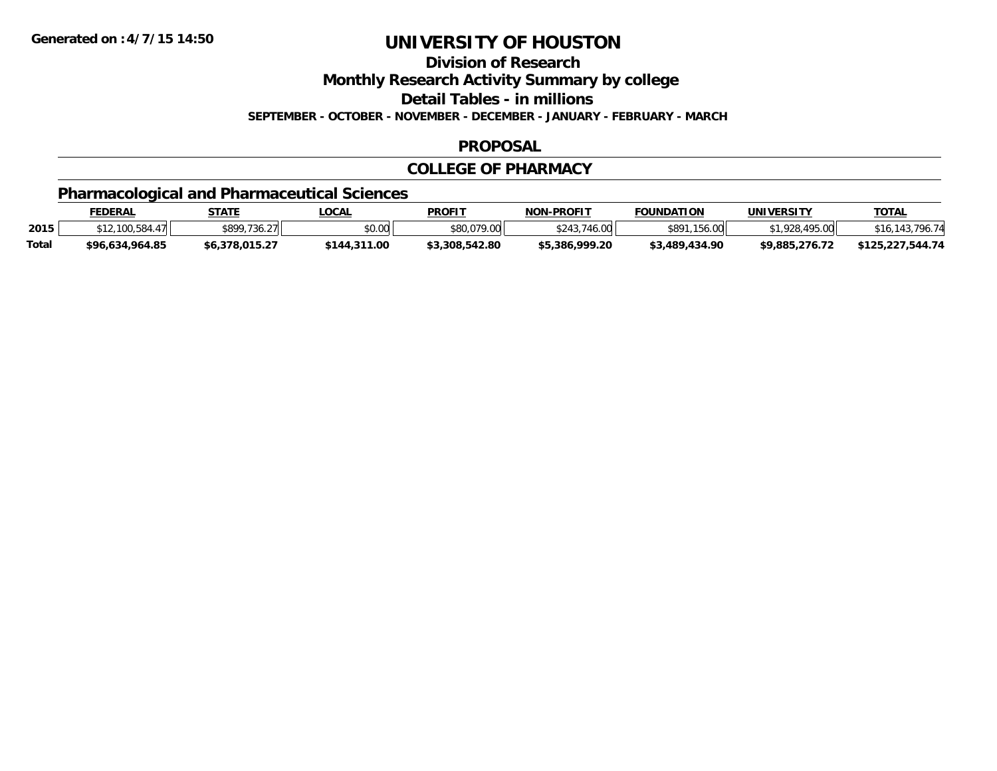**Division of Research**

**Monthly Research Activity Summary by college**

**Detail Tables - in millions**

**SEPTEMBER - OCTOBER - NOVEMBER - DECEMBER - JANUARY - FEBRUARY - MARCH**

### **PROPOSAL**

### **COLLEGE OF PHARMACY**

## **Pharmacological and Pharmaceutical Sciences**

|              | <u>FEDERAL</u>  | STATE                     | LOCAL        | <b>PROFIT</b>  | <b>NON-PROFIT</b> | <b>FOUNDATION</b> | <b>UNIVERSITY</b> | <b>TOTAL</b>                      |
|--------------|-----------------|---------------------------|--------------|----------------|-------------------|-------------------|-------------------|-----------------------------------|
| 2015         | \$12.100.58     | \$899,736.27<br>$/ \,$ ll | \$0.00       | \$80,079.00    | 46.00             | \$891,156,00      | .495.00<br>1028   | 143 796 74<br><i><b>\$16.</b></i> |
| <b>Total</b> | \$96,634,964.85 | \$6,378,015.27            | \$144,311.00 | \$3.308.542.80 | \$5,386,999.20    | \$3,489,434.90    | \$9,885,276.72    | \$125,227,544.74                  |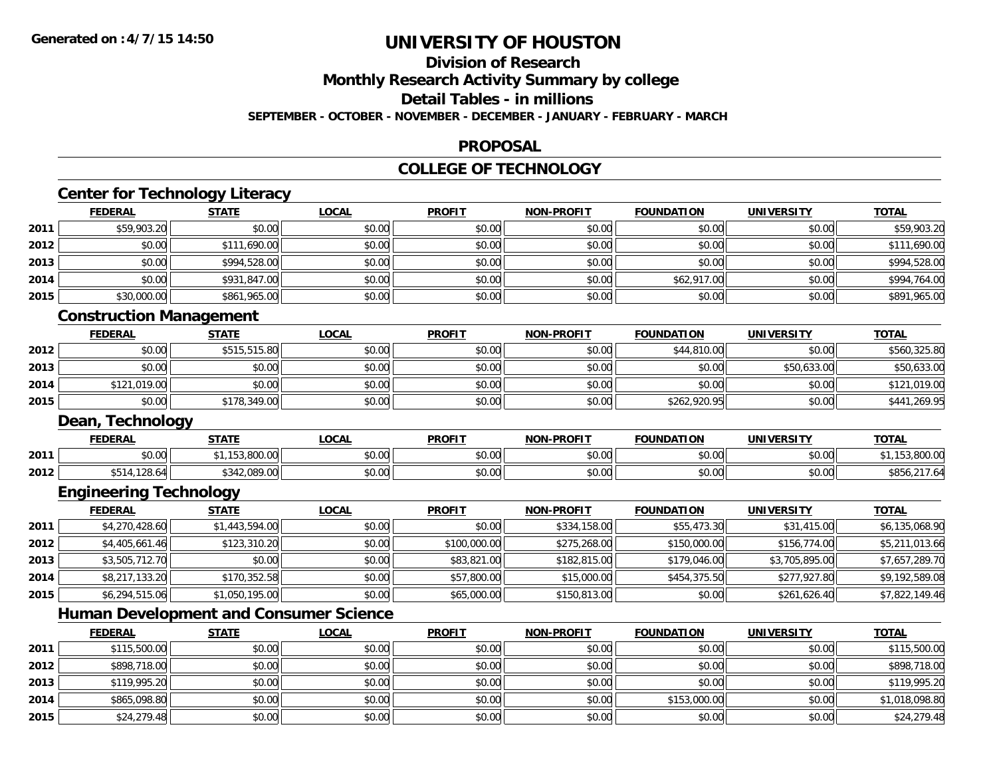**2015**

## **UNIVERSITY OF HOUSTON**

## **Division of Research**

**Monthly Research Activity Summary by college**

**Detail Tables - in millions**

**SEPTEMBER - OCTOBER - NOVEMBER - DECEMBER - JANUARY - FEBRUARY - MARCH**

### **PROPOSAL**

### **COLLEGE OF TECHNOLOGY**

|      | <b>FEDERAL</b>                 | <b>STATE</b>                                  | <b>LOCAL</b> | <b>PROFIT</b> | <b>NON-PROFIT</b> | <b>FOUNDATION</b> | <b>UNIVERSITY</b> | <b>TOTAL</b>   |
|------|--------------------------------|-----------------------------------------------|--------------|---------------|-------------------|-------------------|-------------------|----------------|
| 2011 | \$59,903.20                    | \$0.00                                        | \$0.00       | \$0.00        | \$0.00            | \$0.00            | \$0.00            | \$59,903.20    |
| 2012 | \$0.00                         | \$111,690.00                                  | \$0.00       | \$0.00        | \$0.00            | \$0.00            | \$0.00            | \$111,690.00   |
| 2013 | \$0.00                         | \$994,528.00                                  | \$0.00       | \$0.00        | \$0.00            | \$0.00            | \$0.00            | \$994,528.00   |
| 2014 | \$0.00                         | \$931,847.00                                  | \$0.00       | \$0.00        | \$0.00            | \$62,917.00       | \$0.00            | \$994,764.00   |
| 2015 | \$30,000.00                    | \$861,965.00                                  | \$0.00       | \$0.00        | \$0.00            | \$0.00            | \$0.00            | \$891,965.00   |
|      | <b>Construction Management</b> |                                               |              |               |                   |                   |                   |                |
|      | <b>FEDERAL</b>                 | <b>STATE</b>                                  | <b>LOCAL</b> | <b>PROFIT</b> | <b>NON-PROFIT</b> | <b>FOUNDATION</b> | <b>UNIVERSITY</b> | <b>TOTAL</b>   |
| 2012 | \$0.00                         | \$515,515.80                                  | \$0.00       | \$0.00        | \$0.00            | \$44,810.00       | \$0.00            | \$560,325.80   |
| 2013 | \$0.00                         | \$0.00                                        | \$0.00       | \$0.00        | \$0.00            | \$0.00            | \$50,633.00       | \$50,633.00    |
| 2014 | \$121,019.00                   | \$0.00                                        | \$0.00       | \$0.00        | \$0.00            | \$0.00            | \$0.00            | \$121,019.00   |
| 2015 | \$0.00                         | \$178,349.00                                  | \$0.00       | \$0.00        | \$0.00            | \$262,920.95      | \$0.00            | \$441,269.95   |
|      | Dean, Technology               |                                               |              |               |                   |                   |                   |                |
|      | <b>FEDERAL</b>                 | <b>STATE</b>                                  | <b>LOCAL</b> | <b>PROFIT</b> | <b>NON-PROFIT</b> | <b>FOUNDATION</b> | <b>UNIVERSITY</b> | <b>TOTAL</b>   |
| 2011 | \$0.00                         | \$1,153,800.00                                | \$0.00       | \$0.00        | \$0.00            | \$0.00            | \$0.00            | \$1,153,800.00 |
| 2012 | \$514,128.64                   | \$342,089.00                                  | \$0.00       | \$0.00        | \$0.00            | \$0.00            | \$0.00            | \$856,217.64   |
|      | <b>Engineering Technology</b>  |                                               |              |               |                   |                   |                   |                |
|      | <b>FEDERAL</b>                 | <b>STATE</b>                                  | <b>LOCAL</b> | <b>PROFIT</b> | <b>NON-PROFIT</b> | <b>FOUNDATION</b> | <b>UNIVERSITY</b> | <b>TOTAL</b>   |
| 2011 | \$4,270,428.60                 | \$1,443,594.00                                | \$0.00       | \$0.00        | \$334,158.00      | \$55,473.30       | \$31,415.00       | \$6,135,068.90 |
| 2012 | \$4,405,661.46                 | \$123,310.20                                  | \$0.00       | \$100,000.00  | \$275,268.00      | \$150,000.00      | \$156,774.00      | \$5,211,013.66 |
| 2013 | \$3,505,712.70                 | \$0.00                                        | \$0.00       | \$83,821.00   | \$182,815.00      | \$179,046.00      | \$3,705,895.00    | \$7,657,289.70 |
| 2014 | \$8,217,133.20                 | \$170,352.58                                  | \$0.00       | \$57,800.00   | \$15,000.00       | \$454,375.50      | \$277,927.80      | \$9,192,589.08 |
| 2015 | \$6,294,515.06                 | \$1,050,195.00                                | \$0.00       | \$65,000.00   | \$150,813.00      | \$0.00            | \$261,626.40      | \$7,822,149.46 |
|      |                                | <b>Human Development and Consumer Science</b> |              |               |                   |                   |                   |                |
|      | <b>FEDERAL</b>                 | <b>STATE</b>                                  | <b>LOCAL</b> | <b>PROFIT</b> | <b>NON-PROFIT</b> | <b>FOUNDATION</b> | <b>UNIVERSITY</b> | <b>TOTAL</b>   |
| 2011 | \$115,500.00                   | \$0.00                                        | \$0.00       | \$0.00        | \$0.00            | \$0.00            | \$0.00            | \$115,500.00   |
| 2012 | \$898,718.00                   | \$0.00                                        | \$0.00       | \$0.00        | \$0.00            | \$0.00            | \$0.00            | \$898,718.00   |
| 2013 | \$119,995.20                   | \$0.00                                        | \$0.00       | \$0.00        | \$0.00            | \$0.00            | \$0.00            | \$119,995.20   |
| 2014 | \$865,098.80                   | \$0.00                                        | \$0.00       | \$0.00        | \$0.00            | \$153,000.00      | \$0.00            | \$1,018,098.80 |

\$24,279.48 \$0.00 \$0.00 \$0.00 \$0.00 \$0.00 \$0.00 \$24,279.48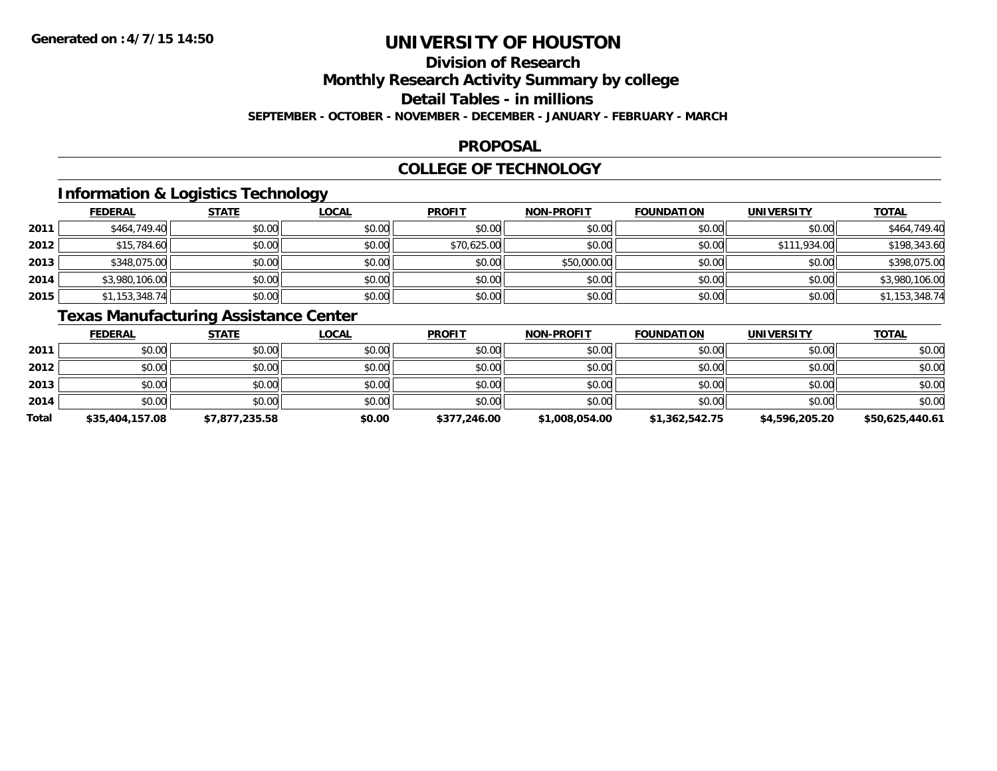## **Division of Research**

**Monthly Research Activity Summary by college**

**Detail Tables - in millions**

**SEPTEMBER - OCTOBER - NOVEMBER - DECEMBER - JANUARY - FEBRUARY - MARCH**

### **PROPOSAL**

### **COLLEGE OF TECHNOLOGY**

## **Information & Logistics Technology**

|      | <b>FEDERAL</b> | <b>STATE</b> | <u>LOCAL</u> | <b>PROFIT</b> | <b>NON-PROFIT</b> | <b>FOUNDATION</b> | <b>UNIVERSITY</b> | <b>TOTAL</b>   |
|------|----------------|--------------|--------------|---------------|-------------------|-------------------|-------------------|----------------|
| 2011 | \$464,749.40   | \$0.00       | \$0.00       | \$0.00        | \$0.00            | \$0.00            | \$0.00            | \$464,749.40   |
| 2012 | \$15,784.60    | \$0.00       | \$0.00       | \$70,625.00   | \$0.00            | \$0.00            | \$111,934.00      | \$198,343.60   |
| 2013 | \$348,075.00   | \$0.00       | \$0.00       | \$0.00        | \$50,000.00       | \$0.00            | \$0.00            | \$398,075.00   |
| 2014 | \$3,980,106.00 | \$0.00       | \$0.00       | \$0.00        | \$0.00            | \$0.00            | \$0.00            | \$3,980,106.00 |
| 2015 | \$1,153,348.74 | \$0.00       | \$0.00       | \$0.00        | \$0.00            | \$0.00            | \$0.00            | \$1,153,348.74 |

## **Texas Manufacturing Assistance Center**

|       | <b>FEDERAL</b>  | <b>STATE</b>   | <u>LOCAL</u> | <b>PROFIT</b> | <b>NON-PROFIT</b> | <b>FOUNDATION</b> | <b>UNIVERSITY</b> | <b>TOTAL</b>    |
|-------|-----------------|----------------|--------------|---------------|-------------------|-------------------|-------------------|-----------------|
| 2011  | \$0.00          | \$0.00         | \$0.00       | \$0.00        | \$0.00            | \$0.00            | \$0.00            | \$0.00          |
| 2012  | \$0.00          | \$0.00         | \$0.00       | \$0.00        | \$0.00            | \$0.00            | \$0.00            | \$0.00          |
| 2013  | \$0.00          | \$0.00         | \$0.00       | \$0.00        | \$0.00            | \$0.00            | \$0.00            | \$0.00          |
| 2014  | \$0.00          | \$0.00         | \$0.00       | \$0.00        | \$0.00            | \$0.00            | \$0.00            | \$0.00          |
| Total | \$35,404,157.08 | \$7,877,235.58 | \$0.00       | \$377,246.00  | \$1,008,054.00    | \$1,362,542.75    | \$4,596,205.20    | \$50.625.440.61 |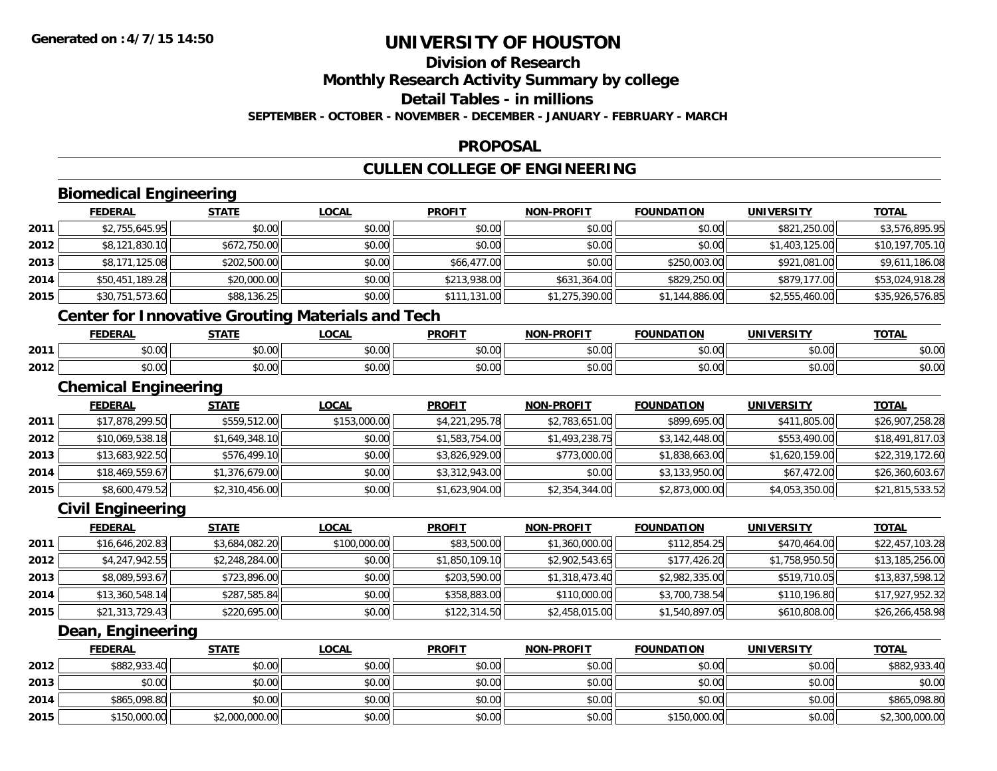**2015**

## **UNIVERSITY OF HOUSTON**

## **Division of Research**

**Monthly Research Activity Summary by college**

**Detail Tables - in millions**

**SEPTEMBER - OCTOBER - NOVEMBER - DECEMBER - JANUARY - FEBRUARY - MARCH**

### **PROPOSAL**

## **CULLEN COLLEGE OF ENGINEERING**

|      | <b>Biomedical Engineering</b> |                                                          |              |                |                   |                   |                   |                 |
|------|-------------------------------|----------------------------------------------------------|--------------|----------------|-------------------|-------------------|-------------------|-----------------|
|      | <b>FEDERAL</b>                | <b>STATE</b>                                             | <b>LOCAL</b> | <b>PROFIT</b>  | <b>NON-PROFIT</b> | <b>FOUNDATION</b> | <b>UNIVERSITY</b> | <b>TOTAL</b>    |
| 2011 | \$2,755,645.95                | \$0.00                                                   | \$0.00       | \$0.00         | \$0.00            | \$0.00            | \$821,250.00      | \$3,576,895.95  |
| 2012 | \$8,121,830.10                | \$672,750.00                                             | \$0.00       | \$0.00         | \$0.00            | \$0.00            | \$1,403,125.00    | \$10,197,705.10 |
| 2013 | \$8,171,125.08                | \$202,500.00                                             | \$0.00       | \$66,477.00    | \$0.00            | \$250,003.00      | \$921,081.00      | \$9,611,186.08  |
| 2014 | \$50,451,189.28               | \$20,000.00                                              | \$0.00       | \$213,938.00   | \$631,364.00      | \$829,250.00      | \$879,177.00      | \$53,024,918.28 |
| 2015 | \$30,751,573.60               | \$88,136.25                                              | \$0.00       | \$111,131.00   | \$1,275,390.00    | \$1,144,886.00    | \$2,555,460.00    | \$35,926,576.85 |
|      |                               | <b>Center for Innovative Grouting Materials and Tech</b> |              |                |                   |                   |                   |                 |
|      | <b>FEDERAL</b>                | <b>STATE</b>                                             | <b>LOCAL</b> | <b>PROFIT</b>  | <b>NON-PROFIT</b> | <b>FOUNDATION</b> | <b>UNIVERSITY</b> | <b>TOTAL</b>    |
| 2011 | \$0.00                        | \$0.00                                                   | \$0.00       | \$0.00         | \$0.00            | \$0.00            | \$0.00            | \$0.00          |
| 2012 | \$0.00                        | \$0.00                                                   | \$0.00       | \$0.00         | \$0.00            | \$0.00            | \$0.00            | \$0.00          |
|      | <b>Chemical Engineering</b>   |                                                          |              |                |                   |                   |                   |                 |
|      | <b>FEDERAL</b>                | <b>STATE</b>                                             | <b>LOCAL</b> | <b>PROFIT</b>  | <b>NON-PROFIT</b> | <b>FOUNDATION</b> | <b>UNIVERSITY</b> | <b>TOTAL</b>    |
| 2011 | \$17,878,299.50               | \$559,512.00                                             | \$153,000.00 | \$4,221,295.78 | \$2,783,651.00    | \$899,695.00      | \$411,805.00      | \$26,907,258.28 |
| 2012 | \$10,069,538.18               | \$1,649,348.10                                           | \$0.00       | \$1,583,754.00 | \$1,493,238.75    | \$3,142,448.00    | \$553,490.00      | \$18,491,817.03 |
| 2013 | \$13,683,922.50               | \$576,499.10                                             | \$0.00       | \$3,826,929.00 | \$773,000.00      | \$1,838,663.00    | \$1,620,159.00    | \$22,319,172.60 |
| 2014 | \$18,469,559.67               | \$1,376,679.00                                           | \$0.00       | \$3,312,943.00 | \$0.00            | \$3,133,950.00    | \$67,472.00       | \$26,360,603.67 |
| 2015 | \$8,600,479.52                | \$2,310,456.00                                           | \$0.00       | \$1,623,904.00 | \$2,354,344.00    | \$2,873,000.00    | \$4,053,350.00    | \$21,815,533.52 |
|      | <b>Civil Engineering</b>      |                                                          |              |                |                   |                   |                   |                 |
|      | <b>FEDERAL</b>                | <b>STATE</b>                                             | <b>LOCAL</b> | <b>PROFIT</b>  | <b>NON-PROFIT</b> | <b>FOUNDATION</b> | <b>UNIVERSITY</b> | <b>TOTAL</b>    |
| 2011 | \$16,646,202.83               | \$3,684,082.20                                           | \$100,000.00 | \$83,500.00    | \$1,360,000.00    | \$112,854.25      | \$470,464.00      | \$22,457,103.28 |
| 2012 | \$4,247,942.55                | \$2,248,284.00                                           | \$0.00       | \$1,850,109.10 | \$2,902,543.65    | \$177,426.20      | \$1,758,950.50    | \$13,185,256.00 |
| 2013 | \$8,089,593.67                | \$723,896.00                                             | \$0.00       | \$203,590.00   | \$1,318,473.40    | \$2,982,335.00    | \$519,710.05      | \$13,837,598.12 |
| 2014 | \$13,360,548.14               | \$287,585.84                                             | \$0.00       | \$358,883.00   | \$110,000.00      | \$3,700,738.54    | \$110,196.80      | \$17,927,952.32 |
| 2015 | \$21,313,729.43               | \$220,695.00                                             | \$0.00       | \$122,314.50   | \$2,458,015.00    | \$1,540,897.05    | \$610,808.00      | \$26,266,458.98 |
|      | Dean, Engineering             |                                                          |              |                |                   |                   |                   |                 |
|      | <b>FEDERAL</b>                | <b>STATE</b>                                             | <b>LOCAL</b> | <b>PROFIT</b>  | <b>NON-PROFIT</b> | <b>FOUNDATION</b> | <b>UNIVERSITY</b> | <b>TOTAL</b>    |
| 2012 | \$882,933.40                  | \$0.00                                                   | \$0.00       | \$0.00         | \$0.00            | \$0.00            | \$0.00            | \$882,933.40    |
| 2013 | \$0.00                        | \$0.00                                                   | \$0.00       | \$0.00         | \$0.00            | \$0.00            | \$0.00            | \$0.00          |
| 2014 | \$865,098.80                  | \$0.00                                                   | \$0.00       | \$0.00         | \$0.00            | \$0.00            | \$0.00            | \$865,098.80    |

\$150,000.00 \$2,000,000.00 \$0.00 \$0.00 \$0.00 \$150,000.00 \$0.00 \$2,300,000.00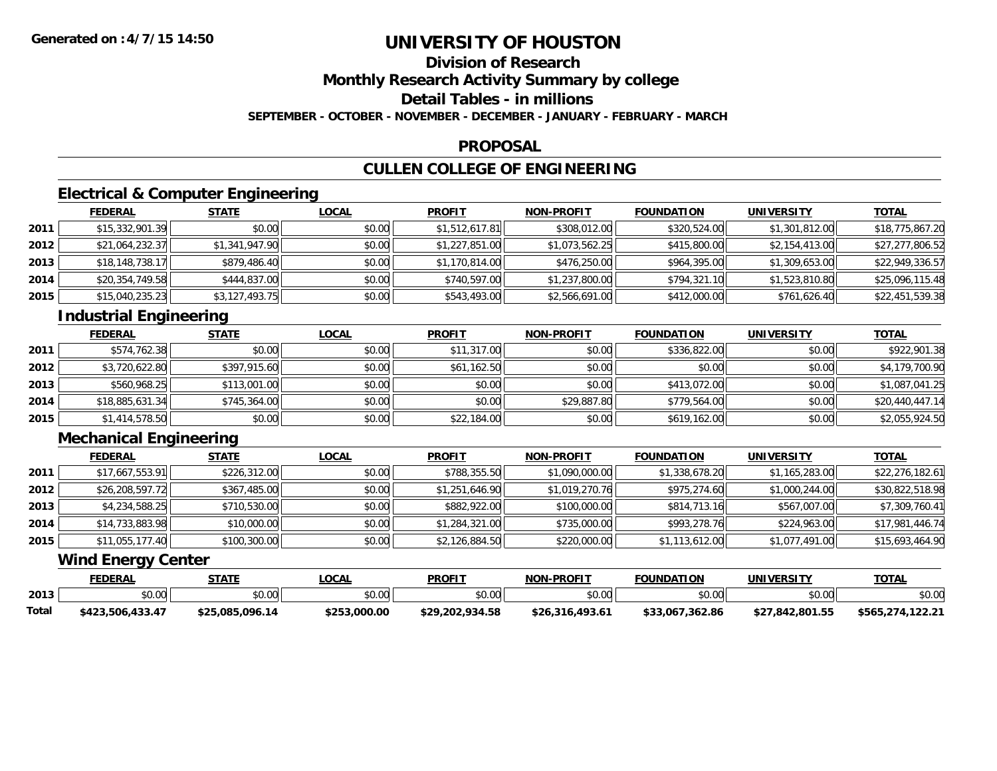## **Division of Research**

**Monthly Research Activity Summary by college**

**Detail Tables - in millions**

**SEPTEMBER - OCTOBER - NOVEMBER - DECEMBER - JANUARY - FEBRUARY - MARCH**

### **PROPOSAL**

## **CULLEN COLLEGE OF ENGINEERING**

## **Electrical & Computer Engineering**

|      | <b>FEDERAL</b>  | <u>STATE</u>   | <b>LOCAL</b> | <b>PROFIT</b>  | <b>NON-PROFIT</b> | <b>FOUNDATION</b> | <b>UNIVERSITY</b> | <u>TOTAL</u>    |
|------|-----------------|----------------|--------------|----------------|-------------------|-------------------|-------------------|-----------------|
| 2011 | \$15,332,901.39 | \$0.00         | \$0.00       | \$1,512,617.81 | \$308,012.00      | \$320,524.00      | \$1,301,812.00    | \$18,775,867.20 |
| 2012 | \$21,064,232.37 | \$1,341,947.90 | \$0.00       | \$1,227,851.00 | \$1,073,562.25    | \$415,800.00      | \$2,154,413.00    | \$27,277,806.52 |
| 2013 | \$18,148,738.17 | \$879,486.40   | \$0.00       | \$1,170,814.00 | \$476,250.00      | \$964,395.00      | \$1,309,653.00    | \$22,949,336.57 |
| 2014 | \$20,354,749.58 | \$444,837.00   | \$0.00       | \$740,597.00   | \$1,237,800.00    | \$794,321.10      | \$1,523,810.80    | \$25,096,115.48 |
| 2015 | \$15,040,235.23 | \$3,127,493.75 | \$0.00       | \$543,493.00   | \$2,566,691.00    | \$412,000.00      | \$761,626.40      | \$22,451,539.38 |

## **Industrial Engineering**

|      | <b>FEDERAL</b>  | <b>STATE</b> | <b>LOCAL</b> | <b>PROFIT</b> | <b>NON-PROFIT</b> | <b>FOUNDATION</b> | <b>UNIVERSITY</b> | <b>TOTAL</b>    |
|------|-----------------|--------------|--------------|---------------|-------------------|-------------------|-------------------|-----------------|
| 2011 | \$574,762.38    | \$0.00       | \$0.00       | \$11,317.00   | \$0.00            | \$336,822.00      | \$0.00            | \$922,901.38    |
| 2012 | \$3,720,622.80  | \$397,915.60 | \$0.00       | \$61,162.50   | \$0.00            | \$0.00            | \$0.00            | \$4,179,700.90  |
| 2013 | \$560,968.25    | \$113,001.00 | \$0.00       | \$0.00        | \$0.00            | \$413,072.00      | \$0.00            | \$1,087,041.25  |
| 2014 | \$18,885,631.34 | \$745,364.00 | \$0.00       | \$0.00        | \$29,887.80       | \$779,564.00      | \$0.00            | \$20,440,447.14 |
| 2015 | \$1,414,578.50  | \$0.00       | \$0.00       | \$22,184.00   | \$0.00            | \$619,162.00      | \$0.00            | \$2,055,924.50  |

## **Mechanical Engineering**

|      | <b>FEDERAL</b>  | <b>STATE</b> | <u>LOCAL</u> | <b>PROFIT</b>  | <b>NON-PROFIT</b> | <b>FOUNDATION</b> | <b>UNIVERSITY</b> | <b>TOTAL</b>    |
|------|-----------------|--------------|--------------|----------------|-------------------|-------------------|-------------------|-----------------|
| 2011 | \$17,667,553.91 | \$226,312.00 | \$0.00       | \$788,355.50   | \$1,090,000.00    | \$1,338,678.20    | \$1,165,283.00    | \$22,276,182.61 |
| 2012 | \$26,208,597.72 | \$367,485.00 | \$0.00       | \$1,251,646.90 | \$1,019,270.76    | \$975,274.60      | \$1,000,244.00    | \$30,822,518.98 |
| 2013 | \$4,234,588.25  | \$710,530.00 | \$0.00       | \$882,922.00   | \$100,000.00      | \$814,713.16      | \$567,007.00      | \$7,309,760.41  |
| 2014 | \$14,733,883.98 | \$10,000.00  | \$0.00       | \$1,284,321.00 | \$735,000.00      | \$993,278.76      | \$224,963.00      | \$17,981,446.74 |
| 2015 | \$11,055,177.40 | \$100,300.00 | \$0.00       | \$2,126,884.50 | \$220,000.00      | \$1,113,612.00    | \$1,077,491.00    | \$15,693,464.90 |

### **Wind Energy Center**

|       | FEDERAL              | STATE           | _OCAL        | <b>PROFIT</b>                              | <b>NON-PROFIT</b> | <b>FOUNDATION</b> | UNIVERSITY      | <b>TOTAL</b>         |
|-------|----------------------|-----------------|--------------|--------------------------------------------|-------------------|-------------------|-----------------|----------------------|
| 2013  | \$0.00               | \$0.00          | \$0.00       | $\mathfrak{c}\cap\mathfrak{a}\cap$<br>JU.U | \$0.00            | \$0.00            | \$0.00          | \$0.00               |
| Total | 506,433.47,<br>\$423 | \$25.085.096.14 | \$253,000.00 | \$29,202,934.58                            | \$26,316,493.61   | \$33,067,362.86   | \$27,842,801.55 | /4,122.21<br>\$565,z |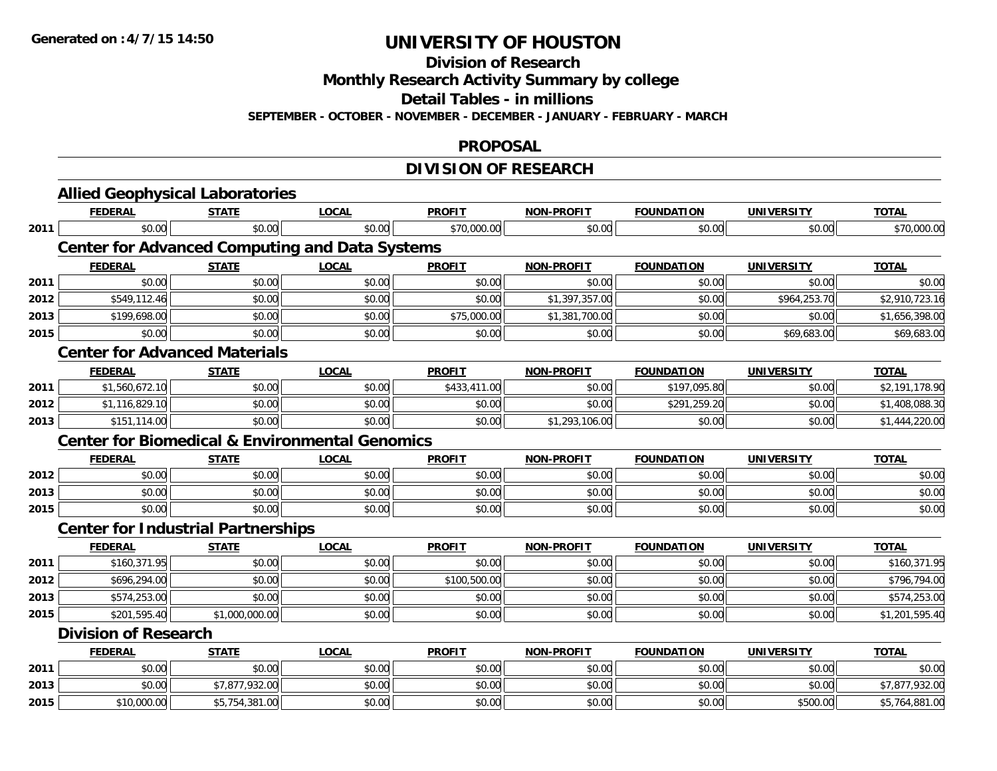**Division of Research**

**Monthly Research Activity Summary by college**

**Detail Tables - in millions**

**SEPTEMBER - OCTOBER - NOVEMBER - DECEMBER - JANUARY - FEBRUARY - MARCH**

#### **PROPOSAL**

## **DIVISION OF RESEARCH**

|      | <b>Allied Geophysical Laboratories</b>                    |                |              |               |                   |                   |                   |                |
|------|-----------------------------------------------------------|----------------|--------------|---------------|-------------------|-------------------|-------------------|----------------|
|      | <b>FEDERAL</b>                                            | <b>STATE</b>   | <b>LOCAL</b> | <b>PROFIT</b> | <b>NON-PROFIT</b> | <b>FOUNDATION</b> | <b>UNIVERSITY</b> | <b>TOTAL</b>   |
| 2011 | \$0.00                                                    | \$0.00         | \$0.00       | \$70,000.00   | \$0.00            | \$0.00            | \$0.00            | \$70,000.00    |
|      | <b>Center for Advanced Computing and Data Systems</b>     |                |              |               |                   |                   |                   |                |
|      | <b>FEDERAL</b>                                            | <b>STATE</b>   | <b>LOCAL</b> | <b>PROFIT</b> | <b>NON-PROFIT</b> | <b>FOUNDATION</b> | <b>UNIVERSITY</b> | <b>TOTAL</b>   |
| 2011 | \$0.00                                                    | \$0.00         | \$0.00       | \$0.00        | \$0.00            | \$0.00            | \$0.00            | \$0.00         |
| 2012 | \$549,112.46                                              | \$0.00         | \$0.00       | \$0.00        | \$1,397,357.00    | \$0.00            | \$964,253.70      | \$2,910,723.16 |
| 2013 | \$199,698.00                                              | \$0.00         | \$0.00       | \$75,000.00   | \$1,381,700.00    | \$0.00            | \$0.00            | \$1,656,398.00 |
| 2015 | \$0.00                                                    | \$0.00         | \$0.00       | \$0.00        | \$0.00            | \$0.00            | \$69,683.00       | \$69,683.00    |
|      | <b>Center for Advanced Materials</b>                      |                |              |               |                   |                   |                   |                |
|      | <b>FEDERAL</b>                                            | <b>STATE</b>   | <b>LOCAL</b> | <b>PROFIT</b> | <b>NON-PROFIT</b> | <b>FOUNDATION</b> | <b>UNIVERSITY</b> | <b>TOTAL</b>   |
| 2011 | \$1,560,672.10                                            | \$0.00         | \$0.00       | \$433,411.00  | \$0.00            | \$197,095.80      | \$0.00            | \$2,191,178.90 |
| 2012 | \$1,116,829.10                                            | \$0.00         | \$0.00       | \$0.00        | \$0.00            | \$291,259.20      | \$0.00            | \$1,408,088.30 |
| 2013 | \$151,114.00                                              | \$0.00         | \$0.00       | \$0.00        | \$1,293,106.00    | \$0.00            | \$0.00            | \$1,444,220.00 |
|      | <b>Center for Biomedical &amp; Environmental Genomics</b> |                |              |               |                   |                   |                   |                |
|      | <b>FEDERAL</b>                                            | <b>STATE</b>   | <b>LOCAL</b> | <b>PROFIT</b> | <b>NON-PROFIT</b> | <b>FOUNDATION</b> | <b>UNIVERSITY</b> | <b>TOTAL</b>   |
| 2012 | \$0.00                                                    | \$0.00         | \$0.00       | \$0.00        | \$0.00            | \$0.00            | \$0.00            | \$0.00         |
| 2013 | \$0.00                                                    | \$0.00         | \$0.00       | \$0.00        | \$0.00            | \$0.00            | \$0.00            | \$0.00         |
| 2015 | \$0.00                                                    | \$0.00         | \$0.00       | \$0.00        | \$0.00            | \$0.00            | \$0.00            | \$0.00         |
|      | <b>Center for Industrial Partnerships</b>                 |                |              |               |                   |                   |                   |                |
|      | <b>FEDERAL</b>                                            | <b>STATE</b>   | <b>LOCAL</b> | <b>PROFIT</b> | <b>NON-PROFIT</b> | <b>FOUNDATION</b> | <b>UNIVERSITY</b> | <b>TOTAL</b>   |
| 2011 | \$160,371.95                                              | \$0.00         | \$0.00       | \$0.00        | \$0.00            | \$0.00            | \$0.00            | \$160,371.95   |
| 2012 | \$696,294.00                                              | \$0.00         | \$0.00       | \$100,500.00  | \$0.00            | \$0.00            | \$0.00            | \$796,794.00   |
| 2013 | \$574,253.00                                              | \$0.00         | \$0.00       | \$0.00        | \$0.00            | \$0.00            | \$0.00            | \$574,253.00   |
| 2015 | \$201,595.40                                              | \$1,000,000.00 | \$0.00       | \$0.00        | \$0.00            | \$0.00            | \$0.00            | \$1,201,595.40 |
|      | <b>Division of Research</b>                               |                |              |               |                   |                   |                   |                |
|      | <b>FEDERAL</b>                                            | <b>STATE</b>   | <b>LOCAL</b> | <b>PROFIT</b> | <b>NON-PROFIT</b> | <b>FOUNDATION</b> | <b>UNIVERSITY</b> | <b>TOTAL</b>   |
| 2011 | \$0.00                                                    | \$0.00         | \$0.00       | \$0.00        | \$0.00            | \$0.00            | \$0.00            | \$0.00         |
| 2013 | \$0.00                                                    | \$7,877,932.00 | \$0.00       | \$0.00        | \$0.00            | \$0.00            | \$0.00            | \$7,877,932.00 |
| 2015 | \$10,000.00                                               | \$5,754,381.00 | \$0.00       | \$0.00        | \$0.00            | \$0.00            | \$500.00          | \$5,764,881.00 |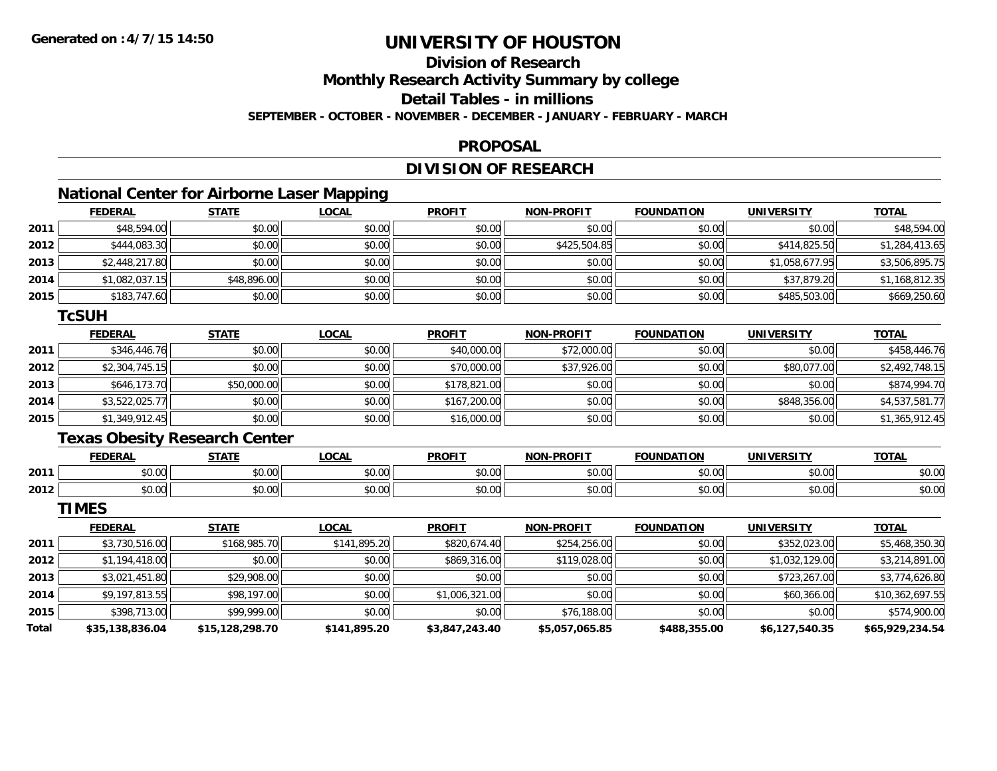## **Division of Research**

**Monthly Research Activity Summary by college**

**Detail Tables - in millions**

**SEPTEMBER - OCTOBER - NOVEMBER - DECEMBER - JANUARY - FEBRUARY - MARCH**

#### **PROPOSAL**

### **DIVISION OF RESEARCH**

## **National Center for Airborne Laser Mapping**

|      | <b>FEDERAL</b> | <b>STATE</b> | <b>LOCAL</b> | <b>PROFIT</b> | <b>NON-PROFIT</b> | <b>FOUNDATION</b> | <b>UNIVERSITY</b> | <b>TOTAL</b>   |
|------|----------------|--------------|--------------|---------------|-------------------|-------------------|-------------------|----------------|
| 2011 | \$48,594.00    | \$0.00       | \$0.00       | \$0.00        | \$0.00            | \$0.00            | \$0.00            | \$48,594.00    |
| 2012 | \$444,083.30   | \$0.00       | \$0.00       | \$0.00        | \$425,504.85      | \$0.00            | \$414,825.50      | \$1,284,413.65 |
| 2013 | \$2,448,217.80 | \$0.00       | \$0.00       | \$0.00        | \$0.00            | \$0.00            | \$1,058,677.95    | \$3,506,895.75 |
| 2014 | \$1,082,037.15 | \$48,896.00  | \$0.00       | \$0.00        | \$0.00            | \$0.00            | \$37,879.20       | \$1,168,812.35 |
| 2015 | \$183,747.60   | \$0.00       | \$0.00       | \$0.00        | \$0.00            | \$0.00            | \$485,503.00      | \$669,250.60   |

#### **TcSUH**

|      | <b>FEDERAL</b> | <b>STATE</b> | <u>LOCAL</u> | <b>PROFIT</b> | <b>NON-PROFIT</b> | <b>FOUNDATION</b> | <b>UNIVERSITY</b> | <b>TOTAL</b>   |
|------|----------------|--------------|--------------|---------------|-------------------|-------------------|-------------------|----------------|
| 2011 | \$346,446.76   | \$0.00       | \$0.00       | \$40,000.00   | \$72,000.00       | \$0.00            | \$0.00            | \$458,446.76   |
| 2012 | \$2,304,745.15 | \$0.00       | \$0.00       | \$70,000.00   | \$37,926.00       | \$0.00            | \$80,077.00       | \$2,492,748.15 |
| 2013 | \$646,173.70   | \$50,000.00  | \$0.00       | \$178,821.00  | \$0.00            | \$0.00            | \$0.00            | \$874,994.70   |
| 2014 | \$3,522,025.77 | \$0.00       | \$0.00       | \$167,200.00  | \$0.00            | \$0.00            | \$848,356.00      | \$4,537,581.77 |
| 2015 | \$1,349,912.45 | \$0.00       | \$0.00       | \$16,000.00   | \$0.00            | \$0.00            | \$0.00            | \$1,365,912.45 |

### **Texas Obesity Research Center**

|      | <b>FEDERA</b> | CTATE            | $\bigcap_{n=1}^{\infty}$<br>.OCAI | <b>PROFIT</b>                                  | -PROFIT<br><b>MON</b>                                 | המוווחה:<br>ΓIΩN                          | <b>UNIVERSITY</b>     | <b>TOTAL</b>          |
|------|---------------|------------------|-----------------------------------|------------------------------------------------|-------------------------------------------------------|-------------------------------------------|-----------------------|-----------------------|
| 2011 | 0000<br>טט.טע | $\sim$ 00<br>ט.ט | $\sim$ 00<br>J∪.∪∪                | $\mathfrak{g} \cap \mathfrak{g} \cap$<br>וט.טי | $\mathsf{A} \cap \mathsf{A} \cap \mathsf{A}$<br>JU.UL | $\cdots$<br>$\alpha$<br>∕∪.∪∪             | 0000<br>JU.UU         | nn nn<br><b>JU.UU</b> |
| 2012 | n or<br>DU.UU | $\sim$<br>JU.UU  | $\sim$ 00<br>JU.UU                | \$0.00                                         | \$0.00                                                | $\uparrow$ $\uparrow$ $\uparrow$<br>50.00 | ልስ ባህ<br><b>DU.UU</b> | nn nr<br>JU.UU        |

**TIMES**

|       | <b>FEDERAL</b>  | <b>STATE</b>    | <b>LOCAL</b> | <b>PROFIT</b>  | <b>NON-PROFIT</b> | <b>FOUNDATION</b> | <b>UNIVERSITY</b> | <b>TOTAL</b>    |
|-------|-----------------|-----------------|--------------|----------------|-------------------|-------------------|-------------------|-----------------|
| 2011  | \$3,730,516.00  | \$168,985.70    | \$141,895.20 | \$820,674.40   | \$254,256.00      | \$0.00            | \$352,023.00      | \$5,468,350.30  |
| 2012  | \$1,194,418.00  | \$0.00          | \$0.00       | \$869,316.00   | \$119,028.00      | \$0.00            | \$1,032,129.00    | \$3,214,891.00  |
| 2013  | \$3,021,451.80  | \$29,908.00     | \$0.00       | \$0.00         | \$0.00            | \$0.00            | \$723,267.00      | \$3,774,626.80  |
| 2014  | \$9,197,813.55  | \$98,197.00     | \$0.00       | \$1,006,321.00 | \$0.00            | \$0.00            | \$60,366.00       | \$10,362,697.55 |
| 2015  | \$398,713.00    | \$99,999.00     | \$0.00       | \$0.00         | \$76,188.00       | \$0.00            | \$0.00            | \$574,900.00    |
| Total | \$35,138,836.04 | \$15,128,298.70 | \$141,895.20 | \$3,847,243.40 | \$5,057,065.85    | \$488,355.00      | \$6,127,540.35    | \$65,929,234.54 |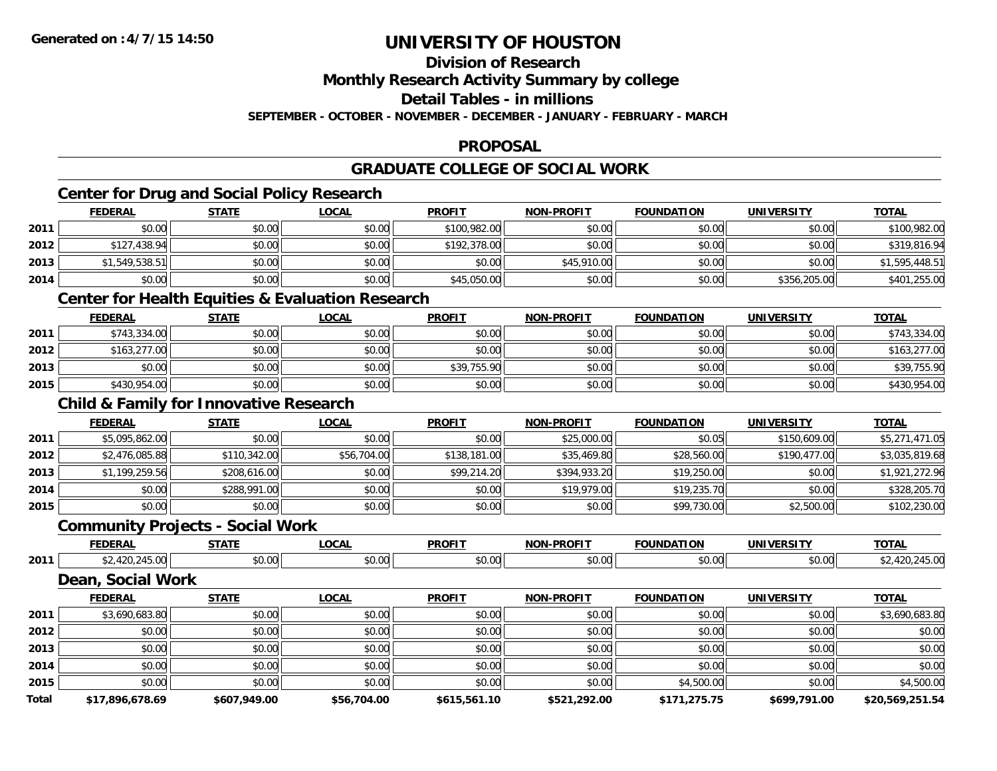## **Division of Research**

**Monthly Research Activity Summary by college**

**Detail Tables - in millions**

**SEPTEMBER - OCTOBER - NOVEMBER - DECEMBER - JANUARY - FEBRUARY - MARCH**

#### **PROPOSAL**

## **GRADUATE COLLEGE OF SOCIAL WORK**

## **Center for Drug and Social Policy Research**

|      | <b>FEDERAL</b> | <b>STATE</b> | <b>LOCAL</b> | <b>PROFIT</b> | <b>NON-PROFIT</b> | <b>FOUNDATION</b> | <b>UNIVERSITY</b> | <b>TOTAL</b>   |
|------|----------------|--------------|--------------|---------------|-------------------|-------------------|-------------------|----------------|
| 2011 | \$0.00         | \$0.00       | \$0.00       | \$100,982.00  | \$0.00            | \$0.00            | \$0.00            | \$100,982.00   |
| 2012 | \$127,438.94   | \$0.00       | \$0.00       | \$192,378.00  | \$0.00            | \$0.00            | \$0.00            | \$319,816.94   |
| 2013 | \$1,549,538.51 | \$0.00       | \$0.00       | \$0.00        | \$45,910.00       | \$0.00            | \$0.00            | \$1,595,448.51 |
| 2014 | \$0.00         | \$0.00       | \$0.00       | \$45,050.00   | \$0.00            | \$0.00            | \$356,205.00      | \$401,255.00   |

### **Center for Health Equities & Evaluation Research**

|      | <b>FEDERAL</b> | <b>STATE</b> | <u>LOCAL</u> | <b>PROFIT</b> | <b>NON-PROFIT</b> | <b>FOUNDATION</b> | <b>UNIVERSITY</b> | <b>TOTAL</b> |
|------|----------------|--------------|--------------|---------------|-------------------|-------------------|-------------------|--------------|
| 2011 | \$743,334.00   | \$0.00       | \$0.00       | \$0.00        | \$0.00            | \$0.00            | \$0.00            | \$743,334.00 |
| 2012 | \$163,277.00   | \$0.00       | \$0.00       | \$0.00        | \$0.00            | \$0.00            | \$0.00            | \$163,277.00 |
| 2013 | \$0.00         | \$0.00       | \$0.00       | \$39,755.90   | \$0.00            | \$0.00            | \$0.00            | \$39,755.90  |
| 2015 | \$430,954.00   | \$0.00       | \$0.00       | \$0.00        | \$0.00            | \$0.00            | \$0.00            | \$430,954.00 |

### **Child & Family for Innovative Research**

|      | <b>FEDERAL</b> | <b>STATE</b> | <u>LOCAL</u> | <b>PROFIT</b> | <b>NON-PROFIT</b> | <b>FOUNDATION</b> | <b>UNIVERSITY</b> | <b>TOTAL</b>   |
|------|----------------|--------------|--------------|---------------|-------------------|-------------------|-------------------|----------------|
| 2011 | \$5,095,862.00 | \$0.00       | \$0.00       | \$0.00        | \$25,000.00       | \$0.05            | \$150,609.00      | \$5,271,471.05 |
| 2012 | \$2,476,085.88 | \$110,342.00 | \$56,704.00  | \$138,181.00  | \$35,469.80       | \$28,560.00       | \$190,477.00      | \$3,035,819.68 |
| 2013 | \$1,199,259.56 | \$208,616.00 | \$0.00       | \$99,214.20   | \$394,933.20      | \$19,250.00       | \$0.00            | \$1,921,272.96 |
| 2014 | \$0.00         | \$288,991.00 | \$0.00       | \$0.00        | \$19,979.00       | \$19,235.70       | \$0.00            | \$328,205.70   |
| 2015 | \$0.00         | \$0.00       | \$0.00       | \$0.00        | \$0.00            | \$99,730.00       | \$2,500.00        | \$102,230.00   |

#### **Community Projects - Social Work**

|      | ---- | $\sim$ $\sim$ $\sim$ $\sim$ | $\sim$ $\sim$ $\sim$ | <b>DDOEIT</b> |        | JN                    | $T^{\sim}$ |
|------|------|-----------------------------|----------------------|---------------|--------|-----------------------|------------|
| 2011 |      | $\sim$                      |                      | . റപ          | $\sim$ | $\sim$ $\sim$<br>v.ve |            |

#### **Dean, Social Work**

|       | <b>FEDERAL</b>  | <b>STATE</b> | <b>LOCAL</b> | <b>PROFIT</b> | <b>NON-PROFIT</b> | <b>FOUNDATION</b> | <b>UNIVERSITY</b> | <b>TOTAL</b>    |
|-------|-----------------|--------------|--------------|---------------|-------------------|-------------------|-------------------|-----------------|
| 2011  | \$3,690,683.80  | \$0.00       | \$0.00       | \$0.00        | \$0.00            | \$0.00            | \$0.00            | \$3,690,683.80  |
| 2012  | \$0.00          | \$0.00       | \$0.00       | \$0.00        | \$0.00            | \$0.00            | \$0.00            | \$0.00          |
| 2013  | \$0.00          | \$0.00       | \$0.00       | \$0.00        | \$0.00            | \$0.00            | \$0.00            | \$0.00          |
| 2014  | \$0.00          | \$0.00       | \$0.00       | \$0.00        | \$0.00            | \$0.00            | \$0.00            | \$0.00          |
| 2015  | \$0.00          | \$0.00       | \$0.00       | \$0.00        | \$0.00            | \$4,500.00        | \$0.00            | \$4,500.00      |
| Total | \$17,896,678.69 | \$607,949.00 | \$56,704.00  | \$615,561.10  | \$521,292.00      | \$171,275.75      | \$699,791.00      | \$20.569.251.54 |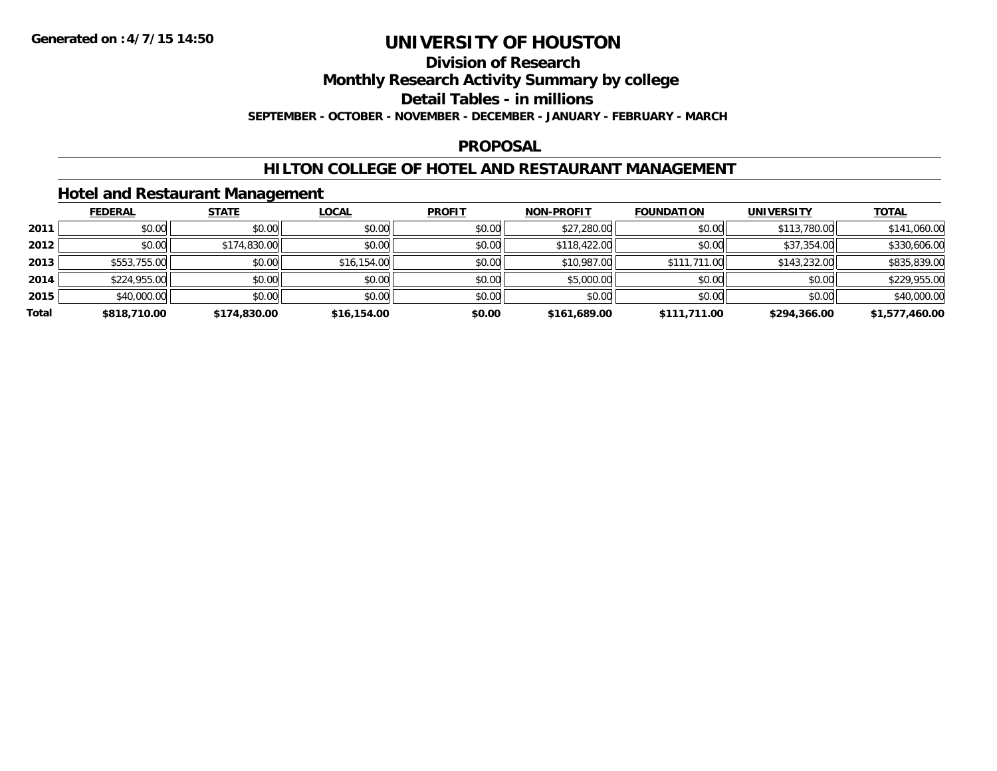#### **Division of Research**

**Monthly Research Activity Summary by college**

**Detail Tables - in millions**

**SEPTEMBER - OCTOBER - NOVEMBER - DECEMBER - JANUARY - FEBRUARY - MARCH**

#### **PROPOSAL**

### **HILTON COLLEGE OF HOTEL AND RESTAURANT MANAGEMENT**

### **Hotel and Restaurant Management**

|       | <b>FEDERAL</b> | <b>STATE</b> | <b>LOCAL</b> | <b>PROFIT</b> | <b>NON-PROFIT</b> | <b>FOUNDATION</b> | <b>UNIVERSITY</b> | <b>TOTAL</b>   |
|-------|----------------|--------------|--------------|---------------|-------------------|-------------------|-------------------|----------------|
| 2011  | \$0.00         | \$0.00       | \$0.00       | \$0.00        | \$27,280.00       | \$0.00            | \$113,780.00      | \$141,060.00   |
| 2012  | \$0.00         | \$174,830.00 | \$0.00       | \$0.00        | \$118,422,00      | \$0.00            | \$37,354.00       | \$330,606.00   |
| 2013  | \$553,755.00   | \$0.00       | \$16,154.00  | \$0.00        | \$10,987.00       | \$111,711.00      | \$143,232.00      | \$835,839.00   |
| 2014  | \$224,955.00   | \$0.00       | \$0.00       | \$0.00        | \$5,000.00        | \$0.00            | \$0.00            | \$229,955.00   |
| 2015  | \$40,000.00    | \$0.00       | \$0.00       | \$0.00        | \$0.00            | \$0.00            | \$0.00            | \$40,000.00    |
| Total | \$818,710.00   | \$174,830.00 | \$16,154.00  | \$0.00        | \$161,689.00      | \$111,711.00      | \$294,366.00      | \$1,577,460.00 |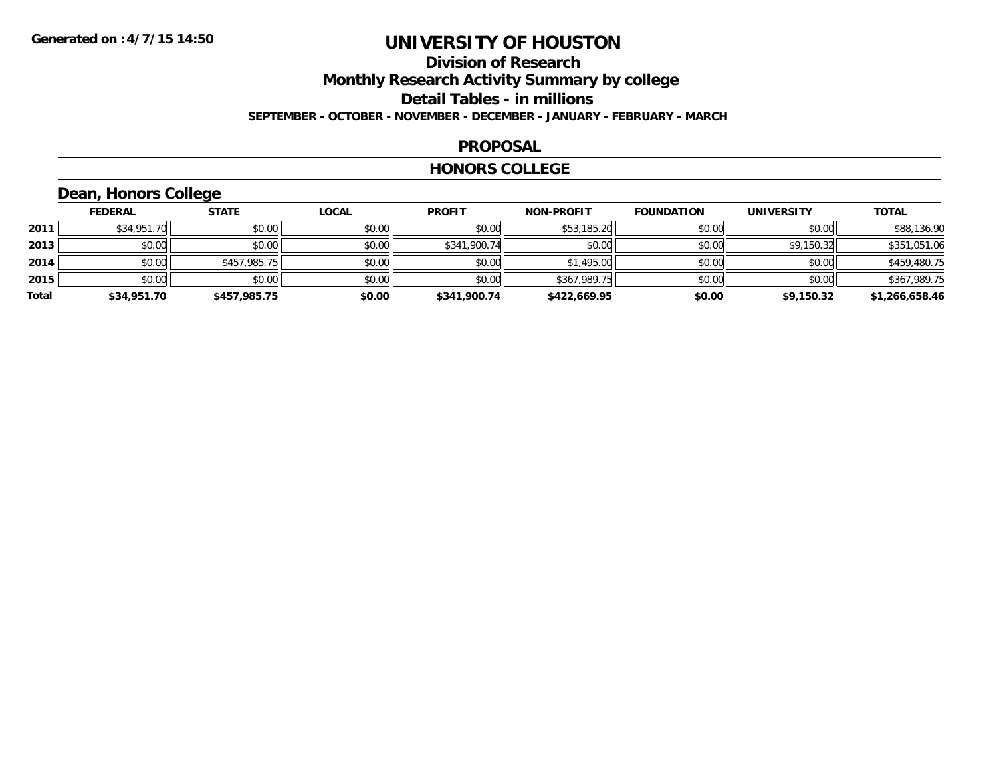### **Division of Research Monthly Research Activity Summary by college Detail Tables - in millions SEPTEMBER - OCTOBER - NOVEMBER - DECEMBER - JANUARY - FEBRUARY - MARCH**

#### **PROPOSAL**

#### **HONORS COLLEGE**

## **Dean, Honors College**

|       | <b>FEDERAL</b> | <b>STATE</b> | <u>LOCAL</u> | <b>PROFIT</b> | <b>NON-PROFIT</b> | <b>FOUNDATION</b> | <b>UNIVERSITY</b> | <b>TOTAL</b>   |
|-------|----------------|--------------|--------------|---------------|-------------------|-------------------|-------------------|----------------|
| 2011  | \$34,951.70    | \$0.00       | \$0.00       | \$0.00        | \$53,185.20       | \$0.00            | \$0.00            | \$88,136.90    |
| 2013  | \$0.00         | \$0.00       | \$0.00       | \$341,900.74  | \$0.00            | \$0.00            | \$9,150.32        | \$351,051.06   |
| 2014  | \$0.00         | \$457,985.75 | \$0.00       | \$0.00        | \$1,495.00        | \$0.00            | \$0.00            | \$459,480.75   |
| 2015  | \$0.00         | \$0.00       | \$0.00       | \$0.00        | \$367,989.75      | \$0.00            | \$0.00            | \$367,989.75   |
| Total | \$34,951.70    | \$457,985.75 | \$0.00       | \$341,900.74  | \$422,669.95      | \$0.00            | \$9,150.32        | \$1,266,658.46 |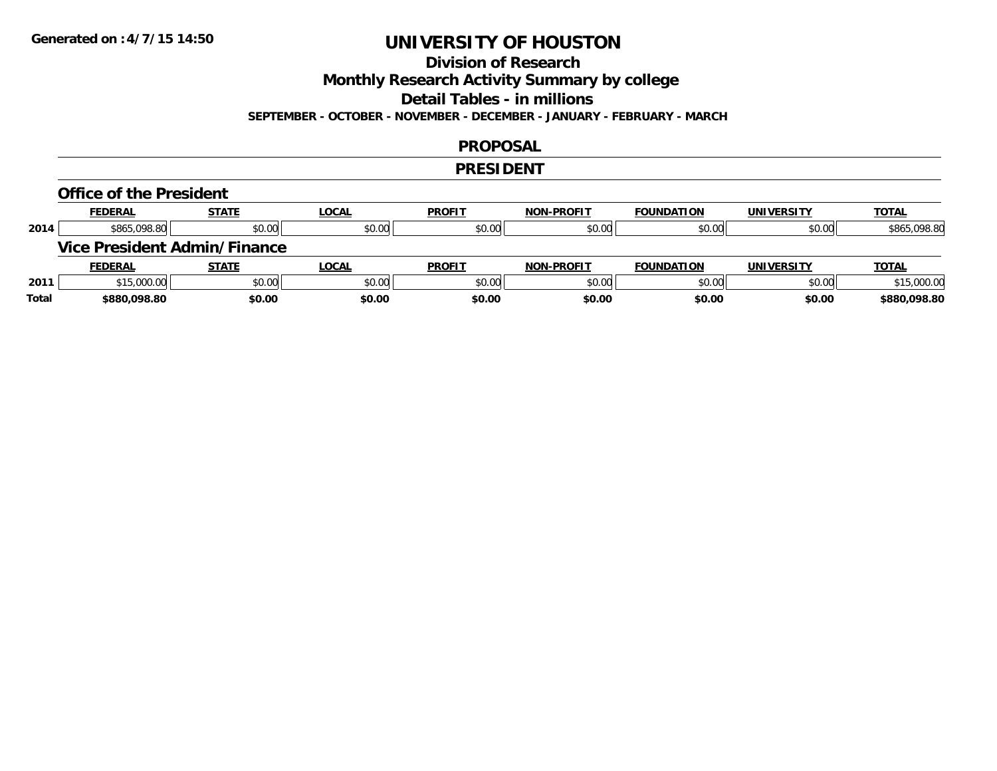## **Division of Research**

**Monthly Research Activity Summary by college**

**Detail Tables - in millions**

**SEPTEMBER - OCTOBER - NOVEMBER - DECEMBER - JANUARY - FEBRUARY - MARCH**

### **PROPOSAL**

### **PRESIDENT**

#### **Office of the President**

|      | <b>FEDERAL</b> | <b>STATE</b>                 | <b>LOCAL</b> | <b>PROFIT</b> | <b>NON-PROFIT</b> | <b>FOUNDATION</b> | <b>UNIVERSITY</b> | <b>TOTAL</b> |
|------|----------------|------------------------------|--------------|---------------|-------------------|-------------------|-------------------|--------------|
| 2014 | \$865,098.80   | \$0.00                       | \$0.00       | \$0.00        | \$0.00            | \$0.00            | \$0.00            | \$865,098.80 |
|      |                | Vice President Admin/Finance |              |               |                   |                   |                   |              |
|      |                |                              |              |               |                   |                   |                   |              |
|      | <b>FEDERAL</b> | <b>STATE</b>                 | <u>LOCAL</u> | <b>PROFIT</b> | <b>NON-PROFIT</b> | <b>FOUNDATION</b> | <b>UNIVERSITY</b> | <b>TOTAL</b> |
| 2011 | \$15,000.00    | \$0.00                       | \$0.00       | \$0.00        | \$0.00            | \$0.00            | \$0.00            | \$15,000.00  |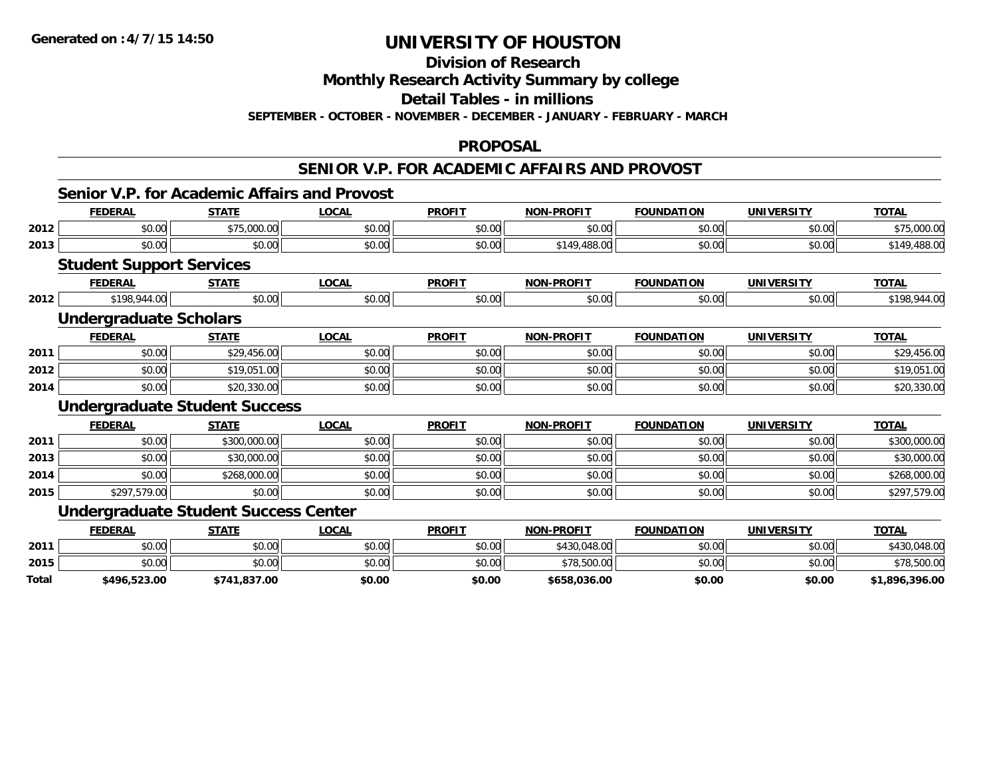## **Division of Research**

**Monthly Research Activity Summary by college**

**Detail Tables - in millions**

**SEPTEMBER - OCTOBER - NOVEMBER - DECEMBER - JANUARY - FEBRUARY - MARCH**

#### **PROPOSAL**

### **SENIOR V.P. FOR ACADEMIC AFFAIRS AND PROVOST**

#### **Senior V.P. for Academic Affairs and Provost**

|      | <b>FEDERAL</b>                  | <b>STATE</b>                                | <b>LOCAL</b>                       | <b>PROFIT</b> | <b>NON-PROFIT</b>  | <b>FOUNDATION</b>  | <b>UNIVERSITY</b> | <b>TOTAL</b> |
|------|---------------------------------|---------------------------------------------|------------------------------------|---------------|--------------------|--------------------|-------------------|--------------|
| 2012 | \$0.00                          | \$75,000.00                                 | \$0.00                             | \$0.00        | \$0.00             | \$0.00             | \$0.00            | \$75,000.00  |
| 2013 | \$0.00                          | \$0.00                                      | \$0.00                             | \$0.00        | \$149,488.00       | \$0.00             | \$0.00            | \$149,488.00 |
|      | <b>Student Support Services</b> |                                             |                                    |               |                    |                    |                   |              |
|      | <b>FEDERAL</b>                  | <b>STATE</b>                                | <b>LOCAL</b>                       | <b>PROFIT</b> | <b>NON-PROFIT</b>  | <b>FOUNDATION</b>  | <b>UNIVERSITY</b> | <b>TOTAL</b> |
| 2012 | \$198,944.00                    | \$0.00                                      | \$0.00                             | \$0.00        | \$0.00             | \$0.00             | \$0.00            | \$198,944.00 |
|      | <b>Undergraduate Scholars</b>   |                                             |                                    |               |                    |                    |                   |              |
|      | <b>FEDERAL</b>                  | <b>STATE</b>                                | <b>LOCAL</b>                       | <b>PROFIT</b> | <b>NON-PROFIT</b>  | <b>FOUNDATION</b>  | <b>UNIVERSITY</b> | <b>TOTAL</b> |
| 2011 | \$0.00                          | \$29,456.00                                 | \$0.00                             | \$0.00        | \$0.00             | \$0.00             | \$0.00            | \$29,456.00  |
| 2012 | \$0.00                          | \$19,051.00                                 | \$0.00                             | \$0.00        | \$0.00             | \$0.00             | \$0.00            | \$19,051.00  |
| 2014 | \$0.00                          | \$20,330.00                                 | \$0.00                             | \$0.00        | \$0.00             | \$0.00             | \$0.00            | \$20,330.00  |
|      |                                 | <b>Undergraduate Student Success</b>        |                                    |               |                    |                    |                   |              |
|      | <b>FEDERAL</b>                  | <b>STATE</b>                                | <b>LOCAL</b>                       | <b>PROFIT</b> | <b>NON-PROFIT</b>  | <b>FOUNDATION</b>  | <b>UNIVERSITY</b> | <b>TOTAL</b> |
| 2011 | \$0.00                          | \$300,000.00                                | \$0.00                             | \$0.00        | \$0.00             | \$0.00             | \$0.00            | \$300,000.00 |
| 2013 | \$0.00                          | \$30,000.00                                 | \$0.00                             | \$0.00        | \$0.00             | \$0.00             | \$0.00            | \$30,000.00  |
| 2014 | \$0.00                          | \$268,000.00                                | \$0.00                             | \$0.00        | \$0.00             | \$0.00             | \$0.00            | \$268,000.00 |
| 2015 | \$297,579.00                    | \$0.00                                      | \$0.00                             | \$0.00        | \$0.00             | \$0.00             | \$0.00            | \$297,579.00 |
|      |                                 | <b>Undergraduate Student Success Center</b> |                                    |               |                    |                    |                   |              |
|      | <b>FFBFBAL</b>                  | 27.77                                       | $\sim$ $\sim$ $\sim$ $\sim$ $\sim$ | <b>DDAFIT</b> | <b>NAME BRAFIT</b> | <b>EAUSIBATIAN</b> | 118111100001717   | $T^{\prime}$ |

|              | <u>FEDERAL</u> | <b>STATE</b> | <b>_OCAL</b> | <b>PROFIT</b> | <b>NON-PROFIT</b> | <b>FOUNDATION</b> | <b>UNIVERSITY</b> | <b>TOTAL</b>   |
|--------------|----------------|--------------|--------------|---------------|-------------------|-------------------|-------------------|----------------|
| 2011         | \$0.00         | \$0.00       | \$0.00       | \$0.00        | \$430,048.00      | \$0.00            | \$0.00            | 0.048.00       |
| 2015         | \$0.00         | \$0.00       | \$0.00       | \$0.00        | \$78,500.00       | \$0.00            | \$0.00            | \$78,500.00    |
| <b>Total</b> | \$496,523.00   | \$741,837.00 | \$0.00       | \$0.00        | \$658,036.00      | \$0.00            | \$0.00            | \$1,896,396.00 |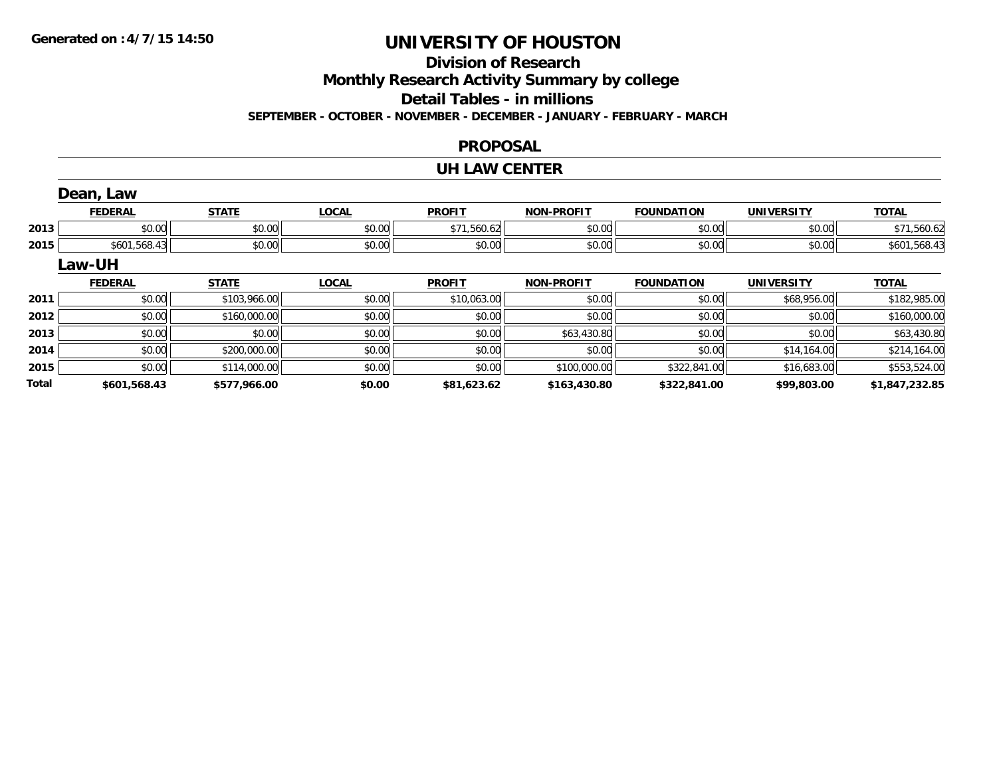## **Division of Research**

**Monthly Research Activity Summary by college**

**Detail Tables - in millions**

**SEPTEMBER - OCTOBER - NOVEMBER - DECEMBER - JANUARY - FEBRUARY - MARCH**

### **PROPOSAL**

### **UH LAW CENTER**

|       | Dean, Law      |              |              |               |                   |                   |                   |                |
|-------|----------------|--------------|--------------|---------------|-------------------|-------------------|-------------------|----------------|
|       | <b>FEDERAL</b> | <b>STATE</b> | <b>LOCAL</b> | <b>PROFIT</b> | <b>NON-PROFIT</b> | <b>FOUNDATION</b> | <b>UNIVERSITY</b> | <b>TOTAL</b>   |
| 2013  | \$0.00         | \$0.00       | \$0.00       | \$71,560.62   | \$0.00            | \$0.00            | \$0.00            | \$71,560.62    |
| 2015  | \$601,568.43   | \$0.00       | \$0.00       | \$0.00        | \$0.00            | \$0.00            | \$0.00            | \$601,568.43   |
|       | Law-UH         |              |              |               |                   |                   |                   |                |
|       | <b>FEDERAL</b> | <b>STATE</b> | <b>LOCAL</b> | <b>PROFIT</b> | <b>NON-PROFIT</b> | <b>FOUNDATION</b> | <b>UNIVERSITY</b> | <b>TOTAL</b>   |
| 2011  | \$0.00         | \$103,966.00 | \$0.00       | \$10,063.00   | \$0.00            | \$0.00            | \$68,956.00       | \$182,985.00   |
| 2012  | \$0.00         | \$160,000.00 | \$0.00       | \$0.00        | \$0.00            | \$0.00            | \$0.00            | \$160,000.00   |
| 2013  | \$0.00         | \$0.00       | \$0.00       | \$0.00        | \$63,430.80       | \$0.00            | \$0.00            | \$63,430.80    |
| 2014  | \$0.00         | \$200,000.00 | \$0.00       | \$0.00        | \$0.00            | \$0.00            | \$14,164.00       | \$214,164.00   |
| 2015  | \$0.00         | \$114,000.00 | \$0.00       | \$0.00        | \$100,000.00      | \$322,841.00      | \$16,683.00       | \$553,524.00   |
| Total | \$601,568.43   | \$577.966.00 | \$0.00       | \$81,623.62   | \$163,430.80      | \$322,841.00      | \$99,803.00       | \$1,847,232.85 |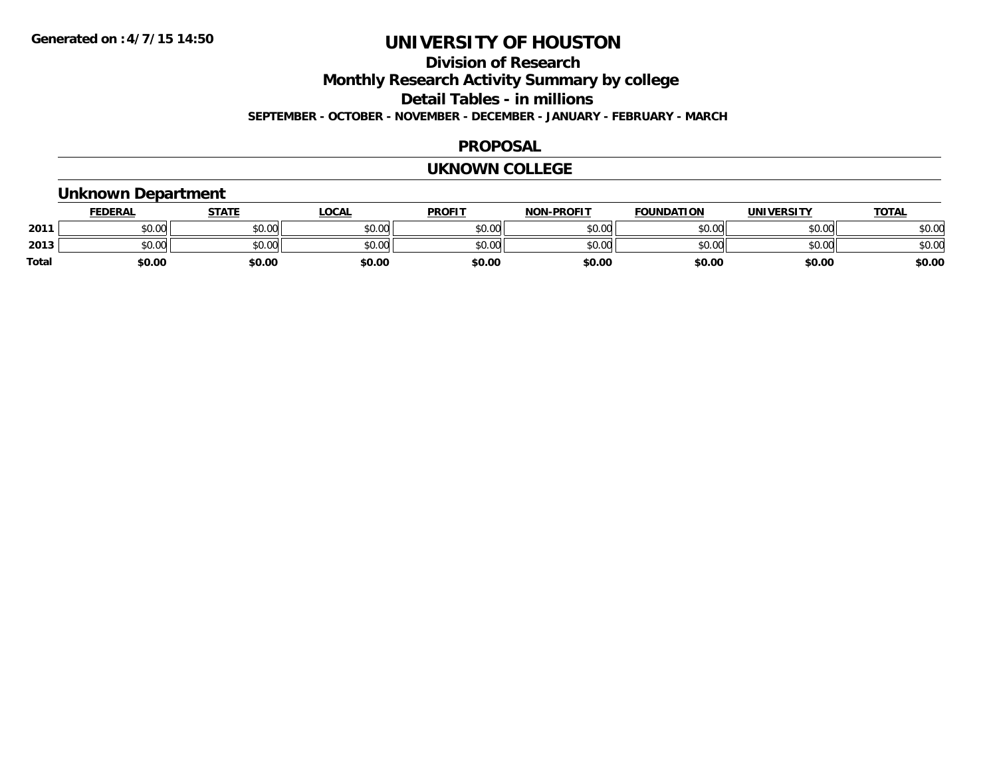### **Division of ResearchMonthly Research Activity Summary by college Detail Tables - in millions SEPTEMBER - OCTOBER - NOVEMBER - DECEMBER - JANUARY - FEBRUARY - MARCH**

#### **PROPOSAL**

#### **UKNOWN COLLEGE**

### **Unknown Department**

|              | <b>FEDERAL</b> | <u>STATE</u> | LOCAL  | <b>PROFIT</b> | <b>NON-PROFIT</b> | <b>FOUNDATION</b> | UNIVERSITY | <b>TOTAL</b> |
|--------------|----------------|--------------|--------|---------------|-------------------|-------------------|------------|--------------|
| 2011         | \$0.00         | \$0.00       | \$0.00 | \$0.00        | \$0.00            | \$0.00            | \$0.00     | \$0.00       |
| 2013         | ልስ ሀሀ<br>DU.UU | \$0.00       | \$0.00 | \$0.00        | \$0.00            | \$0.00            | \$0.00     | \$0.00       |
| <b>Total</b> | \$0.00         | \$0.00       | \$0.00 | \$0.00        | \$0.00            | \$0.00            | \$0.00     | \$0.00       |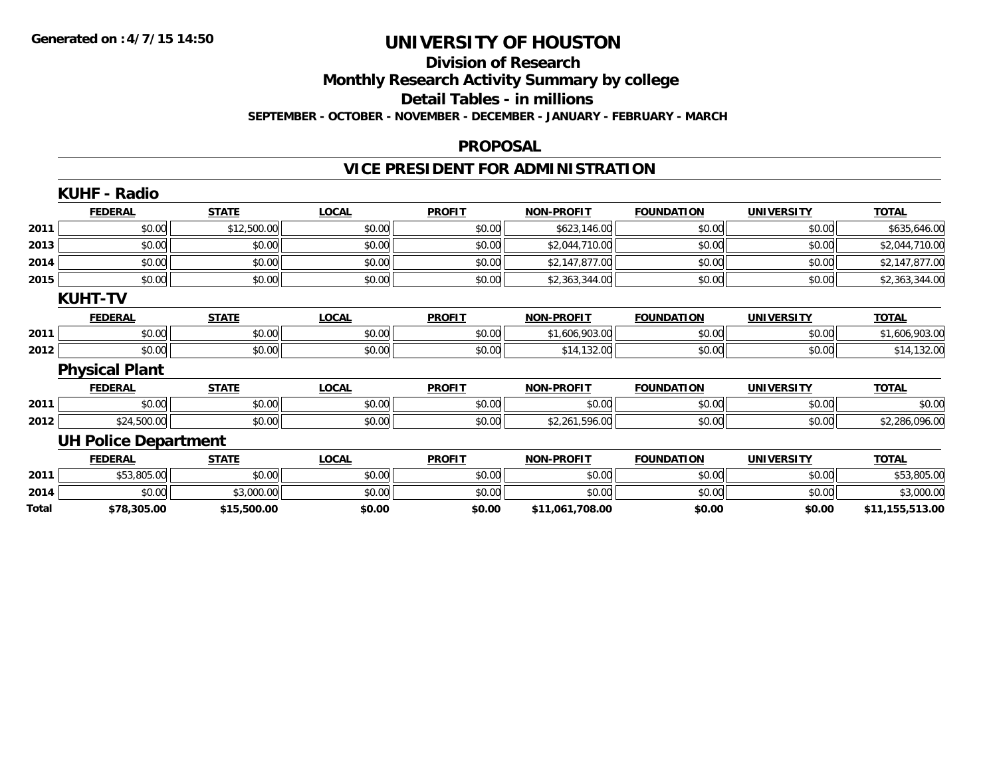## **Division of Research**

**Monthly Research Activity Summary by college**

**Detail Tables - in millions**

**SEPTEMBER - OCTOBER - NOVEMBER - DECEMBER - JANUARY - FEBRUARY - MARCH**

### **PROPOSAL**

## **VICE PRESIDENT FOR ADMINISTRATION**

|       | <b>KUHF - Radio</b>         |              |              |               |                   |                   |                   |                 |
|-------|-----------------------------|--------------|--------------|---------------|-------------------|-------------------|-------------------|-----------------|
|       | <b>FEDERAL</b>              | <b>STATE</b> | <b>LOCAL</b> | <b>PROFIT</b> | <b>NON-PROFIT</b> | <b>FOUNDATION</b> | <b>UNIVERSITY</b> | <b>TOTAL</b>    |
| 2011  | \$0.00                      | \$12,500.00  | \$0.00       | \$0.00        | \$623,146.00      | \$0.00            | \$0.00            | \$635,646.00    |
| 2013  | \$0.00                      | \$0.00       | \$0.00       | \$0.00        | \$2,044,710.00    | \$0.00            | \$0.00            | \$2,044,710.00  |
| 2014  | \$0.00                      | \$0.00       | \$0.00       | \$0.00        | \$2,147,877.00    | \$0.00            | \$0.00            | \$2,147,877.00  |
| 2015  | \$0.00                      | \$0.00       | \$0.00       | \$0.00        | \$2,363,344.00    | \$0.00            | \$0.00            | \$2,363,344.00  |
|       | <b>KUHT-TV</b>              |              |              |               |                   |                   |                   |                 |
|       | <b>FEDERAL</b>              | <b>STATE</b> | <b>LOCAL</b> | <b>PROFIT</b> | NON-PROFIT        | <b>FOUNDATION</b> | <b>UNIVERSITY</b> | <b>TOTAL</b>    |
| 2011  | \$0.00                      | \$0.00       | \$0.00       | \$0.00        | \$1,606,903.00    | \$0.00            | \$0.00            | \$1,606,903.00  |
| 2012  | \$0.00                      | \$0.00       | \$0.00       | \$0.00        | \$14,132.00       | \$0.00            | \$0.00            | \$14,132.00     |
|       | <b>Physical Plant</b>       |              |              |               |                   |                   |                   |                 |
|       | <b>FEDERAL</b>              | <b>STATE</b> | <b>LOCAL</b> | <b>PROFIT</b> | <b>NON-PROFIT</b> | <b>FOUNDATION</b> | <b>UNIVERSITY</b> | <b>TOTAL</b>    |
| 2011  | \$0.00                      | \$0.00       | \$0.00       | \$0.00        | \$0.00            | \$0.00            | \$0.00            | \$0.00          |
| 2012  | \$24,500.00                 | \$0.00       | \$0.00       | \$0.00        | \$2,261,596.00    | \$0.00            | \$0.00            | \$2,286,096.00  |
|       | <b>UH Police Department</b> |              |              |               |                   |                   |                   |                 |
|       | <b>FEDERAL</b>              | <b>STATE</b> | <b>LOCAL</b> | <b>PROFIT</b> | <b>NON-PROFIT</b> | <b>FOUNDATION</b> | <b>UNIVERSITY</b> | <b>TOTAL</b>    |
| 2011  | \$53,805.00                 | \$0.00       | \$0.00       | \$0.00        | \$0.00            | \$0.00            | \$0.00            | \$53,805.00     |
| 2014  | \$0.00                      | \$3,000.00   | \$0.00       | \$0.00        | \$0.00            | \$0.00            | \$0.00            | \$3,000.00      |
| Total | \$78,305.00                 | \$15,500.00  | \$0.00       | \$0.00        | \$11,061,708.00   | \$0.00            | \$0.00            | \$11,155,513.00 |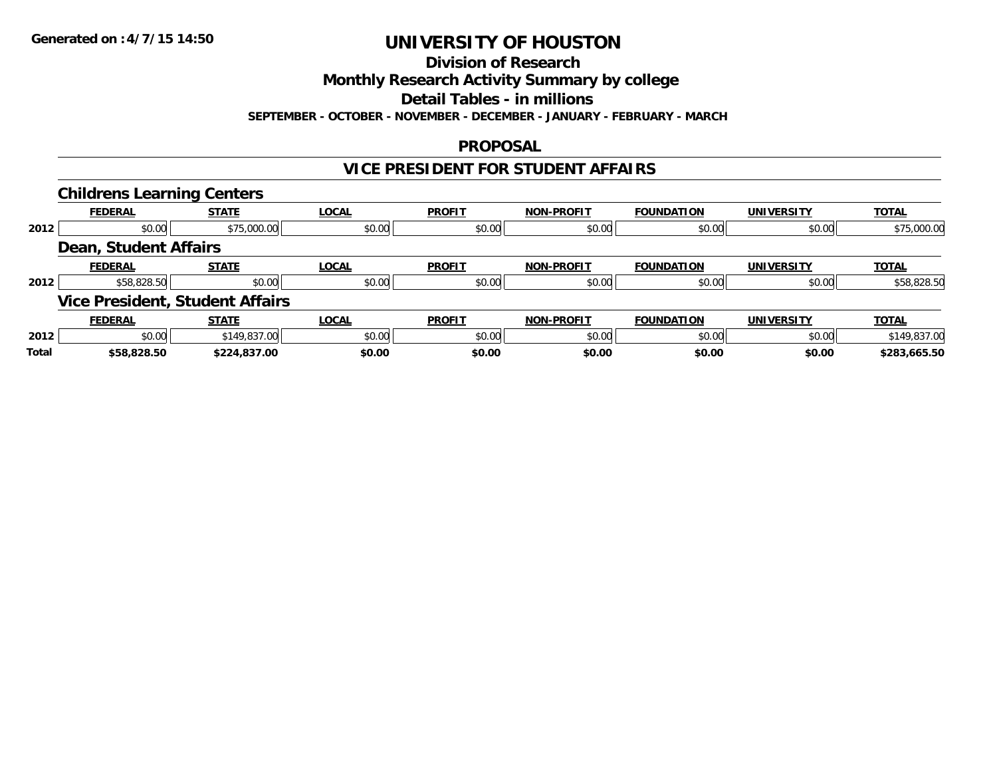## **Division of Research**

**Monthly Research Activity Summary by college**

**Detail Tables - in millions**

**SEPTEMBER - OCTOBER - NOVEMBER - DECEMBER - JANUARY - FEBRUARY - MARCH**

### **PROPOSAL**

### **VICE PRESIDENT FOR STUDENT AFFAIRS**

|       | <b>Childrens Learning Centers</b> |                                        |              |               |                   |                   |                   |              |
|-------|-----------------------------------|----------------------------------------|--------------|---------------|-------------------|-------------------|-------------------|--------------|
|       | <b>FEDERAL</b>                    | <b>STATE</b>                           | <b>LOCAL</b> | <b>PROFIT</b> | <b>NON-PROFIT</b> | <b>FOUNDATION</b> | <b>UNIVERSITY</b> | <b>TOTAL</b> |
| 2012  | \$0.00                            | \$75,000.00                            | \$0.00       | \$0.00        | \$0.00            | \$0.00            | \$0.00            | \$75,000.00  |
|       | <b>Dean, Student Affairs</b>      |                                        |              |               |                   |                   |                   |              |
|       | <b>FEDERAL</b>                    | <b>STATE</b>                           | <b>LOCAL</b> | <b>PROFIT</b> | <b>NON-PROFIT</b> | <b>FOUNDATION</b> | <b>UNIVERSITY</b> | <b>TOTAL</b> |
| 2012  | \$58,828.50                       | \$0.00                                 | \$0.00       | \$0.00        | \$0.00            | \$0.00            | \$0.00            | \$58,828.50  |
|       |                                   | <b>Vice President, Student Affairs</b> |              |               |                   |                   |                   |              |
|       | <b>FEDERAL</b>                    | <b>STATE</b>                           | <b>LOCAL</b> | <b>PROFIT</b> | <b>NON-PROFIT</b> | <b>FOUNDATION</b> | <b>UNIVERSITY</b> | <b>TOTAL</b> |
| 2012  | \$0.00                            | \$149,837.00                           | \$0.00       | \$0.00        | \$0.00            | \$0.00            | \$0.00            | \$149,837.00 |
| Total | \$58,828.50                       | \$224,837.00                           | \$0.00       | \$0.00        | \$0.00            | \$0.00            | \$0.00            | \$283,665.50 |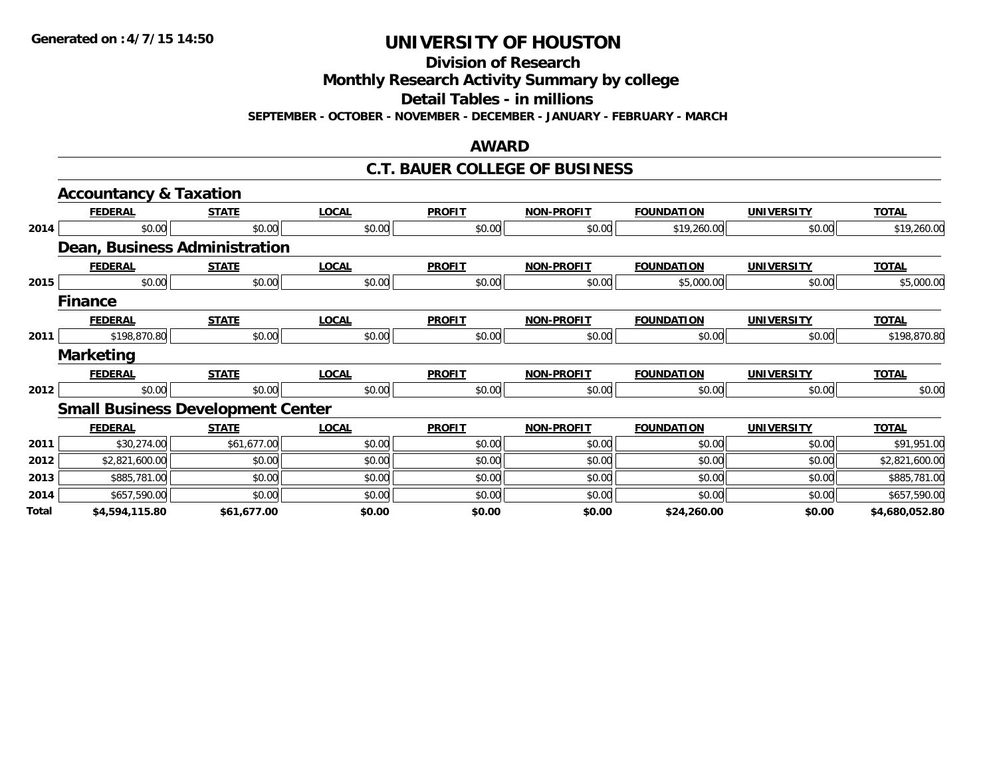**Division of Research**

**Monthly Research Activity Summary by college**

**Detail Tables - in millions**

**SEPTEMBER - OCTOBER - NOVEMBER - DECEMBER - JANUARY - FEBRUARY - MARCH**

#### **AWARD**

### **C.T. BAUER COLLEGE OF BUSINESS**

|       | <b>Accountancy &amp; Taxation</b>        |              |              |               |                   |                   |                   |                |
|-------|------------------------------------------|--------------|--------------|---------------|-------------------|-------------------|-------------------|----------------|
|       | <b>FEDERAL</b>                           | <b>STATE</b> | <b>LOCAL</b> | <b>PROFIT</b> | <b>NON-PROFIT</b> | <b>FOUNDATION</b> | <b>UNIVERSITY</b> | <b>TOTAL</b>   |
| 2014  | \$0.00                                   | \$0.00       | \$0.00       | \$0.00        | \$0.00            | \$19,260.00       | \$0.00            | \$19,260.00    |
|       | <b>Dean, Business Administration</b>     |              |              |               |                   |                   |                   |                |
|       | <b>FEDERAL</b>                           | <b>STATE</b> | <b>LOCAL</b> | <b>PROFIT</b> | <b>NON-PROFIT</b> | <b>FOUNDATION</b> | <b>UNIVERSITY</b> | <b>TOTAL</b>   |
| 2015  | \$0.00                                   | \$0.00       | \$0.00       | \$0.00        | \$0.00            | \$5,000.00        | \$0.00            | \$5,000.00     |
|       | <b>Finance</b>                           |              |              |               |                   |                   |                   |                |
|       | <b>FEDERAL</b>                           | <b>STATE</b> | <b>LOCAL</b> | <b>PROFIT</b> | <b>NON-PROFIT</b> | <b>FOUNDATION</b> | <b>UNIVERSITY</b> | <b>TOTAL</b>   |
| 2011  | \$198,870.80                             | \$0.00       | \$0.00       | \$0.00        | \$0.00            | \$0.00            | \$0.00            | \$198,870.80   |
|       | <b>Marketing</b>                         |              |              |               |                   |                   |                   |                |
|       | <b>FEDERAL</b>                           | <b>STATE</b> | <b>LOCAL</b> | <b>PROFIT</b> | <b>NON-PROFIT</b> | <b>FOUNDATION</b> | <b>UNIVERSITY</b> | <b>TOTAL</b>   |
| 2012  | \$0.00                                   | \$0.00       | \$0.00       | \$0.00        | \$0.00            | \$0.00            | \$0.00            | \$0.00         |
|       | <b>Small Business Development Center</b> |              |              |               |                   |                   |                   |                |
|       | <b>FEDERAL</b>                           | <b>STATE</b> | <b>LOCAL</b> | <b>PROFIT</b> | <b>NON-PROFIT</b> | <b>FOUNDATION</b> | <b>UNIVERSITY</b> | <b>TOTAL</b>   |
| 2011  | \$30,274.00                              | \$61,677.00  | \$0.00       | \$0.00        | \$0.00            | \$0.00            | \$0.00            | \$91,951.00    |
| 2012  | \$2,821,600.00                           | \$0.00       | \$0.00       | \$0.00        | \$0.00            | \$0.00            | \$0.00            | \$2,821,600.00 |
| 2013  | \$885,781.00                             | \$0.00       | \$0.00       | \$0.00        | \$0.00            | \$0.00            | \$0.00            | \$885,781.00   |
| 2014  | \$657,590.00                             | \$0.00       | \$0.00       | \$0.00        | \$0.00            | \$0.00            | \$0.00            | \$657,590.00   |
| Total | \$4,594,115.80                           | \$61,677.00  | \$0.00       | \$0.00        | \$0.00            | \$24,260.00       | \$0.00            | \$4,680,052.80 |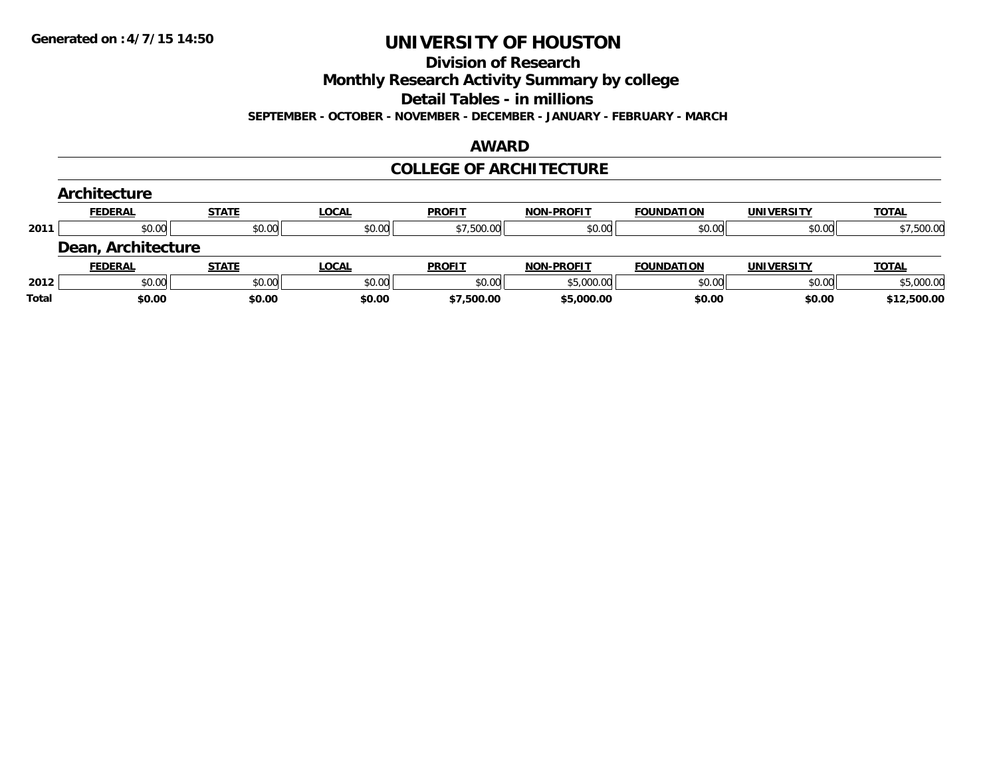**Division of Research**

**Monthly Research Activity Summary by college**

**Detail Tables - in millions**

**SEPTEMBER - OCTOBER - NOVEMBER - DECEMBER - JANUARY - FEBRUARY - MARCH**

#### **AWARD**

### **COLLEGE OF ARCHITECTURE**

|       | Architecture       |              |              |               |                   |                   |                   |              |
|-------|--------------------|--------------|--------------|---------------|-------------------|-------------------|-------------------|--------------|
|       | <b>FEDERAL</b>     | <b>STATE</b> | LOCAL        | <b>PROFIT</b> | <b>NON-PROFIT</b> | <b>FOUNDATION</b> | <b>UNIVERSITY</b> | <b>TOTAL</b> |
| 2011  | \$0.00             | \$0.00       | \$0.00       | \$7,500.00    | \$0.00            | \$0.00            | \$0.00            | \$7,500.00   |
|       | Dean, Architecture |              |              |               |                   |                   |                   |              |
|       | <b>FEDERAL</b>     | <b>STATE</b> | <b>LOCAL</b> | <b>PROFIT</b> | <b>NON-PROFIT</b> | <b>FOUNDATION</b> | <b>UNIVERSITY</b> | <b>TOTAL</b> |
| 2012  | \$0.00             | \$0.00       | \$0.00       | \$0.00        | \$5,000.00        | \$0.00            | \$0.00            | \$5,000.00   |
| Total | \$0.00             | \$0.00       | \$0.00       | \$7,500.00    | \$5,000.00        | \$0.00            | \$0.00            | \$12,500.00  |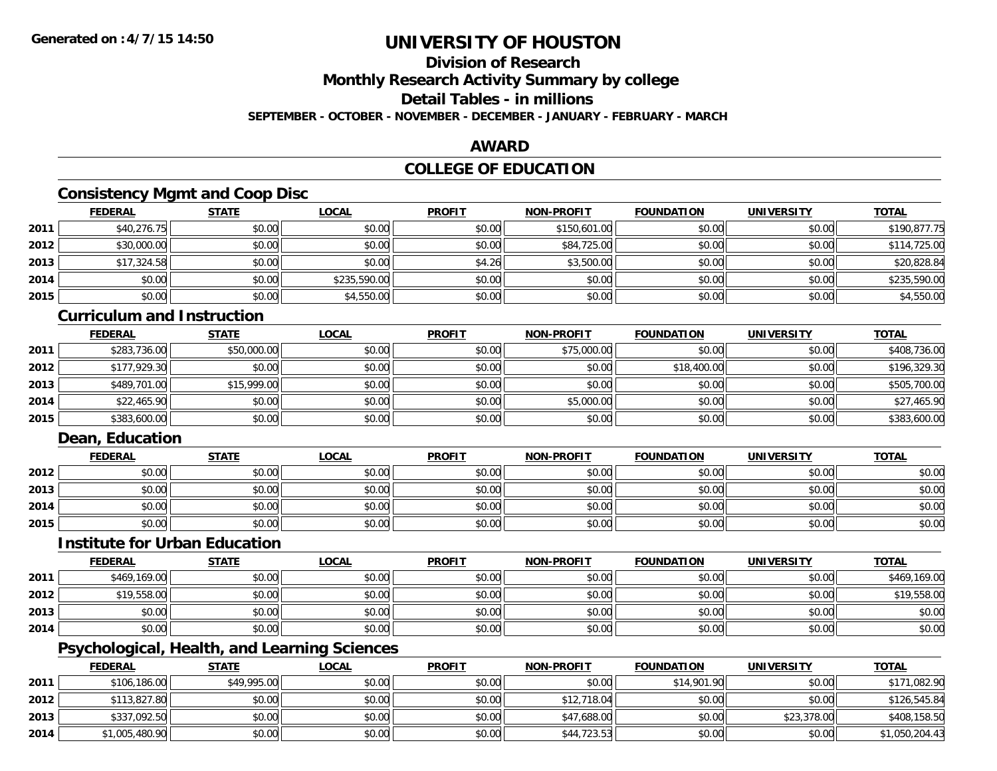## **Division of Research**

**Monthly Research Activity Summary by college**

**Detail Tables - in millions**

**SEPTEMBER - OCTOBER - NOVEMBER - DECEMBER - JANUARY - FEBRUARY - MARCH**

### **AWARD**

### **COLLEGE OF EDUCATION**

## **Consistency Mgmt and Coop Disc**

|      | <b>FEDERAL</b> | <b>STATE</b> | <b>LOCAL</b> | <b>PROFIT</b> | NON-PROFIT   | <b>FOUNDATION</b> | <b>UNIVERSITY</b> | <b>TOTAL</b> |
|------|----------------|--------------|--------------|---------------|--------------|-------------------|-------------------|--------------|
| 2011 | \$40,276.75    | \$0.00       | \$0.00       | \$0.00        | \$150,601.00 | \$0.00            | \$0.00            | \$190,877.75 |
| 2012 | \$30,000.00    | \$0.00       | \$0.00       | \$0.00        | \$84,725.00  | \$0.00            | \$0.00            | \$114,725.00 |
| 2013 | \$17,324.58    | \$0.00       | \$0.00       | \$4.26        | \$3,500.00   | \$0.00            | \$0.00            | \$20,828.84  |
| 2014 | \$0.00         | \$0.00       | \$235,590.00 | \$0.00        | \$0.00       | \$0.00            | \$0.00            | \$235,590.00 |
| 2015 | \$0.00         | \$0.00       | \$4,550.00   | \$0.00        | \$0.00       | \$0.00            | \$0.00            | \$4,550.00   |

### **Curriculum and Instruction**

|      | <u>FEDERAL</u> | <u>STATE</u> | <u>LOCAL</u> | <b>PROFIT</b> | <b>NON-PROFIT</b> | <b>FOUNDATION</b> | <b>UNIVERSITY</b> | <b>TOTAL</b> |
|------|----------------|--------------|--------------|---------------|-------------------|-------------------|-------------------|--------------|
| 2011 | \$283,736.00   | \$50,000.00  | \$0.00       | \$0.00        | \$75,000.00       | \$0.00            | \$0.00            | \$408,736.00 |
| 2012 | \$177,929.30   | \$0.00       | \$0.00       | \$0.00        | \$0.00            | \$18,400.00       | \$0.00            | \$196,329.30 |
| 2013 | \$489,701.00   | \$15,999.00  | \$0.00       | \$0.00        | \$0.00            | \$0.00            | \$0.00            | \$505,700.00 |
| 2014 | \$22,465.90    | \$0.00       | \$0.00       | \$0.00        | \$5,000.00        | \$0.00            | \$0.00            | \$27,465.90  |
| 2015 | \$383,600.00   | \$0.00       | \$0.00       | \$0.00        | \$0.00            | \$0.00            | \$0.00            | \$383,600.00 |

### **Dean, Education**

|      | <b>FEDERAL</b> | <u>STATE</u> | <b>LOCAL</b> | <b>PROFIT</b> | <b>NON-PROFIT</b> | <b>FOUNDATION</b> | <b>UNIVERSITY</b> | <b>TOTAL</b> |
|------|----------------|--------------|--------------|---------------|-------------------|-------------------|-------------------|--------------|
| 2012 | \$0.00         | \$0.00       | \$0.00       | \$0.00        | \$0.00            | \$0.00            | \$0.00            | \$0.00       |
| 2013 | \$0.00         | \$0.00       | \$0.00       | \$0.00        | \$0.00            | \$0.00            | \$0.00            | \$0.00       |
| 2014 | \$0.00         | \$0.00       | \$0.00       | \$0.00        | \$0.00            | \$0.00            | \$0.00            | \$0.00       |
| 2015 | \$0.00         | \$0.00       | \$0.00       | \$0.00        | \$0.00            | \$0.00            | \$0.00            | \$0.00       |

### **Institute for Urban Education**

|      | <b>FEDERAL</b> | <b>STATE</b> | <u>LOCAL</u> | <b>PROFIT</b> | <b>NON-PROFIT</b> | <b>FOUNDATION</b> | <b>UNIVERSITY</b> | <b>TOTAL</b> |
|------|----------------|--------------|--------------|---------------|-------------------|-------------------|-------------------|--------------|
| 2011 | \$469,169.00   | \$0.00       | \$0.00       | \$0.00        | \$0.00            | \$0.00            | \$0.00            | \$469,169.00 |
| 2012 | \$19,558.00    | \$0.00       | \$0.00       | \$0.00        | \$0.00            | \$0.00            | \$0.00            | \$19,558.00  |
| 2013 | \$0.00         | \$0.00       | \$0.00       | \$0.00        | \$0.00            | \$0.00            | \$0.00            | \$0.00       |
| 2014 | \$0.00         | \$0.00       | \$0.00       | \$0.00        | \$0.00            | \$0.00            | \$0.00            | \$0.00       |

## **Psychological, Health, and Learning Sciences**

|      | <b>FEDERAL</b> | <b>STATE</b> | <u>LOCAL</u> | <b>PROFIT</b> | <b>NON-PROFIT</b> | <b>FOUNDATION</b> | UNIVERSITY  | <b>TOTAL</b>   |
|------|----------------|--------------|--------------|---------------|-------------------|-------------------|-------------|----------------|
| 2011 | \$106,186.00   | \$49,995.00  | \$0.00       | \$0.00        | \$0.00            | \$14,901.90       | \$0.00      | \$171,082.90   |
| 2012 | \$113,827.80   | \$0.00       | \$0.00       | \$0.00        | \$12,718.04       | \$0.00            | \$0.00      | \$126,545.84   |
| 2013 | \$337,092.50   | \$0.00       | \$0.00       | \$0.00        | \$47,688.00       | \$0.00            | \$23,378.00 | \$408,158.50   |
| 2014 | \$1,005,480.90 | \$0.00       | \$0.00       | \$0.00        | \$44,723.53       | \$0.00            | \$0.00      | \$1,050,204.43 |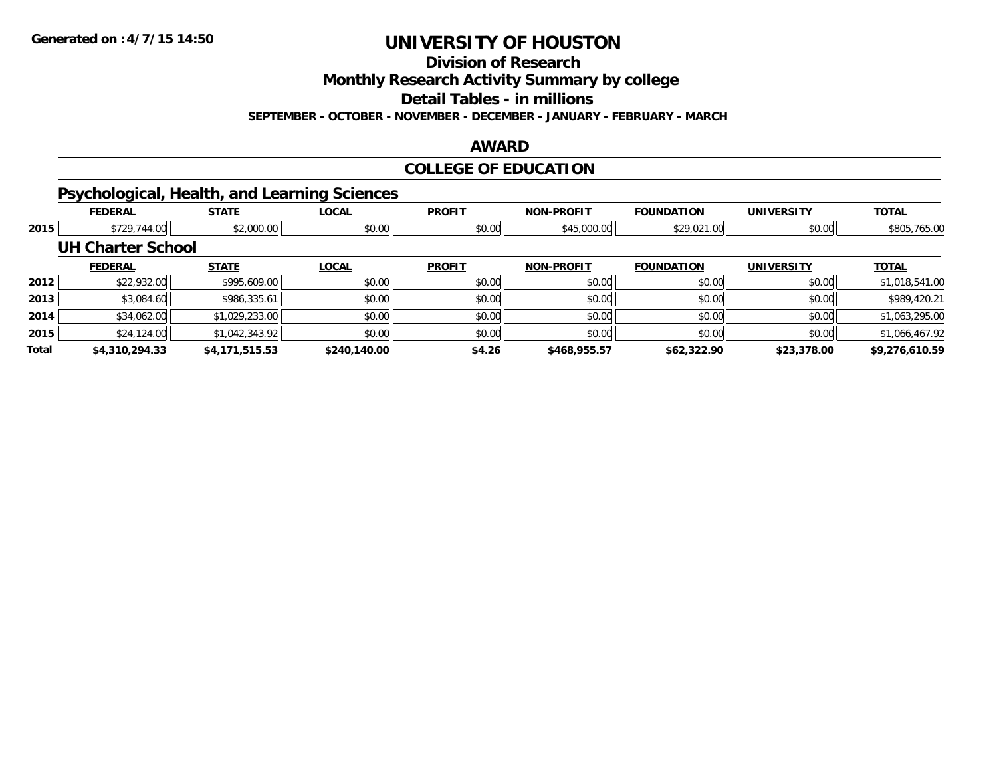**Division of Research**

**Monthly Research Activity Summary by college**

**Detail Tables - in millions**

**SEPTEMBER - OCTOBER - NOVEMBER - DECEMBER - JANUARY - FEBRUARY - MARCH**

#### **AWARD**

### **COLLEGE OF EDUCATION**

## **Psychological, Health, and Learning Sciences**

|              | <b>FEDERAL</b>           | <b>STATE</b>   | <b>LOCAL</b> | <b>PROFIT</b> | <b>NON-PROFIT</b> | <b>FOUNDATION</b> | <b>UNIVERSITY</b> | <b>TOTAL</b>   |
|--------------|--------------------------|----------------|--------------|---------------|-------------------|-------------------|-------------------|----------------|
| 2015         | \$729,744.00             | \$2,000.00     | \$0.00       | \$0.00        | \$45,000.00       | \$29,021.00       | \$0.00            | \$805,765.00   |
|              | <b>UH Charter School</b> |                |              |               |                   |                   |                   |                |
|              | <b>FEDERAL</b>           | <b>STATE</b>   | <b>LOCAL</b> | <b>PROFIT</b> | <b>NON-PROFIT</b> | <b>FOUNDATION</b> | <b>UNIVERSITY</b> | <b>TOTAL</b>   |
| 2012         | \$22,932.00              | \$995,609.00   | \$0.00       | \$0.00        | \$0.00            | \$0.00            | \$0.00            | \$1,018,541.00 |
| 2013         | \$3,084.60               | \$986,335.61   | \$0.00       | \$0.00        | \$0.00            | \$0.00            | \$0.00            | \$989,420.21   |
| 2014         | \$34,062.00              | \$1,029,233.00 | \$0.00       | \$0.00        | \$0.00            | \$0.00            | \$0.00            | \$1,063,295.00 |
| 2015         | \$24,124.00              | \$1,042,343.92 | \$0.00       | \$0.00        | \$0.00            | \$0.00            | \$0.00            | \$1,066,467.92 |
| <b>Total</b> | \$4,310,294.33           | \$4,171,515.53 | \$240,140.00 | \$4.26        | \$468,955.57      | \$62,322.90       | \$23,378.00       | \$9,276,610.59 |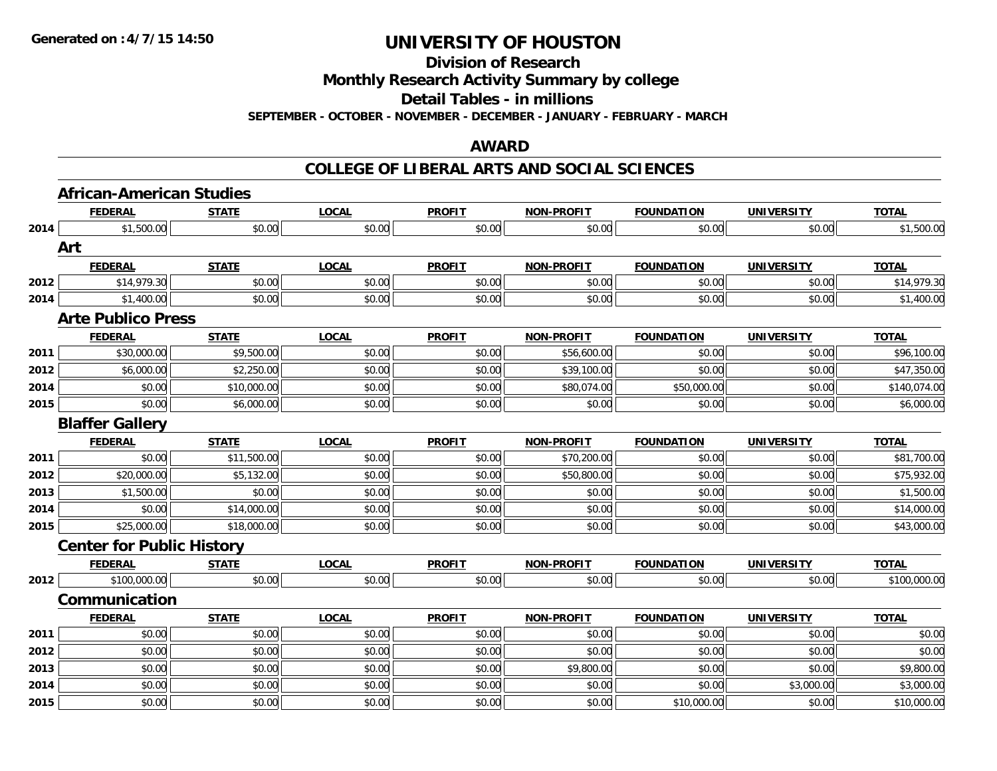**Division of Research**

**Monthly Research Activity Summary by college**

**Detail Tables - in millions**

**SEPTEMBER - OCTOBER - NOVEMBER - DECEMBER - JANUARY - FEBRUARY - MARCH**

### **AWARD**

#### **COLLEGE OF LIBERAL ARTS AND SOCIAL SCIENCES**

|      | <b>African-American Studies</b>  |              |              |               |                   |                   |                   |              |
|------|----------------------------------|--------------|--------------|---------------|-------------------|-------------------|-------------------|--------------|
|      | <b>FEDERAL</b>                   | <b>STATE</b> | <b>LOCAL</b> | <b>PROFIT</b> | <b>NON-PROFIT</b> | <b>FOUNDATION</b> | <b>UNIVERSITY</b> | <b>TOTAL</b> |
| 2014 | \$1,500.00                       | \$0.00       | \$0.00       | \$0.00        | \$0.00            | \$0.00            | \$0.00            | \$1,500.00   |
|      | Art                              |              |              |               |                   |                   |                   |              |
|      | <b>FEDERAL</b>                   | <b>STATE</b> | <b>LOCAL</b> | <b>PROFIT</b> | <b>NON-PROFIT</b> | <b>FOUNDATION</b> | <b>UNIVERSITY</b> | <b>TOTAL</b> |
| 2012 | \$14,979.30                      | \$0.00       | \$0.00       | \$0.00        | \$0.00            | \$0.00            | \$0.00            | \$14,979.30  |
| 2014 | \$1,400.00                       | \$0.00       | \$0.00       | \$0.00        | \$0.00            | \$0.00            | \$0.00            | \$1,400.00   |
|      | <b>Arte Publico Press</b>        |              |              |               |                   |                   |                   |              |
|      | <b>FEDERAL</b>                   | <b>STATE</b> | <b>LOCAL</b> | <b>PROFIT</b> | <b>NON-PROFIT</b> | <b>FOUNDATION</b> | <b>UNIVERSITY</b> | <b>TOTAL</b> |
| 2011 | \$30,000.00                      | \$9,500.00   | \$0.00       | \$0.00        | \$56,600.00       | \$0.00            | \$0.00            | \$96,100.00  |
| 2012 | \$6,000.00                       | \$2,250.00   | \$0.00       | \$0.00        | \$39,100.00       | \$0.00            | \$0.00            | \$47,350.00  |
| 2014 | \$0.00                           | \$10,000.00  | \$0.00       | \$0.00        | \$80,074.00       | \$50,000.00       | \$0.00            | \$140,074.00 |
| 2015 | \$0.00                           | \$6,000.00   | \$0.00       | \$0.00        | \$0.00            | \$0.00            | \$0.00            | \$6,000.00   |
|      | <b>Blaffer Gallery</b>           |              |              |               |                   |                   |                   |              |
|      | <b>FEDERAL</b>                   | <b>STATE</b> | <b>LOCAL</b> | <b>PROFIT</b> | <b>NON-PROFIT</b> | <b>FOUNDATION</b> | <b>UNIVERSITY</b> | <b>TOTAL</b> |
| 2011 | \$0.00                           | \$11,500.00  | \$0.00       | \$0.00        | \$70,200.00       | \$0.00            | \$0.00            | \$81,700.00  |
| 2012 | \$20,000.00                      | \$5,132.00   | \$0.00       | \$0.00        | \$50,800.00       | \$0.00            | \$0.00            | \$75,932.00  |
| 2013 | \$1,500.00                       | \$0.00       | \$0.00       | \$0.00        | \$0.00            | \$0.00            | \$0.00            | \$1,500.00   |
| 2014 | \$0.00                           | \$14,000.00  | \$0.00       | \$0.00        | \$0.00            | \$0.00            | \$0.00            | \$14,000.00  |
| 2015 | \$25,000.00                      | \$18,000.00  | \$0.00       | \$0.00        | \$0.00            | \$0.00            | \$0.00            | \$43,000.00  |
|      | <b>Center for Public History</b> |              |              |               |                   |                   |                   |              |
|      | <b>FEDERAL</b>                   | <b>STATE</b> | <b>LOCAL</b> | <b>PROFIT</b> | <b>NON-PROFIT</b> | <b>FOUNDATION</b> | <b>UNIVERSITY</b> | <b>TOTAL</b> |
| 2012 | \$100,000.00                     | \$0.00       | \$0.00       | \$0.00        | \$0.00            | \$0.00            | \$0.00            | \$100,000.00 |
|      | Communication                    |              |              |               |                   |                   |                   |              |
|      | <b>FEDERAL</b>                   | <b>STATE</b> | <b>LOCAL</b> | <b>PROFIT</b> | <b>NON-PROFIT</b> | <b>FOUNDATION</b> | <b>UNIVERSITY</b> | <b>TOTAL</b> |
| 2011 | \$0.00                           | \$0.00       | \$0.00       | \$0.00        | \$0.00            | \$0.00            | \$0.00            | \$0.00       |
| 2012 | \$0.00                           | \$0.00       | \$0.00       | \$0.00        | \$0.00            | \$0.00            | \$0.00            | \$0.00       |
| 2013 | \$0.00                           | \$0.00       | \$0.00       | \$0.00        | \$9,800.00        | \$0.00            | \$0.00            | \$9,800.00   |
| 2014 | \$0.00                           | \$0.00       | \$0.00       | \$0.00        | \$0.00            | \$0.00            | \$3,000.00        | \$3,000.00   |
| 2015 | \$0.00                           | \$0.00       | \$0.00       | \$0.00        | \$0.00            | \$10,000.00       | \$0.00            | \$10,000.00  |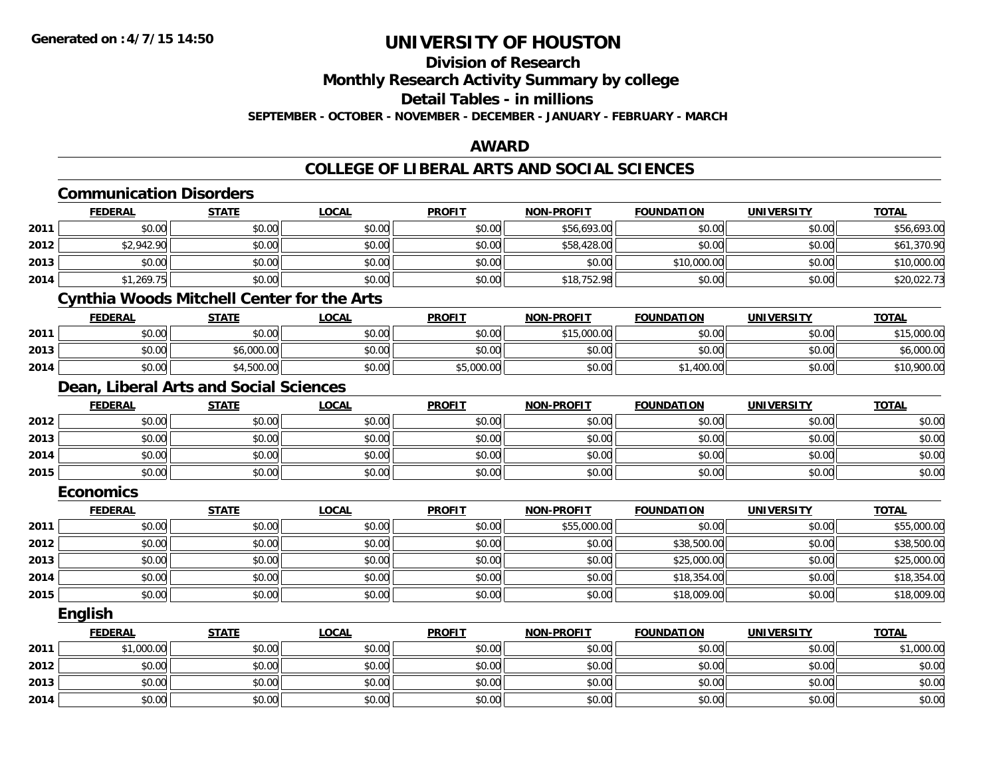## **Division of Research**

**Monthly Research Activity Summary by college**

**Detail Tables - in millions**

**SEPTEMBER - OCTOBER - NOVEMBER - DECEMBER - JANUARY - FEBRUARY - MARCH**

### **AWARD**

### **COLLEGE OF LIBERAL ARTS AND SOCIAL SCIENCES**

|      | <b>Communication Disorders</b>                    |              |              |               |                   |                   |                   |              |
|------|---------------------------------------------------|--------------|--------------|---------------|-------------------|-------------------|-------------------|--------------|
|      | <b>FEDERAL</b>                                    | <b>STATE</b> | <b>LOCAL</b> | <b>PROFIT</b> | <b>NON-PROFIT</b> | <b>FOUNDATION</b> | <b>UNIVERSITY</b> | <b>TOTAL</b> |
| 2011 | \$0.00                                            | \$0.00       | \$0.00       | \$0.00        | \$56,693.00       | \$0.00            | \$0.00            | \$56,693.00  |
| 2012 | \$2,942.90                                        | \$0.00       | \$0.00       | \$0.00        | \$58,428.00       | \$0.00            | \$0.00            | \$61,370.90  |
| 2013 | \$0.00                                            | \$0.00       | \$0.00       | \$0.00        | \$0.00            | \$10,000.00       | \$0.00            | \$10,000.00  |
| 2014 | \$1,269.75                                        | \$0.00       | \$0.00       | \$0.00        | \$18,752.98       | \$0.00            | \$0.00            | \$20,022.73  |
|      | <b>Cynthia Woods Mitchell Center for the Arts</b> |              |              |               |                   |                   |                   |              |
|      | <b>FEDERAL</b>                                    | <b>STATE</b> | <b>LOCAL</b> | <b>PROFIT</b> | <b>NON-PROFIT</b> | <b>FOUNDATION</b> | <b>UNIVERSITY</b> | <b>TOTAL</b> |
| 2011 | \$0.00                                            | \$0.00       | \$0.00       | \$0.00        | \$15,000.00       | \$0.00            | \$0.00            | \$15,000.00  |
| 2013 | \$0.00                                            | \$6,000.00   | \$0.00       | \$0.00        | \$0.00            | \$0.00            | \$0.00            | \$6,000.00   |
| 2014 | \$0.00                                            | \$4,500.00   | \$0.00       | \$5,000.00    | \$0.00            | \$1,400.00        | \$0.00            | \$10,900.00  |
|      | Dean, Liberal Arts and Social Sciences            |              |              |               |                   |                   |                   |              |
|      | <b>FEDERAL</b>                                    | <b>STATE</b> | <b>LOCAL</b> | <b>PROFIT</b> | <b>NON-PROFIT</b> | <b>FOUNDATION</b> | <b>UNIVERSITY</b> | <b>TOTAL</b> |
| 2012 | \$0.00                                            | \$0.00       | \$0.00       | \$0.00        | \$0.00            | \$0.00            | \$0.00            | \$0.00       |
| 2013 | \$0.00                                            | \$0.00       | \$0.00       | \$0.00        | \$0.00            | \$0.00            | \$0.00            | \$0.00       |
| 2014 | \$0.00                                            | \$0.00       | \$0.00       | \$0.00        | \$0.00            | \$0.00            | \$0.00            | \$0.00       |
| 2015 | \$0.00                                            | \$0.00       | \$0.00       | \$0.00        | \$0.00            | \$0.00            | \$0.00            | \$0.00       |
|      | <b>Economics</b>                                  |              |              |               |                   |                   |                   |              |
|      | <b>FEDERAL</b>                                    | <b>STATE</b> | <b>LOCAL</b> | <b>PROFIT</b> | <b>NON-PROFIT</b> | <b>FOUNDATION</b> | <b>UNIVERSITY</b> | <b>TOTAL</b> |
| 2011 | \$0.00                                            | \$0.00       | \$0.00       | \$0.00        | \$55,000.00       | \$0.00            | \$0.00            | \$55,000.00  |
| 2012 | \$0.00                                            | \$0.00       | \$0.00       | \$0.00        | \$0.00            | \$38,500.00       | \$0.00            | \$38,500.00  |
| 2013 | \$0.00                                            | \$0.00       | \$0.00       | \$0.00        | \$0.00            | \$25,000.00       | \$0.00            | \$25,000.00  |
| 2014 | \$0.00                                            | \$0.00       | \$0.00       | \$0.00        | \$0.00            | \$18,354.00       | \$0.00            | \$18,354.00  |
| 2015 | \$0.00                                            | \$0.00       | \$0.00       | \$0.00        | \$0.00            | \$18,009.00       | \$0.00            | \$18,009.00  |
|      | English                                           |              |              |               |                   |                   |                   |              |
|      | <b>FEDERAL</b>                                    | <b>STATE</b> | <b>LOCAL</b> | <b>PROFIT</b> | <b>NON-PROFIT</b> | <b>FOUNDATION</b> | <b>UNIVERSITY</b> | <b>TOTAL</b> |
| 2011 | \$1,000.00                                        | \$0.00       | \$0.00       | \$0.00        | \$0.00            | \$0.00            | \$0.00            | \$1,000.00   |
| 2012 | \$0.00                                            | \$0.00       | \$0.00       | \$0.00        | \$0.00            | \$0.00            | \$0.00            | \$0.00       |
| 2013 | \$0.00                                            | \$0.00       | \$0.00       | \$0.00        | \$0.00            | \$0.00            | \$0.00            | \$0.00       |
| 2014 | \$0.00                                            | \$0.00       | \$0.00       | \$0.00        | \$0.00            | \$0.00            | \$0.00            | \$0.00       |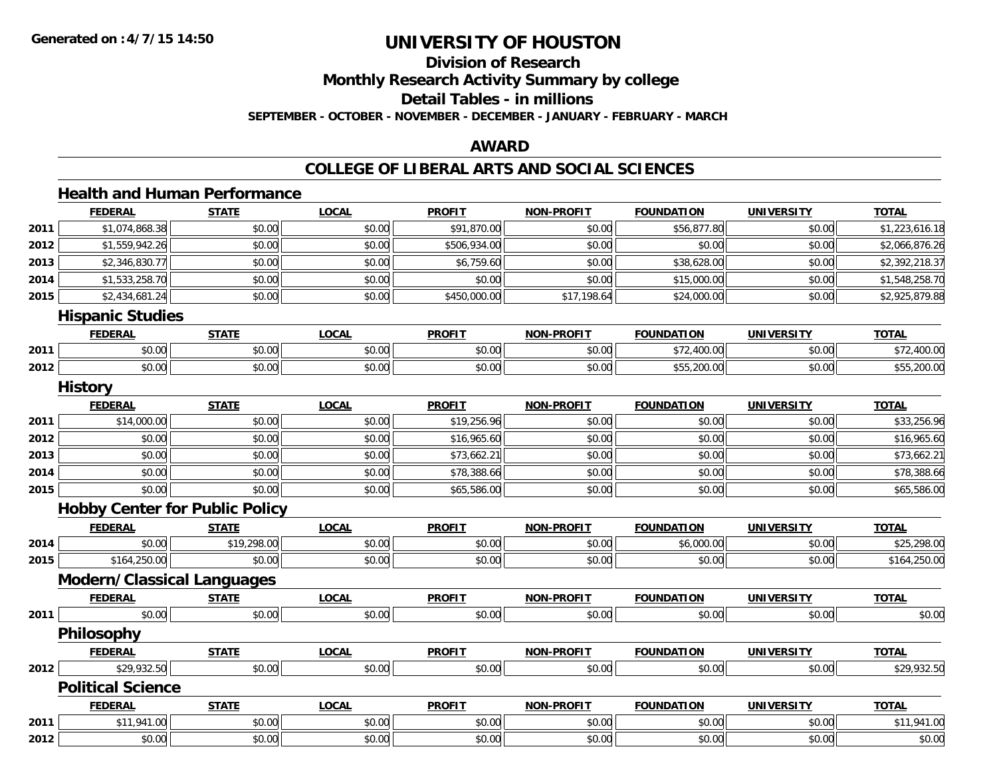**2012**

# **UNIVERSITY OF HOUSTON**

# **Division of Research**

**Monthly Research Activity Summary by college**

**Detail Tables - in millions**

**SEPTEMBER - OCTOBER - NOVEMBER - DECEMBER - JANUARY - FEBRUARY - MARCH**

#### **AWARD**

#### **COLLEGE OF LIBERAL ARTS AND SOCIAL SCIENCES**

#### **Health and Human PerformanceFEDERAL STATE LOCAL PROFIT NON-PROFIT FOUNDATION UNIVERSITY TOTALTOTAL 2011**.51,074,868.38|| \$0.00|| \$0.00|| \$91,870.00|| \$0.00|| \$56,877.80|| \$0.00|| \$1,223,616.18 **2012**2 \$1,559,942.26|| \$0.00| \$0.00| \$506,934.00| \$0.00| \$0.00| \$0.00| \$2,066,876.26 **2013**3 \$2,346,830.77 \$2,392,218.37 \$0.00 \$0.00 \$0.00 \$0,759.60 \$6,759.60 \$0.00 \$0.00 \$38,628.00 \$0.00 \$2,392,218.37 **2014**4 \$1,533,258.70 \$0.00 \$0.00 \$0.00 \$0.00 \$0.00 \$0.00 \$0.00 \$0.00 \$15,000.00 \$15,000.00 \$0.00 \$1,548,258.70 **2015**5 \$2,434,681.24 \$2,925,879.88 \$0.00 \$17,198.64 \$17,198.64 \$17,198.64 \$24,000.00 \$0.00 \$0.00 \$2,925,879.88 **Hispanic Studies FEDERAL STATE LOCAL PROFIT NON-PROFIT FOUNDATION UNIVERSITY TOTAL2011**1 \$0.00 \$0.00 \$0.00 \$0.00 \$0.00 \$0.00 \$0.00 \$0.00 \$0.00 \$0.00 \$72,400.00 \$72,400.00 \$0.00 \$0.00 \$72,400.00 **2012**2 | \$0.00| \$0.00| \$0.00| \$0.00| \$0.00| \$0.00| \$0.00| \$0.00| \$0.00| \$55,200.00| \$0.00| \$0.00| \$55,200.00 **History FEDERAL STATE LOCAL PROFIT NON-PROFIT FOUNDATION UNIVERSITY TOTAL2011** \$14,000.00 \$0.00 \$0.00 \$19,256.96 \$0.00 \$0.00 \$0.00 \$33,256.96 **2012**2 | \$0.00| \$0.00| \$0.00| \$0.00| \$16,965.60 \$16,965.60| \$0.00| \$0.00| \$0.00| \$0.00| \$0.00| \$16,965.60 **2013** $\textbf{3} \hspace{14mm} |\hspace{14mm} \text{$0.00]} \hspace{14mm} \text{$0.00]} \hspace{14mm} \text{$0.00]} \hspace{14mm} \text{$0.00} \hspace{14mm} |\hspace{14mm} \text{$0.00]} \hspace{14mm} \text{$0.00]} \hspace{14mm} \text{$0.00]} \hspace{14mm} \text{$0.00]} \hspace{14mm} \text{$0.00]} \hspace{14mm} \text{$0.00]} \hspace{14mm} \text{$0.00]} \hspace{14mm} \text{$ **2014**4 \$0.00 \$0.00 \$0.00 \$0.00 \$0.00 \$10.00 \$78,388.66 \$0.00 \$0.00 \$0.00 \$0.00 \$0.00 \$0.00 \$18,388.66 **2015** \$0.00 \$0.00 \$0.00 \$65,586.00 \$0.00 \$0.00 \$0.00 \$65,586.00 **Hobby Center for Public Policy FEDERAL STATE LOCAL PROFIT NON-PROFIT FOUNDATION UNIVERSITY TOTALTOTAL 2014**4 \$0.00 \$0.00 \$0.00 \$19,298.00 \$0.00 \$0.00 \$0.00 \$0.00 \$0.00 \$0.00 \$0.00 \$0.00 \$6,000.00 \$19,298.00 \$25,298.00 **2015** \$164,250.00 \$0.00 \$0.00 \$0.00 \$0.00 \$0.00 \$0.00 \$164,250.00 **Modern/Classical Languages FEDERAL STATE LOCAL PROFIT NON-PROFIT FOUNDATION UNIVERSITY TOTALTOTAL 2011** \$0.00 \$0.00 \$0.00 \$0.00 \$0.00 \$0.00 \$0.00 \$0.00 **Philosophy FEDERAL STATE LOCAL PROFIT NON-PROFIT FOUNDATION UNIVERSITY TOTALTOTAL 2012**2 \$29,932.50 \$0.00 \$0.00 \$0.00 \$0.00 \$0.00 \$0.00 \$0.00 \$0.00 \$0.00 \$0.00 \$0.00 \$0.00 \$29,932.50 **Political ScienceFEDERAL STATE LOCAL PROFIT NON-PROFIT FOUNDATION UNIVERSITY TOTAL2011**\$11,941.00 \$0.00 \$0.00 \$0.00 \$0.00 \$0.00 \$0.00 \$11,941.00

2 | \$0.00 \$0.00 \$0.00 \$0.00 \$0.00 \$0.00 \$0.00 \$0.00 \$0.00 \$0.00 \$0.00 \$0.00 \$0.00 \$0.00 \$0.00 \$0.00 \$0.00 \$0.0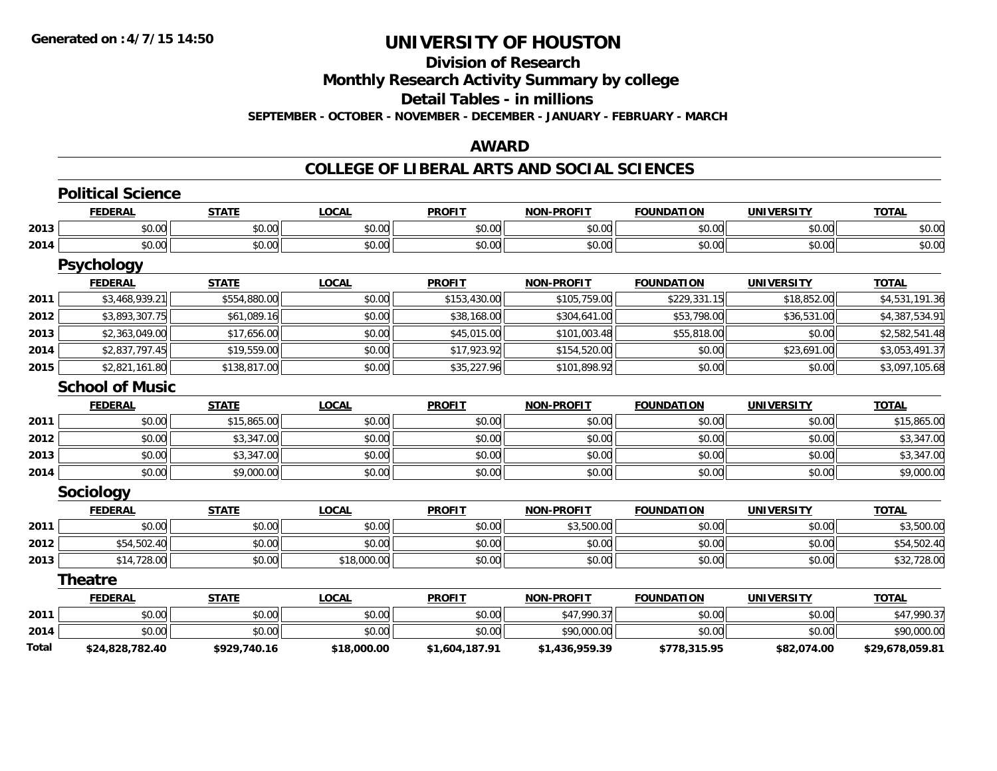# **Division of Research**

**Monthly Research Activity Summary by college**

**Detail Tables - in millions**

**SEPTEMBER - OCTOBER - NOVEMBER - DECEMBER - JANUARY - FEBRUARY - MARCH**

### **AWARD**

#### **COLLEGE OF LIBERAL ARTS AND SOCIAL SCIENCES**

|       | <b>Political Science</b> |              |              |                |                   |                   |                   |                 |
|-------|--------------------------|--------------|--------------|----------------|-------------------|-------------------|-------------------|-----------------|
|       | <b>FEDERAL</b>           | <b>STATE</b> | <b>LOCAL</b> | <b>PROFIT</b>  | <b>NON-PROFIT</b> | <b>FOUNDATION</b> | <b>UNIVERSITY</b> | <b>TOTAL</b>    |
| 2013  | \$0.00                   | \$0.00       | \$0.00       | \$0.00         | \$0.00            | \$0.00            | \$0.00            | \$0.00          |
| 2014  | \$0.00                   | \$0.00       | \$0.00       | \$0.00         | \$0.00            | \$0.00            | \$0.00            | \$0.00          |
|       | <b>Psychology</b>        |              |              |                |                   |                   |                   |                 |
|       | <b>FEDERAL</b>           | <b>STATE</b> | <b>LOCAL</b> | <b>PROFIT</b>  | <b>NON-PROFIT</b> | <b>FOUNDATION</b> | <b>UNIVERSITY</b> | <b>TOTAL</b>    |
| 2011  | \$3,468,939.21           | \$554,880.00 | \$0.00       | \$153,430.00   | \$105,759.00      | \$229,331.15      | \$18,852.00       | \$4,531,191.36  |
| 2012  | \$3,893,307.75           | \$61,089.16  | \$0.00       | \$38,168.00    | \$304,641.00      | \$53,798.00       | \$36,531.00       | \$4,387,534.91  |
| 2013  | \$2,363,049.00           | \$17,656.00  | \$0.00       | \$45,015.00    | \$101,003.48      | \$55,818.00       | \$0.00            | \$2,582,541.48  |
| 2014  | \$2,837,797.45           | \$19,559.00  | \$0.00       | \$17,923.92    | \$154,520.00      | \$0.00            | \$23,691.00       | \$3,053,491.37  |
| 2015  | \$2,821,161.80           | \$138,817.00 | \$0.00       | \$35,227.96    | \$101,898.92      | \$0.00            | \$0.00            | \$3,097,105.68  |
|       | <b>School of Music</b>   |              |              |                |                   |                   |                   |                 |
|       | <b>FEDERAL</b>           | <b>STATE</b> | <b>LOCAL</b> | <b>PROFIT</b>  | <b>NON-PROFIT</b> | <b>FOUNDATION</b> | <b>UNIVERSITY</b> | <b>TOTAL</b>    |
| 2011  | \$0.00                   | \$15,865.00  | \$0.00       | \$0.00         | \$0.00            | \$0.00            | \$0.00            | \$15,865.00     |
| 2012  | \$0.00                   | \$3,347.00   | \$0.00       | \$0.00         | \$0.00            | \$0.00            | \$0.00            | \$3,347.00      |
| 2013  | \$0.00                   | \$3,347.00   | \$0.00       | \$0.00         | \$0.00            | \$0.00            | \$0.00            | \$3,347.00      |
| 2014  | \$0.00                   | \$9,000.00   | \$0.00       | \$0.00         | \$0.00            | \$0.00            | \$0.00            | \$9,000.00      |
|       | <b>Sociology</b>         |              |              |                |                   |                   |                   |                 |
|       | <b>FEDERAL</b>           | <b>STATE</b> | <b>LOCAL</b> | <b>PROFIT</b>  | <b>NON-PROFIT</b> | <b>FOUNDATION</b> | <b>UNIVERSITY</b> | <b>TOTAL</b>    |
| 2011  | \$0.00                   | \$0.00       | \$0.00       | \$0.00         | \$3,500.00        | \$0.00            | \$0.00            | \$3,500.00      |
| 2012  | \$54,502.40              | \$0.00       | \$0.00       | \$0.00         | \$0.00            | \$0.00            | \$0.00            | \$54,502.40     |
| 2013  | \$14,728.00              | \$0.00       | \$18,000.00  | \$0.00         | \$0.00            | \$0.00            | \$0.00            | \$32,728.00     |
|       | <b>Theatre</b>           |              |              |                |                   |                   |                   |                 |
|       | <b>FEDERAL</b>           | <b>STATE</b> | <b>LOCAL</b> | <b>PROFIT</b>  | <b>NON-PROFIT</b> | <b>FOUNDATION</b> | <b>UNIVERSITY</b> | <b>TOTAL</b>    |
| 2011  | \$0.00                   | \$0.00       | \$0.00       | \$0.00         | \$47,990.37       | \$0.00            | \$0.00            | \$47,990.37     |
| 2014  | \$0.00                   | \$0.00       | \$0.00       | \$0.00         | \$90,000.00       | \$0.00            | \$0.00            | \$90,000.00     |
| Total | \$24,828,782.40          | \$929,740.16 | \$18,000.00  | \$1,604,187.91 | \$1,436,959.39    | \$778,315.95      | \$82,074.00       | \$29,678,059.81 |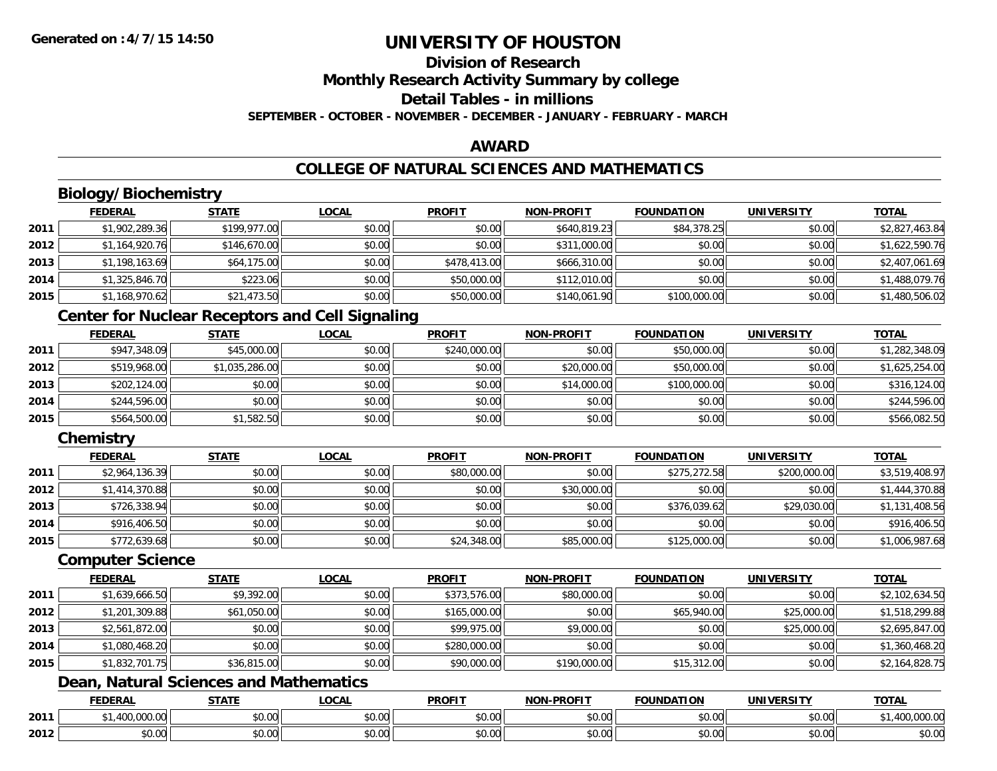### **Division of ResearchMonthly Research Activity Summary by college Detail Tables - in millionsSEPTEMBER - OCTOBER - NOVEMBER - DECEMBER - JANUARY - FEBRUARY - MARCH**

### **AWARD**

### **COLLEGE OF NATURAL SCIENCES AND MATHEMATICS**

# **Biology/Biochemistry**

|      | <b>FEDERAL</b> | <b>STATE</b> | <b>LOCAL</b> | <b>PROFIT</b> | <b>NON-PROFIT</b> | <b>FOUNDATION</b> | <b>UNIVERSITY</b> | <b>TOTAL</b>   |
|------|----------------|--------------|--------------|---------------|-------------------|-------------------|-------------------|----------------|
| 2011 | \$1,902,289.36 | \$199,977.00 | \$0.00       | \$0.00        | \$640,819.23      | \$84,378.25       | \$0.00            | \$2,827,463.84 |
| 2012 | \$1,164,920.76 | \$146,670.00 | \$0.00       | \$0.00        | \$311,000.00      | \$0.00            | \$0.00            | \$1,622,590.76 |
| 2013 | \$1,198,163.69 | \$64,175.00  | \$0.00       | \$478,413.00  | \$666,310.00      | \$0.00            | \$0.00            | \$2,407,061.69 |
| 2014 | \$1,325,846.70 | \$223.06     | \$0.00       | \$50,000.00   | \$112,010.00      | \$0.00            | \$0.00            | \$1,488,079.76 |
| 2015 | \$1,168,970.62 | \$21,473.50  | \$0.00       | \$50,000.00   | \$140,061.90      | \$100,000.00      | \$0.00            | \$1,480,506.02 |

### **Center for Nuclear Receptors and Cell Signaling**

|      | <b>FEDERAL</b> | <u>STATE</u>   | <u>LOCAL</u> | <b>PROFIT</b> | <b>NON-PROFIT</b> | <b>FOUNDATION</b> | <b>UNIVERSITY</b> | <b>TOTAL</b>   |
|------|----------------|----------------|--------------|---------------|-------------------|-------------------|-------------------|----------------|
| 2011 | \$947,348.09   | \$45,000.00    | \$0.00       | \$240,000.00  | \$0.00            | \$50,000.00       | \$0.00            | \$1,282,348.09 |
| 2012 | \$519,968.00   | \$1,035,286.00 | \$0.00       | \$0.00        | \$20,000.00       | \$50,000.00       | \$0.00            | \$1,625,254.00 |
| 2013 | \$202,124.00   | \$0.00         | \$0.00       | \$0.00        | \$14,000.00       | \$100,000.00      | \$0.00            | \$316,124.00   |
| 2014 | \$244,596.00   | \$0.00         | \$0.00       | \$0.00        | \$0.00            | \$0.00            | \$0.00            | \$244,596.00   |
| 2015 | \$564,500.00   | \$1,582.50     | \$0.00       | \$0.00        | \$0.00            | \$0.00            | \$0.00            | \$566,082.50   |

### **Chemistry**

|      | <b>FEDERAL</b> | <u>STATE</u> | <b>LOCAL</b> | <b>PROFIT</b> | <b>NON-PROFIT</b> | <b>FOUNDATION</b> | <b>UNIVERSITY</b> | <b>TOTAL</b>   |
|------|----------------|--------------|--------------|---------------|-------------------|-------------------|-------------------|----------------|
| 2011 | \$2,964,136.39 | \$0.00       | \$0.00       | \$80,000.00   | \$0.00            | \$275,272.58      | \$200,000.00      | \$3,519,408.97 |
| 2012 | \$1,414,370.88 | \$0.00       | \$0.00       | \$0.00        | \$30,000.00       | \$0.00            | \$0.00            | \$1,444,370.88 |
| 2013 | \$726,338.94   | \$0.00       | \$0.00       | \$0.00        | \$0.00            | \$376.039.62      | \$29,030.00       | \$1,131,408.56 |
| 2014 | \$916,406.50   | \$0.00       | \$0.00       | \$0.00        | \$0.00            | \$0.00            | \$0.00            | \$916,406.50   |
| 2015 | \$772,639.68   | \$0.00       | \$0.00       | \$24,348.00   | \$85,000.00       | \$125,000.00      | \$0.00            | \$1,006,987.68 |

#### **Computer Science**

|      | <b>FEDERAL</b> | <b>STATE</b> | <b>LOCAL</b> | <b>PROFIT</b> | <b>NON-PROFIT</b> | <b>FOUNDATION</b> | UNIVERSITY  | <b>TOTAL</b>   |
|------|----------------|--------------|--------------|---------------|-------------------|-------------------|-------------|----------------|
| 2011 | \$1,639,666.50 | \$9,392.00   | \$0.00       | \$373,576.00  | \$80,000.00       | \$0.00            | \$0.00      | \$2,102,634.50 |
| 2012 | \$1,201,309.88 | \$61,050.00  | \$0.00       | \$165,000.00  | \$0.00            | \$65,940.00       | \$25,000.00 | \$1,518,299.88 |
| 2013 | \$2,561,872.00 | \$0.00       | \$0.00       | \$99,975.00   | \$9,000.00        | \$0.00            | \$25,000.00 | \$2,695,847.00 |
| 2014 | \$1,080,468.20 | \$0.00       | \$0.00       | \$280,000.00  | \$0.00            | \$0.00            | \$0.00      | \$1,360,468.20 |
| 2015 | \$1,832,701.75 | \$36,815.00  | \$0.00       | \$90,000.00   | \$190,000.00      | \$15,312.00       | \$0.00      | \$2,164,828.75 |

# **Dean, Natural Sciences and Mathematics**

|      | <b>FEDERAL</b>                    | <b>CTATE</b><br>,,,,,, | <b>_OCAL</b>              | <b>PROFIT</b>      | -PROFIT<br><b>MON</b> | <b>FOUNDATION</b> | <b>UNIVERSITY</b>    | <b>TOTAL</b>                                   |
|------|-----------------------------------|------------------------|---------------------------|--------------------|-----------------------|-------------------|----------------------|------------------------------------------------|
| 2011 | 00000<br>$\sqrt{2}$<br>400.000.00 | \$0.00                 | $\sim$<br>$\sim$<br>JU.UU | ტი იი<br>JU.UU     | 0000<br>PU.UU         | \$0.00            | 0.00<br>\$0.00       | $\sim$ $\sim$<br>100<br><del>I</del> UU.UUU.UU |
| 2012 | 0 <sub>0</sub><br>PU.UU           | $\sim$ $\sim$<br>0.00  | $\sim$ 00<br>vv.vv        | $\sim$ 00<br>งบ.บบ | 0000<br>PO.OO         | \$0.00            | 0000<br><b>JU.UU</b> | \$0.00                                         |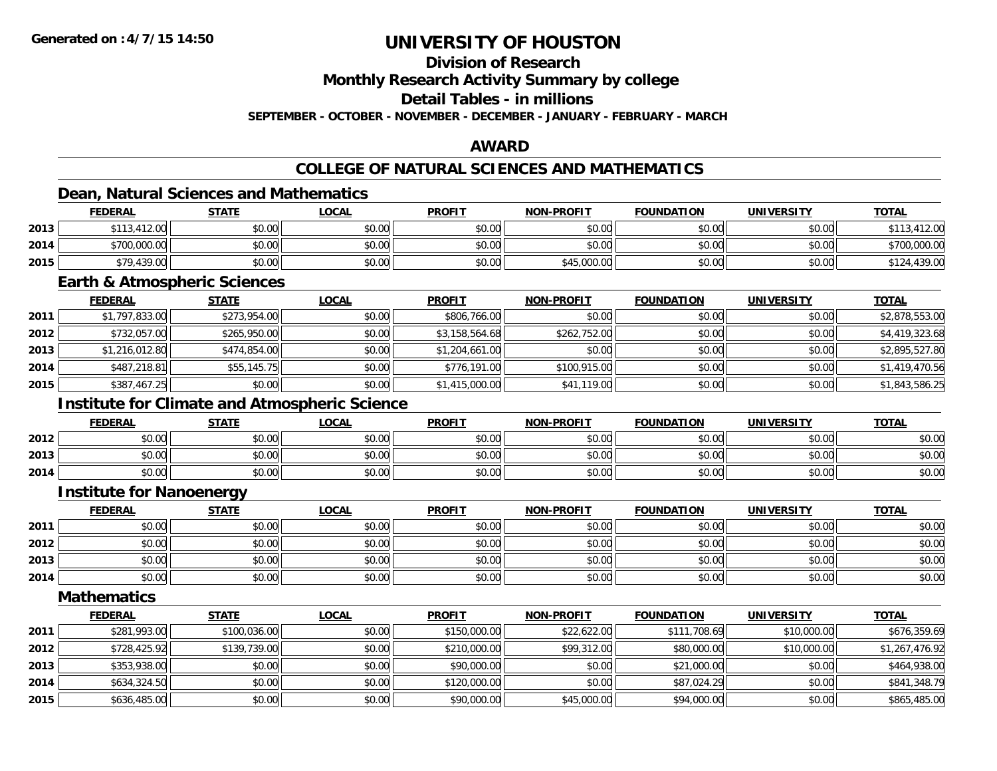### **Division of Research**

**Monthly Research Activity Summary by college**

**Detail Tables - in millions**

**SEPTEMBER - OCTOBER - NOVEMBER - DECEMBER - JANUARY - FEBRUARY - MARCH**

### **AWARD**

### **COLLEGE OF NATURAL SCIENCES AND MATHEMATICS**

### **Dean, Natural Sciences and Mathematics**

|      | <b>FEDERAL</b> | <u>STATE</u> | <u>LOCAL</u> | <b>PROFIT</b> | <b>NON-PROFIT</b> | <b>FOUNDATION</b> | UNIVERSITY | <b>TOTAL</b>    |
|------|----------------|--------------|--------------|---------------|-------------------|-------------------|------------|-----------------|
| 2013 | \$113,412.00   | \$0.00       | \$0.00       | \$0.00        | \$0.00            | \$0.00            | \$0.00     | ,412.00         |
| 2014 | \$700,000.00   | \$0.00       | \$0.00       | \$0.00        | \$0.00            | \$0.00            | \$0.00     | \$700,000.00    |
| 2015 | \$79,439.00    | \$0.00       | \$0.00       | \$0.00        | \$45,000.00       | \$0.00            | \$0.00     | 1,439.00<br>144 |

#### **Earth & Atmospheric Sciences**

|      | <b>FEDERAL</b> | <b>STATE</b> | <u>LOCAL</u> | <b>PROFIT</b>  | <b>NON-PROFIT</b> | <b>FOUNDATION</b> | <b>UNIVERSITY</b> | <b>TOTAL</b>   |
|------|----------------|--------------|--------------|----------------|-------------------|-------------------|-------------------|----------------|
| 2011 | \$1,797,833.00 | \$273,954.00 | \$0.00       | \$806,766.00   | \$0.00            | \$0.00            | \$0.00            | \$2,878,553.00 |
| 2012 | \$732,057.00   | \$265,950.00 | \$0.00       | \$3,158,564.68 | \$262,752.00      | \$0.00            | \$0.00            | \$4,419,323.68 |
| 2013 | \$1,216,012.80 | \$474,854.00 | \$0.00       | \$1,204,661.00 | \$0.00            | \$0.00            | \$0.00            | \$2,895,527.80 |
| 2014 | \$487,218.81   | \$55,145.75  | \$0.00       | \$776,191.00   | \$100,915.00      | \$0.00            | \$0.00            | \$1,419,470.56 |
| 2015 | \$387,467.25   | \$0.00       | \$0.00       | \$1,415,000.00 | \$41,119.00       | \$0.00            | \$0.00            | \$1,843,586.25 |

### **Institute for Climate and Atmospheric Science**

|      | <b>FEDERAL</b> | <b>STATE</b> | <u>LOCAL</u> | <b>PROFIT</b> | <b>NON-PROFIT</b> | <b>FOUNDATION</b> | <b>UNIVERSITY</b> | <u>TOTAL</u> |
|------|----------------|--------------|--------------|---------------|-------------------|-------------------|-------------------|--------------|
| 2012 | \$0.00         | \$0.00       | \$0.00       | \$0.00        | \$0.00            | \$0.00            | \$0.00            | \$0.00       |
| 2013 | \$0.00         | \$0.00       | \$0.00       | \$0.00        | \$0.00            | \$0.00            | \$0.00            | \$0.00       |
| 2014 | \$0.00         | \$0.00       | \$0.00       | \$0.00        | \$0.00            | \$0.00            | \$0.00            | \$0.00       |

#### **Institute for Nanoenergy**

|      | <b>FEDERAL</b> | <b>STATE</b> | <u>LOCAL</u> | <b>PROFIT</b> | <b>NON-PROFIT</b> | <b>FOUNDATION</b> | <b>UNIVERSITY</b> | <b>TOTAL</b> |
|------|----------------|--------------|--------------|---------------|-------------------|-------------------|-------------------|--------------|
| 2011 | \$0.00         | \$0.00       | \$0.00       | \$0.00        | \$0.00            | \$0.00            | \$0.00            | \$0.00       |
| 2012 | \$0.00         | \$0.00       | \$0.00       | \$0.00        | \$0.00            | \$0.00            | \$0.00            | \$0.00       |
| 2013 | \$0.00         | \$0.00       | \$0.00       | \$0.00        | \$0.00            | \$0.00            | \$0.00            | \$0.00       |
| 2014 | \$0.00         | \$0.00       | \$0.00       | \$0.00        | \$0.00            | \$0.00            | \$0.00            | \$0.00       |

#### **Mathematics**

|      | <b>FEDERAL</b> | <b>STATE</b> | <u>LOCAL</u> | <b>PROFIT</b> | <b>NON-PROFIT</b> | <b>FOUNDATION</b> | <b>UNIVERSITY</b> | <b>TOTAL</b>   |
|------|----------------|--------------|--------------|---------------|-------------------|-------------------|-------------------|----------------|
| 2011 | \$281,993.00   | \$100,036.00 | \$0.00       | \$150,000.00  | \$22,622.00       | \$111,708.69      | \$10,000.00       | \$676,359.69   |
| 2012 | \$728,425.92   | \$139,739.00 | \$0.00       | \$210,000.00  | \$99,312.00       | \$80,000.00       | \$10,000.00       | \$1,267,476.92 |
| 2013 | \$353,938.00   | \$0.00       | \$0.00       | \$90,000.00   | \$0.00            | \$21,000.00       | \$0.00            | \$464,938.00   |
| 2014 | \$634,324.50   | \$0.00       | \$0.00       | \$120,000.00  | \$0.00            | \$87,024.29       | \$0.00            | \$841,348.79   |
| 2015 | \$636,485.00   | \$0.00       | \$0.00       | \$90,000.00   | \$45,000.00       | \$94,000.00       | \$0.00            | \$865,485.00   |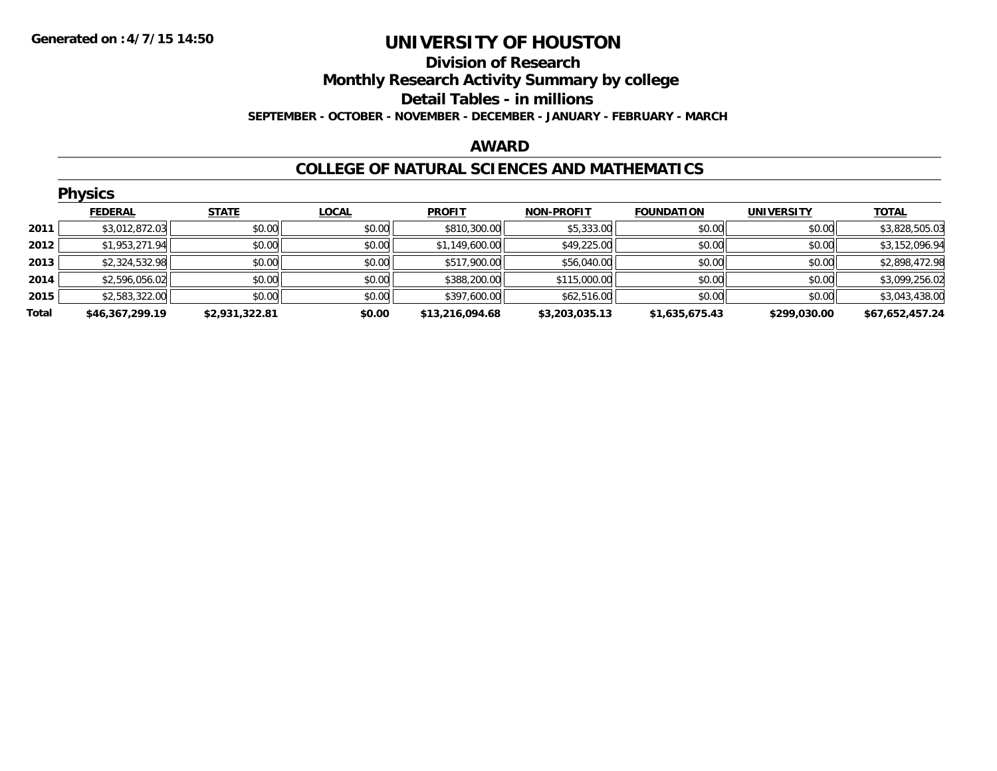### **Division of Research Monthly Research Activity Summary by college Detail Tables - in millions SEPTEMBER - OCTOBER - NOVEMBER - DECEMBER - JANUARY - FEBRUARY - MARCH**

#### **AWARD**

#### **COLLEGE OF NATURAL SCIENCES AND MATHEMATICS**

|       | <b>Physics</b>  |                |              |                 |                   |                   |                   |                 |  |  |  |
|-------|-----------------|----------------|--------------|-----------------|-------------------|-------------------|-------------------|-----------------|--|--|--|
|       | <b>FEDERAL</b>  | <b>STATE</b>   | <b>LOCAL</b> | <b>PROFIT</b>   | <b>NON-PROFIT</b> | <b>FOUNDATION</b> | <b>UNIVERSITY</b> | <b>TOTAL</b>    |  |  |  |
| 2011  | \$3,012,872.03  | \$0.00         | \$0.00       | \$810,300.00    | \$5,333.00        | \$0.00            | \$0.00            | \$3,828,505.03  |  |  |  |
| 2012  | \$1,953,271.94  | \$0.00         | \$0.00       | \$1,149,600.00  | \$49,225.00       | \$0.00            | \$0.00            | \$3,152,096.94  |  |  |  |
| 2013  | \$2,324,532.98  | \$0.00         | \$0.00       | \$517,900.00    | \$56,040.00       | \$0.00            | \$0.00            | \$2,898,472.98  |  |  |  |
| 2014  | \$2,596,056.02  | \$0.00         | \$0.00       | \$388,200.00    | \$115,000.00      | \$0.00            | \$0.00            | \$3,099,256.02  |  |  |  |
| 2015  | \$2,583,322.00  | \$0.00         | \$0.00       | \$397,600.00    | \$62,516.00       | \$0.00            | \$0.00            | \$3,043,438.00  |  |  |  |
| Total | \$46,367,299.19 | \$2,931,322.81 | \$0.00       | \$13,216,094.68 | \$3,203,035.13    | \$1,635,675.43    | \$299,030.00      | \$67,652,457.24 |  |  |  |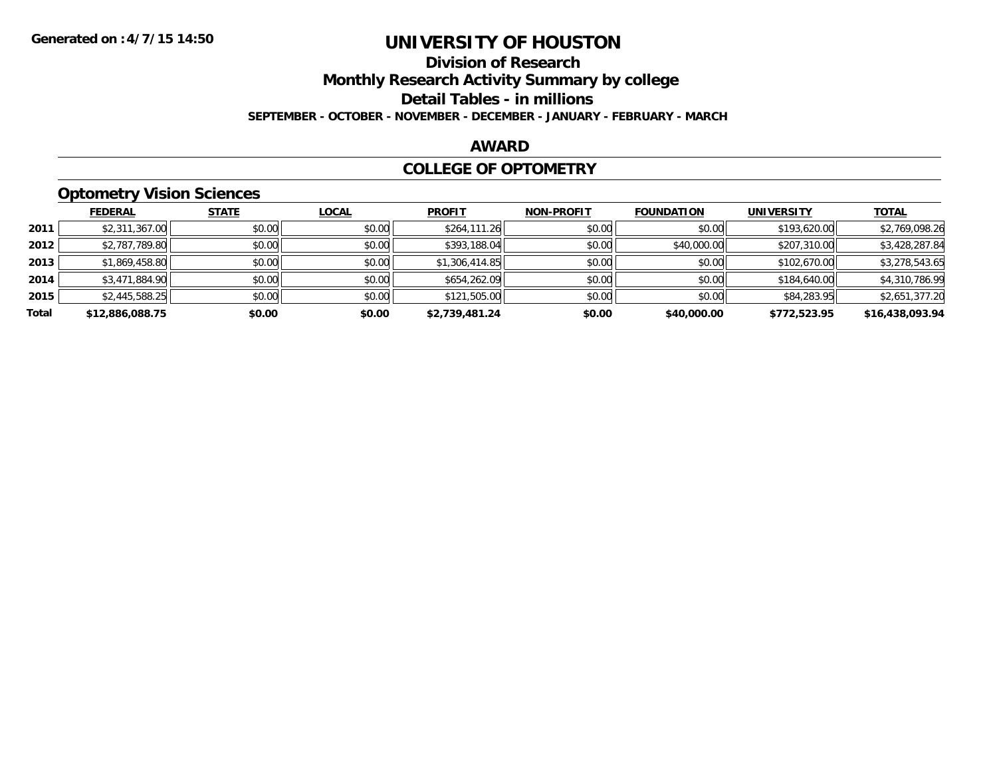# **Division of Research**

**Monthly Research Activity Summary by college**

**Detail Tables - in millions**

**SEPTEMBER - OCTOBER - NOVEMBER - DECEMBER - JANUARY - FEBRUARY - MARCH**

### **AWARD**

### **COLLEGE OF OPTOMETRY**

### **Optometry Vision Sciences**

|       | __              |              |              |                |                   |                   |                   |                 |
|-------|-----------------|--------------|--------------|----------------|-------------------|-------------------|-------------------|-----------------|
|       | <b>FEDERAL</b>  | <b>STATE</b> | <b>LOCAL</b> | <b>PROFIT</b>  | <b>NON-PROFIT</b> | <b>FOUNDATION</b> | <b>UNIVERSITY</b> | <b>TOTAL</b>    |
| 2011  | \$2,311,367.00  | \$0.00       | \$0.00       | \$264,111.26   | \$0.00            | \$0.00            | \$193,620.00      | \$2,769,098.26  |
| 2012  | \$2,787,789.80  | \$0.00       | \$0.00       | \$393,188.04   | \$0.00            | \$40,000.00       | \$207,310.00      | \$3,428,287.84  |
| 2013  | \$1,869,458.80  | \$0.00       | \$0.00       | \$1,306,414.85 | \$0.00            | \$0.00            | \$102,670.00      | \$3,278,543.65  |
| 2014  | \$3,471,884.90  | \$0.00       | \$0.00       | \$654,262.09   | \$0.00            | \$0.00            | \$184,640.00      | \$4,310,786.99  |
| 2015  | \$2,445,588.25  | \$0.00       | \$0.00       | \$121,505.00   | \$0.00            | \$0.00            | \$84,283.95       | \$2,651,377.20  |
| Total | \$12,886,088.75 | \$0.00       | \$0.00       | \$2.739.481.24 | \$0.00            | \$40,000.00       | \$772.523.95      | \$16,438,093.94 |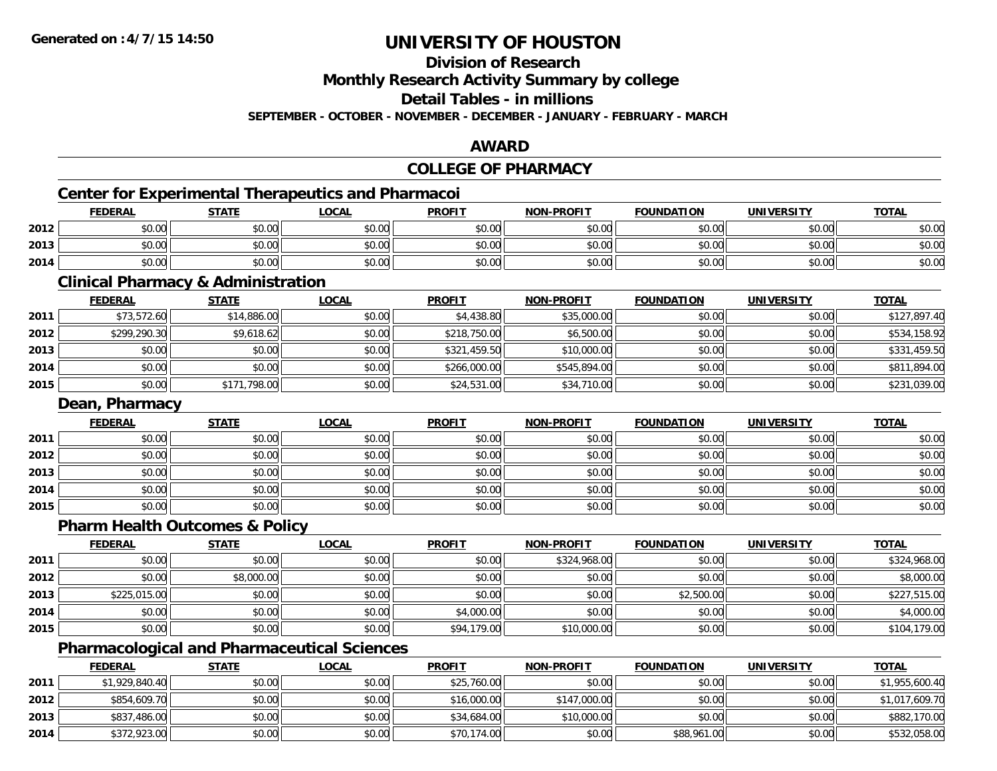### **Division of Research**

**Monthly Research Activity Summary by college**

**Detail Tables - in millions**

**SEPTEMBER - OCTOBER - NOVEMBER - DECEMBER - JANUARY - FEBRUARY - MARCH**

### **AWARD**

### **COLLEGE OF PHARMACY**

# **Center for Experimental Therapeutics and Pharmacoi**

|      | <b>FEDERAL</b> | <b>STATE</b> | <b>LOCAL</b> | <b>PROFIT</b> | <b>NON-PROFIT</b> | <b>FOUNDATION</b> | <b>UNIVERSITY</b> | <b>TOTAL</b> |
|------|----------------|--------------|--------------|---------------|-------------------|-------------------|-------------------|--------------|
| 2012 | \$0.00         | \$0.00       | \$0.00       | \$0.00        | \$0.00            | \$0.00            | \$0.00            | \$0.00       |
| 2013 | \$0.00         | \$0.00       | \$0.00       | \$0.00        | \$0.00            | \$0.00            | \$0.00            | \$0.00       |
| 2014 | \$0.00         | \$0.00       | \$0.00       | \$0.00        | \$0.00            | \$0.00            | \$0.00            | \$0.00       |

<u> 1989 - Johann Stoff, deutscher Stoff, der Stoff, der Stoff, der Stoff, der Stoff, der Stoff, der Stoff, der S</u>

#### **Clinical Pharmacy & Administration**

|      | <b>FEDERAL</b> | <b>STATE</b> | <u>LOCAL</u> | <b>PROFIT</b> | <b>NON-PROFIT</b> | <b>FOUNDATION</b> | <b>UNIVERSITY</b> | <b>TOTAL</b> |
|------|----------------|--------------|--------------|---------------|-------------------|-------------------|-------------------|--------------|
| 2011 | \$73,572.60    | \$14,886.00  | \$0.00       | \$4,438.80    | \$35,000.00       | \$0.00            | \$0.00            | \$127,897.40 |
| 2012 | \$299,290.30   | \$9,618.62   | \$0.00       | \$218,750.00  | \$6,500.00        | \$0.00            | \$0.00            | \$534,158.92 |
| 2013 | \$0.00         | \$0.00       | \$0.00       | \$321,459.50  | \$10,000.00       | \$0.00            | \$0.00            | \$331,459.50 |
| 2014 | \$0.00         | \$0.00       | \$0.00       | \$266,000.00  | \$545,894.00      | \$0.00            | \$0.00            | \$811,894.00 |
| 2015 | \$0.00         | \$171,798.00 | \$0.00       | \$24,531.00   | \$34,710.00       | \$0.00            | \$0.00            | \$231,039.00 |

### **Dean, Pharmacy**

|      | <b>FEDERAL</b> | <b>STATE</b> | <u>LOCAL</u> | <b>PROFIT</b> | <b>NON-PROFIT</b> | <b>FOUNDATION</b> | <b>UNIVERSITY</b> | <b>TOTAL</b> |
|------|----------------|--------------|--------------|---------------|-------------------|-------------------|-------------------|--------------|
| 2011 | \$0.00         | \$0.00       | \$0.00       | \$0.00        | \$0.00            | \$0.00            | \$0.00            | \$0.00       |
| 2012 | \$0.00         | \$0.00       | \$0.00       | \$0.00        | \$0.00            | \$0.00            | \$0.00            | \$0.00       |
| 2013 | \$0.00         | \$0.00       | \$0.00       | \$0.00        | \$0.00            | \$0.00            | \$0.00            | \$0.00       |
| 2014 | \$0.00         | \$0.00       | \$0.00       | \$0.00        | \$0.00            | \$0.00            | \$0.00            | \$0.00       |
| 2015 | \$0.00         | \$0.00       | \$0.00       | \$0.00        | \$0.00            | \$0.00            | \$0.00            | \$0.00       |

#### **Pharm Health Outcomes & Policy**

|      | <b>FEDERAL</b> | <b>STATE</b> | <b>LOCAL</b> | <b>PROFIT</b> | <b>NON-PROFIT</b> | <b>FOUNDATION</b> | <b>UNIVERSITY</b> | <b>TOTAL</b> |
|------|----------------|--------------|--------------|---------------|-------------------|-------------------|-------------------|--------------|
| 2011 | \$0.00         | \$0.00       | \$0.00       | \$0.00        | \$324,968.00      | \$0.00            | \$0.00            | \$324,968.00 |
| 2012 | \$0.00         | \$8,000.00   | \$0.00       | \$0.00        | \$0.00            | \$0.00            | \$0.00            | \$8,000.00   |
| 2013 | \$225,015.00   | \$0.00       | \$0.00       | \$0.00        | \$0.00            | \$2,500.00        | \$0.00            | \$227,515.00 |
| 2014 | \$0.00         | \$0.00       | \$0.00       | \$4,000.00    | \$0.00            | \$0.00            | \$0.00            | \$4,000.00   |
| 2015 | \$0.00         | \$0.00       | \$0.00       | \$94,179.00   | \$10,000.00       | \$0.00            | \$0.00            | \$104,179.00 |

### **Pharmacological and Pharmaceutical Sciences**

|      | <b>FEDERAL</b> | <b>STATE</b> | <u>LOCAL</u> | <b>PROFIT</b> | <b>NON-PROFIT</b> | <b>FOUNDATION</b> | UNIVERSITY | <u>TOTAL</u>   |
|------|----------------|--------------|--------------|---------------|-------------------|-------------------|------------|----------------|
| 2011 | \$1,929,840.40 | \$0.00       | \$0.00       | \$25,760.00   | \$0.00            | \$0.00            | \$0.00     | \$1,955,600.40 |
| 2012 | \$854,609.70   | \$0.00       | \$0.00       | \$16,000.00   | \$147,000.00      | \$0.00            | \$0.00     | \$1,017,609.70 |
| 2013 | \$837,486.00   | \$0.00       | \$0.00       | \$34,684.00   | \$10,000.00       | \$0.00            | \$0.00     | \$882,170.00   |
| 2014 | \$372,923.00   | \$0.00       | \$0.00       | \$70,174.00   | \$0.00            | \$88,961.00       | \$0.00     | \$532,058.00   |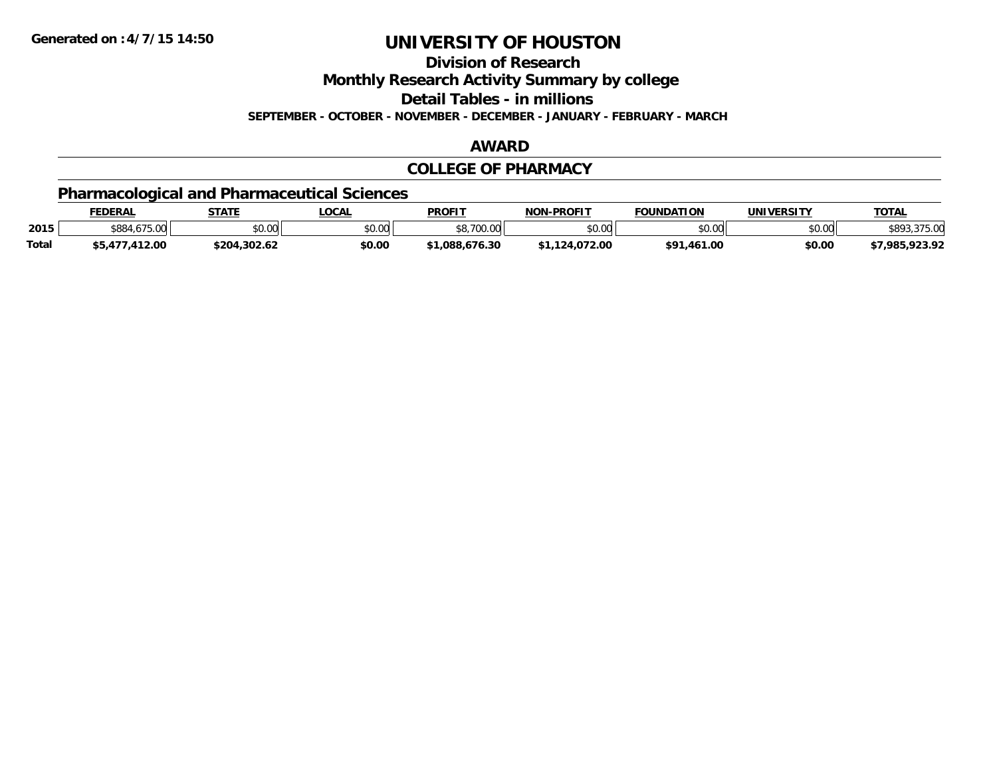**Division of Research**

**Monthly Research Activity Summary by college**

**Detail Tables - in millions**

**SEPTEMBER - OCTOBER - NOVEMBER - DECEMBER - JANUARY - FEBRUARY - MARCH**

#### **AWARD**

#### **COLLEGE OF PHARMACY**

### **Pharmacological and Pharmaceutical Sciences**

|              | <b>FEDERAL</b> | <b>STATE</b> | <b>OCAL</b> | <b>PROFIT</b>         | <b>I-PROFIT</b><br>NON- | <b>FOUNDATION</b> | UNIVERSITY | T <u>OTAL</u>  |
|--------------|----------------|--------------|-------------|-----------------------|-------------------------|-------------------|------------|----------------|
| 2015         | \$884,675.00   | \$0.00       | \$0.00      | 0.70000<br>30.7UU.UUI | \$0.00                  | \$0.00            | \$0.00     | .375.00        |
| <b>Total</b> | \$5,477,412.00 | \$204.302.62 | \$0.00      | .088.676.30           | \$1.124.072.00          | \$91,461.00       | \$0.00     | \$7,985,923.92 |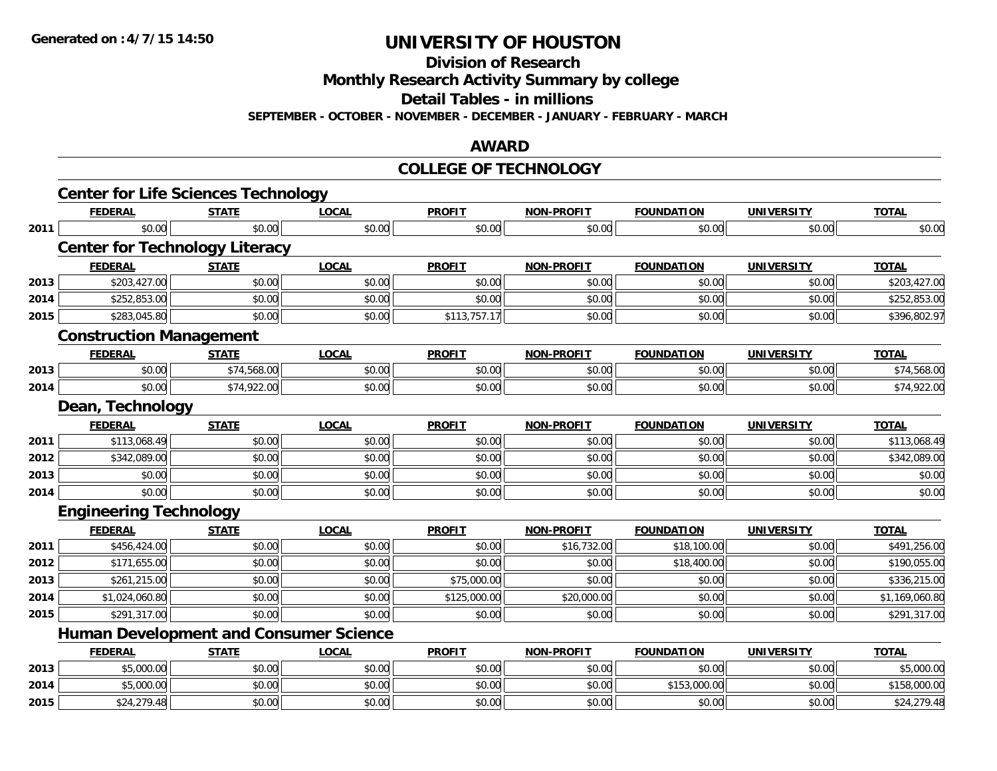**2015**

# **UNIVERSITY OF HOUSTON**

**Division of Research**

**Monthly Research Activity Summary by college**

**Detail Tables - in millions**

**SEPTEMBER - OCTOBER - NOVEMBER - DECEMBER - JANUARY - FEBRUARY - MARCH**

### **AWARD**

#### **COLLEGE OF TECHNOLOGY**

|      |                                | <b>Center for Life Sciences Technology</b> |                                               |               |                   |                   |                   |                |
|------|--------------------------------|--------------------------------------------|-----------------------------------------------|---------------|-------------------|-------------------|-------------------|----------------|
|      | <b>FEDERAL</b>                 | <b>STATE</b>                               | <b>LOCAL</b>                                  | <b>PROFIT</b> | <b>NON-PROFIT</b> | <b>FOUNDATION</b> | <b>UNIVERSITY</b> | <b>TOTAL</b>   |
| 2011 | \$0.00                         | \$0.00                                     | \$0.00                                        | \$0.00        | \$0.00            | \$0.00            | \$0.00            | \$0.00         |
|      |                                | <b>Center for Technology Literacy</b>      |                                               |               |                   |                   |                   |                |
|      | <b>FEDERAL</b>                 | <b>STATE</b>                               | <b>LOCAL</b>                                  | <b>PROFIT</b> | <b>NON-PROFIT</b> | <b>FOUNDATION</b> | <b>UNIVERSITY</b> | <b>TOTAL</b>   |
| 2013 | \$203,427.00                   | \$0.00                                     | \$0.00                                        | \$0.00        | \$0.00            | \$0.00            | \$0.00            | \$203,427.00   |
| 2014 | \$252,853.00                   | \$0.00                                     | \$0.00                                        | \$0.00        | \$0.00            | \$0.00            | \$0.00            | \$252,853.00   |
| 2015 | \$283,045.80                   | \$0.00                                     | \$0.00                                        | \$113,757.17  | \$0.00            | \$0.00            | \$0.00            | \$396,802.97   |
|      | <b>Construction Management</b> |                                            |                                               |               |                   |                   |                   |                |
|      | <b>FEDERAL</b>                 | <b>STATE</b>                               | <b>LOCAL</b>                                  | <b>PROFIT</b> | <b>NON-PROFIT</b> | <b>FOUNDATION</b> | <b>UNIVERSITY</b> | <b>TOTAL</b>   |
| 2013 | \$0.00                         | \$74,568.00                                | \$0.00                                        | \$0.00        | \$0.00            | \$0.00            | \$0.00            | \$74,568.00    |
| 2014 | \$0.00                         | \$74,922.00                                | \$0.00                                        | \$0.00        | \$0.00            | \$0.00            | \$0.00            | \$74,922.00    |
|      | Dean, Technology               |                                            |                                               |               |                   |                   |                   |                |
|      | <b>FEDERAL</b>                 | <b>STATE</b>                               | <b>LOCAL</b>                                  | <b>PROFIT</b> | <b>NON-PROFIT</b> | <b>FOUNDATION</b> | <b>UNIVERSITY</b> | <b>TOTAL</b>   |
| 2011 | \$113,068.49                   | \$0.00                                     | \$0.00                                        | \$0.00        | \$0.00            | \$0.00            | \$0.00            | \$113,068.49   |
| 2012 | \$342,089.00                   | \$0.00                                     | \$0.00                                        | \$0.00        | \$0.00            | \$0.00            | \$0.00            | \$342,089.00   |
| 2013 | \$0.00                         | \$0.00                                     | \$0.00                                        | \$0.00        | \$0.00            | \$0.00            | \$0.00            | \$0.00         |
| 2014 | \$0.00                         | \$0.00                                     | \$0.00                                        | \$0.00        | \$0.00            | \$0.00            | \$0.00            | \$0.00         |
|      | <b>Engineering Technology</b>  |                                            |                                               |               |                   |                   |                   |                |
|      | <b>FEDERAL</b>                 | <b>STATE</b>                               | <b>LOCAL</b>                                  | <b>PROFIT</b> | <b>NON-PROFIT</b> | <b>FOUNDATION</b> | <b>UNIVERSITY</b> | <b>TOTAL</b>   |
| 2011 | \$456,424.00                   | \$0.00                                     | \$0.00                                        | \$0.00        | \$16,732.00       | \$18,100.00       | \$0.00            | \$491,256.00   |
| 2012 | \$171,655.00                   | \$0.00                                     | \$0.00                                        | \$0.00        | \$0.00            | \$18,400.00       | \$0.00            | \$190,055.00   |
| 2013 | \$261,215.00                   | \$0.00                                     | \$0.00                                        | \$75,000.00   | \$0.00            | \$0.00            | \$0.00            | \$336,215.00   |
| 2014 | \$1,024,060.80                 | \$0.00                                     | \$0.00                                        | \$125,000.00  | \$20,000.00       | \$0.00            | \$0.00            | \$1,169,060.80 |
| 2015 | \$291,317.00                   | \$0.00                                     | \$0.00                                        | \$0.00        | \$0.00            | \$0.00            | \$0.00            | \$291,317.00   |
|      |                                |                                            | <b>Human Development and Consumer Science</b> |               |                   |                   |                   |                |
|      | <b>FEDERAL</b>                 | <b>STATE</b>                               | <b>LOCAL</b>                                  | <b>PROFIT</b> | <b>NON-PROFIT</b> | <b>FOUNDATION</b> | <b>UNIVERSITY</b> | <b>TOTAL</b>   |
| 2013 | \$5,000.00                     | \$0.00                                     | \$0.00                                        | \$0.00        | \$0.00            | \$0.00            | \$0.00            | \$5,000.00     |
| 2014 | \$5,000.00                     | \$0.00                                     | \$0.00                                        | \$0.00        | \$0.00            | \$153,000.00      | \$0.00            | \$158,000.00   |

5 \$24,279.48 \$2.00 \$0.00 \$0.00 \$0.00 \$0.00 \$0.00 \$0.00 \$0.00 \$0.00 \$0.00 \$14,279.48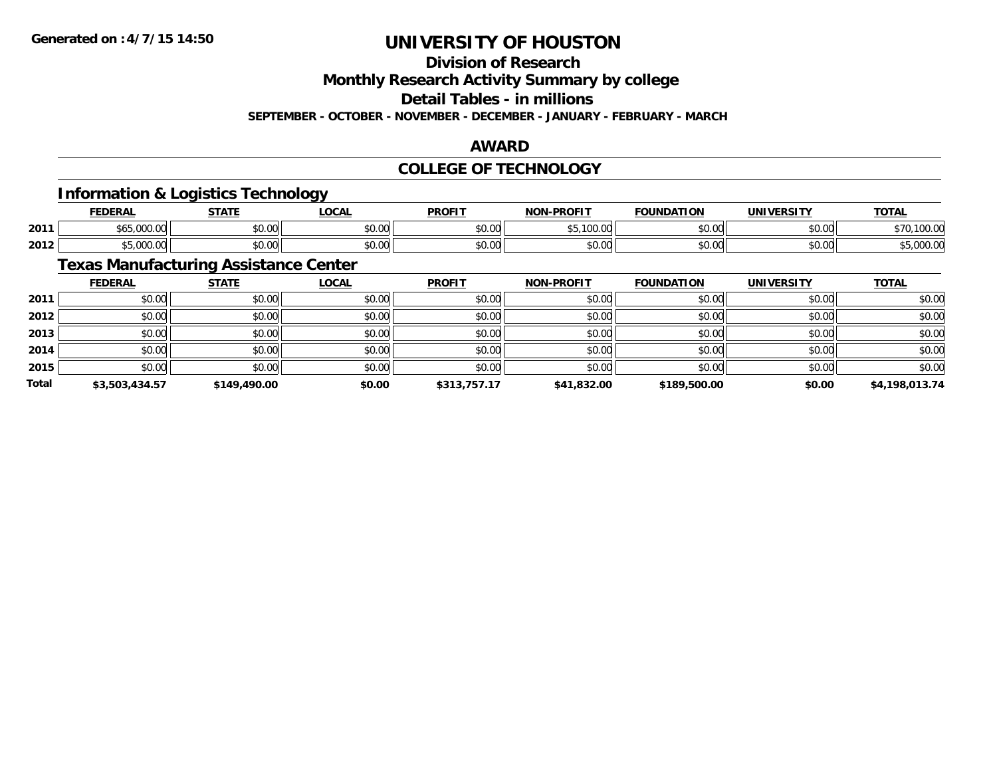# **Division of Research**

**Monthly Research Activity Summary by college**

**Detail Tables - in millions**

**SEPTEMBER - OCTOBER - NOVEMBER - DECEMBER - JANUARY - FEBRUARY - MARCH**

### **AWARD**

### **COLLEGE OF TECHNOLOGY**

### **Information & Logistics Technology**

|      | EENEDA<br>ERZ | <b>СТЛТІ</b>                        | .OCAI                                     | <b>PROFIT</b> | <b>PROFIT</b><br>NON | <b>DATION</b> | UNIVERSITY | <b>TOTAL</b>   |
|------|---------------|-------------------------------------|-------------------------------------------|---------------|----------------------|---------------|------------|----------------|
| 2011 | 000           | $\sim$ $\sim$<br><sup>∴⊎</sup> ບ.ບບ | $\uparrow$ $\uparrow$ $\uparrow$<br>JU.UU | \$0.00        | * -<br>,,,,,,        | 60.00         | \$0.00     | 1000c<br>TUU.U |
| 2012 | $\Omega$      | $\sim$ 00<br>JU.UU                  | 0.00<br><b>DU.UU</b>                      | \$0.00        | $\sim$ 00<br>JU.UU   | \$0.00        | \$0.00     | ,uuu.u         |

### **Texas Manufacturing Assistance Center**

|              | <b>FEDERAL</b> | <b>STATE</b> | <u>LOCAL</u> | <b>PROFIT</b> | <b>NON-PROFIT</b> | <b>FOUNDATION</b> | <b>UNIVERSITY</b> | <b>TOTAL</b>   |
|--------------|----------------|--------------|--------------|---------------|-------------------|-------------------|-------------------|----------------|
| 2011         | \$0.00         | \$0.00       | \$0.00       | \$0.00        | \$0.00            | \$0.00            | \$0.00            | \$0.00         |
| 2012         | \$0.00         | \$0.00       | \$0.00       | \$0.00        | \$0.00            | \$0.00            | \$0.00            | \$0.00         |
| 2013         | \$0.00         | \$0.00       | \$0.00       | \$0.00        | \$0.00            | \$0.00            | \$0.00            | \$0.00         |
| 2014         | \$0.00         | \$0.00       | \$0.00       | \$0.00        | \$0.00            | \$0.00            | \$0.00            | \$0.00         |
| 2015         | \$0.00         | \$0.00       | \$0.00       | \$0.00        | \$0.00            | \$0.00            | \$0.00            | \$0.00         |
| <b>Total</b> | \$3,503,434.57 | \$149,490.00 | \$0.00       | \$313,757.17  | \$41,832.00       | \$189,500.00      | \$0.00            | \$4,198,013.74 |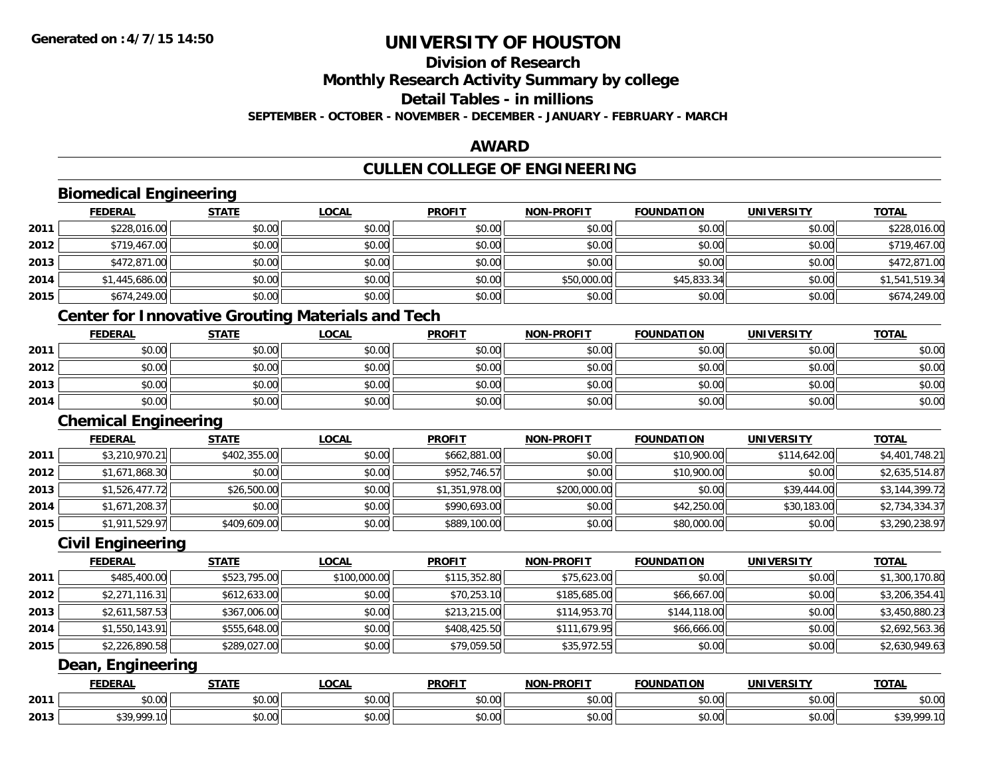# **Division of Research**

**Monthly Research Activity Summary by college**

**Detail Tables - in millions**

**SEPTEMBER - OCTOBER - NOVEMBER - DECEMBER - JANUARY - FEBRUARY - MARCH**

### **AWARD**

# **CULLEN COLLEGE OF ENGINEERING**

|      | <b>Biomedical Engineering</b> |              |                                                          |                |                   |                   |                   |                |
|------|-------------------------------|--------------|----------------------------------------------------------|----------------|-------------------|-------------------|-------------------|----------------|
|      | <b>FEDERAL</b>                | <b>STATE</b> | <b>LOCAL</b>                                             | <b>PROFIT</b>  | <b>NON-PROFIT</b> | <b>FOUNDATION</b> | <b>UNIVERSITY</b> | <b>TOTAL</b>   |
| 2011 | \$228,016.00                  | \$0.00       | \$0.00                                                   | \$0.00         | \$0.00            | \$0.00            | \$0.00            | \$228,016.00   |
| 2012 | \$719,467.00                  | \$0.00       | \$0.00                                                   | \$0.00         | \$0.00            | \$0.00            | \$0.00            | \$719,467.00   |
| 2013 | \$472,871.00                  | \$0.00       | \$0.00                                                   | \$0.00         | \$0.00            | \$0.00            | \$0.00            | \$472,871.00   |
| 2014 | \$1,445,686.00                | \$0.00       | \$0.00                                                   | \$0.00         | \$50,000.00       | \$45,833.34       | \$0.00            | \$1,541,519.34 |
| 2015 | \$674,249.00                  | \$0.00       | \$0.00                                                   | \$0.00         | \$0.00            | \$0.00            | \$0.00            | \$674,249.00   |
|      |                               |              | <b>Center for Innovative Grouting Materials and Tech</b> |                |                   |                   |                   |                |
|      | <b>FEDERAL</b>                | <b>STATE</b> | <b>LOCAL</b>                                             | <b>PROFIT</b>  | <b>NON-PROFIT</b> | <b>FOUNDATION</b> | <b>UNIVERSITY</b> | <b>TOTAL</b>   |
| 2011 | \$0.00                        | \$0.00       | \$0.00                                                   | \$0.00         | \$0.00            | \$0.00            | \$0.00            | \$0.00         |
| 2012 | \$0.00                        | \$0.00       | \$0.00                                                   | \$0.00         | \$0.00            | \$0.00            | \$0.00            | \$0.00         |
| 2013 | \$0.00                        | \$0.00       | \$0.00                                                   | \$0.00         | \$0.00            | \$0.00            | \$0.00            | \$0.00         |
| 2014 | \$0.00                        | \$0.00       | \$0.00                                                   | \$0.00         | \$0.00            | \$0.00            | \$0.00            | \$0.00         |
|      | <b>Chemical Engineering</b>   |              |                                                          |                |                   |                   |                   |                |
|      | <b>FEDERAL</b>                | <b>STATE</b> | <b>LOCAL</b>                                             | <b>PROFIT</b>  | <b>NON-PROFIT</b> | <b>FOUNDATION</b> | <b>UNIVERSITY</b> | <b>TOTAL</b>   |
| 2011 | \$3,210,970.21                | \$402,355.00 | \$0.00                                                   | \$662,881.00   | \$0.00            | \$10,900.00       | \$114,642.00      | \$4,401,748.21 |
| 2012 | \$1,671,868.30                | \$0.00       | \$0.00                                                   | \$952,746.57   | \$0.00            | \$10,900.00       | \$0.00            | \$2,635,514.87 |
| 2013 | \$1,526,477.72                | \$26,500.00  | \$0.00                                                   | \$1,351,978.00 | \$200,000.00      | \$0.00            | \$39,444.00       | \$3,144,399.72 |
| 2014 | \$1,671,208.37                | \$0.00       | \$0.00                                                   | \$990,693.00   | \$0.00            | \$42,250.00       | \$30,183.00       | \$2,734,334.37 |
| 2015 | \$1,911,529.97                | \$409,609.00 | \$0.00                                                   | \$889,100.00   | \$0.00            | \$80,000.00       | \$0.00            | \$3,290,238.97 |
|      | <b>Civil Engineering</b>      |              |                                                          |                |                   |                   |                   |                |
|      | <b>FEDERAL</b>                | <b>STATE</b> | <b>LOCAL</b>                                             | <b>PROFIT</b>  | <b>NON-PROFIT</b> | <b>FOUNDATION</b> | <b>UNIVERSITY</b> | <b>TOTAL</b>   |
| 2011 | \$485,400.00                  | \$523,795.00 | \$100,000.00                                             | \$115,352.80   | \$75,623.00       | \$0.00            | \$0.00            | \$1,300,170.80 |
| 2012 | \$2,271,116.31                | \$612,633.00 | \$0.00                                                   | \$70,253.10    | \$185,685.00      | \$66,667.00       | \$0.00            | \$3,206,354.41 |
| 2013 | \$2,611,587.53                | \$367,006.00 | \$0.00                                                   | \$213,215.00   | \$114,953.70      | \$144,118.00      | \$0.00            | \$3,450,880.23 |
| 2014 | \$1,550,143.91                | \$555,648.00 | \$0.00                                                   | \$408,425.50   | \$111,679.95      | \$66,666.00       | \$0.00            | \$2,692,563.36 |
| 2015 | \$2,226,890.58                | \$289,027.00 | \$0.00                                                   | \$79,059.50    | \$35,972.55       | \$0.00            | \$0.00            | \$2,630,949.63 |
|      | Dean, Engineering             |              |                                                          |                |                   |                   |                   |                |
|      | <b>FEDERAL</b>                | <b>STATE</b> | <b>LOCAL</b>                                             | <b>PROFIT</b>  | <b>NON-PROFIT</b> | <b>FOUNDATION</b> | <b>UNIVERSITY</b> | <b>TOTAL</b>   |
| 2011 | \$0.00                        | \$0.00       | \$0.00                                                   | \$0.00         | \$0.00            | \$0.00            | \$0.00            | \$0.00         |
| 2013 | \$39,999.10                   | \$0.00       | \$0.00                                                   | \$0.00         | \$0.00            | \$0.00            | \$0.00            | \$39,999.10    |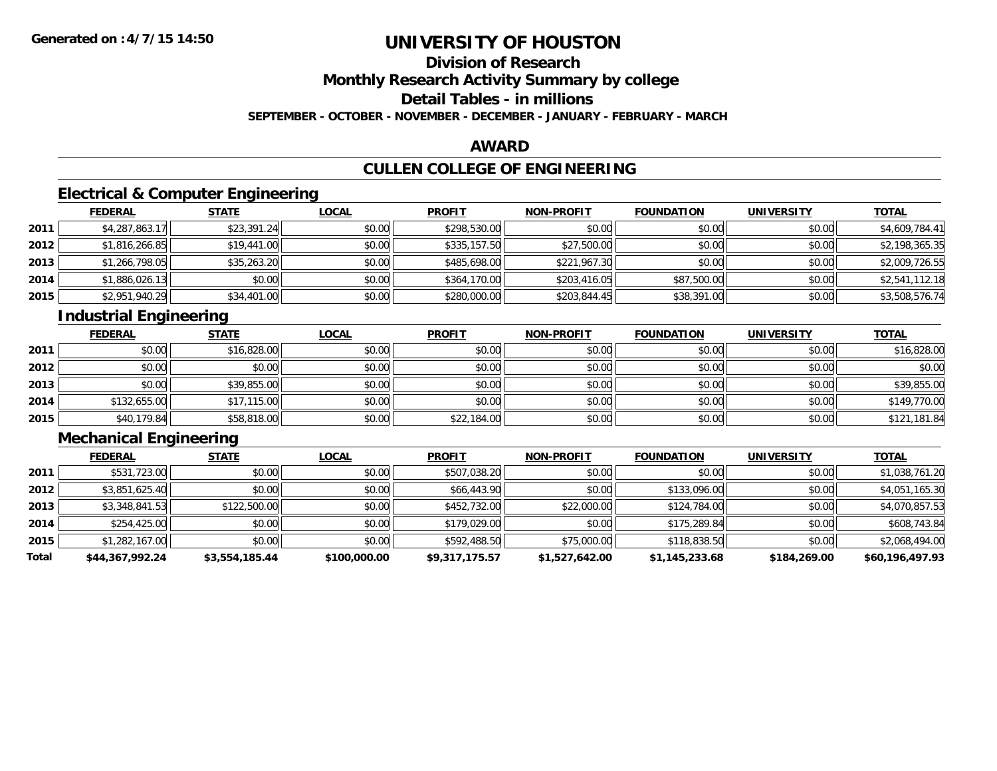# **Division of Research**

**Monthly Research Activity Summary by college**

**Detail Tables - in millions**

**SEPTEMBER - OCTOBER - NOVEMBER - DECEMBER - JANUARY - FEBRUARY - MARCH**

### **AWARD**

# **CULLEN COLLEGE OF ENGINEERING**

### **Electrical & Computer Engineering**

|      | <b>FEDERAL</b> | <b>STATE</b> | <b>LOCAL</b> | <b>PROFIT</b> | <b>NON-PROFIT</b> | <b>FOUNDATION</b> | <b>UNIVERSITY</b> | <b>TOTAL</b>   |
|------|----------------|--------------|--------------|---------------|-------------------|-------------------|-------------------|----------------|
| 2011 | \$4,287,863.17 | \$23,391.24  | \$0.00       | \$298,530.00  | \$0.00            | \$0.00            | \$0.00            | \$4,609,784.41 |
| 2012 | \$1,816,266.85 | \$19,441.00  | \$0.00       | \$335,157.50  | \$27,500.00       | \$0.00            | \$0.00            | \$2,198,365.35 |
| 2013 | \$1,266,798.05 | \$35,263.20  | \$0.00       | \$485,698.00  | \$221,967.30      | \$0.00            | \$0.00            | \$2,009,726.55 |
| 2014 | \$1,886,026.13 | \$0.00       | \$0.00       | \$364,170.00  | \$203,416.05      | \$87,500.00       | \$0.00            | \$2,541,112.18 |
| 2015 | \$2,951,940.29 | \$34,401.00  | \$0.00       | \$280,000.00  | \$203,844.45      | \$38,391.00       | \$0.00            | \$3,508,576.74 |

### **Industrial Engineering**

|      | <b>FEDERAL</b> | <b>STATE</b> | <u>LOCAL</u> | <b>PROFIT</b> | <b>NON-PROFIT</b> | <b>FOUNDATION</b> | <b>UNIVERSITY</b> | <b>TOTAL</b> |
|------|----------------|--------------|--------------|---------------|-------------------|-------------------|-------------------|--------------|
| 2011 | \$0.00         | \$16,828.00  | \$0.00       | \$0.00        | \$0.00            | \$0.00            | \$0.00            | \$16,828.00  |
| 2012 | \$0.00         | \$0.00       | \$0.00       | \$0.00        | \$0.00            | \$0.00            | \$0.00            | \$0.00       |
| 2013 | \$0.00         | \$39,855.00  | \$0.00       | \$0.00        | \$0.00            | \$0.00            | \$0.00            | \$39,855.00  |
| 2014 | \$132,655.00   | \$17,115.00  | \$0.00       | \$0.00        | \$0.00            | \$0.00            | \$0.00            | \$149,770.00 |
| 2015 | \$40,179.84    | \$58,818.00  | \$0.00       | \$22,184.00   | \$0.00            | \$0.00            | \$0.00            | \$121,181.84 |

### **Mechanical Engineering**

|       | <b>FEDERAL</b>  | <b>STATE</b>   | <u>LOCAL</u> | <b>PROFIT</b>  | <b>NON-PROFIT</b> | <b>FOUNDATION</b> | <b>UNIVERSITY</b> | <b>TOTAL</b>    |
|-------|-----------------|----------------|--------------|----------------|-------------------|-------------------|-------------------|-----------------|
| 2011  | \$531,723.00    | \$0.00         | \$0.00       | \$507,038.20   | \$0.00            | \$0.00            | \$0.00            | \$1,038,761.20  |
| 2012  | \$3,851,625.40  | \$0.00         | \$0.00       | \$66,443.90    | \$0.00            | \$133,096.00      | \$0.00            | \$4,051,165.30  |
| 2013  | \$3,348,841.53  | \$122,500.00   | \$0.00       | \$452,732.00   | \$22,000.00       | \$124,784.00      | \$0.00            | \$4,070,857.53  |
| 2014  | \$254,425.00    | \$0.00         | \$0.00       | \$179,029,00   | \$0.00            | \$175,289.84      | \$0.00            | \$608,743.84    |
| 2015  | \$1,282,167.00  | \$0.00         | \$0.00       | \$592,488.50   | \$75,000.00       | \$118,838.50      | \$0.00            | \$2,068,494.00  |
| Total | \$44,367,992.24 | \$3,554,185.44 | \$100,000.00 | \$9,317,175.57 | \$1,527,642.00    | \$1,145,233.68    | \$184,269.00      | \$60,196,497.93 |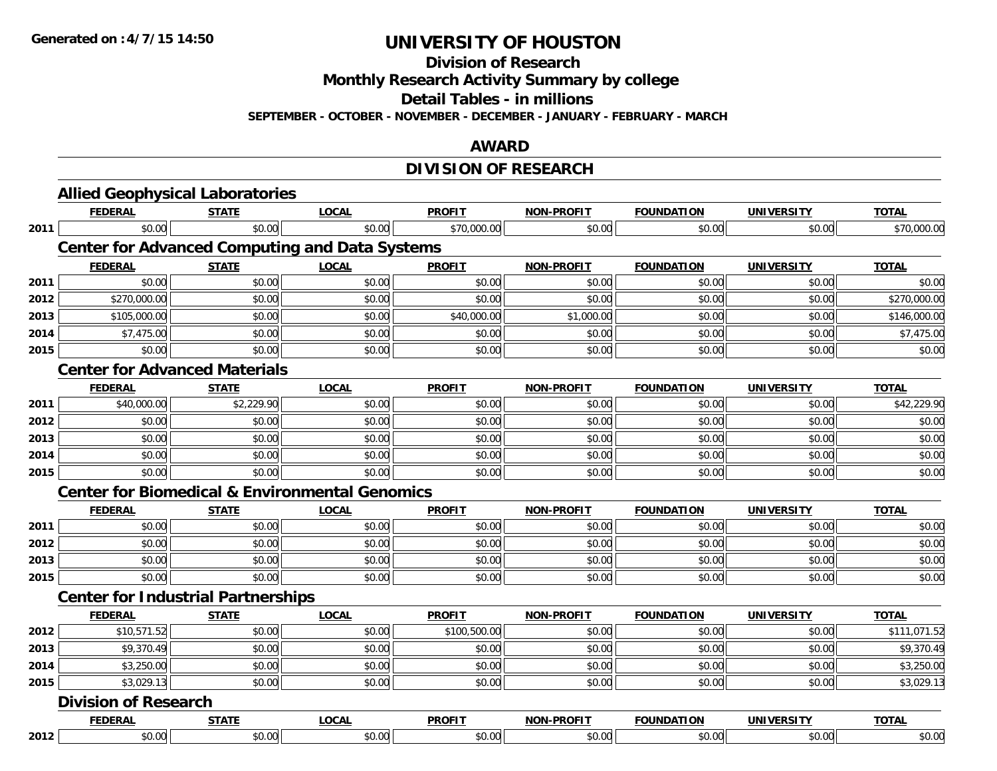**Division of Research**

**Monthly Research Activity Summary by college**

**Detail Tables - in millions**

**SEPTEMBER - OCTOBER - NOVEMBER - DECEMBER - JANUARY - FEBRUARY - MARCH**

### **AWARD**

## **DIVISION OF RESEARCH**

|      | <b>Allied Geophysical Laboratories</b>                    |              |              |               |                   |                   |                   |              |
|------|-----------------------------------------------------------|--------------|--------------|---------------|-------------------|-------------------|-------------------|--------------|
|      | <b>FEDERAL</b>                                            | <b>STATE</b> | <b>LOCAL</b> | <b>PROFIT</b> | <b>NON-PROFIT</b> | <b>FOUNDATION</b> | <b>UNIVERSITY</b> | <b>TOTAL</b> |
| 2011 | \$0.00                                                    | \$0.00       | \$0.00       | \$70,000.00   | \$0.00            | \$0.00            | \$0.00            | \$70,000.00  |
|      | <b>Center for Advanced Computing and Data Systems</b>     |              |              |               |                   |                   |                   |              |
|      | <b>FEDERAL</b>                                            | <b>STATE</b> | <b>LOCAL</b> | <b>PROFIT</b> | <b>NON-PROFIT</b> | <b>FOUNDATION</b> | <b>UNIVERSITY</b> | <b>TOTAL</b> |
| 2011 | \$0.00                                                    | \$0.00       | \$0.00       | \$0.00        | \$0.00            | \$0.00            | \$0.00            | \$0.00       |
| 2012 | \$270,000.00                                              | \$0.00       | \$0.00       | \$0.00        | \$0.00            | \$0.00            | \$0.00            | \$270,000.00 |
| 2013 | \$105,000.00                                              | \$0.00       | \$0.00       | \$40,000.00   | \$1,000.00        | \$0.00            | \$0.00            | \$146,000.00 |
| 2014 | \$7,475.00                                                | \$0.00       | \$0.00       | \$0.00        | \$0.00            | \$0.00            | \$0.00            | \$7,475.00   |
| 2015 | \$0.00                                                    | \$0.00       | \$0.00       | \$0.00        | \$0.00            | \$0.00            | \$0.00            | \$0.00       |
|      | <b>Center for Advanced Materials</b>                      |              |              |               |                   |                   |                   |              |
|      | <b>FEDERAL</b>                                            | <b>STATE</b> | <b>LOCAL</b> | <b>PROFIT</b> | <b>NON-PROFIT</b> | <b>FOUNDATION</b> | <b>UNIVERSITY</b> | <b>TOTAL</b> |
| 2011 | \$40,000.00                                               | \$2,229.90   | \$0.00       | \$0.00        | \$0.00            | \$0.00            | \$0.00            | \$42,229.90  |
| 2012 | \$0.00                                                    | \$0.00       | \$0.00       | \$0.00        | \$0.00            | \$0.00            | \$0.00            | \$0.00       |
| 2013 | \$0.00                                                    | \$0.00       | \$0.00       | \$0.00        | \$0.00            | \$0.00            | \$0.00            | \$0.00       |
| 2014 | \$0.00                                                    | \$0.00       | \$0.00       | \$0.00        | \$0.00            | \$0.00            | \$0.00            | \$0.00       |
| 2015 | \$0.00                                                    | \$0.00       | \$0.00       | \$0.00        | \$0.00            | \$0.00            | \$0.00            | \$0.00       |
|      | <b>Center for Biomedical &amp; Environmental Genomics</b> |              |              |               |                   |                   |                   |              |
|      | <b>FEDERAL</b>                                            | <b>STATE</b> | <b>LOCAL</b> | <b>PROFIT</b> | <b>NON-PROFIT</b> | <b>FOUNDATION</b> | <b>UNIVERSITY</b> | <b>TOTAL</b> |
| 2011 | \$0.00                                                    | \$0.00       | \$0.00       | \$0.00        | \$0.00            | \$0.00            | \$0.00            | \$0.00       |
| 2012 | \$0.00                                                    | \$0.00       | \$0.00       | \$0.00        | \$0.00            | \$0.00            | \$0.00            | \$0.00       |
| 2013 | \$0.00                                                    | \$0.00       | \$0.00       | \$0.00        | \$0.00            | \$0.00            | \$0.00            | \$0.00       |
| 2015 | \$0.00                                                    | \$0.00       | \$0.00       | \$0.00        | \$0.00            | \$0.00            | \$0.00            | \$0.00       |
|      | <b>Center for Industrial Partnerships</b>                 |              |              |               |                   |                   |                   |              |
|      | <b>FEDERAL</b>                                            | <b>STATE</b> | <b>LOCAL</b> | <b>PROFIT</b> | <b>NON-PROFIT</b> | <b>FOUNDATION</b> | <b>UNIVERSITY</b> | <b>TOTAL</b> |
| 2012 | \$10,571.52                                               | \$0.00       | \$0.00       | \$100,500.00  | \$0.00            | \$0.00            | \$0.00            | \$111,071.52 |
| 2013 | \$9,370.49                                                | \$0.00       | \$0.00       | \$0.00        | \$0.00            | \$0.00            | \$0.00            | \$9,370.49   |
| 2014 | \$3,250.00                                                | \$0.00       | \$0.00       | \$0.00        | \$0.00            | \$0.00            | \$0.00            | \$3,250.00   |
| 2015 | \$3,029.13                                                | \$0.00       | \$0.00       | \$0.00        | \$0.00            | \$0.00            | \$0.00            | \$3,029.13   |
|      | <b>Division of Research</b>                               |              |              |               |                   |                   |                   |              |
|      | <b>FEDERAL</b>                                            | <b>STATE</b> | <b>LOCAL</b> | <b>PROFIT</b> | <b>NON-PROFIT</b> | <b>FOUNDATION</b> | <b>UNIVERSITY</b> | <b>TOTAL</b> |
| 2012 | \$0.00                                                    | \$0.00       | \$0.00       | \$0.00        | \$0.00            | \$0.00            | \$0.00            | \$0.00       |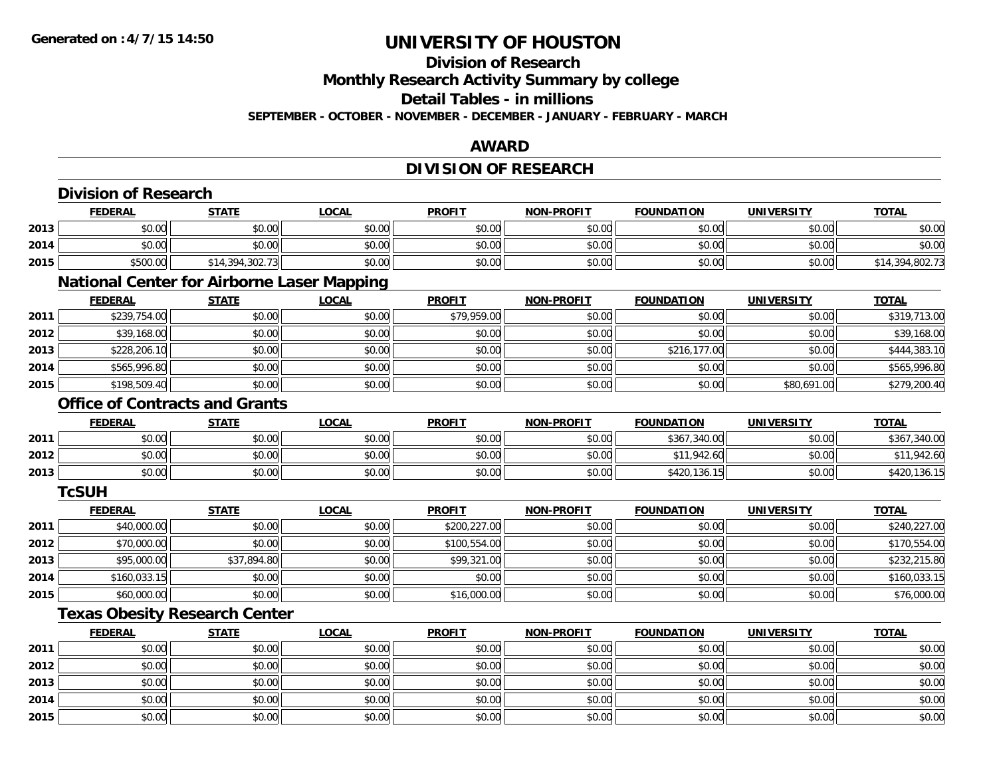**2015**

# **UNIVERSITY OF HOUSTON**

# **Division of Research**

**Monthly Research Activity Summary by college**

**Detail Tables - in millions**

**SEPTEMBER - OCTOBER - NOVEMBER - DECEMBER - JANUARY - FEBRUARY - MARCH**

### **AWARD**

## **DIVISION OF RESEARCH**

|      | <b>FEDERAL</b> | <b>STATE</b>                                      | <b>LOCAL</b> | <b>PROFIT</b> | <b>NON-PROFIT</b> | <b>FOUNDATION</b> | <b>UNIVERSITY</b> | <b>TOTAL</b>    |
|------|----------------|---------------------------------------------------|--------------|---------------|-------------------|-------------------|-------------------|-----------------|
| 2013 | \$0.00         | \$0.00                                            | \$0.00       | \$0.00        | \$0.00            | \$0.00            | \$0.00            | \$0.00          |
| 2014 | \$0.00         | \$0.00                                            | \$0.00       | \$0.00        | \$0.00            | \$0.00            | \$0.00            | \$0.00          |
| 2015 | \$500.00       | \$14,394,302.73                                   | \$0.00       | \$0.00        | \$0.00            | \$0.00            | \$0.00            | \$14,394,802.73 |
|      |                | <b>National Center for Airborne Laser Mapping</b> |              |               |                   |                   |                   |                 |
|      | <b>FEDERAL</b> | <b>STATE</b>                                      | <b>LOCAL</b> | <b>PROFIT</b> | <b>NON-PROFIT</b> | <b>FOUNDATION</b> | <b>UNIVERSITY</b> | <b>TOTAL</b>    |
| 2011 | \$239,754.00   | \$0.00                                            | \$0.00       | \$79,959.00   | \$0.00            | \$0.00            | \$0.00            | \$319,713.00    |
| 2012 | \$39,168.00    | \$0.00                                            | \$0.00       | \$0.00        | \$0.00            | \$0.00            | \$0.00            | \$39,168.00     |
| 2013 | \$228,206.10   | \$0.00                                            | \$0.00       | \$0.00        | \$0.00            | \$216,177.00      | \$0.00            | \$444,383.10    |
| 2014 | \$565,996.80   | \$0.00                                            | \$0.00       | \$0.00        | \$0.00            | \$0.00            | \$0.00            | \$565,996.80    |
| 2015 | \$198,509.40   | \$0.00                                            | \$0.00       | \$0.00        | \$0.00            | \$0.00            | \$80,691.00       | \$279,200.40    |
|      |                | <b>Office of Contracts and Grants</b>             |              |               |                   |                   |                   |                 |
|      | <b>FEDERAL</b> | <b>STATE</b>                                      | <b>LOCAL</b> | <b>PROFIT</b> | <b>NON-PROFIT</b> | <b>FOUNDATION</b> | <b>UNIVERSITY</b> | <b>TOTAL</b>    |
| 2011 | \$0.00         | \$0.00                                            | \$0.00       | \$0.00        | \$0.00            | \$367,340.00      | \$0.00            | \$367,340.00    |
| 2012 | \$0.00         | \$0.00                                            | \$0.00       | \$0.00        | \$0.00            | \$11,942.60       | \$0.00            | \$11,942.60     |
| 2013 | \$0.00         | \$0.00                                            | \$0.00       | \$0.00        | \$0.00            | \$420,136.15      | \$0.00            | \$420,136.15    |
|      | <b>TcSUH</b>   |                                                   |              |               |                   |                   |                   |                 |
|      | <b>FEDERAL</b> | <b>STATE</b>                                      | <b>LOCAL</b> | <b>PROFIT</b> | <b>NON-PROFIT</b> | <b>FOUNDATION</b> | <b>UNIVERSITY</b> | <b>TOTAL</b>    |
| 2011 | \$40,000.00    | \$0.00                                            | \$0.00       | \$200,227.00  | \$0.00            | \$0.00            | \$0.00            | \$240,227.00    |
| 2012 | \$70,000.00    | \$0.00                                            | \$0.00       | \$100,554.00  | \$0.00            | \$0.00            | \$0.00            | \$170,554.00    |
| 2013 | \$95,000.00    | \$37,894.80                                       | \$0.00       | \$99,321.00   | \$0.00            | \$0.00            | \$0.00            | \$232,215.80    |
| 2014 | \$160,033.15   | \$0.00                                            | \$0.00       | \$0.00        | \$0.00            | \$0.00            | \$0.00            | \$160,033.15    |
| 2015 | \$60,000.00    | \$0.00                                            | \$0.00       | \$16,000.00   | \$0.00            | \$0.00            | \$0.00            | \$76,000.00     |
|      |                | <b>Texas Obesity Research Center</b>              |              |               |                   |                   |                   |                 |
|      | <b>FEDERAL</b> | <b>STATE</b>                                      | <b>LOCAL</b> | <b>PROFIT</b> | <b>NON-PROFIT</b> | <b>FOUNDATION</b> | <b>UNIVERSITY</b> | <b>TOTAL</b>    |
| 2011 | \$0.00         | \$0.00                                            | \$0.00       | \$0.00        | \$0.00            | \$0.00            | \$0.00            | \$0.00          |
| 2012 | \$0.00         | \$0.00                                            | \$0.00       | \$0.00        | \$0.00            | \$0.00            | \$0.00            | \$0.00          |
| 2013 | \$0.00         | \$0.00                                            | \$0.00       | \$0.00        | \$0.00            | \$0.00            | \$0.00            | \$0.00          |
| 2014 | \$0.00         | \$0.00                                            | \$0.00       | \$0.00        | \$0.00            | \$0.00            | \$0.00            | \$0.00          |

5 | \$0.00 \$0.00 \$0.00 \$0.00 \$0.00 \$0.00 \$0.00 \$0.00 \$0.00 \$0.00 \$0.00 \$0.00 \$0.00 \$0.00 \$0.00 \$0.00 \$0.00 \$0.00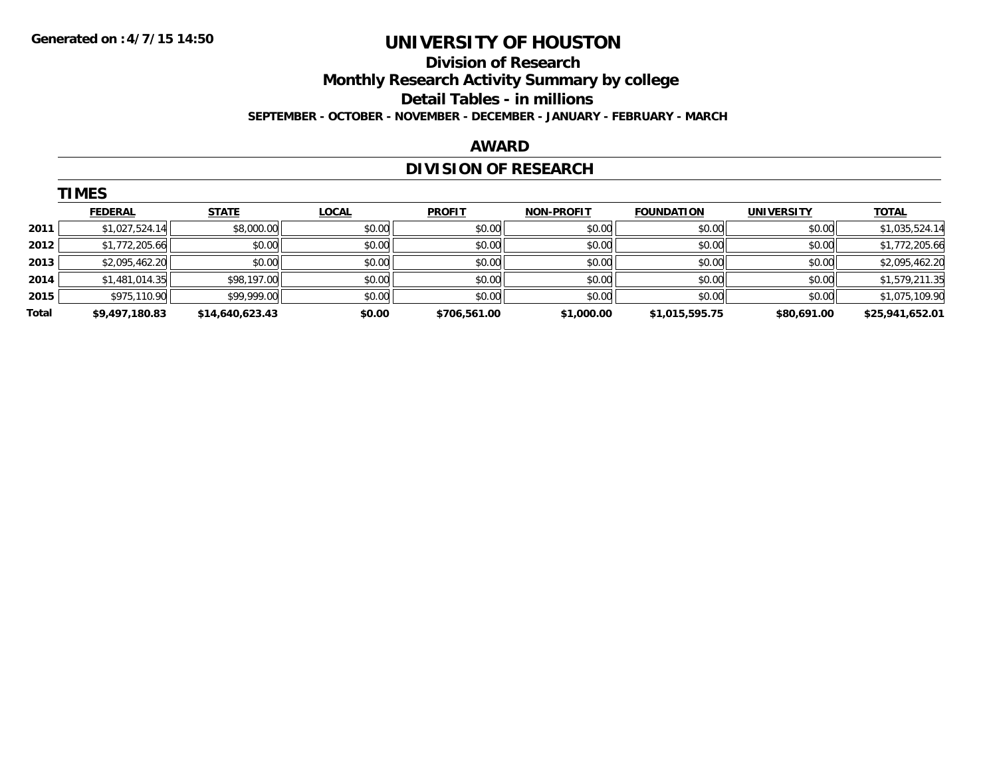### **Division of Research Monthly Research Activity Summary by college Detail Tables - in millions SEPTEMBER - OCTOBER - NOVEMBER - DECEMBER - JANUARY - FEBRUARY - MARCH**

#### **AWARD**

# **DIVISION OF RESEARCH**

|       | <b>TIMES</b>   |                 |              |               |                   |                   |                   |                 |
|-------|----------------|-----------------|--------------|---------------|-------------------|-------------------|-------------------|-----------------|
|       | <b>FEDERAL</b> | <b>STATE</b>    | <b>LOCAL</b> | <b>PROFIT</b> | <b>NON-PROFIT</b> | <b>FOUNDATION</b> | <b>UNIVERSITY</b> | <b>TOTAL</b>    |
| 2011  | \$1,027,524.14 | \$8,000.00      | \$0.00       | \$0.00        | \$0.00            | \$0.00            | \$0.00            | \$1,035,524.14  |
| 2012  | \$1,772,205.66 | \$0.00          | \$0.00       | \$0.00        | \$0.00            | \$0.00            | \$0.00            | \$1,772,205.66  |
| 2013  | \$2,095,462.20 | \$0.00          | \$0.00       | \$0.00        | \$0.00            | \$0.00            | \$0.00            | \$2,095,462.20  |
| 2014  | \$1,481,014.35 | \$98,197.00     | \$0.00       | \$0.00        | \$0.00            | \$0.00            | \$0.00            | \$1,579,211.35  |
| 2015  | \$975,110.90   | \$99,999.00     | \$0.00       | \$0.00        | \$0.00            | \$0.00            | \$0.00            | \$1,075,109.90  |
| Total | \$9,497,180.83 | \$14,640,623.43 | \$0.00       | \$706,561.00  | \$1,000.00        | \$1,015,595.75    | \$80,691.00       | \$25,941,652.01 |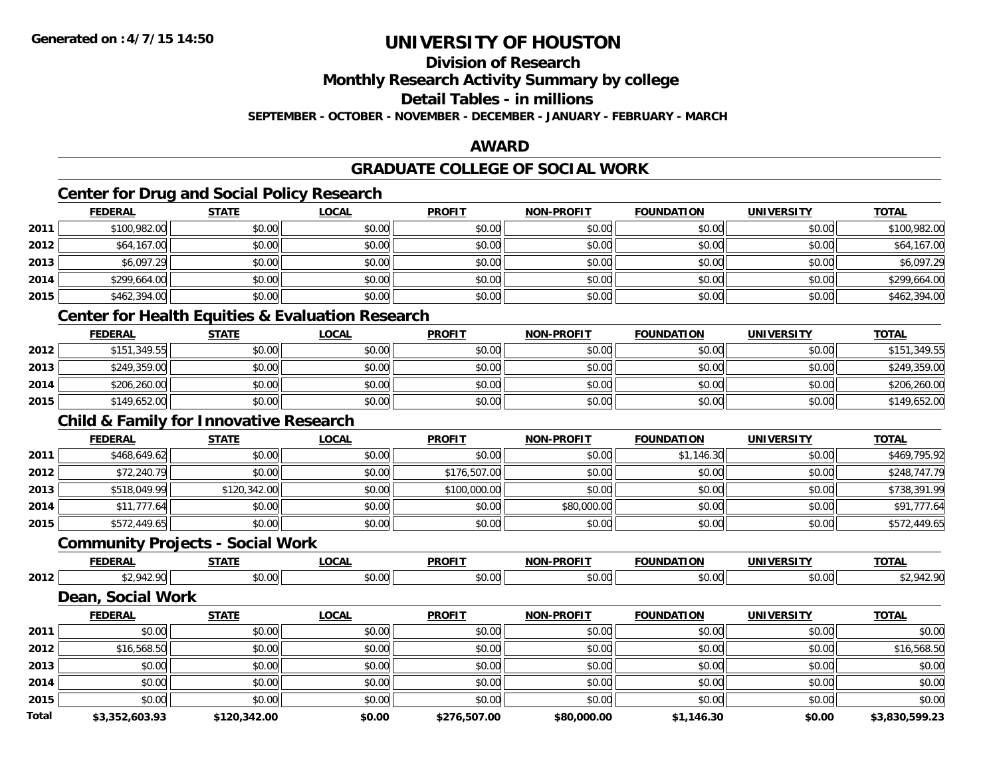**Division of Research**

**Monthly Research Activity Summary by college**

**Detail Tables - in millions**

**SEPTEMBER - OCTOBER - NOVEMBER - DECEMBER - JANUARY - FEBRUARY - MARCH**

#### **AWARD**

### **GRADUATE COLLEGE OF SOCIAL WORK**

### **Center for Drug and Social Policy Research**

|      | <b>FEDERAL</b>               | <b>STATE</b>   | <b>LOCAL</b> | <b>PROFIT</b> | <b>NON-PROFIT</b> | <b>FOUNDATION</b> | <b>UNIVERSITY</b> | <b>TOTAL</b> |
|------|------------------------------|----------------|--------------|---------------|-------------------|-------------------|-------------------|--------------|
| 2011 | \$100,982.00                 | \$0.00         | \$0.00       | \$0.00        | \$0.00            | \$0.00            | \$0.00            | \$100,982.00 |
| 2012 | \$64,167.00                  | \$0.00         | \$0.00       | \$0.00        | \$0.00            | \$0.00            | \$0.00            | \$64,167.00  |
| 2013 | \$6,097.29                   | \$0.00         | \$0.00       | \$0.00        | \$0.00            | \$0.00            | \$0.00            | \$6,097.29   |
| 2014 | \$299,664.00                 | \$0.00         | \$0.00       | \$0.00        | \$0.00            | \$0.00            | \$0.00            | \$299,664.00 |
| 2015 | \$462,394.00                 | \$0.00         | \$0.00       | \$0.00        | \$0.00            | \$0.00            | \$0.00            | \$462,394.00 |
|      | .<br>$\sim$ $\sim$<br>$\sim$ | $- - -$<br>___ |              |               |                   |                   |                   |              |

#### **Center for Health Equities & Evaluation Research**

|      | <b>FEDERAL</b> | <b>STATE</b> | <u>LOCAL</u> | <b>PROFIT</b> | <b>NON-PROFIT</b> | <b>FOUNDATION</b> | <b>UNIVERSITY</b> | <b>TOTAL</b> |
|------|----------------|--------------|--------------|---------------|-------------------|-------------------|-------------------|--------------|
| 2012 | \$151,349.55   | \$0.00       | \$0.00       | \$0.00        | \$0.00            | \$0.00            | \$0.00            | \$151,349.55 |
| 2013 | \$249,359.00   | \$0.00       | \$0.00       | \$0.00        | \$0.00            | \$0.00            | \$0.00            | \$249,359.00 |
| 2014 | \$206,260.00   | \$0.00       | \$0.00       | \$0.00        | \$0.00            | \$0.00            | \$0.00            | \$206,260.00 |
| 2015 | \$149,652.00   | \$0.00       | \$0.00       | \$0.00        | \$0.00            | \$0.00            | \$0.00            | \$149,652.00 |

### **Child & Family for Innovative Research**

|      | <u>FEDERAL</u> | <b>STATE</b> | <b>LOCAL</b> | <b>PROFIT</b> | <b>NON-PROFIT</b> | <b>FOUNDATION</b> | UNIVERSITY | <b>TOTAL</b> |
|------|----------------|--------------|--------------|---------------|-------------------|-------------------|------------|--------------|
| 2011 | \$468,649.62   | \$0.00       | \$0.00       | \$0.00        | \$0.00            | \$1,146.30        | \$0.00     | \$469,795.92 |
| 2012 | \$72,240.79    | \$0.00       | \$0.00       | \$176,507.00  | \$0.00            | \$0.00            | \$0.00     | \$248,747.79 |
| 2013 | \$518,049.99   | \$120,342.00 | \$0.00       | \$100,000.00  | \$0.00            | \$0.00            | \$0.00     | \$738,391.99 |
| 2014 | \$11,777.64    | \$0.00       | \$0.00       | \$0.00        | \$80,000.00       | \$0.00            | \$0.00     | \$91,777.64  |
| 2015 | \$572,449.65   | \$0.00       | \$0.00       | \$0.00        | \$0.00            | \$0.00            | \$0.00     | \$572,449.65 |

### **Community Projects - Social Work**

|      | <b>FEBERAL</b> | $- - - - -$                      | $\sim$ $\sim$ $\sim$ | <b>PROFIT</b> | nnOII<br>ימות      | INF    | т             | $T^{\sim}$ |
|------|----------------|----------------------------------|----------------------|---------------|--------------------|--------|---------------|------------|
| 2012 |                | $\overline{a}$<br>$\cdot$ $\sim$ | ົດ<br>ט.ט            | $\sim$ 00     | $\sim$ 00<br>וט.טי | \$0.00 | 0.00<br>DU.UU |            |

### **Dean, Social Work**

|       | <b>FEDERAL</b> | <b>STATE</b> | <b>LOCAL</b> | <b>PROFIT</b> | <b>NON-PROFIT</b> | <b>FOUNDATION</b> | <b>UNIVERSITY</b> | <b>TOTAL</b>   |
|-------|----------------|--------------|--------------|---------------|-------------------|-------------------|-------------------|----------------|
| 2011  | \$0.00         | \$0.00       | \$0.00       | \$0.00        | \$0.00            | \$0.00            | \$0.00            | \$0.00         |
| 2012  | \$16,568.50    | \$0.00       | \$0.00       | \$0.00        | \$0.00            | \$0.00            | \$0.00            | \$16,568.50    |
| 2013  | \$0.00         | \$0.00       | \$0.00       | \$0.00        | \$0.00            | \$0.00            | \$0.00            | \$0.00         |
| 2014  | \$0.00         | \$0.00       | \$0.00       | \$0.00        | \$0.00            | \$0.00            | \$0.00            | \$0.00         |
| 2015  | \$0.00         | \$0.00       | \$0.00       | \$0.00        | \$0.00            | \$0.00            | \$0.00            | \$0.00         |
| Total | \$3,352,603.93 | \$120,342.00 | \$0.00       | \$276,507.00  | \$80,000.00       | \$1,146.30        | \$0.00            | \$3,830,599.23 |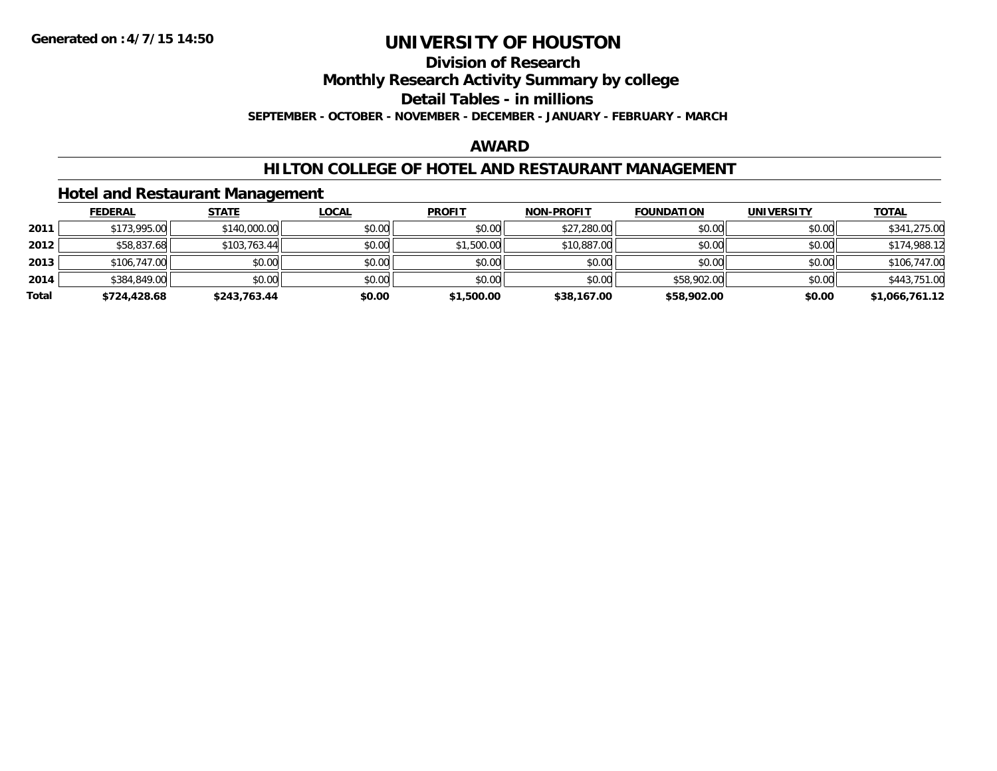#### **Division of Research Monthly Research Activity Summary by college Detail Tables - in millions**

**SEPTEMBER - OCTOBER - NOVEMBER - DECEMBER - JANUARY - FEBRUARY - MARCH**

### **AWARD**

### **HILTON COLLEGE OF HOTEL AND RESTAURANT MANAGEMENT**

### **Hotel and Restaurant Management**

|       | <b>FEDERAL</b> | <u>STATE</u> | <b>LOCAL</b> | <b>PROFIT</b> | <b>NON-PROFIT</b> | <b>FOUNDATION</b> | <b>UNIVERSITY</b> | <u>TOTAL</u>   |
|-------|----------------|--------------|--------------|---------------|-------------------|-------------------|-------------------|----------------|
| 2011  | \$173,995.00   | \$140,000.00 | \$0.00       | \$0.00        | \$27,280.00       | \$0.00            | \$0.00            | \$341,275.00   |
| 2012  | \$58,837.68    | \$103,763.44 | \$0.00       | \$1,500.00    | \$10,887.00       | \$0.00            | \$0.00            | \$174,988.12   |
| 2013  | \$106,747.00   | \$0.00       | \$0.00       | \$0.00        | \$0.00            | \$0.00            | \$0.00            | \$106,747.00   |
| 2014  | \$384,849.00   | \$0.00       | \$0.00       | \$0.00        | \$0.00            | \$58,902.00       | \$0.00            | \$443,751.00   |
| Total | \$724,428.68   | \$243,763.44 | \$0.00       | \$1,500.00    | \$38,167.00       | \$58,902.00       | \$0.00            | \$1,066,761.12 |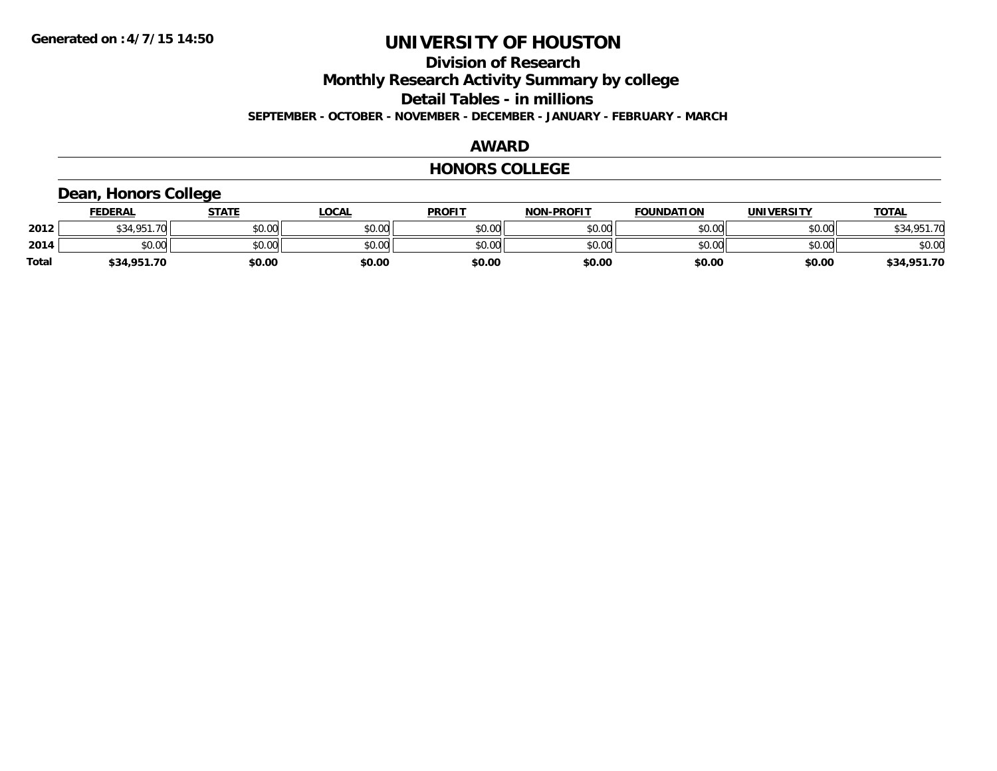# **Division of Research Monthly Research Activity Summary by college Detail Tables - in millions**

**SEPTEMBER - OCTOBER - NOVEMBER - DECEMBER - JANUARY - FEBRUARY - MARCH**

#### **AWARD**

#### **HONORS COLLEGE**

### **Dean, Honors College**

|       | <b>FEDERAL</b> | STATE  | <u>LOCAL</u> | <b>PROFIT</b> | <b>NON-PROFIT</b> | <b>FOUNDATION</b> | <b>UNIVERSITY</b> | <b>TOTAL</b> |
|-------|----------------|--------|--------------|---------------|-------------------|-------------------|-------------------|--------------|
| 2012  | \$34,951.70    | \$0.00 | \$0.00       | \$0.00        | \$0.00            | \$0.00            | \$0.00            | \$34,951.70  |
| 2014  | \$0.00         | \$0.00 | \$0.00       | \$0.00        | \$0.00            | \$0.00            | \$0.00            | \$0.00       |
| Total | \$34,951.70    | \$0.00 | \$0.00       | \$0.00        | \$0.00            | \$0.00            | \$0.00            | \$34,951.70  |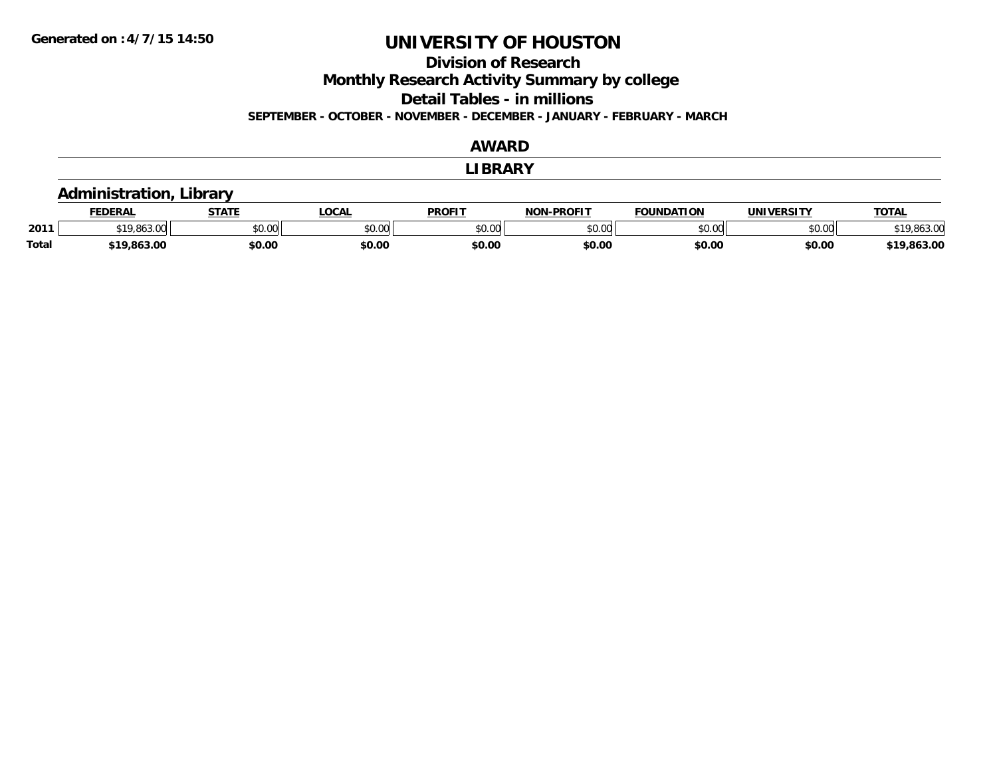### **Division of Research**

**Monthly Research Activity Summary by college**

**Detail Tables - in millions**

**SEPTEMBER - OCTOBER - NOVEMBER - DECEMBER - JANUARY - FEBRUARY - MARCH**

#### **AWARD**

#### **LIBRARY**

### **Administration, Library**

|              | <b>EDERAL</b> | <b>CTATE</b> | .OCAL         | <b>PROFIT</b>   | <b>N-PROFIT</b><br>NON | <b>FOUNDATION</b> | <b>UNIVERSITY</b> | <b>TOTAL</b>             |
|--------------|---------------|--------------|---------------|-----------------|------------------------|-------------------|-------------------|--------------------------|
| 2011         | 010012<br>    | \$0.00       | 0000<br>JU.UU | \$0.00<br>JU.UU | 0000<br>JU.UU          | \$0.00            | \$0.00            | $\sim$<br>`1 ∩<br>ouj.uu |
| <b>Total</b> | \$19,863.00   | \$0.00       | \$0.00        | \$0.00          | \$0.00                 | \$0.00            | \$0.00            | \$19,863.00              |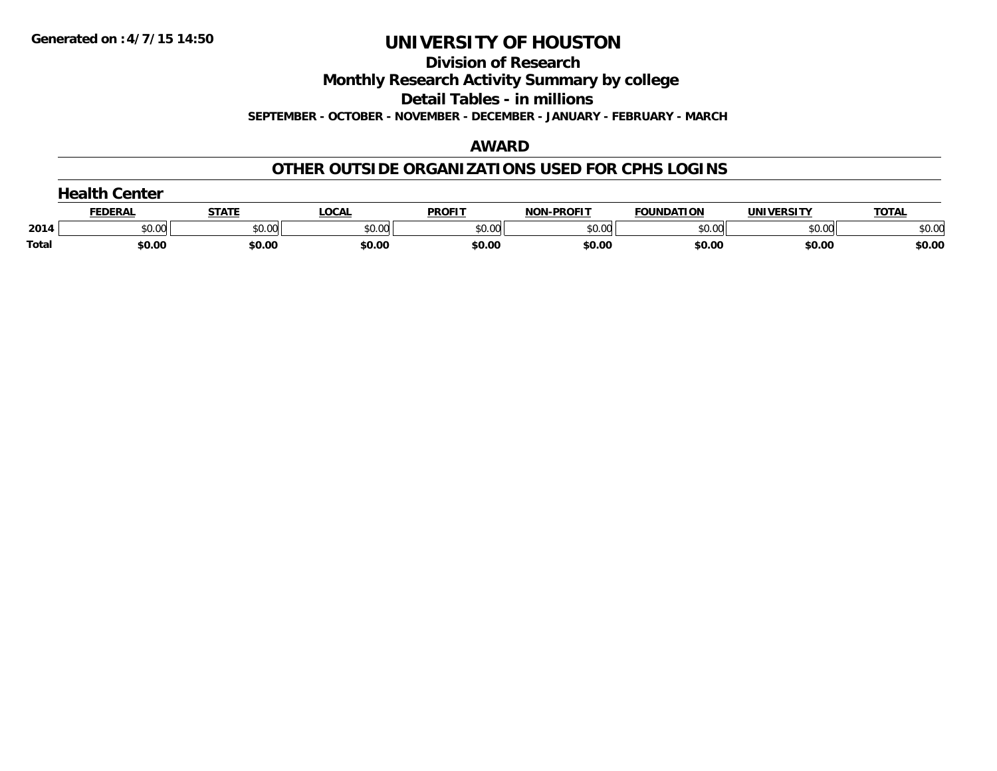**Division of Research**

**Monthly Research Activity Summary by college**

**Detail Tables - in millions**

**SEPTEMBER - OCTOBER - NOVEMBER - DECEMBER - JANUARY - FEBRUARY - MARCH**

#### **AWARD**

### **OTHER OUTSIDE ORGANIZATIONS USED FOR CPHS LOGINS**

|       | Center        |        |        |               |                   |                   |            |              |  |  |
|-------|---------------|--------|--------|---------------|-------------------|-------------------|------------|--------------|--|--|
|       | <b>FEDERA</b> | STATI  | LOCAL  | <b>PROFIT</b> | <b>NON-PROFIT</b> | <b>FOUNDATION</b> | UNIVERSITY | <b>TOTAL</b> |  |  |
| 2014  | \$0.00        | \$0.00 | \$0.00 | \$0.00        | \$0.00            | \$0.00            | \$0.00     | \$0.00       |  |  |
| Total | \$0.00        | \$0.00 | \$0.00 | \$0.00        | \$0.00            | \$0.00            | \$0.00     | \$0.00       |  |  |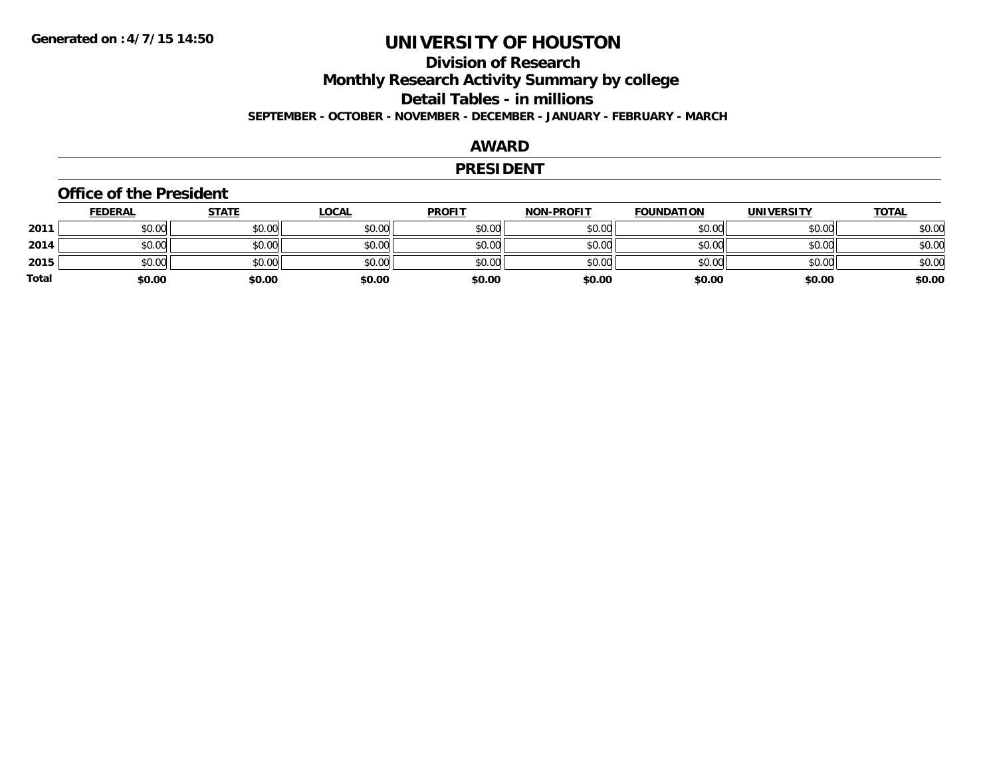### **Division of ResearchMonthly Research Activity Summary by college Detail Tables - in millions SEPTEMBER - OCTOBER - NOVEMBER - DECEMBER - JANUARY - FEBRUARY - MARCH**

### **AWARD**

#### **PRESIDENT**

#### **Office of the President**

|       | <u>FEDERAL</u> | <b>STATE</b> | <u>LOCAL</u> | <b>PROFIT</b> | <b>NON-PROFIT</b> | <b>FOUNDATION</b> | <b>UNIVERSITY</b> | <b>TOTAL</b> |
|-------|----------------|--------------|--------------|---------------|-------------------|-------------------|-------------------|--------------|
| 2011  | \$0.00         | \$0.00       | \$0.00       | \$0.00        | \$0.00            | \$0.00            | \$0.00            | \$0.00       |
| 2014  | \$0.00         | \$0.00       | \$0.00       | \$0.00        | \$0.00            | \$0.00            | \$0.00            | \$0.00       |
| 2015  | \$0.00         | \$0.00       | \$0.00       | \$0.00        | \$0.00            | \$0.00            | \$0.00            | \$0.00       |
| Total | \$0.00         | \$0.00       | \$0.00       | \$0.00        | \$0.00            | \$0.00            | \$0.00            | \$0.00       |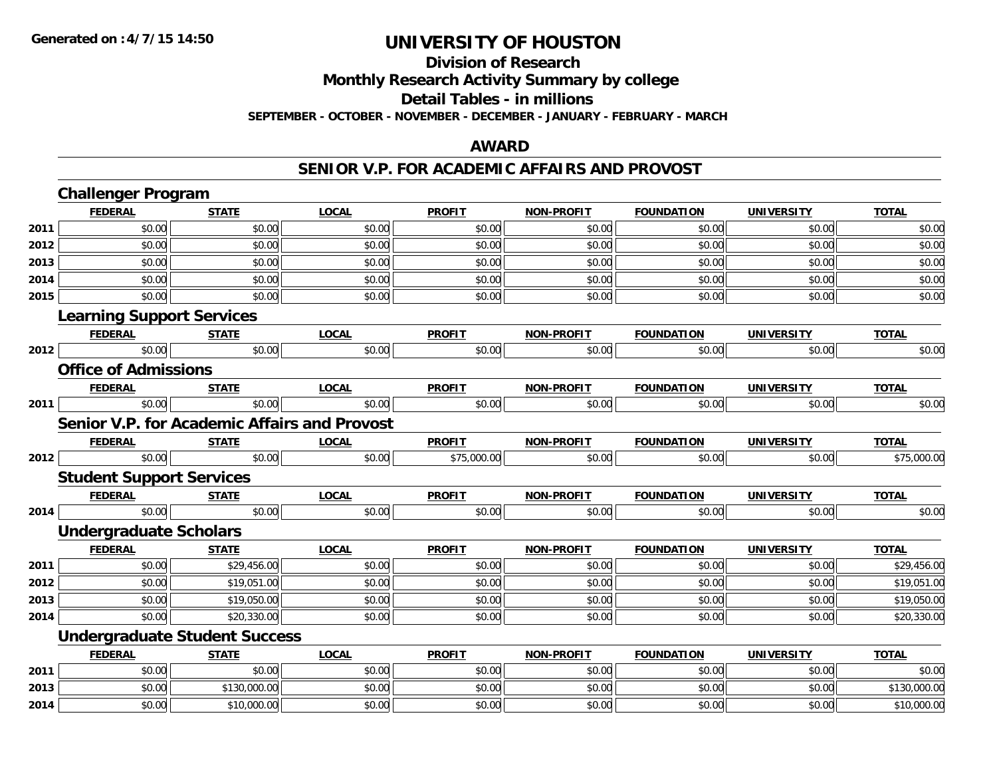# **Division of Research**

**Monthly Research Activity Summary by college**

**Detail Tables - in millions**

**SEPTEMBER - OCTOBER - NOVEMBER - DECEMBER - JANUARY - FEBRUARY - MARCH**

### **AWARD**

### **SENIOR V.P. FOR ACADEMIC AFFAIRS AND PROVOST**

|      | <b>Challenger Program</b>                    |              |              |               |                   |                   |                   |              |
|------|----------------------------------------------|--------------|--------------|---------------|-------------------|-------------------|-------------------|--------------|
|      | <b>FEDERAL</b>                               | <b>STATE</b> | <b>LOCAL</b> | <b>PROFIT</b> | <b>NON-PROFIT</b> | <b>FOUNDATION</b> | <b>UNIVERSITY</b> | <b>TOTAL</b> |
| 2011 | \$0.00                                       | \$0.00       | \$0.00       | \$0.00        | \$0.00            | \$0.00            | \$0.00            | \$0.00       |
| 2012 | \$0.00                                       | \$0.00       | \$0.00       | \$0.00        | \$0.00            | \$0.00            | \$0.00            | \$0.00       |
| 2013 | \$0.00                                       | \$0.00       | \$0.00       | \$0.00        | \$0.00            | \$0.00            | \$0.00            | \$0.00       |
| 2014 | \$0.00                                       | \$0.00       | \$0.00       | \$0.00        | \$0.00            | \$0.00            | \$0.00            | \$0.00       |
| 2015 | \$0.00                                       | \$0.00       | \$0.00       | \$0.00        | \$0.00            | \$0.00            | \$0.00            | \$0.00       |
|      | <b>Learning Support Services</b>             |              |              |               |                   |                   |                   |              |
|      | <b>FEDERAL</b>                               | <b>STATE</b> | <b>LOCAL</b> | <b>PROFIT</b> | <b>NON-PROFIT</b> | <b>FOUNDATION</b> | <b>UNIVERSITY</b> | <b>TOTAL</b> |
| 2012 | \$0.00                                       | \$0.00       | \$0.00       | \$0.00        | \$0.00            | \$0.00            | \$0.00            | \$0.00       |
|      | <b>Office of Admissions</b>                  |              |              |               |                   |                   |                   |              |
|      | <b>FEDERAL</b>                               | <b>STATE</b> | <b>LOCAL</b> | <b>PROFIT</b> | <b>NON-PROFIT</b> | <b>FOUNDATION</b> | <b>UNIVERSITY</b> | <b>TOTAL</b> |
| 2011 | \$0.00                                       | \$0.00       | \$0.00       | \$0.00        | \$0.00            | \$0.00            | \$0.00            | \$0.00       |
|      | Senior V.P. for Academic Affairs and Provost |              |              |               |                   |                   |                   |              |
|      | <b>FEDERAL</b>                               | <b>STATE</b> | <b>LOCAL</b> | <b>PROFIT</b> | <b>NON-PROFIT</b> | <b>FOUNDATION</b> | <b>UNIVERSITY</b> | <b>TOTAL</b> |
| 2012 | \$0.00                                       | \$0.00       | \$0.00       | \$75,000.00   | \$0.00            | \$0.00            | \$0.00            | \$75,000.00  |
|      | <b>Student Support Services</b>              |              |              |               |                   |                   |                   |              |
|      | <b>FEDERAL</b>                               | <b>STATE</b> | <b>LOCAL</b> | <b>PROFIT</b> | <b>NON-PROFIT</b> | <b>FOUNDATION</b> | <b>UNIVERSITY</b> | <b>TOTAL</b> |
| 2014 | \$0.00                                       | \$0.00       | \$0.00       | \$0.00        | \$0.00            | \$0.00            | \$0.00            | \$0.00       |
|      | Undergraduate Scholars                       |              |              |               |                   |                   |                   |              |
|      | <b>FEDERAL</b>                               | <b>STATE</b> | <b>LOCAL</b> | <b>PROFIT</b> | <b>NON-PROFIT</b> | <b>FOUNDATION</b> | <b>UNIVERSITY</b> | <b>TOTAL</b> |
| 2011 | \$0.00                                       | \$29,456.00  | \$0.00       | \$0.00        | \$0.00            | \$0.00            | \$0.00            | \$29,456.00  |
| 2012 | \$0.00                                       | \$19,051.00  | \$0.00       | \$0.00        | \$0.00            | \$0.00            | \$0.00            | \$19,051.00  |
| 2013 | \$0.00                                       | \$19,050.00  | \$0.00       | \$0.00        | \$0.00            | \$0.00            | \$0.00            | \$19,050.00  |
| 2014 | \$0.00                                       | \$20,330.00  | \$0.00       | \$0.00        | \$0.00            | \$0.00            | \$0.00            | \$20,330.00  |
|      | <b>Undergraduate Student Success</b>         |              |              |               |                   |                   |                   |              |
|      | <b>FEDERAL</b>                               | <b>STATE</b> | <b>LOCAL</b> | <b>PROFIT</b> | <b>NON-PROFIT</b> | <b>FOUNDATION</b> | <b>UNIVERSITY</b> | <b>TOTAL</b> |
| 2011 | \$0.00                                       | \$0.00       | \$0.00       | \$0.00        | \$0.00            | \$0.00            | \$0.00            | \$0.00       |
| 2013 | \$0.00                                       | \$130,000.00 | \$0.00       | \$0.00        | \$0.00            | \$0.00            | \$0.00            | \$130,000.00 |
| 2014 | \$0.00                                       | \$10,000.00  | \$0.00       | \$0.00        | \$0.00            | \$0.00            | \$0.00            | \$10,000.00  |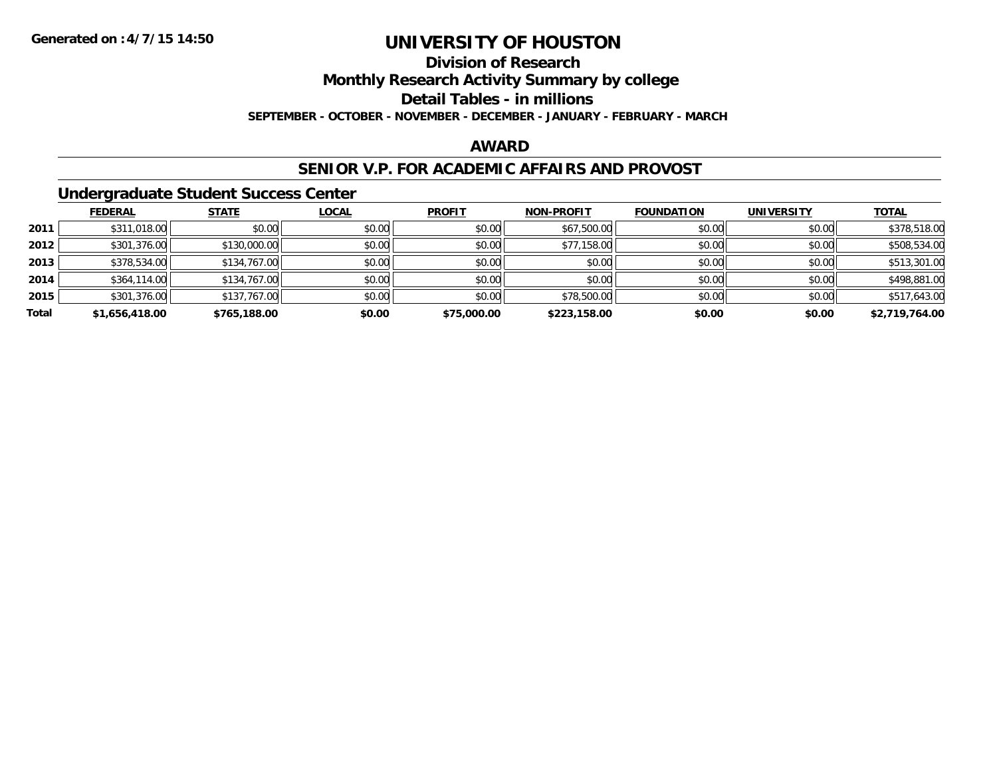# **Division of Research**

**Monthly Research Activity Summary by college**

**Detail Tables - in millions**

**SEPTEMBER - OCTOBER - NOVEMBER - DECEMBER - JANUARY - FEBRUARY - MARCH**

### **AWARD**

### **SENIOR V.P. FOR ACADEMIC AFFAIRS AND PROVOST**

### **Undergraduate Student Success Center**

|       | <b>FEDERAL</b> | <b>STATE</b> | <b>LOCAL</b> | <b>PROFIT</b> | <b>NON-PROFIT</b> | <b>FOUNDATION</b> | <b>UNIVERSITY</b> | <b>TOTAL</b>   |
|-------|----------------|--------------|--------------|---------------|-------------------|-------------------|-------------------|----------------|
| 2011  | \$311,018.00   | \$0.00       | \$0.00       | \$0.00        | \$67,500.00       | \$0.00            | \$0.00            | \$378,518.00   |
| 2012  | \$301,376.00   | \$130,000.00 | \$0.00       | \$0.00        | \$77,158.00       | \$0.00            | \$0.00            | \$508,534.00   |
| 2013  | \$378,534.00   | \$134,767.00 | \$0.00       | \$0.00        | \$0.00            | \$0.00            | \$0.00            | \$513,301.00   |
| 2014  | \$364,114.00   | \$134,767.00 | \$0.00       | \$0.00        | \$0.00            | \$0.00            | \$0.00            | \$498,881.00   |
| 2015  | \$301,376.00   | \$137,767.00 | \$0.00       | \$0.00        | \$78,500.00       | \$0.00            | \$0.00            | \$517,643.00   |
| Total | \$1,656,418.00 | \$765,188.00 | \$0.00       | \$75,000.00   | \$223,158.00      | \$0.00            | \$0.00            | \$2,719,764.00 |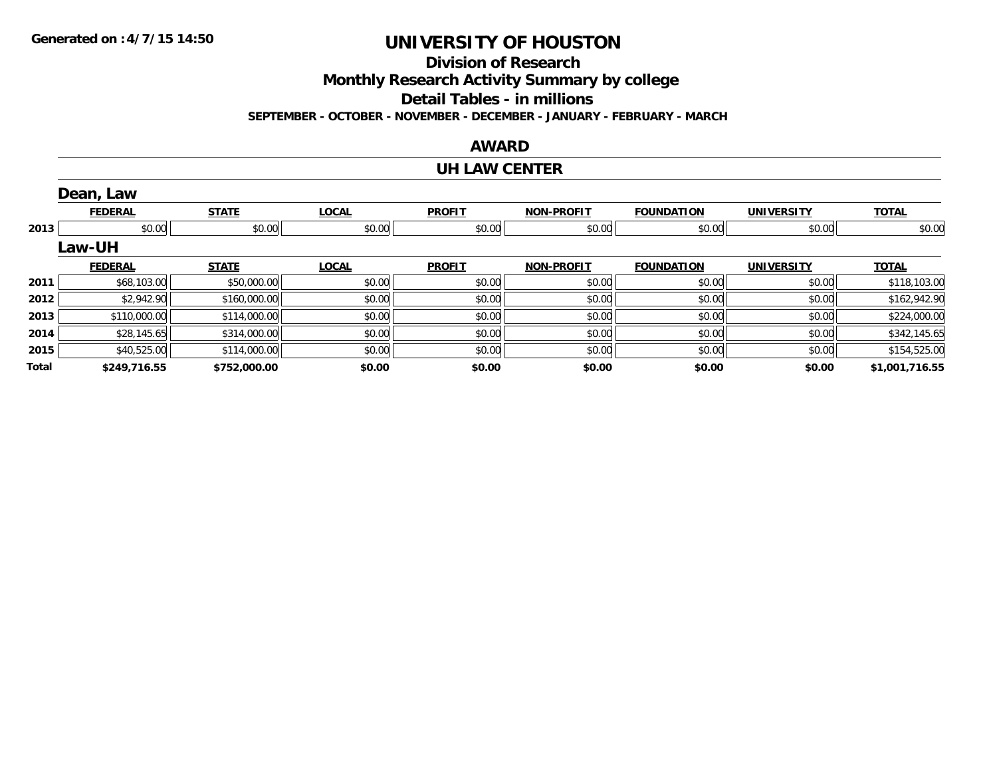**Division of Research**

**Monthly Research Activity Summary by college**

**Detail Tables - in millions**

**SEPTEMBER - OCTOBER - NOVEMBER - DECEMBER - JANUARY - FEBRUARY - MARCH**

#### **AWARD**

#### **UH LAW CENTER**

|       | Dean, Law      |              |              |               |                   |                   |                   |                |
|-------|----------------|--------------|--------------|---------------|-------------------|-------------------|-------------------|----------------|
|       | <b>FEDERAL</b> | <b>STATE</b> | <b>LOCAL</b> | <b>PROFIT</b> | <b>NON-PROFIT</b> | <b>FOUNDATION</b> | <b>UNIVERSITY</b> | <b>TOTAL</b>   |
| 2013  | \$0.00         | \$0.00       | \$0.00       | \$0.00        | \$0.00            | \$0.00            | \$0.00            | \$0.00         |
|       | <b>Law-UH</b>  |              |              |               |                   |                   |                   |                |
|       | <b>FEDERAL</b> | <b>STATE</b> | <b>LOCAL</b> | <b>PROFIT</b> | <b>NON-PROFIT</b> | <b>FOUNDATION</b> | <b>UNIVERSITY</b> | <b>TOTAL</b>   |
| 2011  | \$68,103.00    | \$50,000.00  | \$0.00       | \$0.00        | \$0.00            | \$0.00            | \$0.00            | \$118,103.00   |
| 2012  | \$2,942.90     | \$160,000.00 | \$0.00       | \$0.00        | \$0.00            | \$0.00            | \$0.00            | \$162,942.90   |
| 2013  | \$110,000.00   | \$114,000.00 | \$0.00       | \$0.00        | \$0.00            | \$0.00            | \$0.00            | \$224,000.00   |
| 2014  | \$28,145.65    | \$314,000.00 | \$0.00       | \$0.00        | \$0.00            | \$0.00            | \$0.00            | \$342,145.65   |
| 2015  | \$40,525.00    | \$114,000.00 | \$0.00       | \$0.00        | \$0.00            | \$0.00            | \$0.00            | \$154,525.00   |
| Total | \$249,716.55   | \$752,000.00 | \$0.00       | \$0.00        | \$0.00            | \$0.00            | \$0.00            | \$1,001,716.55 |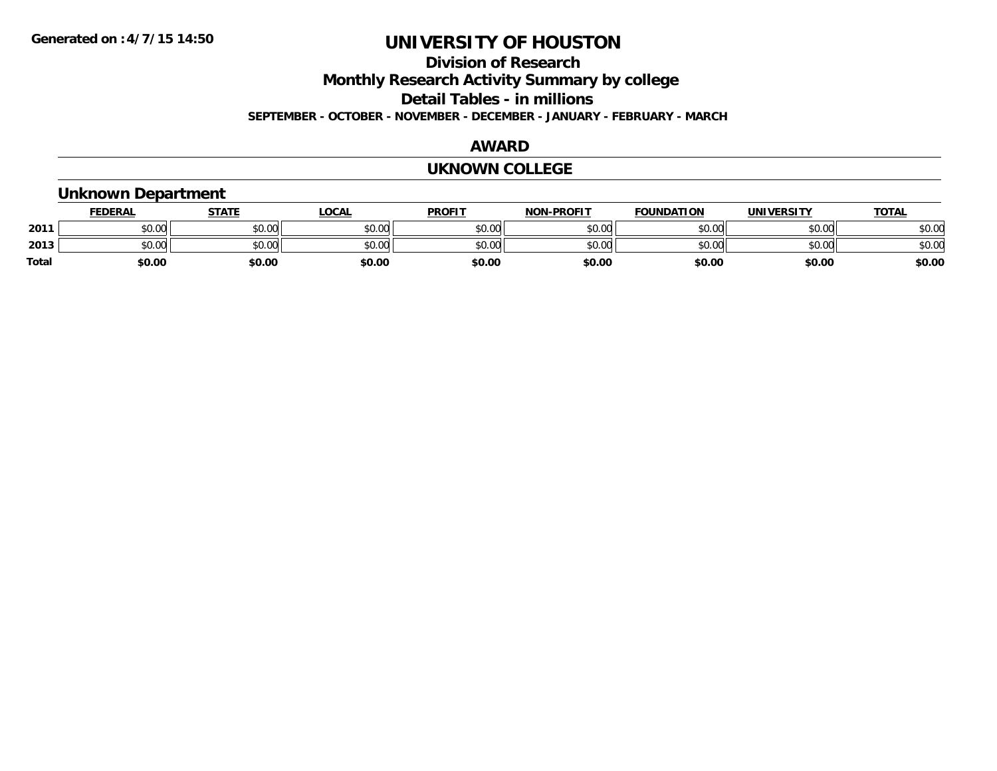### **Division of ResearchMonthly Research Activity Summary by college**

**Detail Tables - in millions**

**SEPTEMBER - OCTOBER - NOVEMBER - DECEMBER - JANUARY - FEBRUARY - MARCH**

### **AWARD**

#### **UKNOWN COLLEGE**

#### **Unknown Department FEDERAL STATE LOCAL PROFIT NON-PROFIT FOUNDATION UNIVERSITY TOTALTOTAL 2011** \$0.00 \$0.00 \$0.00 \$0.00 \$0.00 \$0.00 \$0.00 \$0.00 **2013** $\textbf{3} \quad \textbf{\textcolor{blue}{\textbf{50.00}}} \quad \textbf{\textcolor{blue}{\textbf{50.00}}} \quad \textbf{\textcolor{blue}{\textbf{50.00}}} \quad \textbf{\textcolor{blue}{\textbf{50.00}}} \quad \textbf{\textcolor{blue}{\textbf{50.00}}} \quad \textbf{\textcolor{blue}{\textbf{50.00}}} \quad \textbf{\textcolor{blue}{\textbf{50.00}}} \quad \textbf{\textcolor{blue}{\textbf{50.00}}} \quad \textbf{\textcolor{blue}{\textbf{50.00}}} \quad \textbf{\textcolor{blue}{\textbf{50.00}}} \quad \text$ **Total \$0.00\$0.00 \$0.00 \$0.00 \$0.00 \$0.00 \$0.00 \$0.00**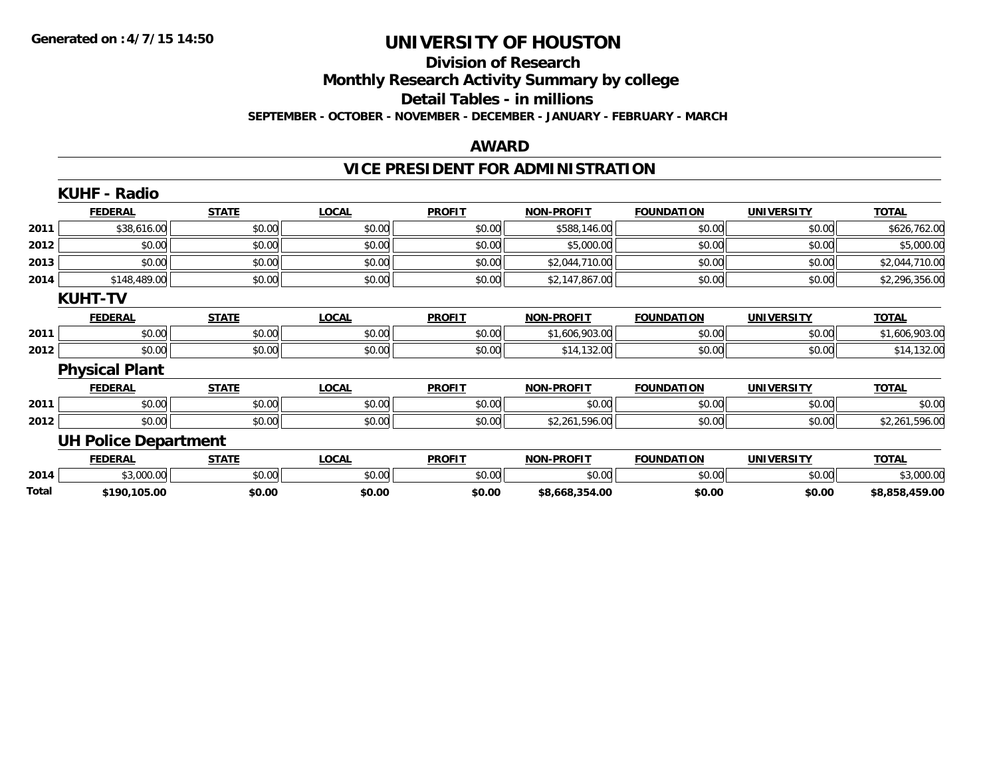### **Division of Research**

**Monthly Research Activity Summary by college**

**Detail Tables - in millions**

**SEPTEMBER - OCTOBER - NOVEMBER - DECEMBER - JANUARY - FEBRUARY - MARCH**

#### **AWARD**

# **VICE PRESIDENT FOR ADMINISTRATION**

|       | <b>KUHF - Radio</b>         |              |              |               |                   |                   |                   |                |
|-------|-----------------------------|--------------|--------------|---------------|-------------------|-------------------|-------------------|----------------|
|       | <b>FEDERAL</b>              | <b>STATE</b> | <b>LOCAL</b> | <b>PROFIT</b> | <b>NON-PROFIT</b> | <b>FOUNDATION</b> | <b>UNIVERSITY</b> | <b>TOTAL</b>   |
| 2011  | \$38,616.00                 | \$0.00       | \$0.00       | \$0.00        | \$588,146.00      | \$0.00            | \$0.00            | \$626,762.00   |
| 2012  | \$0.00                      | \$0.00       | \$0.00       | \$0.00        | \$5,000.00        | \$0.00            | \$0.00            | \$5,000.00     |
| 2013  | \$0.00                      | \$0.00       | \$0.00       | \$0.00        | \$2,044,710.00    | \$0.00            | \$0.00            | \$2,044,710.00 |
| 2014  | \$148,489.00                | \$0.00       | \$0.00       | \$0.00        | \$2,147,867.00    | \$0.00            | \$0.00            | \$2,296,356.00 |
|       | <b>KUHT-TV</b>              |              |              |               |                   |                   |                   |                |
|       | <b>FEDERAL</b>              | <b>STATE</b> | <b>LOCAL</b> | <b>PROFIT</b> | <b>NON-PROFIT</b> | <b>FOUNDATION</b> | <b>UNIVERSITY</b> | <b>TOTAL</b>   |
| 2011  | \$0.00                      | \$0.00       | \$0.00       | \$0.00        | \$1,606,903.00    | \$0.00            | \$0.00            | \$1,606,903.00 |
| 2012  | \$0.00                      | \$0.00       | \$0.00       | \$0.00        | \$14,132.00       | \$0.00            | \$0.00            | \$14,132.00    |
|       | <b>Physical Plant</b>       |              |              |               |                   |                   |                   |                |
|       | <b>FEDERAL</b>              | <b>STATE</b> | <b>LOCAL</b> | <b>PROFIT</b> | <b>NON-PROFIT</b> | <b>FOUNDATION</b> | <b>UNIVERSITY</b> | <b>TOTAL</b>   |
| 2011  | \$0.00                      | \$0.00       | \$0.00       | \$0.00        | \$0.00            | \$0.00            | \$0.00            | \$0.00         |
| 2012  | \$0.00                      | \$0.00       | \$0.00       | \$0.00        | \$2,261,596.00    | \$0.00            | \$0.00            | \$2,261,596.00 |
|       | <b>UH Police Department</b> |              |              |               |                   |                   |                   |                |
|       | <b>FEDERAL</b>              | <b>STATE</b> | <b>LOCAL</b> | <b>PROFIT</b> | <b>NON-PROFIT</b> | <b>FOUNDATION</b> | <b>UNIVERSITY</b> | <b>TOTAL</b>   |
| 2014  | \$3,000.00                  | \$0.00       | \$0.00       | \$0.00        | \$0.00            | \$0.00            | \$0.00            | \$3,000.00     |
| Total | \$190,105.00                | \$0.00       | \$0.00       | \$0.00        | \$8,668,354.00    | \$0.00            | \$0.00            | \$8,858,459.00 |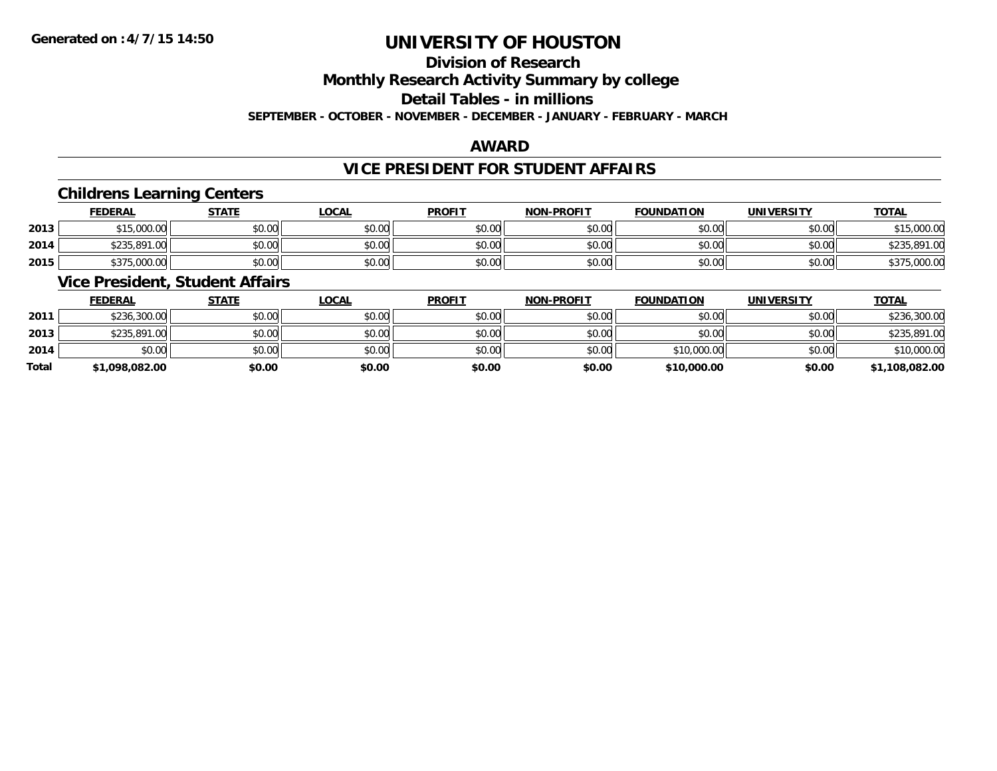# **Division of Research**

**Monthly Research Activity Summary by college**

**Detail Tables - in millions**

**SEPTEMBER - OCTOBER - NOVEMBER - DECEMBER - JANUARY - FEBRUARY - MARCH**

### **AWARD**

### **VICE PRESIDENT FOR STUDENT AFFAIRS**

### **Childrens Learning Centers**

|      | <b>FEDERAL</b> | STATE  | <u>LOCAL</u> | <b>PROFIT</b> | <b>NON-PROFIT</b> | <b>FOUNDATION</b> | UNIVERSITY | <b>TOTAL</b> |
|------|----------------|--------|--------------|---------------|-------------------|-------------------|------------|--------------|
| 2013 | \$15,000.00    | \$0.00 | \$0.00       | \$0.00        | \$0.00            | \$0.00            | \$0.00     | \$15,000.00  |
| 2014 | \$235,891.00   | \$0.00 | \$0.00       | \$0.00        | \$0.00            | \$0.00            | \$0.00     | \$235,891.00 |
| 2015 | \$375,000.00   | \$0.00 | \$0.00       | \$0.00        | \$0.00            | \$0.00            | \$0.00     | \$375,000.00 |

### **Vice President, Student Affairs**

|              | <b>FEDERAL</b> | <u>STATE</u> | <u>LOCAL</u> | <b>PROFIT</b> | <b>NON-PROFIT</b> | <b>FOUNDATION</b> | <b>UNIVERSITY</b> | <b>TOTAL</b>   |
|--------------|----------------|--------------|--------------|---------------|-------------------|-------------------|-------------------|----------------|
| 2011         | \$236,300.00   | \$0.00       | \$0.00       | \$0.00        | \$0.00            | \$0.00            | \$0.00            | \$236,300.00   |
| 2013         | \$235,891,00   | \$0.00       | \$0.00       | \$0.00        | \$0.00            | \$0.00            | \$0.00            | \$235,891.00   |
| 2014         | \$0.00         | \$0.00       | \$0.00       | \$0.00        | \$0.00            | \$10,000.00       | \$0.00            | \$10,000.00    |
| <b>Total</b> | \$1,098,082.00 | \$0.00       | \$0.00       | \$0.00        | \$0.00            | \$10,000.00       | \$0.00            | \$1,108,082.00 |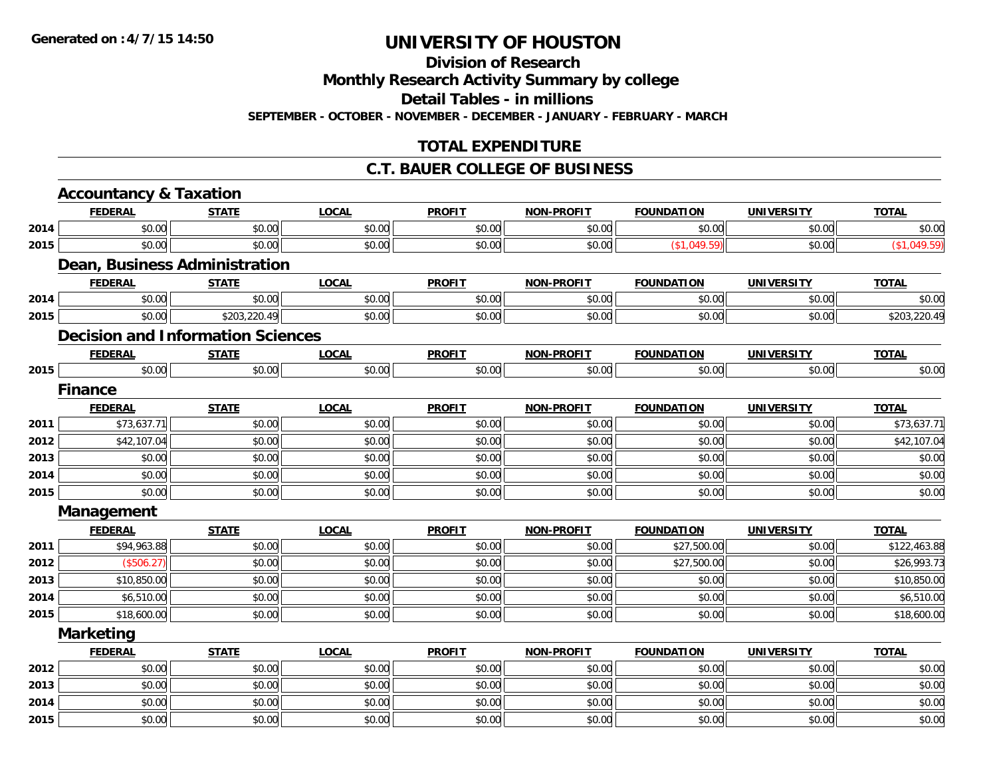**Division of Research**

**Monthly Research Activity Summary by college**

**Detail Tables - in millions**

**SEPTEMBER - OCTOBER - NOVEMBER - DECEMBER - JANUARY - FEBRUARY - MARCH**

### **TOTAL EXPENDITURE**

### **C.T. BAUER COLLEGE OF BUSINESS**

|      | <b>Accountancy &amp; Taxation</b>        |                          |              |               |                   |                   |                   |              |
|------|------------------------------------------|--------------------------|--------------|---------------|-------------------|-------------------|-------------------|--------------|
|      | <b>FEDERAL</b>                           | <b>STATE</b>             | <b>LOCAL</b> | <b>PROFIT</b> | <b>NON-PROFIT</b> | <b>FOUNDATION</b> | <b>UNIVERSITY</b> | <b>TOTAL</b> |
| 2014 | \$0.00                                   | \$0.00                   | \$0.00       | \$0.00        | \$0.00            | \$0.00            | \$0.00            | \$0.00       |
| 2015 | \$0.00                                   | \$0.00                   | \$0.00       | \$0.00        | \$0.00            | (\$1,049.59)      | \$0.00            | (\$1,049.59) |
|      | <b>Dean, Business Administration</b>     |                          |              |               |                   |                   |                   |              |
|      | <b>FEDERAL</b>                           | <b>STATE</b>             | <b>LOCAL</b> | <b>PROFIT</b> | <b>NON-PROFIT</b> | <b>FOUNDATION</b> | <b>UNIVERSITY</b> | <b>TOTAL</b> |
| 2014 | \$0.00                                   | \$0.00                   | \$0.00       | \$0.00        | \$0.00            | \$0.00            | \$0.00            | \$0.00       |
| 2015 | \$0.00                                   | $\overline{$203,220.49}$ | \$0.00       | \$0.00        | \$0.00            | \$0.00            | \$0.00            | \$203,220.49 |
|      | <b>Decision and Information Sciences</b> |                          |              |               |                   |                   |                   |              |
|      | <b>FEDERAL</b>                           | <b>STATE</b>             | <b>LOCAL</b> | <b>PROFIT</b> | <b>NON-PROFIT</b> | <b>FOUNDATION</b> | <b>UNIVERSITY</b> | <b>TOTAL</b> |
| 2015 | \$0.00                                   | \$0.00                   | \$0.00       | \$0.00        | \$0.00            | \$0.00            | \$0.00            | \$0.00       |
|      | <b>Finance</b>                           |                          |              |               |                   |                   |                   |              |
|      | <b>FEDERAL</b>                           | <b>STATE</b>             | <b>LOCAL</b> | <b>PROFIT</b> | <b>NON-PROFIT</b> | <b>FOUNDATION</b> | <b>UNIVERSITY</b> | <b>TOTAL</b> |
| 2011 | \$73,637.71                              | \$0.00                   | \$0.00       | \$0.00        | \$0.00            | \$0.00            | \$0.00            | \$73,637.71  |
| 2012 | \$42,107.04                              | \$0.00                   | \$0.00       | \$0.00        | \$0.00            | \$0.00            | \$0.00            | \$42,107.04  |
| 2013 | \$0.00                                   | \$0.00                   | \$0.00       | \$0.00        | \$0.00            | \$0.00            | \$0.00            | \$0.00       |
| 2014 | \$0.00                                   | \$0.00                   | \$0.00       | \$0.00        | \$0.00            | \$0.00            | \$0.00            | \$0.00       |
| 2015 | \$0.00                                   | \$0.00                   | \$0.00       | \$0.00        | \$0.00            | \$0.00            | \$0.00            | \$0.00       |
|      | Management                               |                          |              |               |                   |                   |                   |              |
|      | <b>FEDERAL</b>                           | <b>STATE</b>             | <b>LOCAL</b> | <b>PROFIT</b> | <b>NON-PROFIT</b> | <b>FOUNDATION</b> | <b>UNIVERSITY</b> | <b>TOTAL</b> |
| 2011 | \$94,963.88                              | \$0.00                   | \$0.00       | \$0.00        | \$0.00            | \$27,500.00       | \$0.00            | \$122,463.88 |
| 2012 | (\$506.27)                               | \$0.00                   | \$0.00       | \$0.00        | \$0.00            | \$27,500.00       | \$0.00            | \$26,993.73  |
| 2013 | \$10,850.00                              | \$0.00                   | \$0.00       | \$0.00        | \$0.00            | \$0.00            | \$0.00            | \$10,850.00  |
| 2014 | \$6,510.00                               | \$0.00                   | \$0.00       | \$0.00        | \$0.00            | \$0.00            | \$0.00            | \$6,510.00   |
| 2015 | \$18,600.00                              | \$0.00                   | \$0.00       | \$0.00        | \$0.00            | \$0.00            | \$0.00            | \$18,600.00  |
|      | <b>Marketing</b>                         |                          |              |               |                   |                   |                   |              |
|      | <b>FEDERAL</b>                           | <b>STATE</b>             | <b>LOCAL</b> | <b>PROFIT</b> | <b>NON-PROFIT</b> | <b>FOUNDATION</b> | <b>UNIVERSITY</b> | <b>TOTAL</b> |
| 2012 | \$0.00                                   | \$0.00                   | \$0.00       | \$0.00        | \$0.00            | \$0.00            | \$0.00            | \$0.00       |
| 2013 | \$0.00                                   | \$0.00                   | \$0.00       | \$0.00        | \$0.00            | \$0.00            | \$0.00            | \$0.00       |
| 2014 | \$0.00                                   | \$0.00                   | \$0.00       | \$0.00        | \$0.00            | \$0.00            | \$0.00            | \$0.00       |
| 2015 | \$0.00                                   | \$0.00                   | \$0.00       | \$0.00        | \$0.00            | \$0.00            | \$0.00            | \$0.00       |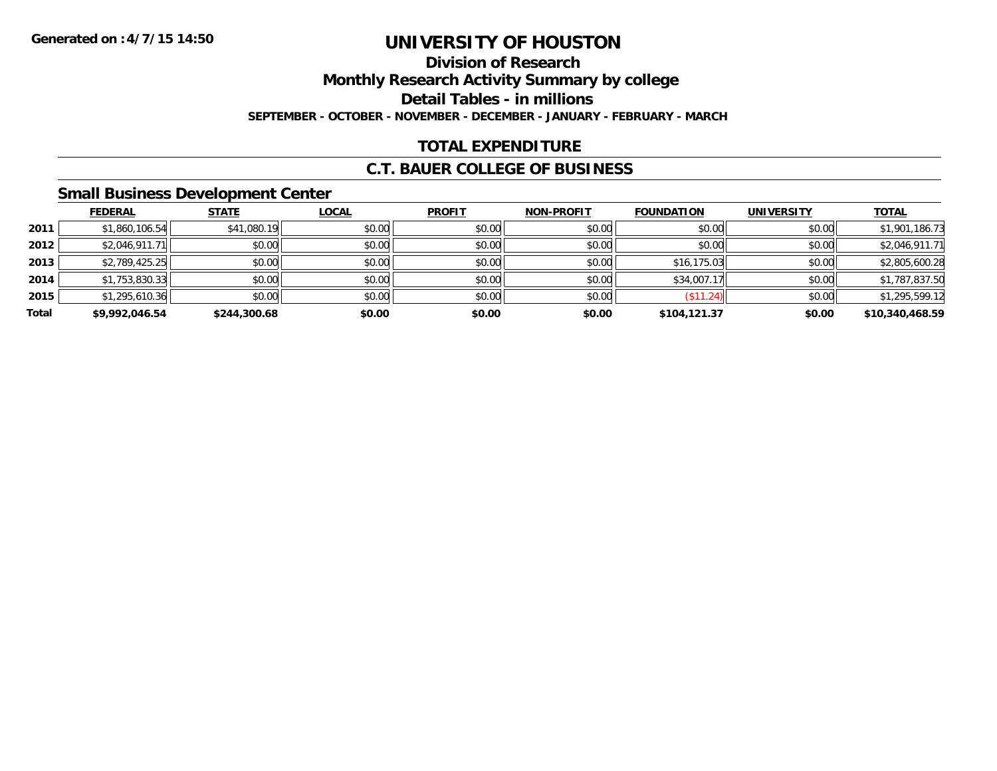### **Division of ResearchMonthly Research Activity Summary by college Detail Tables - in millions SEPTEMBER - OCTOBER - NOVEMBER - DECEMBER - JANUARY - FEBRUARY - MARCH**

### **TOTAL EXPENDITURE**

### **C.T. BAUER COLLEGE OF BUSINESS**

### **Small Business Development Center**

|       | <b>FEDERAL</b> | <b>STATE</b> | <b>LOCAL</b> | <b>PROFIT</b> | <b>NON-PROFIT</b> | <b>FOUNDATION</b> | <b>UNIVERSITY</b> | <b>TOTAL</b>    |
|-------|----------------|--------------|--------------|---------------|-------------------|-------------------|-------------------|-----------------|
| 2011  | \$1,860,106.54 | \$41,080.19  | \$0.00       | \$0.00        | \$0.00            | \$0.00            | \$0.00            | \$1,901,186.73  |
| 2012  | \$2,046,911.71 | \$0.00       | \$0.00       | \$0.00        | \$0.00            | \$0.00            | \$0.00            | \$2,046,911.71  |
| 2013  | \$2,789,425.25 | \$0.00       | \$0.00       | \$0.00        | \$0.00            | \$16,175.03       | \$0.00            | \$2,805,600.28  |
| 2014  | \$1,753,830.33 | \$0.00       | \$0.00       | \$0.00        | \$0.00            | \$34,007.17       | \$0.00            | \$1,787,837.50  |
| 2015  | \$1,295,610.36 | \$0.00       | \$0.00       | \$0.00        | \$0.00            | $($ \$11.24) $  $ | \$0.00            | \$1,295,599.12  |
| Total | \$9,992,046.54 | \$244,300.68 | \$0.00       | \$0.00        | \$0.00            | \$104,121.37      | \$0.00            | \$10,340,468.59 |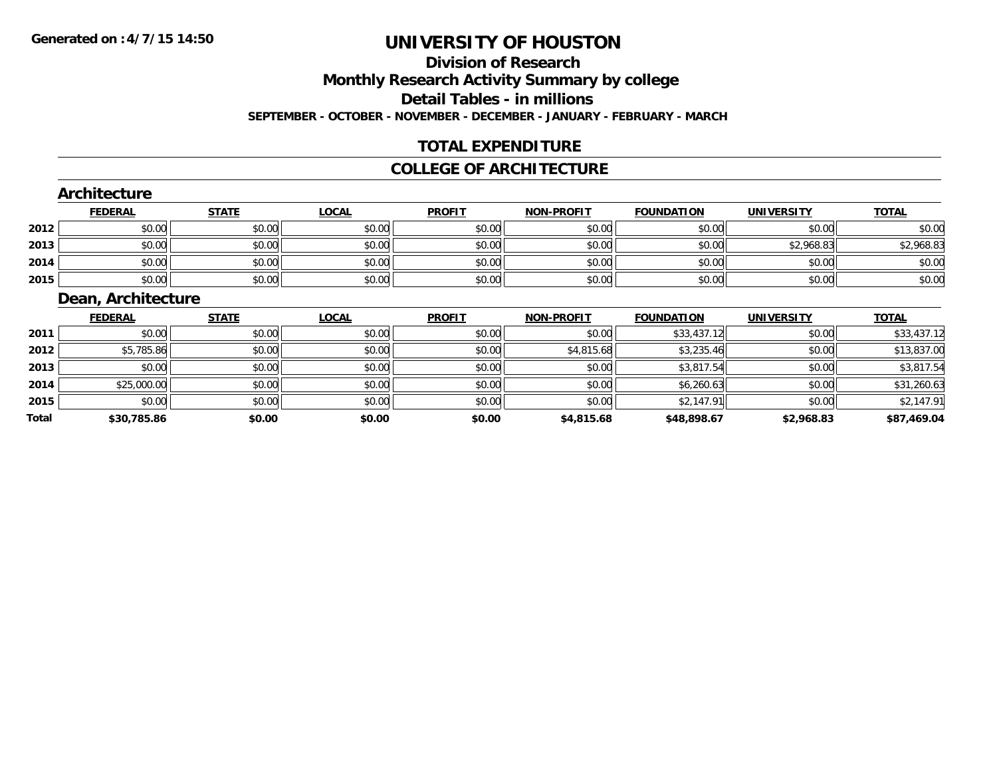### **Division of ResearchMonthly Research Activity Summary by college Detail Tables - in millions SEPTEMBER - OCTOBER - NOVEMBER - DECEMBER - JANUARY - FEBRUARY - MARCH**

### **TOTAL EXPENDITURE**

#### **COLLEGE OF ARCHITECTURE**

#### **Architecture**

|      | <u>FEDERAL</u> | <b>STATE</b> | <u>LOCAL</u> | <b>PROFIT</b> | <b>NON-PROFIT</b> | <b>FOUNDATION</b> | <b>UNIVERSITY</b> | <b>TOTAL</b> |
|------|----------------|--------------|--------------|---------------|-------------------|-------------------|-------------------|--------------|
| 2012 | \$0.00         | \$0.00       | \$0.00       | \$0.00        | \$0.00            | \$0.00            | \$0.00            | \$0.00       |
| 2013 | \$0.00         | \$0.00       | \$0.00       | \$0.00        | \$0.00            | \$0.00            | \$2,968.83        | \$2,968.83   |
| 2014 | \$0.00         | \$0.00       | \$0.00       | \$0.00        | \$0.00            | \$0.00            | \$0.00            | \$0.00       |
| 2015 | \$0.00         | \$0.00       | \$0.00       | \$0.00        | \$0.00            | \$0.00            | \$0.00            | \$0.00       |

### **Dean, Architecture**

|       | <b>FEDERAL</b> | <b>STATE</b> | <b>LOCAL</b> | <b>PROFIT</b> | <b>NON-PROFIT</b> | <b>FOUNDATION</b> | <b>UNIVERSITY</b> | <u>TOTAL</u> |
|-------|----------------|--------------|--------------|---------------|-------------------|-------------------|-------------------|--------------|
| 2011  | \$0.00         | \$0.00       | \$0.00       | \$0.00        | \$0.00            | \$33,437.12       | \$0.00            | \$33,437.12  |
| 2012  | \$5,785.86     | \$0.00       | \$0.00       | \$0.00        | \$4,815.68        | \$3,235.46        | \$0.00            | \$13,837.00  |
| 2013  | \$0.00         | \$0.00       | \$0.00       | \$0.00        | \$0.00            | \$3,817.54        | \$0.00            | \$3,817.54   |
| 2014  | \$25,000.00    | \$0.00       | \$0.00       | \$0.00        | \$0.00            | \$6,260.63        | \$0.00            | \$31,260.63  |
| 2015  | \$0.00         | \$0.00       | \$0.00       | \$0.00        | \$0.00            | \$2,147.91        | \$0.00            | \$2,147.91   |
| Total | \$30,785.86    | \$0.00       | \$0.00       | \$0.00        | \$4,815.68        | \$48,898.67       | \$2,968.83        | \$87,469.04  |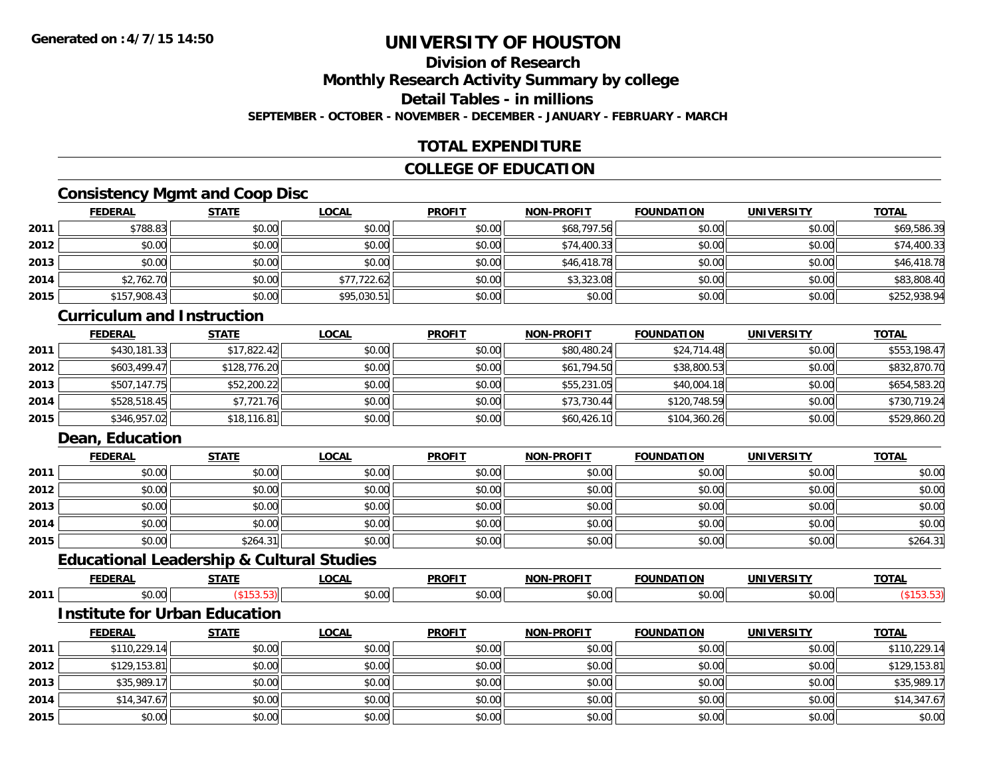### **Division of ResearchMonthly Research Activity Summary by college Detail Tables - in millions**

**SEPTEMBER - OCTOBER - NOVEMBER - DECEMBER - JANUARY - FEBRUARY - MARCH**

### **TOTAL EXPENDITURE**

### **COLLEGE OF EDUCATION**

### **Consistency Mgmt and Coop Disc**

|      | <b>FEDERAL</b> | <b>STATE</b> | <b>LOCAL</b> | <b>PROFIT</b> | <b>NON-PROFIT</b> | <b>FOUNDATION</b> | <b>UNIVERSITY</b> | <b>TOTAL</b> |
|------|----------------|--------------|--------------|---------------|-------------------|-------------------|-------------------|--------------|
| 2011 | \$788.83       | \$0.00       | \$0.00       | \$0.00        | \$68,797.56       | \$0.00            | \$0.00            | \$69,586.39  |
| 2012 | \$0.00         | \$0.00       | \$0.00       | \$0.00        | \$74,400.33       | \$0.00            | \$0.00            | \$74,400.33  |
| 2013 | \$0.00         | \$0.00       | \$0.00       | \$0.00        | \$46,418.78       | \$0.00            | \$0.00            | \$46,418.78  |
| 2014 | \$2,762.70     | \$0.00       | \$77,722.62  | \$0.00        | \$3,323.08        | \$0.00            | \$0.00            | \$83,808.40  |
| 2015 | \$157,908.43   | \$0.00       | \$95,030.51  | \$0.00        | \$0.00            | \$0.00            | \$0.00            | \$252,938.94 |

#### **Curriculum and Instruction**

|      | <b>FEDERAL</b> | <u>STATE</u> | <u>LOCAL</u> | <b>PROFIT</b> | <b>NON-PROFIT</b> | <b>FOUNDATION</b> | <b>UNIVERSITY</b> | <b>TOTAL</b> |
|------|----------------|--------------|--------------|---------------|-------------------|-------------------|-------------------|--------------|
| 2011 | \$430,181.33   | \$17,822.42  | \$0.00       | \$0.00        | \$80,480.24       | \$24,714.48       | \$0.00            | \$553,198.47 |
| 2012 | \$603.499.47   | \$128,776.20 | \$0.00       | \$0.00        | \$61,794.50       | \$38,800.53       | \$0.00            | \$832,870.70 |
| 2013 | \$507,147.75   | \$52,200.22  | \$0.00       | \$0.00        | \$55,231.05       | \$40,004.18       | \$0.00            | \$654,583.20 |
| 2014 | \$528,518.45   | \$7,721.76   | \$0.00       | \$0.00        | \$73,730.44       | \$120,748.59      | \$0.00            | \$730,719.24 |
| 2015 | \$346,957.02   | \$18,116.81  | \$0.00       | \$0.00        | \$60,426.10       | \$104,360.26      | \$0.00            | \$529,860.20 |

### **Dean, Education**

|      | <b>FEDERAL</b> | <b>STATE</b> | <b>LOCAL</b> | <b>PROFIT</b> | <b>NON-PROFIT</b> | <b>FOUNDATION</b> | <b>UNIVERSITY</b> | <b>TOTAL</b> |
|------|----------------|--------------|--------------|---------------|-------------------|-------------------|-------------------|--------------|
| 2011 | \$0.00         | \$0.00       | \$0.00       | \$0.00        | \$0.00            | \$0.00            | \$0.00            | \$0.00       |
| 2012 | \$0.00         | \$0.00       | \$0.00       | \$0.00        | \$0.00            | \$0.00            | \$0.00            | \$0.00       |
| 2013 | \$0.00         | \$0.00       | \$0.00       | \$0.00        | \$0.00            | \$0.00            | \$0.00            | \$0.00       |
| 2014 | \$0.00         | \$0.00       | \$0.00       | \$0.00        | \$0.00            | \$0.00            | \$0.00            | \$0.00       |
| 2015 | \$0.00         | \$264.31     | \$0.00       | \$0.00        | \$0.00            | \$0.00            | \$0.00            | \$264.31     |

### **Educational Leadership & Cultural Studies**

|      | $- - - -$ | ---- | 00N    | <b>DDAEL</b>          | וחו              |    |              | <b>TOTA</b><br>^`<br>. . |
|------|-----------|------|--------|-----------------------|------------------|----|--------------|--------------------------|
| 2011 |           |      | $\sim$ | $\mathbb{R}^n$<br>,,, | $\sim$<br>$\sim$ | ΩΩ | <sub>n</sub> |                          |

#### **Institute for Urban Education**

|      | <u>FEDERAL</u> | <b>STATE</b> | <u>LOCAL</u> | <b>PROFIT</b> | <b>NON-PROFIT</b> | <b>FOUNDATION</b> | <b>UNIVERSITY</b> | <b>TOTAL</b> |
|------|----------------|--------------|--------------|---------------|-------------------|-------------------|-------------------|--------------|
| 2011 | \$110,229.14   | \$0.00       | \$0.00       | \$0.00        | \$0.00            | \$0.00            | \$0.00            | \$110,229.14 |
| 2012 | \$129,153.81   | \$0.00       | \$0.00       | \$0.00        | \$0.00            | \$0.00            | \$0.00            | \$129,153.81 |
| 2013 | \$35,989.1     | \$0.00       | \$0.00       | \$0.00        | \$0.00            | \$0.00            | \$0.00            | \$35,989.17  |
| 2014 | \$14,347.67    | \$0.00       | \$0.00       | \$0.00        | \$0.00            | \$0.00            | \$0.00            | \$14,347.67  |
| 2015 | \$0.00         | \$0.00       | \$0.00       | \$0.00        | \$0.00            | \$0.00            | \$0.00            | \$0.00       |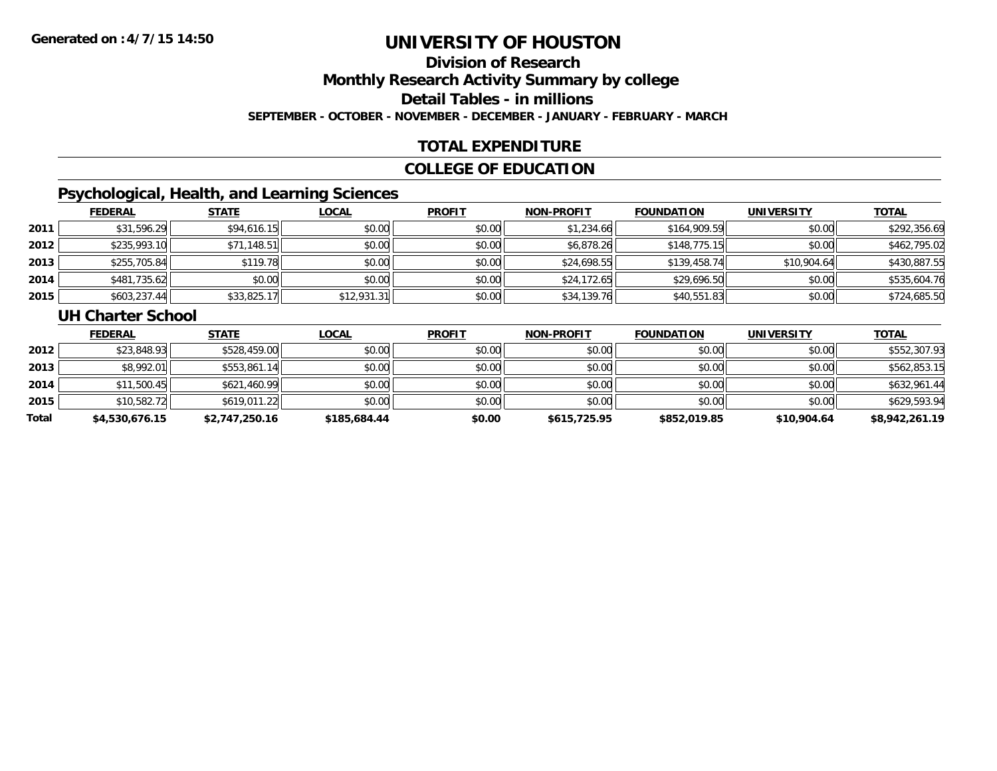### **Division of ResearchMonthly Research Activity Summary by college Detail Tables - in millions SEPTEMBER - OCTOBER - NOVEMBER - DECEMBER - JANUARY - FEBRUARY - MARCH**

### **TOTAL EXPENDITURE**

### **COLLEGE OF EDUCATION**

### **Psychological, Health, and Learning Sciences**

|      | <u>FEDERAL</u> | <b>STATE</b> | <u>LOCAL</u> | <b>PROFIT</b> | <b>NON-PROFIT</b> | <b>FOUNDATION</b> | <b>UNIVERSITY</b> | <u>TOTAL</u> |
|------|----------------|--------------|--------------|---------------|-------------------|-------------------|-------------------|--------------|
| 2011 | \$31,596.29    | \$94,616.15  | \$0.00       | \$0.00        | \$1,234.66        | \$164,909.59      | \$0.00            | \$292,356.69 |
| 2012 | \$235,993.10   | \$71,148.51  | \$0.00       | \$0.00        | \$6,878.26        | \$148,775.15      | \$0.00            | \$462,795.02 |
| 2013 | \$255,705.84   | \$119.78     | \$0.00       | \$0.00        | \$24,698.55       | \$139,458.74      | \$10,904.64       | \$430,887.55 |
| 2014 | \$481,735.62   | \$0.00       | \$0.00       | \$0.00        | \$24,172.65       | \$29,696.50       | \$0.00            | \$535,604.76 |
| 2015 | \$603,237.44   | \$33,825.17  | \$12,931.31  | \$0.00        | \$34,139.76       | \$40,551.83       | \$0.00            | \$724,685.50 |

#### **UH Charter School**

|       | <u>FEDERAL</u> | <b>STATE</b>   | <b>LOCAL</b> | <b>PROFIT</b> | <b>NON-PROFIT</b> | <b>FOUNDATION</b> | <b>UNIVERSITY</b> | <b>TOTAL</b>   |
|-------|----------------|----------------|--------------|---------------|-------------------|-------------------|-------------------|----------------|
| 2012  | \$23,848.93    | \$528,459.00   | \$0.00       | \$0.00        | \$0.00            | \$0.00            | \$0.00            | \$552,307.93   |
| 2013  | \$8,992.01     | \$553,861.14   | \$0.00       | \$0.00        | \$0.00            | \$0.00            | \$0.00            | \$562,853.15   |
| 2014  | \$11,500.45    | \$621,460.99   | \$0.00       | \$0.00        | \$0.00            | \$0.00            | \$0.00            | \$632,961.44   |
| 2015  | \$10,582.72    | \$619,011.22   | \$0.00       | \$0.00        | \$0.00            | \$0.00            | \$0.00            | \$629,593.94   |
| Total | \$4,530,676.15 | \$2,747,250.16 | \$185,684.44 | \$0.00        | \$615,725.95      | \$852,019.85      | \$10,904.64       | \$8,942,261.19 |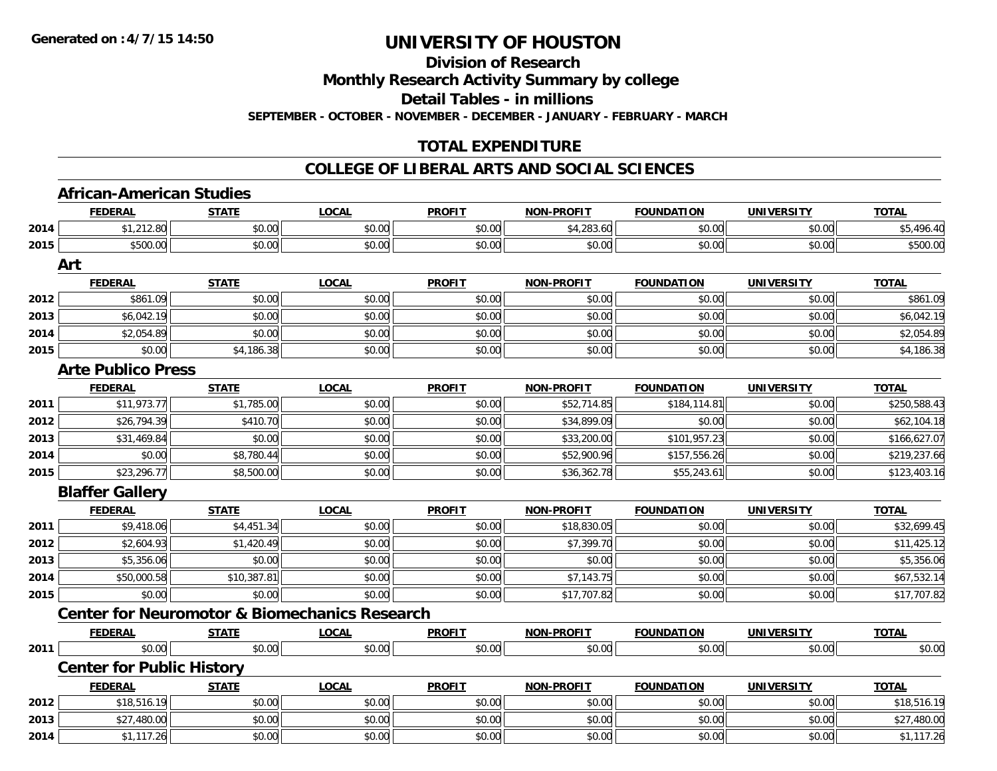**Division of Research**

**Monthly Research Activity Summary by college**

**Detail Tables - in millions**

**SEPTEMBER - OCTOBER - NOVEMBER - DECEMBER - JANUARY - FEBRUARY - MARCH**

### **TOTAL EXPENDITURE**

#### **COLLEGE OF LIBERAL ARTS AND SOCIAL SCIENCES**

|      | <b>African-American Studies</b>  |                                                          |              |               |                   |                   |                   |              |
|------|----------------------------------|----------------------------------------------------------|--------------|---------------|-------------------|-------------------|-------------------|--------------|
|      | <b>FEDERAL</b>                   | <b>STATE</b>                                             | <b>LOCAL</b> | <b>PROFIT</b> | <b>NON-PROFIT</b> | <b>FOUNDATION</b> | <b>UNIVERSITY</b> | <b>TOTAL</b> |
| 2014 | \$1,212.80                       | \$0.00                                                   | \$0.00       | \$0.00        | \$4,283.60        | \$0.00            | \$0.00            | \$5,496.40   |
| 2015 | \$500.00                         | \$0.00                                                   | \$0.00       | \$0.00        | \$0.00            | \$0.00            | \$0.00            | \$500.00     |
|      | Art                              |                                                          |              |               |                   |                   |                   |              |
|      | <b>FEDERAL</b>                   | <b>STATE</b>                                             | <b>LOCAL</b> | <b>PROFIT</b> | <b>NON-PROFIT</b> | <b>FOUNDATION</b> | <b>UNIVERSITY</b> | <b>TOTAL</b> |
| 2012 | \$861.09                         | \$0.00                                                   | \$0.00       | \$0.00        | \$0.00            | \$0.00            | \$0.00            | \$861.09     |
| 2013 | \$6,042.19                       | \$0.00                                                   | \$0.00       | \$0.00        | \$0.00            | \$0.00            | \$0.00            | \$6,042.19   |
| 2014 | \$2,054.89                       | \$0.00                                                   | \$0.00       | \$0.00        | \$0.00            | \$0.00            | \$0.00            | \$2,054.89   |
| 2015 | \$0.00                           | \$4,186.38                                               | \$0.00       | \$0.00        | \$0.00            | \$0.00            | \$0.00            | \$4,186.38   |
|      | <b>Arte Publico Press</b>        |                                                          |              |               |                   |                   |                   |              |
|      | <b>FEDERAL</b>                   | <b>STATE</b>                                             | <b>LOCAL</b> | <b>PROFIT</b> | <b>NON-PROFIT</b> | <b>FOUNDATION</b> | <b>UNIVERSITY</b> | <u>TOTAL</u> |
| 2011 | \$11,973.77                      | \$1,785.00                                               | \$0.00       | \$0.00        | \$52,714.85       | \$184,114.81      | \$0.00            | \$250,588.43 |
| 2012 | \$26,794.39                      | \$410.70                                                 | \$0.00       | \$0.00        | \$34,899.09       | \$0.00            | \$0.00            | \$62,104.18  |
| 2013 | \$31,469.84                      | \$0.00                                                   | \$0.00       | \$0.00        | \$33,200.00       | \$101,957.23      | \$0.00            | \$166,627.07 |
| 2014 | \$0.00                           | \$8,780.44                                               | \$0.00       | \$0.00        | \$52,900.96       | \$157,556.26      | \$0.00            | \$219,237.66 |
| 2015 | \$23,296.77                      | \$8,500.00                                               | \$0.00       | \$0.00        | \$36,362.78       | \$55,243.61       | \$0.00            | \$123,403.16 |
|      | <b>Blaffer Gallery</b>           |                                                          |              |               |                   |                   |                   |              |
|      | <b>FEDERAL</b>                   | <b>STATE</b>                                             | <b>LOCAL</b> | <b>PROFIT</b> | NON-PROFIT        | <b>FOUNDATION</b> | <b>UNIVERSITY</b> | <b>TOTAL</b> |
| 2011 | \$9,418.06                       | \$4,451.34                                               | \$0.00       | \$0.00        | \$18,830.05       | \$0.00            | \$0.00            | \$32,699.45  |
| 2012 | \$2,604.93                       | \$1,420.49                                               | \$0.00       | \$0.00        | \$7,399.70        | \$0.00            | \$0.00            | \$11,425.12  |
| 2013 | \$5,356.06                       | \$0.00                                                   | \$0.00       | \$0.00        | \$0.00            | \$0.00            | \$0.00            | \$5,356.06   |
| 2014 | \$50,000.58                      | \$10,387.81                                              | \$0.00       | \$0.00        | \$7,143.75        | \$0.00            | \$0.00            | \$67,532.14  |
| 2015 | \$0.00                           | \$0.00                                                   | \$0.00       | \$0.00        | \$17,707.82       | \$0.00            | \$0.00            | \$17,707.82  |
|      |                                  | <b>Center for Neuromotor &amp; Biomechanics Research</b> |              |               |                   |                   |                   |              |
|      | <b>FEDERAL</b>                   | <b>STATE</b>                                             | <b>LOCAL</b> | <b>PROFIT</b> | <b>NON-PROFIT</b> | <b>FOUNDATION</b> | <b>UNIVERSITY</b> | <b>TOTAL</b> |
| 2011 | \$0.00                           | \$0.00                                                   | \$0.00       | \$0.00        | \$0.00            | \$0.00            | \$0.00            | \$0.00       |
|      | <b>Center for Public History</b> |                                                          |              |               |                   |                   |                   |              |
|      | <b>FEDERAL</b>                   | <b>STATE</b>                                             | <b>LOCAL</b> | <b>PROFIT</b> | <b>NON-PROFIT</b> | <b>FOUNDATION</b> | <b>UNIVERSITY</b> | <b>TOTAL</b> |
| 2012 | \$18,516.19                      | \$0.00                                                   | \$0.00       | \$0.00        | \$0.00            | \$0.00            | \$0.00            | \$18,516.19  |
| 2013 | \$27,480.00                      | \$0.00                                                   | \$0.00       | \$0.00        | \$0.00            | \$0.00            | \$0.00            | \$27,480.00  |
| 2014 | \$1,117.26                       | \$0.00                                                   | \$0.00       | \$0.00        | \$0.00            | \$0.00            | \$0.00            | \$1,117.26   |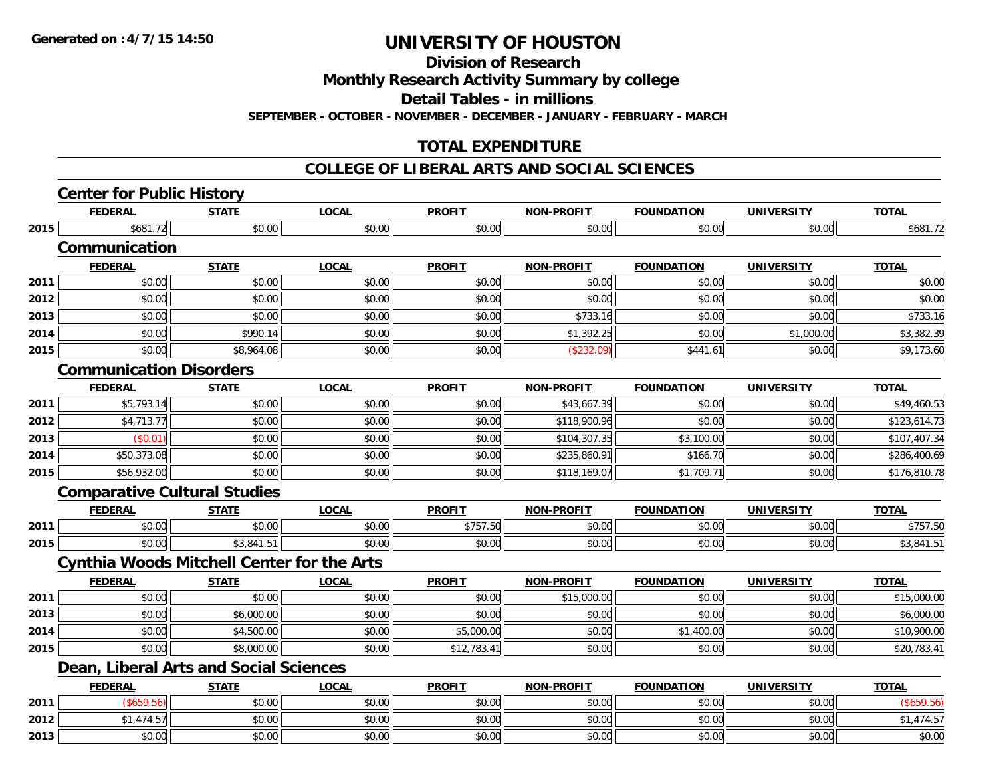**Division of Research**

**Monthly Research Activity Summary by college**

**Detail Tables - in millions**

**SEPTEMBER - OCTOBER - NOVEMBER - DECEMBER - JANUARY - FEBRUARY - MARCH**

### **TOTAL EXPENDITURE**

#### **COLLEGE OF LIBERAL ARTS AND SOCIAL SCIENCES**

|      | <b>Center for Public History</b>    |                                                   |              |               |                   |                   |                   |              |
|------|-------------------------------------|---------------------------------------------------|--------------|---------------|-------------------|-------------------|-------------------|--------------|
|      | <b>FEDERAL</b>                      | <b>STATE</b>                                      | <b>LOCAL</b> | <b>PROFIT</b> | <b>NON-PROFIT</b> | <b>FOUNDATION</b> | <b>UNIVERSITY</b> | <b>TOTAL</b> |
| 2015 | \$681.72                            | \$0.00                                            | \$0.00       | \$0.00        | \$0.00            | \$0.00            | \$0.00            | \$681.72     |
|      | Communication                       |                                                   |              |               |                   |                   |                   |              |
|      | <b>FEDERAL</b>                      | <b>STATE</b>                                      | <b>LOCAL</b> | <b>PROFIT</b> | <b>NON-PROFIT</b> | <b>FOUNDATION</b> | <b>UNIVERSITY</b> | <b>TOTAL</b> |
| 2011 | \$0.00                              | \$0.00                                            | \$0.00       | \$0.00        | \$0.00            | \$0.00            | \$0.00            | \$0.00       |
| 2012 | \$0.00                              | \$0.00                                            | \$0.00       | \$0.00        | \$0.00            | \$0.00            | \$0.00            | \$0.00       |
| 2013 | \$0.00                              | \$0.00                                            | \$0.00       | \$0.00        | \$733.16          | \$0.00            | \$0.00            | \$733.16     |
| 2014 | \$0.00                              | \$990.14                                          | \$0.00       | \$0.00        | \$1,392.25        | \$0.00            | \$1,000.00        | \$3,382.39   |
| 2015 | \$0.00                              | \$8,964.08                                        | \$0.00       | \$0.00        | (\$232.09)        | \$441.61          | \$0.00            | \$9,173.60   |
|      | <b>Communication Disorders</b>      |                                                   |              |               |                   |                   |                   |              |
|      | <b>FEDERAL</b>                      | <b>STATE</b>                                      | <b>LOCAL</b> | <b>PROFIT</b> | <b>NON-PROFIT</b> | <b>FOUNDATION</b> | <b>UNIVERSITY</b> | <b>TOTAL</b> |
| 2011 | \$5,793.14                          | \$0.00                                            | \$0.00       | \$0.00        | \$43,667.39       | \$0.00            | \$0.00            | \$49,460.53  |
| 2012 | \$4,713.77                          | \$0.00                                            | \$0.00       | \$0.00        | \$118,900.96      | \$0.00            | \$0.00            | \$123,614.73 |
| 2013 | (\$0.01)                            | \$0.00                                            | \$0.00       | \$0.00        | \$104,307.35      | \$3,100.00        | \$0.00            | \$107,407.34 |
| 2014 | \$50,373.08                         | \$0.00                                            | \$0.00       | \$0.00        | \$235,860.91      | \$166.70          | \$0.00            | \$286,400.69 |
| 2015 | \$56,932.00                         | \$0.00                                            | \$0.00       | \$0.00        | \$118,169.07      | \$1,709.71        | \$0.00            | \$176,810.78 |
|      | <b>Comparative Cultural Studies</b> |                                                   |              |               |                   |                   |                   |              |
|      | <b>FEDERAL</b>                      | <b>STATE</b>                                      | <b>LOCAL</b> | <b>PROFIT</b> | <b>NON-PROFIT</b> | <b>FOUNDATION</b> | <b>UNIVERSITY</b> | <b>TOTAL</b> |
| 2011 | \$0.00                              | \$0.00                                            | \$0.00       | \$757.50      | \$0.00            | \$0.00            | \$0.00            | \$757.50     |
| 2015 | \$0.00                              | \$3,841.51                                        | \$0.00       | \$0.00        | \$0.00            | \$0.00            | \$0.00            | \$3,841.51   |
|      |                                     | <b>Cynthia Woods Mitchell Center for the Arts</b> |              |               |                   |                   |                   |              |
|      | <b>FEDERAL</b>                      | <b>STATE</b>                                      | <b>LOCAL</b> | <b>PROFIT</b> | <b>NON-PROFIT</b> | <b>FOUNDATION</b> | <b>UNIVERSITY</b> | <b>TOTAL</b> |
| 2011 | \$0.00                              | \$0.00                                            | \$0.00       | \$0.00        | \$15,000.00       | \$0.00            | \$0.00            | \$15,000.00  |
| 2013 | \$0.00                              | \$6,000.00                                        | \$0.00       | \$0.00        | \$0.00            | \$0.00            | \$0.00            | \$6,000.00   |
| 2014 | \$0.00                              | \$4,500.00                                        | \$0.00       | \$5,000.00    | \$0.00            | \$1,400.00        | \$0.00            | \$10,900.00  |
| 2015 | \$0.00                              | \$8,000.00                                        | \$0.00       | \$12,783.41   | \$0.00            | \$0.00            | \$0.00            | \$20,783.41  |
|      |                                     | Dean, Liberal Arts and Social Sciences            |              |               |                   |                   |                   |              |
|      | <b>FEDERAL</b>                      | <b>STATE</b>                                      | <b>LOCAL</b> | <b>PROFIT</b> | <b>NON-PROFIT</b> | <b>FOUNDATION</b> | <b>UNIVERSITY</b> | <b>TOTAL</b> |
| 2011 | (\$659.56)                          | \$0.00                                            | \$0.00       | \$0.00        | \$0.00            | \$0.00            | \$0.00            | (\$659.56)   |
| 2012 | \$1,474.57                          | \$0.00                                            | \$0.00       | \$0.00        | \$0.00            | \$0.00            | \$0.00            | \$1,474.57   |
| 2013 | \$0.00                              | \$0.00                                            | \$0.00       | \$0.00        | \$0.00            | \$0.00            | \$0.00            | \$0.00       |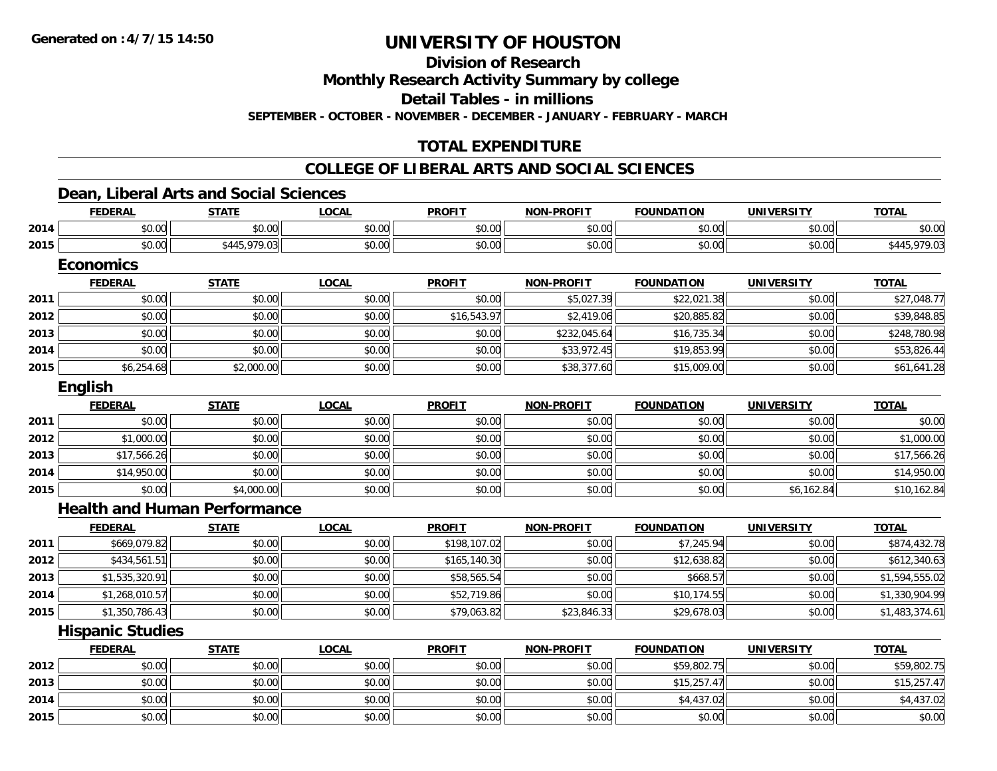**Division of Research**

**Monthly Research Activity Summary by college**

**Detail Tables - in millions**

**SEPTEMBER - OCTOBER - NOVEMBER - DECEMBER - JANUARY - FEBRUARY - MARCH**

### **TOTAL EXPENDITURE**

### **COLLEGE OF LIBERAL ARTS AND SOCIAL SCIENCES**

### **Dean, Liberal Arts and Social Sciences**

|      | <b>FEDERAL</b>                      | <b>STATE</b> | <b>LOCAL</b> | <b>PROFIT</b> | <b>NON-PROFIT</b> | <b>FOUNDATION</b> | <b>UNIVERSITY</b> | <b>TOTAL</b>   |
|------|-------------------------------------|--------------|--------------|---------------|-------------------|-------------------|-------------------|----------------|
| 2014 | \$0.00                              | \$0.00       | \$0.00       | \$0.00        | \$0.00            | \$0.00            | \$0.00            | \$0.00         |
| 2015 | \$0.00                              | \$445,979.03 | \$0.00       | \$0.00        | \$0.00            | \$0.00            | \$0.00            | \$445,979.03   |
|      | <b>Economics</b>                    |              |              |               |                   |                   |                   |                |
|      | <b>FEDERAL</b>                      | <b>STATE</b> | <b>LOCAL</b> | <b>PROFIT</b> | <b>NON-PROFIT</b> | <b>FOUNDATION</b> | <b>UNIVERSITY</b> | <b>TOTAL</b>   |
| 2011 | \$0.00                              | \$0.00       | \$0.00       | \$0.00        | \$5,027.39        | \$22,021.38       | \$0.00            | \$27,048.77    |
| 2012 | \$0.00                              | \$0.00       | \$0.00       | \$16,543.97   | \$2,419.06        | \$20,885.82       | \$0.00            | \$39,848.85    |
| 2013 | \$0.00                              | \$0.00       | \$0.00       | \$0.00        | \$232,045.64      | \$16,735.34       | \$0.00            | \$248,780.98   |
| 2014 | \$0.00                              | \$0.00       | \$0.00       | \$0.00        | \$33,972.45       | \$19,853.99       | \$0.00            | \$53,826.44    |
| 2015 | \$6,254.68                          | \$2,000.00   | \$0.00       | \$0.00        | \$38,377.60       | \$15,009.00       | \$0.00            | \$61,641.28    |
|      | English                             |              |              |               |                   |                   |                   |                |
|      | <b>FEDERAL</b>                      | <b>STATE</b> | <b>LOCAL</b> | <b>PROFIT</b> | <b>NON-PROFIT</b> | <b>FOUNDATION</b> | <b>UNIVERSITY</b> | <b>TOTAL</b>   |
| 2011 | \$0.00                              | \$0.00       | \$0.00       | \$0.00        | \$0.00            | \$0.00            | \$0.00            | \$0.00         |
| 2012 | \$1,000.00                          | \$0.00       | \$0.00       | \$0.00        | \$0.00            | \$0.00            | \$0.00            | \$1,000.00     |
| 2013 | \$17,566.26                         | \$0.00       | \$0.00       | \$0.00        | \$0.00            | \$0.00            | \$0.00            | \$17,566.26    |
| 2014 | \$14,950.00                         | \$0.00       | \$0.00       | \$0.00        | \$0.00            | \$0.00            | \$0.00            | \$14,950.00    |
| 2015 | \$0.00                              | \$4,000.00   | \$0.00       | \$0.00        | \$0.00            | \$0.00            | \$6,162.84        | \$10,162.84    |
|      | <b>Health and Human Performance</b> |              |              |               |                   |                   |                   |                |
|      | <b>FEDERAL</b>                      | <b>STATE</b> | <b>LOCAL</b> | <b>PROFIT</b> | <b>NON-PROFIT</b> | <b>FOUNDATION</b> | <b>UNIVERSITY</b> | <b>TOTAL</b>   |
| 2011 | \$669,079.82                        | \$0.00       | \$0.00       | \$198,107.02  | \$0.00            | \$7,245.94        | \$0.00            | \$874,432.78   |
| 2012 | \$434,561.51                        | \$0.00       | \$0.00       | \$165,140.30  | \$0.00            | \$12,638.82       | \$0.00            | \$612,340.63   |
| 2013 | \$1,535,320.91                      | \$0.00       | \$0.00       | \$58,565.54   | \$0.00            | \$668.57          | \$0.00            | \$1,594,555.02 |
| 2014 | \$1,268,010.57                      | \$0.00       | \$0.00       | \$52,719.86   | \$0.00            | \$10,174.55       | \$0.00            | \$1,330,904.99 |
| 2015 | \$1,350,786.43                      | \$0.00       | \$0.00       | \$79,063.82   | \$23,846.33       | \$29,678.03       | \$0.00            | \$1,483,374.61 |
|      | <b>Hispanic Studies</b>             |              |              |               |                   |                   |                   |                |
|      | <b>FEDERAL</b>                      | <b>STATE</b> | <b>LOCAL</b> | <b>PROFIT</b> | <b>NON-PROFIT</b> | <b>FOUNDATION</b> | <b>UNIVERSITY</b> | <b>TOTAL</b>   |
| 2012 | \$0.00                              | \$0.00       | \$0.00       | \$0.00        | \$0.00            | \$59,802.75       | \$0.00            | \$59,802.75    |
| 2013 | \$0.00                              | \$0.00       | \$0.00       | \$0.00        | \$0.00            | \$15,257.47       | \$0.00            | \$15,257.47    |
| 2014 | \$0.00                              | \$0.00       | \$0.00       | \$0.00        | \$0.00            | \$4,437.02        | \$0.00            | \$4,437.02     |
| 2015 | \$0.00                              | \$0.00       | \$0.00       | \$0.00        | \$0.00            | \$0.00            | \$0.00            | \$0.00         |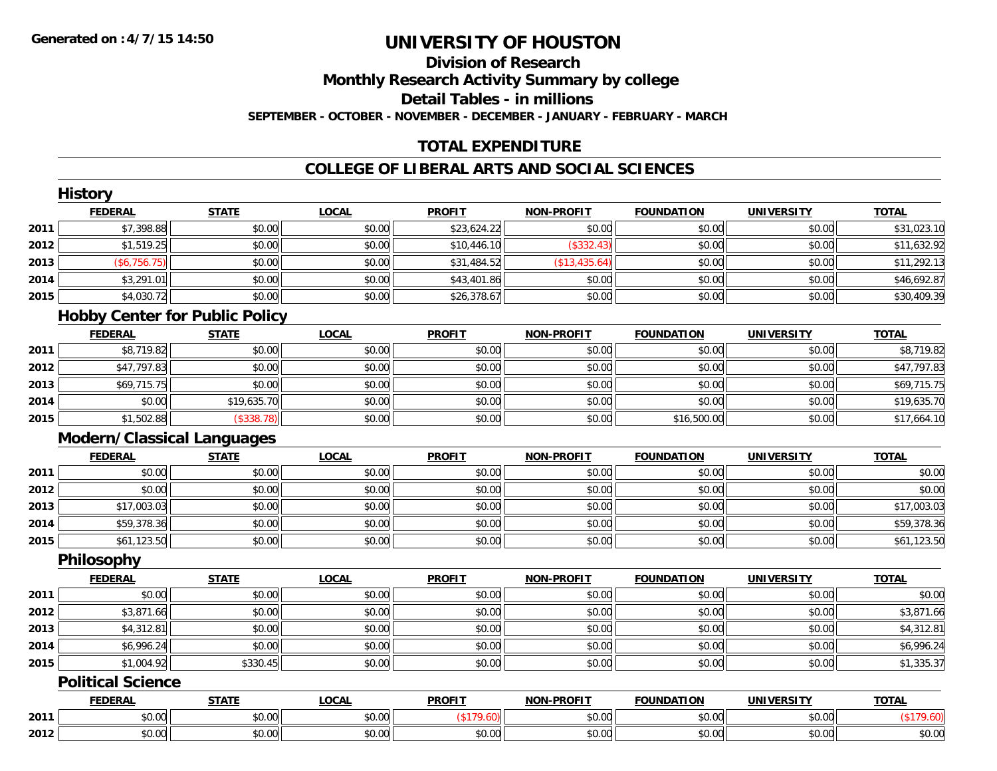### **Division of ResearchMonthly Research Activity Summary by college Detail Tables - in millions**

**SEPTEMBER - OCTOBER - NOVEMBER - DECEMBER - JANUARY - FEBRUARY - MARCH**

### **TOTAL EXPENDITURE**

### **COLLEGE OF LIBERAL ARTS AND SOCIAL SCIENCES**

|      | <b>History</b>                    |                                       |              |               |                   |                   |                   |              |
|------|-----------------------------------|---------------------------------------|--------------|---------------|-------------------|-------------------|-------------------|--------------|
|      | <b>FEDERAL</b>                    | <b>STATE</b>                          | <b>LOCAL</b> | <b>PROFIT</b> | <b>NON-PROFIT</b> | <b>FOUNDATION</b> | <b>UNIVERSITY</b> | <b>TOTAL</b> |
| 2011 | \$7,398.88                        | \$0.00                                | \$0.00       | \$23,624.22   | \$0.00            | \$0.00            | \$0.00            | \$31,023.10  |
| 2012 | \$1,519.25                        | \$0.00                                | \$0.00       | \$10,446.10   | (\$332.43)        | \$0.00            | \$0.00            | \$11,632.92  |
| 2013 | (\$6,756.75)                      | \$0.00                                | \$0.00       | \$31,484.52   | (\$13,435.64)     | \$0.00            | \$0.00            | \$11,292.13  |
| 2014 | \$3,291.01                        | \$0.00                                | \$0.00       | \$43,401.86   | \$0.00            | \$0.00            | \$0.00            | \$46,692.87  |
| 2015 | \$4,030.72                        | \$0.00                                | \$0.00       | \$26,378.67   | \$0.00            | \$0.00            | \$0.00            | \$30,409.39  |
|      |                                   | <b>Hobby Center for Public Policy</b> |              |               |                   |                   |                   |              |
|      | <b>FEDERAL</b>                    | <b>STATE</b>                          | <b>LOCAL</b> | <b>PROFIT</b> | <b>NON-PROFIT</b> | <b>FOUNDATION</b> | <b>UNIVERSITY</b> | <b>TOTAL</b> |
| 2011 | \$8,719.82                        | \$0.00                                | \$0.00       | \$0.00        | \$0.00            | \$0.00            | \$0.00            | \$8,719.82   |
| 2012 | \$47,797.83                       | \$0.00                                | \$0.00       | \$0.00        | \$0.00            | \$0.00            | \$0.00            | \$47,797.83  |
| 2013 | \$69,715.75                       | \$0.00                                | \$0.00       | \$0.00        | \$0.00            | \$0.00            | \$0.00            | \$69,715.75  |
| 2014 | \$0.00                            | \$19,635.70                           | \$0.00       | \$0.00        | \$0.00            | \$0.00            | \$0.00            | \$19,635.70  |
| 2015 | \$1,502.88                        | (\$338.78)                            | \$0.00       | \$0.00        | \$0.00            | \$16,500.00       | \$0.00            | \$17,664.10  |
|      | <b>Modern/Classical Languages</b> |                                       |              |               |                   |                   |                   |              |
|      | <b>FEDERAL</b>                    | <b>STATE</b>                          | <b>LOCAL</b> | <b>PROFIT</b> | <b>NON-PROFIT</b> | <b>FOUNDATION</b> | <b>UNIVERSITY</b> | <b>TOTAL</b> |
| 2011 | \$0.00                            | \$0.00                                | \$0.00       | \$0.00        | \$0.00            | \$0.00            | \$0.00            | \$0.00       |
| 2012 | \$0.00                            | \$0.00                                | \$0.00       | \$0.00        | \$0.00            | \$0.00            | \$0.00            | \$0.00       |
| 2013 | \$17,003.03                       | \$0.00                                | \$0.00       | \$0.00        | \$0.00            | \$0.00            | \$0.00            | \$17,003.03  |
| 2014 | \$59,378.36                       | \$0.00                                | \$0.00       | \$0.00        | \$0.00            | \$0.00            | \$0.00            | \$59,378.36  |
| 2015 | \$61,123.50                       | \$0.00                                | \$0.00       | \$0.00        | \$0.00            | \$0.00            | \$0.00            | \$61,123.50  |
|      | Philosophy                        |                                       |              |               |                   |                   |                   |              |
|      | <b>FEDERAL</b>                    | <b>STATE</b>                          | <b>LOCAL</b> | <b>PROFIT</b> | <b>NON-PROFIT</b> | <b>FOUNDATION</b> | <b>UNIVERSITY</b> | <b>TOTAL</b> |
| 2011 | \$0.00                            | \$0.00                                | \$0.00       | \$0.00        | \$0.00            | \$0.00            | \$0.00            | \$0.00       |
| 2012 | \$3,871.66                        | \$0.00                                | \$0.00       | \$0.00        | \$0.00            | \$0.00            | \$0.00            | \$3,871.66   |
| 2013 | \$4,312.81                        | \$0.00                                | \$0.00       | \$0.00        | \$0.00            | \$0.00            | \$0.00            | \$4,312.81   |
| 2014 | \$6,996.24                        | \$0.00                                | \$0.00       | \$0.00        | \$0.00            | \$0.00            | \$0.00            | \$6,996.24   |
| 2015 | \$1,004.92                        | \$330.45                              | \$0.00       | \$0.00        | \$0.00            | \$0.00            | \$0.00            | \$1,335.37   |
|      | <b>Political Science</b>          |                                       |              |               |                   |                   |                   |              |
|      | <b>FEDERAL</b>                    | <b>STATE</b>                          | <b>LOCAL</b> | <b>PROFIT</b> | <b>NON-PROFIT</b> | <b>FOUNDATION</b> | <b>UNIVERSITY</b> | <b>TOTAL</b> |
| 2011 | \$0.00                            | \$0.00                                | \$0.00       | (\$179.60)    | \$0.00            | \$0.00            | \$0.00            | (\$179.60)   |
| 2012 | \$0.00                            | \$0.00                                | \$0.00       | \$0.00        | \$0.00            | \$0.00            | \$0.00            | \$0.00       |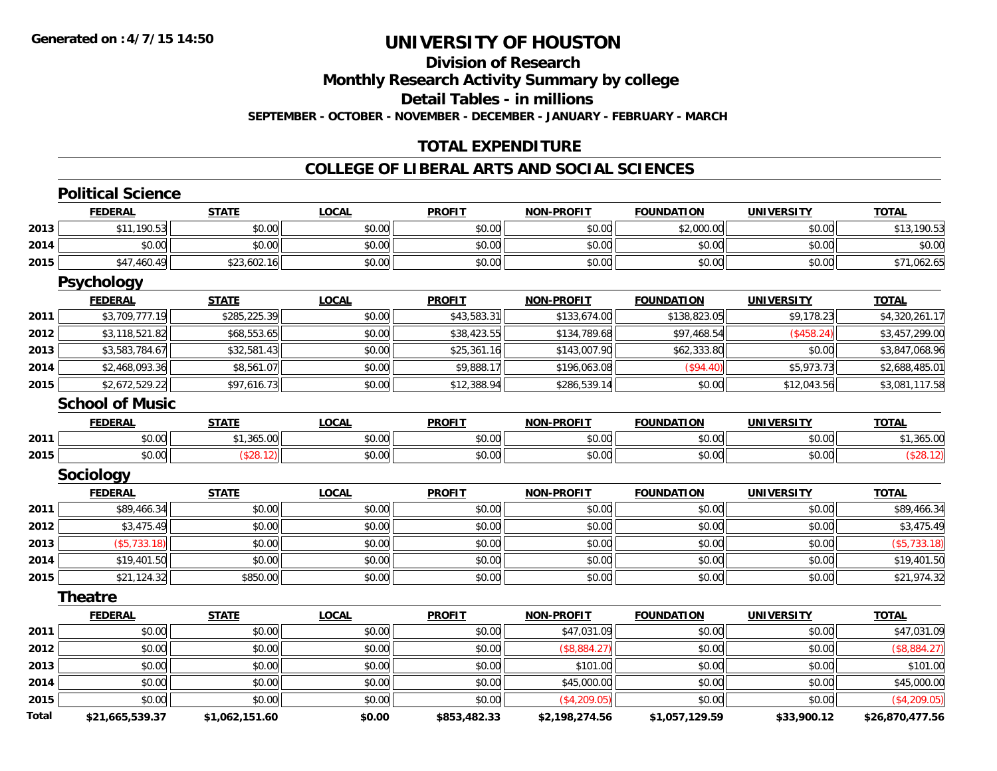### **Division of Research**

**Monthly Research Activity Summary by college**

**Detail Tables - in millions**

**SEPTEMBER - OCTOBER - NOVEMBER - DECEMBER - JANUARY - FEBRUARY - MARCH**

#### **TOTAL EXPENDITURE**

|       | <b>Political Science</b> |                |              |               |                   |                   |                   |                 |
|-------|--------------------------|----------------|--------------|---------------|-------------------|-------------------|-------------------|-----------------|
|       | <b>FEDERAL</b>           | <b>STATE</b>   | <b>LOCAL</b> | <b>PROFIT</b> | <b>NON-PROFIT</b> | <b>FOUNDATION</b> | <b>UNIVERSITY</b> | <b>TOTAL</b>    |
| 2013  | \$11,190.53              | \$0.00         | \$0.00       | \$0.00        | \$0.00            | \$2,000.00        | \$0.00            | \$13,190.53     |
| 2014  | \$0.00                   | \$0.00         | \$0.00       | \$0.00        | \$0.00            | \$0.00            | \$0.00            | \$0.00          |
| 2015  | \$47,460.49              | \$23,602.16    | \$0.00       | \$0.00        | \$0.00            | \$0.00            | \$0.00            | \$71,062.65     |
|       | <b>Psychology</b>        |                |              |               |                   |                   |                   |                 |
|       | <b>FEDERAL</b>           | <b>STATE</b>   | <b>LOCAL</b> | <b>PROFIT</b> | <b>NON-PROFIT</b> | <b>FOUNDATION</b> | <b>UNIVERSITY</b> | <b>TOTAL</b>    |
| 2011  | \$3,709,777.19           | \$285,225.39   | \$0.00       | \$43,583.31   | \$133,674.00      | \$138,823.05      | \$9,178.23        | \$4,320,261.17  |
| 2012  | \$3,118,521.82           | \$68,553.65    | \$0.00       | \$38,423.55   | \$134,789.68      | \$97,468.54       | (\$458.24)        | \$3,457,299.00  |
| 2013  | \$3,583,784.67           | \$32,581.43    | \$0.00       | \$25,361.16   | \$143,007.90      | \$62,333.80       | \$0.00            | \$3,847,068.96  |
| 2014  | \$2,468,093.36           | \$8,561.07     | \$0.00       | \$9,888.17    | \$196,063.08      | (\$94.40)         | \$5,973.73        | \$2,688,485.01  |
| 2015  | \$2,672,529.22           | \$97,616.73    | \$0.00       | \$12,388.94   | \$286,539.14      | \$0.00            | \$12,043.56       | \$3,081,117.58  |
|       | <b>School of Music</b>   |                |              |               |                   |                   |                   |                 |
|       | <b>FEDERAL</b>           | <b>STATE</b>   | <b>LOCAL</b> | <b>PROFIT</b> | <b>NON-PROFIT</b> | <b>FOUNDATION</b> | <b>UNIVERSITY</b> | <b>TOTAL</b>    |
| 2011  | \$0.00                   | \$1,365.00     | \$0.00       | \$0.00        | \$0.00            | \$0.00            | \$0.00            | \$1,365.00      |
| 2015  | \$0.00                   | (\$28.12)      | \$0.00       | \$0.00        | \$0.00            | \$0.00            | \$0.00            | (\$28.12)       |
|       | <b>Sociology</b>         |                |              |               |                   |                   |                   |                 |
|       | <b>FEDERAL</b>           | <b>STATE</b>   | <b>LOCAL</b> | <b>PROFIT</b> | <b>NON-PROFIT</b> | <b>FOUNDATION</b> | <b>UNIVERSITY</b> | <b>TOTAL</b>    |
| 2011  | \$89,466.34              | \$0.00         | \$0.00       | \$0.00        | \$0.00            | \$0.00            | \$0.00            | \$89,466.34     |
| 2012  | \$3,475.49               | \$0.00         | \$0.00       | \$0.00        | \$0.00            | \$0.00            | \$0.00            | \$3,475.49      |
| 2013  | ( \$5,733.18)            | \$0.00         | \$0.00       | \$0.00        | \$0.00            | \$0.00            | \$0.00            | ( \$5,733.18)   |
| 2014  | \$19,401.50              | \$0.00         | \$0.00       | \$0.00        | \$0.00            | \$0.00            | \$0.00            | \$19,401.50     |
| 2015  | \$21,124.32              | \$850.00       | \$0.00       | \$0.00        | \$0.00            | \$0.00            | \$0.00            | \$21,974.32     |
|       | <b>Theatre</b>           |                |              |               |                   |                   |                   |                 |
|       | <b>FEDERAL</b>           | <b>STATE</b>   | <b>LOCAL</b> | <b>PROFIT</b> | <b>NON-PROFIT</b> | <b>FOUNDATION</b> | <b>UNIVERSITY</b> | <b>TOTAL</b>    |
| 2011  | \$0.00                   | \$0.00         | \$0.00       | \$0.00        | \$47,031.09       | \$0.00            | \$0.00            | \$47,031.09     |
| 2012  | \$0.00                   | \$0.00         | \$0.00       | \$0.00        | (\$8,884.27)      | \$0.00            | \$0.00            | (\$8,884.27)    |
| 2013  | \$0.00                   | \$0.00         | \$0.00       | \$0.00        | \$101.00          | \$0.00            | \$0.00            | \$101.00        |
| 2014  | \$0.00                   | \$0.00         | \$0.00       | \$0.00        | \$45,000.00       | \$0.00            | \$0.00            | \$45,000.00     |
| 2015  | \$0.00                   | \$0.00         | \$0.00       | \$0.00        | (\$4,209.05)      | \$0.00            | \$0.00            | (\$4,209.05)    |
| Total | \$21,665,539.37          | \$1,062,151.60 | \$0.00       | \$853,482.33  | \$2,198,274.56    | \$1,057,129.59    | \$33,900.12       | \$26,870,477.56 |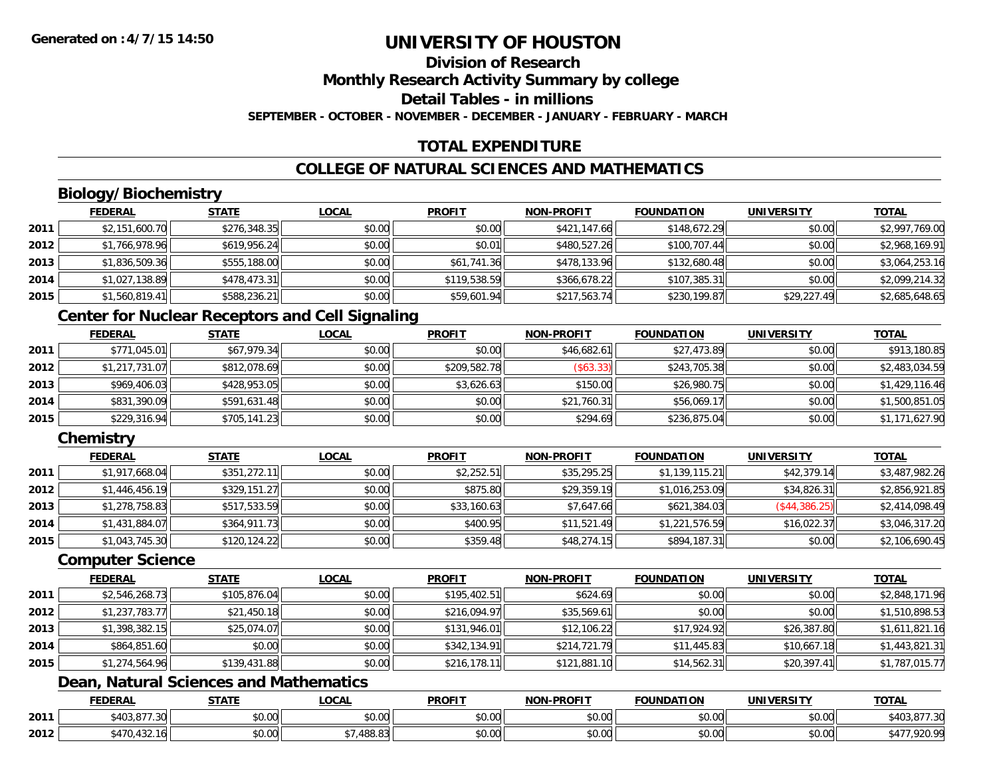## **Division of ResearchMonthly Research Activity Summary by college Detail Tables - in millions**

**SEPTEMBER - OCTOBER - NOVEMBER - DECEMBER - JANUARY - FEBRUARY - MARCH**

### **TOTAL EXPENDITURE**

### **COLLEGE OF NATURAL SCIENCES AND MATHEMATICS**

## **Biology/Biochemistry**

|      | <b>FEDERAL</b> | <b>STATE</b> | <u>LOCAL</u> | <b>PROFIT</b> | <b>NON-PROFIT</b> | <b>FOUNDATION</b> | <b>UNIVERSITY</b> | <u>TOTAL</u>   |
|------|----------------|--------------|--------------|---------------|-------------------|-------------------|-------------------|----------------|
| 2011 | \$2,151,600.70 | \$276,348.35 | \$0.00       | \$0.00        | \$421,147.66      | \$148,672.29      | \$0.00            | \$2,997,769.00 |
| 2012 | \$1,766,978.96 | \$619,956.24 | \$0.00       | \$0.01        | \$480,527.26      | \$100,707.44      | \$0.00            | \$2,968,169.91 |
| 2013 | \$1,836,509.36 | \$555,188.00 | \$0.00       | \$61,741.36   | \$478,133.96      | \$132,680.48      | \$0.00            | \$3,064,253.16 |
| 2014 | \$1,027,138.89 | \$478,473.31 | \$0.00       | \$119,538.59  | \$366,678.22      | \$107,385.31      | \$0.00            | \$2,099,214.32 |
| 2015 | \$1,560,819.41 | \$588,236.21 | \$0.00       | \$59,601.94   | \$217,563.74      | \$230,199.87      | \$29,227.49       | \$2,685,648.65 |

#### **Center for Nuclear Receptors and Cell Signaling**

|      | <b>FEDERAL</b> | <u>STATE</u> | <b>LOCAL</b> | <b>PROFIT</b> | <b>NON-PROFIT</b> | <b>FOUNDATION</b> | <b>UNIVERSITY</b> | <b>TOTAL</b>   |
|------|----------------|--------------|--------------|---------------|-------------------|-------------------|-------------------|----------------|
| 2011 | \$771,045.01   | \$67,979.34  | \$0.00       | \$0.00        | \$46,682.61       | \$27,473.89       | \$0.00            | \$913,180.85   |
| 2012 | \$1,217,731.07 | \$812,078.69 | \$0.00       | \$209,582.78  | (\$63.33)         | \$243,705.38      | \$0.00            | \$2,483,034.59 |
| 2013 | \$969,406.03   | \$428,953.05 | \$0.00       | \$3,626.63    | \$150.00          | \$26,980.75       | \$0.00            | \$1,429,116.46 |
| 2014 | \$831,390.09   | \$591,631.48 | \$0.00       | \$0.00        | \$21,760.31       | \$56,069.17       | \$0.00            | \$1,500,851.05 |
| 2015 | \$229,316.94   | \$705,141.23 | \$0.00       | \$0.00        | \$294.69          | \$236,875.04      | \$0.00            | \$1,171,627.90 |

#### **Chemistry**

|      | <b>FEDERAL</b> | <b>STATE</b> | <b>LOCAL</b> | <b>PROFIT</b> | <b>NON-PROFIT</b> | <b>FOUNDATION</b> | <b>UNIVERSITY</b> | <b>TOTAL</b>   |
|------|----------------|--------------|--------------|---------------|-------------------|-------------------|-------------------|----------------|
| 2011 | \$1,917,668.04 | \$351,272.11 | \$0.00       | \$2,252.51    | \$35,295.25       | \$1,139,115.21    | \$42,379.14       | \$3,487,982.26 |
| 2012 | \$1,446,456.19 | \$329,151.27 | \$0.00       | \$875.80      | \$29,359.19       | \$1,016,253.09    | \$34,826.31       | \$2,856,921.85 |
| 2013 | \$1,278,758.83 | \$517,533.59 | \$0.00       | \$33,160.63   | \$7,647.66        | \$621,384.03      | (S44, 386.25)     | \$2,414,098.49 |
| 2014 | \$1,431,884.07 | \$364,911.73 | \$0.00       | \$400.95      | \$11,521.49       | \$1,221,576.59    | \$16,022.37       | \$3,046,317.20 |
| 2015 | \$1,043,745.30 | \$120,124.22 | \$0.00       | \$359.48      | \$48,274.15       | \$894,187.31      | \$0.00            | \$2,106,690.45 |

#### **Computer Science**

|      | <b>FEDERAL</b> | <b>STATE</b> | <b>LOCAL</b> | <b>PROFIT</b> | <b>NON-PROFIT</b> | <b>FOUNDATION</b> | <b>UNIVERSITY</b> | <b>TOTAL</b>   |
|------|----------------|--------------|--------------|---------------|-------------------|-------------------|-------------------|----------------|
| 2011 | \$2,546,268.73 | \$105,876.04 | \$0.00       | \$195,402.51  | \$624.69          | \$0.00            | \$0.00            | \$2,848,171.96 |
| 2012 | \$1,237,783.77 | \$21,450.18  | \$0.00       | \$216,094.97  | \$35,569.61       | \$0.00            | \$0.00            | \$1,510,898.53 |
| 2013 | \$1,398,382.15 | \$25,074.07  | \$0.00       | \$131,946.01  | \$12,106.22       | \$17,924.92       | \$26,387.80       | \$1,611,821.16 |
| 2014 | \$864,851.60   | \$0.00       | \$0.00       | \$342,134.91  | \$214,721.79      | \$11,445.83       | \$10,667.18       | \$1,443,821.31 |
| 2015 | \$1,274,564.96 | \$139,431.88 | \$0.00       | \$216,178.11  | \$121,881.10      | \$14,562.31       | \$20,397.41       | \$1,787,015.77 |

### **Dean, Natural Sciences and Mathematics**

|      | <b>FEDERAL</b>                    | <b>CTATI</b><br>31 A . | <b>OCAL</b>               | <b>PROFIT</b> | -PROFIT<br><b>NIONI</b> | <b>FOUNDATION</b> | UNIVERSITY                | <b>TOTAL</b>                    |
|------|-----------------------------------|------------------------|---------------------------|---------------|-------------------------|-------------------|---------------------------|---------------------------------|
| 2011 | 403.877<br>0.02<br>$\sim$<br>7.3U | \$0.00                 | $\sim$<br>$\sim$<br>vv.vv | 0000<br>DU.UG | 0.00<br>DU.UU           | \$0.00            | 0000<br><b>DU.UG</b>      | $+100$<br>077.20<br>40.U<br>, ن |
| 2012 | $^{\circ}$ 470 $\sim$             | \$0.00                 | 1000<br>'oo.oა            | 0000<br>DU.UG | 0.00<br><b>DU.UU</b>    | \$0.00            | $\sim$ 00<br><b>JU.UU</b> | രാവ റെ                          |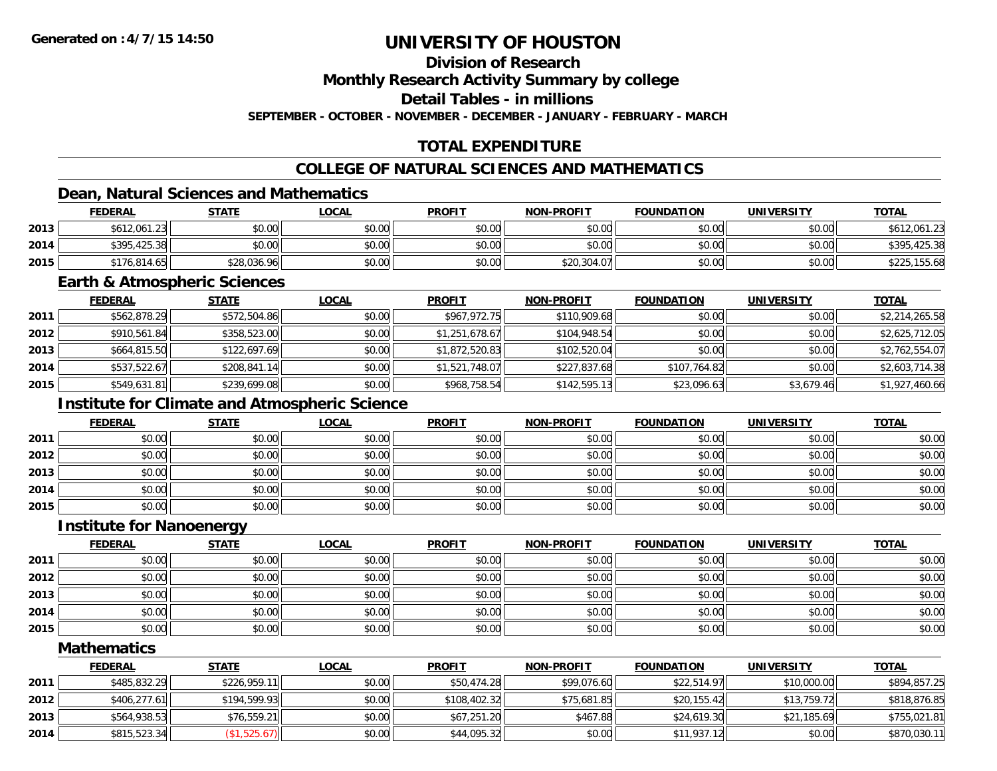#### **Division of Research**

**Monthly Research Activity Summary by college**

**Detail Tables - in millions**

**SEPTEMBER - OCTOBER - NOVEMBER - DECEMBER - JANUARY - FEBRUARY - MARCH**

### **TOTAL EXPENDITURE**

### **COLLEGE OF NATURAL SCIENCES AND MATHEMATICS**

### **Dean, Natural Sciences and Mathematics**

|      | <b>FEDERAL</b> | <b>STATE</b> | <u>LOCAL</u> | <b>PROFIT</b> | <b>NON-PROFIT</b> | <b>FOUNDATION</b> | <b>UNIVERSITY</b> | <b>TOTAL</b> |
|------|----------------|--------------|--------------|---------------|-------------------|-------------------|-------------------|--------------|
| 2013 | \$612,061.23   | \$0.00       | \$0.00       | \$0.00        | \$0.00            | \$0.00            | \$0.00            | \$612,061.23 |
| 2014 | \$395,425.38   | \$0.00       | \$0.00       | \$0.00        | \$0.00            | \$0.00            | \$0.00            | \$395,425.38 |
| 2015 | \$176,814.65   | \$28,036.96  | \$0.00       | \$0.00        | \$20,304.07       | \$0.00            | \$0.00            | \$225,155.68 |

#### **Earth & Atmospheric Sciences**

|      | <b>FEDERAL</b> | <u>STATE</u> | <u>LOCAL</u> | <b>PROFIT</b>  | <b>NON-PROFIT</b> | <b>FOUNDATION</b> | <b>UNIVERSITY</b> | <b>TOTAL</b>   |
|------|----------------|--------------|--------------|----------------|-------------------|-------------------|-------------------|----------------|
| 2011 | \$562,878.29   | \$572,504.86 | \$0.00       | \$967.972.75   | \$110,909.68      | \$0.00            | \$0.00            | \$2,214,265.58 |
| 2012 | \$910,561.84   | \$358,523.00 | \$0.00       | \$1,251,678.67 | \$104,948.54      | \$0.00            | \$0.00            | \$2,625,712.05 |
| 2013 | \$664,815.50   | \$122,697.69 | \$0.00       | \$1,872,520.83 | \$102,520.04      | \$0.00            | \$0.00            | \$2,762,554.07 |
| 2014 | \$537,522.67   | \$208,841.14 | \$0.00       | \$1,521,748.07 | \$227,837.68      | \$107,764.82      | \$0.00            | \$2,603,714.38 |
| 2015 | \$549,631.81   | \$239,699.08 | \$0.00       | \$968,758.54   | \$142,595.13      | \$23,096.63       | \$3,679.46        | \$1,927,460.66 |

### **Institute for Climate and Atmospheric Science**

|      | <b>FEDERAL</b> | <b>STATE</b> | <u>LOCAL</u> | <b>PROFIT</b> | <b>NON-PROFIT</b> | <b>FOUNDATION</b> | <b>UNIVERSITY</b> | <b>TOTAL</b> |
|------|----------------|--------------|--------------|---------------|-------------------|-------------------|-------------------|--------------|
| 2011 | \$0.00         | \$0.00       | \$0.00       | \$0.00        | \$0.00            | \$0.00            | \$0.00            | \$0.00       |
| 2012 | \$0.00         | \$0.00       | \$0.00       | \$0.00        | \$0.00            | \$0.00            | \$0.00            | \$0.00       |
| 2013 | \$0.00         | \$0.00       | \$0.00       | \$0.00        | \$0.00            | \$0.00            | \$0.00            | \$0.00       |
| 2014 | \$0.00         | \$0.00       | \$0.00       | \$0.00        | \$0.00            | \$0.00            | \$0.00            | \$0.00       |
| 2015 | \$0.00         | \$0.00       | \$0.00       | \$0.00        | \$0.00            | \$0.00            | \$0.00            | \$0.00       |

#### **Institute for Nanoenergy**

|      | <b>FEDERAL</b> | <b>STATE</b> | <u>LOCAL</u> | <b>PROFIT</b> | <b>NON-PROFIT</b> | <b>FOUNDATION</b> | <b>UNIVERSITY</b> | <b>TOTAL</b> |
|------|----------------|--------------|--------------|---------------|-------------------|-------------------|-------------------|--------------|
| 2011 | \$0.00         | \$0.00       | \$0.00       | \$0.00        | \$0.00            | \$0.00            | \$0.00            | \$0.00       |
| 2012 | \$0.00         | \$0.00       | \$0.00       | \$0.00        | \$0.00            | \$0.00            | \$0.00            | \$0.00       |
| 2013 | \$0.00         | \$0.00       | \$0.00       | \$0.00        | \$0.00            | \$0.00            | \$0.00            | \$0.00       |
| 2014 | \$0.00         | \$0.00       | \$0.00       | \$0.00        | \$0.00            | \$0.00            | \$0.00            | \$0.00       |
| 2015 | \$0.00         | \$0.00       | \$0.00       | \$0.00        | \$0.00            | \$0.00            | \$0.00            | \$0.00       |

#### **Mathematics**

|      | <b>FEDERAL</b> | <b>STATE</b> | <u>LOCAL</u> | <b>PROFIT</b> | <b>NON-PROFIT</b> | <b>FOUNDATION</b> | <b>UNIVERSITY</b> | <b>TOTAL</b> |
|------|----------------|--------------|--------------|---------------|-------------------|-------------------|-------------------|--------------|
| 2011 | \$485,832.29   | \$226,959.11 | \$0.00       | \$50,474.28   | \$99,076.60       | \$22,514.97       | \$10,000.00       | \$894,857.25 |
| 2012 | \$406,277.61   | \$194,599.93 | \$0.00       | \$108,402.32  | \$75,681.85       | \$20,155.42       | \$13,759.72       | \$818,876.85 |
| 2013 | \$564,938.53   | \$76,559.21  | \$0.00       | \$67,251.20   | \$467.88          | \$24,619.30       | \$21,185.69       | \$755,021.81 |
| 2014 | \$815,523.34   | (\$1,525.67) | \$0.00       | \$44,095.32   | \$0.00            | \$11,937.12       | \$0.00            | \$870,030.11 |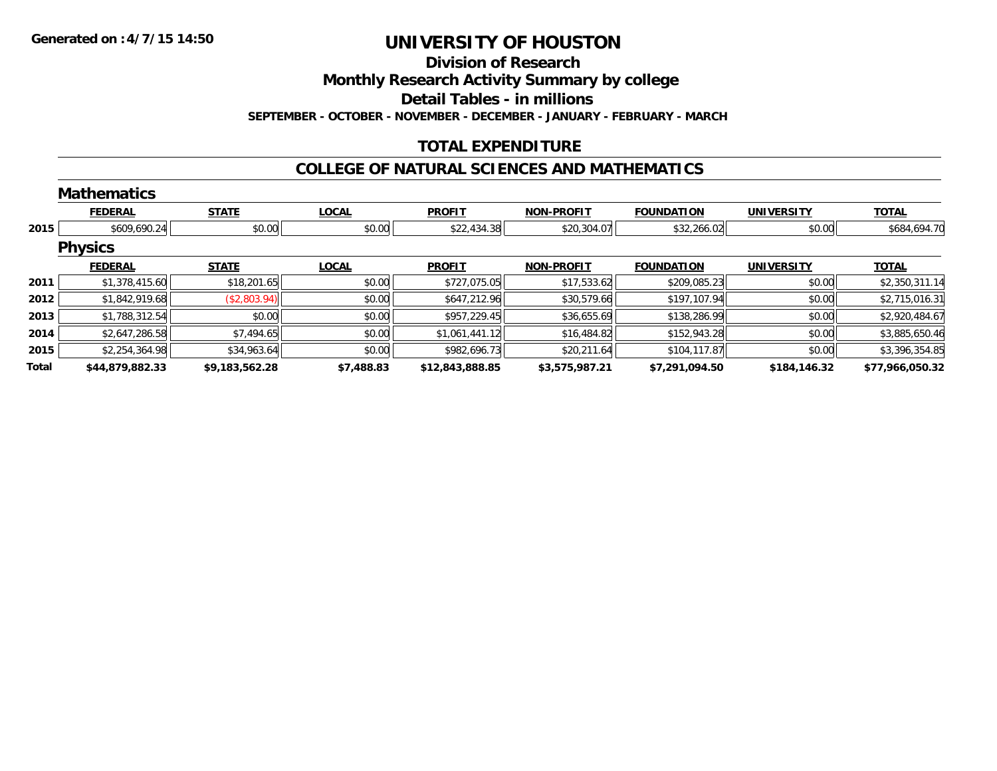#### **Division of Research**

**Monthly Research Activity Summary by college**

**Detail Tables - in millions**

**SEPTEMBER - OCTOBER - NOVEMBER - DECEMBER - JANUARY - FEBRUARY - MARCH**

### **TOTAL EXPENDITURE**

#### **COLLEGE OF NATURAL SCIENCES AND MATHEMATICS**

|       | <b>Mathematics</b> |                |              |                 |                   |                   |                   |                 |
|-------|--------------------|----------------|--------------|-----------------|-------------------|-------------------|-------------------|-----------------|
|       | <b>FEDERAL</b>     | <b>STATE</b>   | <b>LOCAL</b> | <b>PROFIT</b>   | <b>NON-PROFIT</b> | <b>FOUNDATION</b> | <b>UNIVERSITY</b> | <b>TOTAL</b>    |
| 2015  | \$609,690.24       | \$0.00         | \$0.00       | \$22,434.38     | \$20,304.07       | \$32,266.02       | \$0.00            | \$684,694.70    |
|       | <b>Physics</b>     |                |              |                 |                   |                   |                   |                 |
|       | <b>FEDERAL</b>     | <b>STATE</b>   | <b>LOCAL</b> | <b>PROFIT</b>   | <b>NON-PROFIT</b> | <b>FOUNDATION</b> | <b>UNIVERSITY</b> | <b>TOTAL</b>    |
| 2011  | \$1,378,415.60     | \$18,201.65    | \$0.00       | \$727,075.05    | \$17,533.62       | \$209,085.23      | \$0.00            | \$2,350,311.14  |
| 2012  | \$1,842,919.68     | (\$2,803.94)   | \$0.00       | \$647,212.96    | \$30,579.66       | \$197,107.94      | \$0.00            | \$2,715,016.31  |
| 2013  | \$1,788,312.54     | \$0.00         | \$0.00       | \$957,229.45    | \$36,655.69       | \$138,286.99      | \$0.00            | \$2,920,484.67  |
| 2014  | \$2,647,286.58     | \$7,494.65     | \$0.00       | \$1,061,441.12  | \$16,484.82       | \$152,943.28      | \$0.00            | \$3,885,650.46  |
| 2015  | \$2,254,364.98     | \$34,963.64    | \$0.00       | \$982,696.73    | \$20,211.64       | \$104,117.87      | \$0.00            | \$3,396,354.85  |
| Total | \$44,879,882.33    | \$9,183,562.28 | \$7,488.83   | \$12,843,888.85 | \$3,575,987.21    | \$7,291,094.50    | \$184,146.32      | \$77,966,050.32 |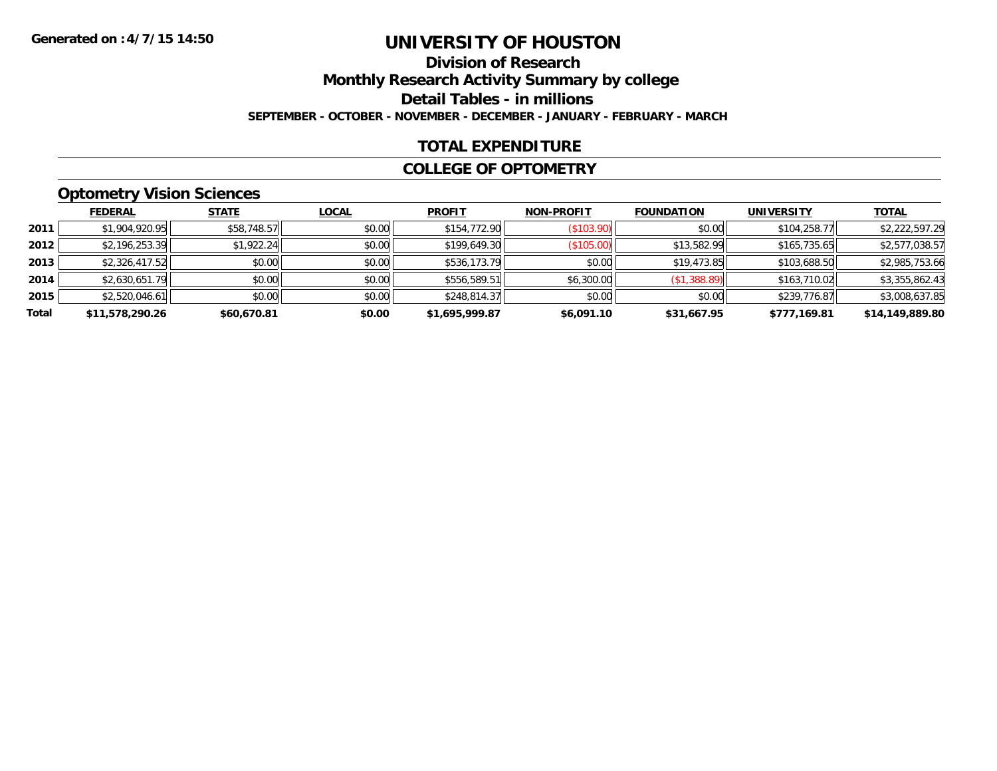### **Division of ResearchMonthly Research Activity Summary by college Detail Tables - in millions SEPTEMBER - OCTOBER - NOVEMBER - DECEMBER - JANUARY - FEBRUARY - MARCH**

#### **TOTAL EXPENDITURE**

#### **COLLEGE OF OPTOMETRY**

### **Optometry Vision Sciences**

|       | <b>FEDERAL</b>  | <b>STATE</b> | <b>LOCAL</b> | <b>PROFIT</b>  | <b>NON-PROFIT</b> | <b>FOUNDATION</b> | <b>UNIVERSITY</b> | <b>TOTAL</b>    |
|-------|-----------------|--------------|--------------|----------------|-------------------|-------------------|-------------------|-----------------|
| 2011  | \$1,904,920.95  | \$58,748.57  | \$0.00       | \$154,772.90   | (\$103.90)        | \$0.00            | \$104,258.77      | \$2,222,597.29  |
| 2012  | \$2,196,253.39  | \$1,922.24   | \$0.00       | \$199,649.30   | (\$105.00)        | \$13,582.99       | \$165,735.65      | \$2,577,038.57  |
| 2013  | \$2,326,417.52  | \$0.00       | \$0.00       | \$536,173.79   | \$0.00            | \$19,473.85       | \$103,688.50      | \$2,985,753.66  |
| 2014  | \$2,630,651.79  | \$0.00       | \$0.00       | \$556,589.51   | \$6,300.00        | (\$1,388.89)      | \$163,710.02      | \$3,355,862.43  |
| 2015  | \$2,520,046.61  | \$0.00       | \$0.00       | \$248,814.37   | \$0.00            | \$0.00            | \$239,776.87      | \$3,008,637.85  |
| Total | \$11,578,290.26 | \$60,670.81  | \$0.00       | \$1,695,999.87 | \$6,091.10        | \$31,667.95       | \$777,169.81      | \$14,149,889.80 |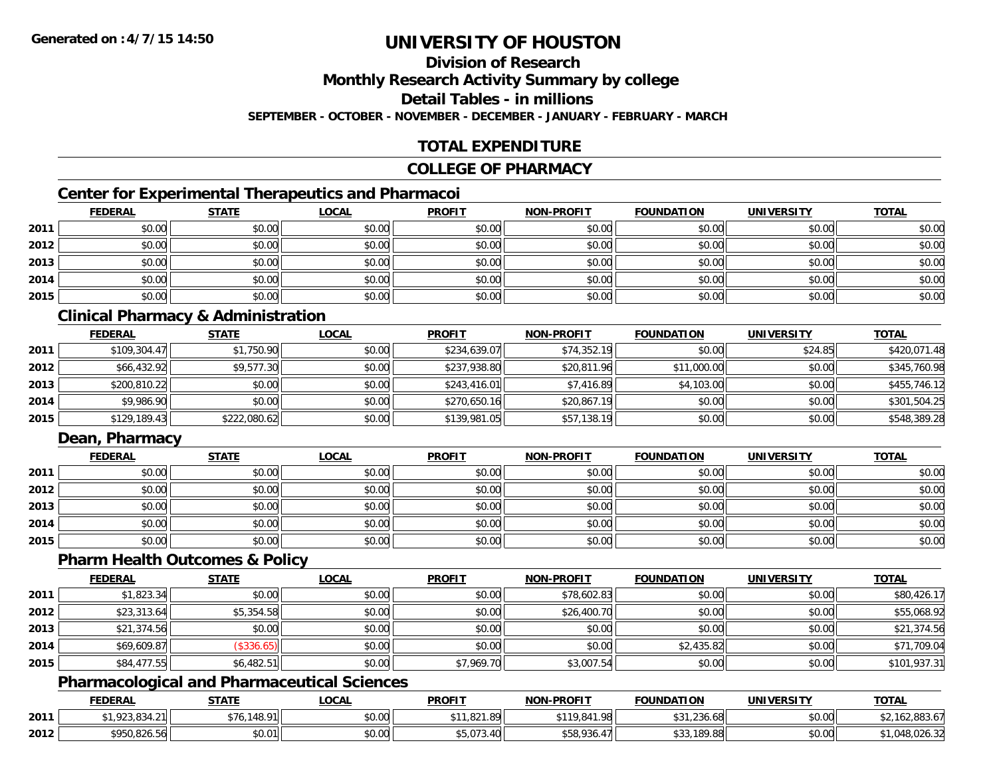## **Division of Research**

**Monthly Research Activity Summary by college**

**Detail Tables - in millions**

**SEPTEMBER - OCTOBER - NOVEMBER - DECEMBER - JANUARY - FEBRUARY - MARCH**

### **TOTAL EXPENDITURE**

#### **COLLEGE OF PHARMACY**

### **Center for Experimental Therapeutics and Pharmacoi**

|      | <b>FEDERAL</b> | <b>STATE</b> | <b>LOCAL</b> | <b>PROFIT</b> | <b>NON-PROFIT</b> | <b>FOUNDATION</b> | <b>UNIVERSITY</b> | <b>TOTAL</b> |
|------|----------------|--------------|--------------|---------------|-------------------|-------------------|-------------------|--------------|
| 2011 | \$0.00         | \$0.00       | \$0.00       | \$0.00        | \$0.00            | \$0.00            | \$0.00            | \$0.00       |
| 2012 | \$0.00         | \$0.00       | \$0.00       | \$0.00        | \$0.00            | \$0.00            | \$0.00            | \$0.00       |
| 2013 | \$0.00         | \$0.00       | \$0.00       | \$0.00        | \$0.00            | \$0.00            | \$0.00            | \$0.00       |
| 2014 | \$0.00         | \$0.00       | \$0.00       | \$0.00        | \$0.00            | \$0.00            | \$0.00            | \$0.00       |
| 2015 | \$0.00         | \$0.00       | \$0.00       | \$0.00        | \$0.00            | \$0.00            | \$0.00            | \$0.00       |

### **Clinical Pharmacy & Administration**

|      | <b>FEDERAL</b> | <b>STATE</b> | <u>LOCAL</u> | <b>PROFIT</b> | <b>NON-PROFIT</b> | <b>FOUNDATION</b> | <b>UNIVERSITY</b> | <b>TOTAL</b> |
|------|----------------|--------------|--------------|---------------|-------------------|-------------------|-------------------|--------------|
| 2011 | \$109,304.47   | \$1,750.90   | \$0.00       | \$234,639.07  | \$74,352.19       | \$0.00            | \$24.85           | \$420,071.48 |
| 2012 | \$66,432.92    | \$9,577.30   | \$0.00       | \$237,938.80  | \$20,811.96       | \$11,000.00       | \$0.00            | \$345,760.98 |
| 2013 | \$200,810.22   | \$0.00       | \$0.00       | \$243,416.01  | \$7,416.89        | \$4,103,00        | \$0.00            | \$455,746.12 |
| 2014 | \$9,986.90     | \$0.00       | \$0.00       | \$270,650.16  | \$20,867.19       | \$0.00            | \$0.00            | \$301,504.25 |
| 2015 | \$129,189.43   | \$222,080.62 | \$0.00       | \$139,981.05  | \$57,138.19       | \$0.00            | \$0.00            | \$548,389.28 |

### **Dean, Pharmacy**

|      | <u>FEDERAL</u> | <u>STATE</u> | <u>LOCAL</u> | <b>PROFIT</b> | <b>NON-PROFIT</b> | <b>FOUNDATION</b> | <b>UNIVERSITY</b> | <b>TOTAL</b> |
|------|----------------|--------------|--------------|---------------|-------------------|-------------------|-------------------|--------------|
| 2011 | \$0.00         | \$0.00       | \$0.00       | \$0.00        | \$0.00            | \$0.00            | \$0.00            | \$0.00       |
| 2012 | \$0.00         | \$0.00       | \$0.00       | \$0.00        | \$0.00            | \$0.00            | \$0.00            | \$0.00       |
| 2013 | \$0.00         | \$0.00       | \$0.00       | \$0.00        | \$0.00            | \$0.00            | \$0.00            | \$0.00       |
| 2014 | \$0.00         | \$0.00       | \$0.00       | \$0.00        | \$0.00            | \$0.00            | \$0.00            | \$0.00       |
| 2015 | \$0.00         | \$0.00       | \$0.00       | \$0.00        | \$0.00            | \$0.00            | \$0.00            | \$0.00       |

#### **Pharm Health Outcomes & Policy**

|      | <b>FEDERAL</b> | <b>STATE</b> | <b>LOCAL</b> | <b>PROFIT</b> | <b>NON-PROFIT</b> | <b>FOUNDATION</b> | <b>UNIVERSITY</b> | <b>TOTAL</b> |
|------|----------------|--------------|--------------|---------------|-------------------|-------------------|-------------------|--------------|
| 2011 | \$1,823.34     | \$0.00       | \$0.00       | \$0.00        | \$78,602.83       | \$0.00            | \$0.00            | \$80,426.17  |
| 2012 | \$23,313.64    | \$5,354.58   | \$0.00       | \$0.00        | \$26,400.70       | \$0.00            | \$0.00            | \$55,068.92  |
| 2013 | \$21,374.56    | \$0.00       | \$0.00       | \$0.00        | \$0.00            | \$0.00            | \$0.00            | \$21,374.56  |
| 2014 | \$69,609.87    | (\$336.65)   | \$0.00       | \$0.00        | \$0.00            | \$2,435.82        | \$0.00            | \$71,709.04  |
| 2015 | \$84,477.55    | \$6,482.51   | \$0.00       | \$7,969.70    | \$3,007.54        | \$0.00            | \$0.00            | \$101,937.31 |

#### **Pharmacological and Pharmaceutical Sciences**

|      | <b>FEDERAL</b> | <b>STATE</b>                  | _OCAL              | <b>PROFIT</b>                    | <b>NON-PROFIT</b>   | <b>FOUNDATION</b>                    | UNIVERSITY | <b>TOTAL</b> |
|------|----------------|-------------------------------|--------------------|----------------------------------|---------------------|--------------------------------------|------------|--------------|
| 2011 | റാ റാ          | $+7.$<br>110<br>$^{\circ}$ 01 | $\sim$ 00<br>pu.uu | 0.2100<br>. .<br>ا الا8. ا ∠ن, . | \$119,841.98<br>יש، | $\sim$<br>$\sqrt{2}$<br>,236.68<br>◡ | \$0.00     | 162,883.67   |
| 2012 | \$950,826.56   | \$0.01                        | ልስ ሀህ<br>vv.vv     | .-<br>99.U / 3.4                 | $+50.026$<br>JUO.   | .189.88                              | \$0.00     | 8.UZ0.3∠ا    |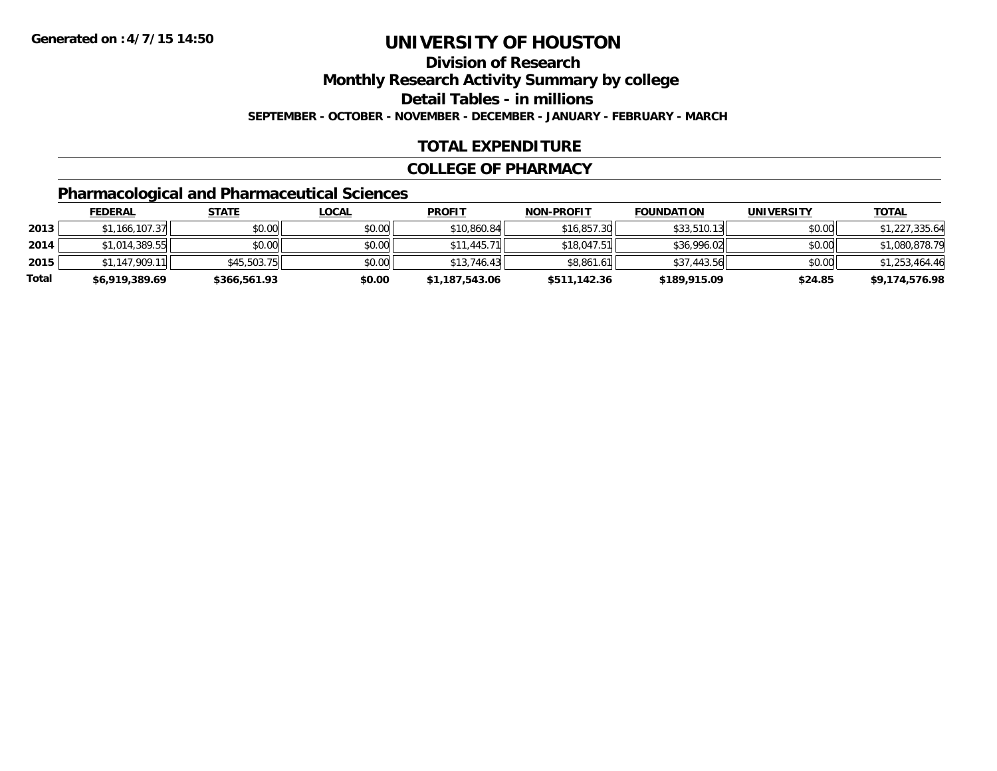# **Division of Research**

**Monthly Research Activity Summary by college**

**Detail Tables - in millions**

**SEPTEMBER - OCTOBER - NOVEMBER - DECEMBER - JANUARY - FEBRUARY - MARCH**

### **TOTAL EXPENDITURE**

#### **COLLEGE OF PHARMACY**

### **Pharmacological and Pharmaceutical Sciences**

|       | <b>FEDERAL</b> | <u>STATE</u> | <u>LOCAL</u> | <b>PROFIT</b>  | <b>NON-PROFIT</b> | <b>FOUNDATION</b> | UNIVERSITY | <b>TOTAL</b>   |
|-------|----------------|--------------|--------------|----------------|-------------------|-------------------|------------|----------------|
| 2013  | \$1,166,107.37 | \$0.00       | \$0.00       | \$10,860.84    | \$16,857.30       | \$33,510.13       | \$0.00     | \$1,227,335.64 |
| 2014  | \$1,014,389.55 | \$0.00       | \$0.00       | \$11,445.71    | \$18,047.51       | \$36,996.02       | \$0.00     | \$1,080,878.79 |
| 2015  | \$1.147.909.11 | \$45,503.75  | \$0.00       | \$13,746.43    | \$8,861.61        | \$37,443.56       | \$0.00     | \$1,253,464.46 |
| Total | \$6,919,389.69 | \$366,561.93 | \$0.00       | \$1,187,543.06 | \$511,142.36      | \$189,915.09      | \$24.85    | \$9,174,576.98 |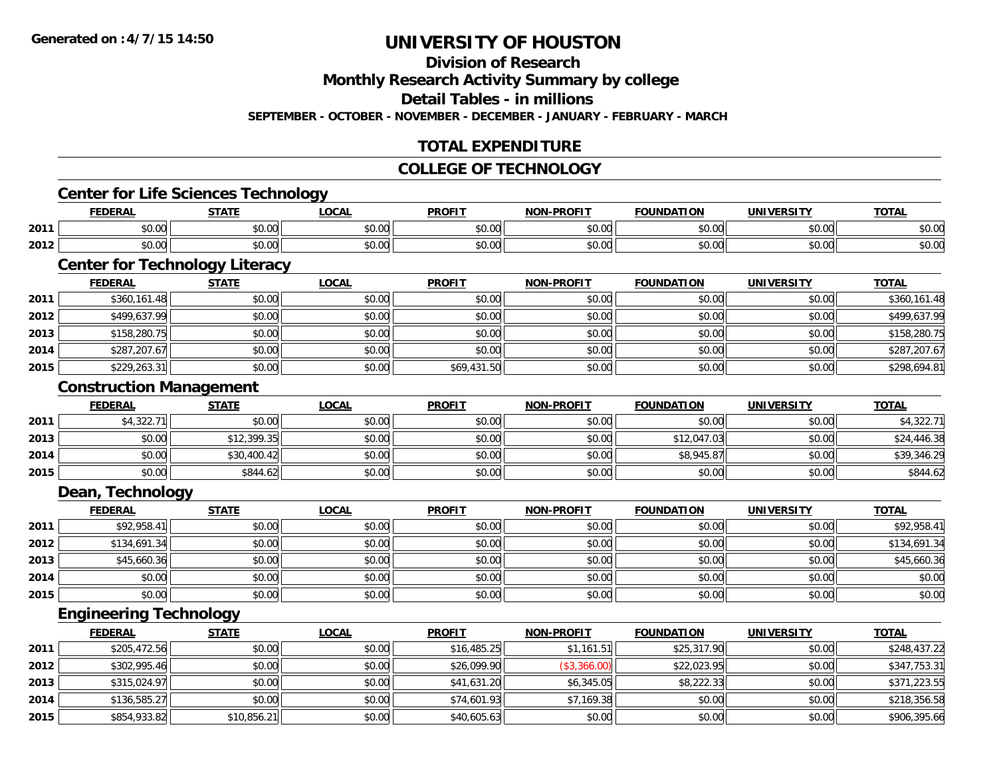#### **Division of Research**

**Monthly Research Activity Summary by college**

**Detail Tables - in millions**

**SEPTEMBER - OCTOBER - NOVEMBER - DECEMBER - JANUARY - FEBRUARY - MARCH**

### **TOTAL EXPENDITURE**

#### **COLLEGE OF TECHNOLOGY**

#### **Center for Life Sciences Technology**

|      | . .                                                     | $- - - -$          | $\sim$ $\sim$ $\sim$   | <b>DDOEIT</b>                 | DDOEIT<br><b>NON</b>    | חחו              | ---<br>INI | $T^{\prime}$<br><b>OIAL</b>                           |
|------|---------------------------------------------------------|--------------------|------------------------|-------------------------------|-------------------------|------------------|------------|-------------------------------------------------------|
| 2011 | $\sim$ $\sim$<br>שט.טע                                  | $\sim$ 00<br>טט.טע | $\sim$ $\sim$<br>vu.vu | $\sim$ $\sim$ $\sim$<br>JU.UU | 0 <sup>n</sup><br>vu.ou | 0000<br>u.uu     | \$0.00     | $\circ$ $\circ$<br>JU.U                               |
| 2012 | $\mathbf{A} \cap \mathbf{A} \cap \mathbf{A}$<br>ิ ∪ ∪ ∪ | ሐሴ ሰሰ<br>ט.טע      | $\sim$ $\sim$<br>vu.vu | $\sim$ $\sim$<br>vv.          | 0 <sub>n</sub><br>vv.vv | $\cdots$<br>u.uu | \$0.00     | $\mathbf{A} \cap \mathbf{A} \cap \mathbf{A}$<br>יט.טי |

## **Center for Technology Literacy**

|      | <b>FEDERAL</b> | <b>STATE</b> | <u>LOCAL</u> | <b>PROFIT</b> | <b>NON-PROFIT</b> | <b>FOUNDATION</b> | <b>UNIVERSITY</b> | <b>TOTAL</b> |
|------|----------------|--------------|--------------|---------------|-------------------|-------------------|-------------------|--------------|
| 2011 | \$360,161.48   | \$0.00       | \$0.00       | \$0.00        | \$0.00            | \$0.00            | \$0.00            | \$360,161.48 |
| 2012 | \$499,637.99   | \$0.00       | \$0.00       | \$0.00        | \$0.00            | \$0.00            | \$0.00            | \$499,637.99 |
| 2013 | \$158,280.75   | \$0.00       | \$0.00       | \$0.00        | \$0.00            | \$0.00            | \$0.00            | \$158,280.75 |
| 2014 | \$287,207.67   | \$0.00       | \$0.00       | \$0.00        | \$0.00            | \$0.00            | \$0.00            | \$287,207.67 |
| 2015 | \$229,263.31   | \$0.00       | \$0.00       | \$69,431.50   | \$0.00            | \$0.00            | \$0.00            | \$298,694.81 |

#### **Construction Management**

|      | <b>FEDERAL</b> | <u>STATE</u> | <u>LOCAL</u> | <b>PROFIT</b> | <b>NON-PROFIT</b> | <b>FOUNDATION</b> | UNIVERSITY | <b>TOTAL</b> |
|------|----------------|--------------|--------------|---------------|-------------------|-------------------|------------|--------------|
| 2011 | \$4,322.71     | \$0.00       | \$0.00       | \$0.00        | \$0.00            | \$0.00            | \$0.00     | \$4,322.71   |
| 2013 | \$0.00         | \$12,399.35  | \$0.00       | \$0.00        | \$0.00            | \$12,047.03       | \$0.00     | \$24,446.38  |
| 2014 | \$0.00         | \$30,400.42  | \$0.00       | \$0.00        | \$0.00            | \$8,945.87        | \$0.00     | \$39,346.29  |
| 2015 | \$0.00         | \$844.62     | \$0.00       | \$0.00        | \$0.00            | \$0.00            | \$0.00     | \$844.62     |

#### **Dean, Technology**

|      | <u>FEDERAL</u> | <b>STATE</b> | <b>LOCAL</b> | <b>PROFIT</b> | <b>NON-PROFIT</b> | <b>FOUNDATION</b> | <b>UNIVERSITY</b> | <b>TOTAL</b> |
|------|----------------|--------------|--------------|---------------|-------------------|-------------------|-------------------|--------------|
| 2011 | \$92,958.41    | \$0.00       | \$0.00       | \$0.00        | \$0.00            | \$0.00            | \$0.00            | \$92,958.41  |
| 2012 | \$134,691.34   | \$0.00       | \$0.00       | \$0.00        | \$0.00            | \$0.00            | \$0.00            | \$134,691.34 |
| 2013 | \$45,660.36    | \$0.00       | \$0.00       | \$0.00        | \$0.00            | \$0.00            | \$0.00            | \$45,660.36  |
| 2014 | \$0.00         | \$0.00       | \$0.00       | \$0.00        | \$0.00            | \$0.00            | \$0.00            | \$0.00       |
| 2015 | \$0.00         | \$0.00       | \$0.00       | \$0.00        | \$0.00            | \$0.00            | \$0.00            | \$0.00       |

#### **Engineering Technology**

|      | <b>Engineering Technology</b> |              |              |               |                   |                   |                   |              |  |  |  |
|------|-------------------------------|--------------|--------------|---------------|-------------------|-------------------|-------------------|--------------|--|--|--|
|      | <b>FEDERAL</b>                | <b>STATE</b> | <b>LOCAL</b> | <b>PROFIT</b> | <b>NON-PROFIT</b> | <b>FOUNDATION</b> | <b>UNIVERSITY</b> | <b>TOTAL</b> |  |  |  |
| 2011 | \$205,472.56                  | \$0.00       | \$0.00       | \$16,485.25   | \$1,161.51        | \$25,317.90       | \$0.00            | \$248,437.22 |  |  |  |
| 2012 | \$302,995.46                  | \$0.00       | \$0.00       | \$26,099.90   | (\$3,366.00)      | \$22,023.95       | \$0.00            | \$347,753.31 |  |  |  |
| 2013 | \$315,024.97                  | \$0.00       | \$0.00       | \$41,631.20   | \$6,345.05        | \$8,222.33        | \$0.00            | \$371,223.55 |  |  |  |
| 2014 | \$136,585.27                  | \$0.00       | \$0.00       | \$74,601.93   | \$7,169.38        | \$0.00            | \$0.00            | \$218,356.58 |  |  |  |
| 2015 | \$854,933.82                  | \$10,856.21  | \$0.00       | \$40,605.63   | \$0.00            | \$0.00            | \$0.00            | \$906,395.66 |  |  |  |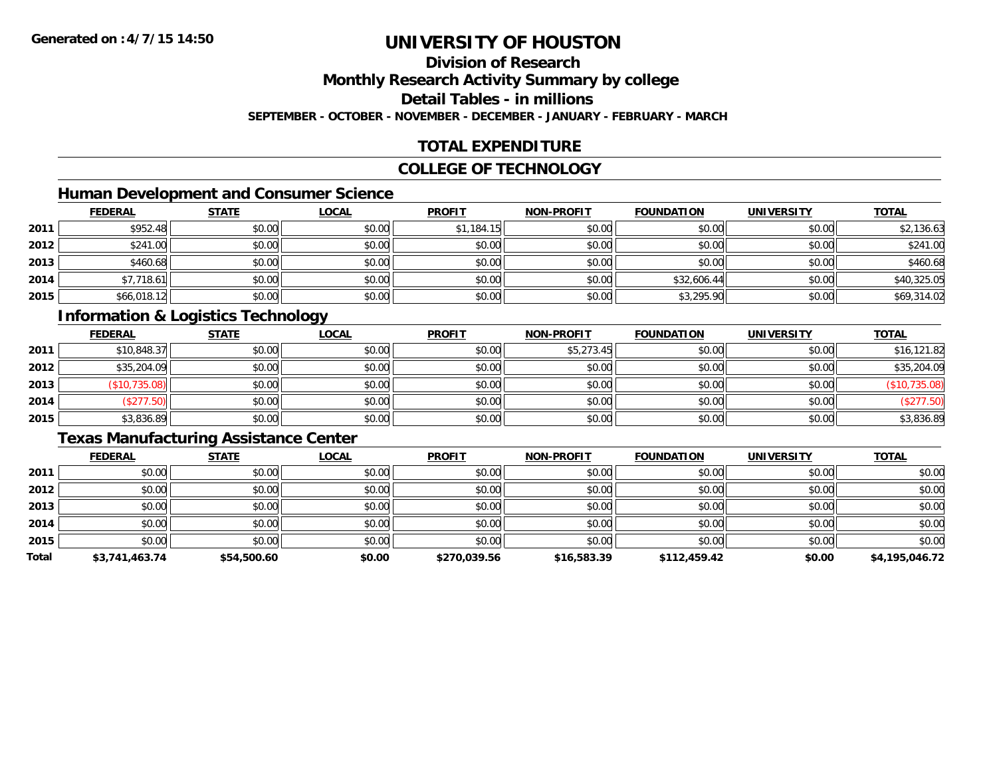## **Division of Research**

**Monthly Research Activity Summary by college**

**Detail Tables - in millions**

**SEPTEMBER - OCTOBER - NOVEMBER - DECEMBER - JANUARY - FEBRUARY - MARCH**

### **TOTAL EXPENDITURE**

#### **COLLEGE OF TECHNOLOGY**

### **Human Development and Consumer Science**

|      | <b>FEDERAL</b> | <b>STATE</b> | <b>LOCAL</b> | <b>PROFIT</b> | <b>NON-PROFIT</b> | <b>FOUNDATION</b> | <b>UNIVERSITY</b> | <b>TOTAL</b> |
|------|----------------|--------------|--------------|---------------|-------------------|-------------------|-------------------|--------------|
| 2011 | \$952.48       | \$0.00       | \$0.00       | \$1,184.15    | \$0.00            | \$0.00            | \$0.00            | \$2,136.63   |
| 2012 | \$241.00       | \$0.00       | \$0.00       | \$0.00        | \$0.00            | \$0.00            | \$0.00            | \$241.00     |
| 2013 | \$460.68       | \$0.00       | \$0.00       | \$0.00        | \$0.00            | \$0.00            | \$0.00            | \$460.68     |
| 2014 | \$7,718.61     | \$0.00       | \$0.00       | \$0.00        | \$0.00            | \$32,606.44       | \$0.00            | \$40,325.05  |
| 2015 | \$66,018.12    | \$0.00       | \$0.00       | \$0.00        | \$0.00            | \$3,295.90        | \$0.00            | \$69,314.02  |

### **Information & Logistics Technology**

|      | <b>FEDERAL</b> | <b>STATE</b> | <u>LOCAL</u> | <b>PROFIT</b> | <b>NON-PROFIT</b> | <b>FOUNDATION</b> | <b>UNIVERSITY</b> | <b>TOTAL</b>  |
|------|----------------|--------------|--------------|---------------|-------------------|-------------------|-------------------|---------------|
| 2011 | \$10,848.37    | \$0.00       | \$0.00       | \$0.00        | \$5,273.45        | \$0.00            | \$0.00            | \$16,121.82   |
| 2012 | \$35,204.09    | \$0.00       | \$0.00       | \$0.00        | \$0.00            | \$0.00            | \$0.00            | \$35,204.09   |
| 2013 | (\$10,735.08)  | \$0.00       | \$0.00       | \$0.00        | \$0.00            | \$0.00            | \$0.00            | (\$10,735.08) |
| 2014 | \$277.50       | \$0.00       | \$0.00       | \$0.00        | \$0.00            | \$0.00            | \$0.00            | (\$277.50)    |
| 2015 | \$3,836.89     | \$0.00       | \$0.00       | \$0.00        | \$0.00            | \$0.00            | \$0.00            | \$3,836.89    |

#### **Texas Manufacturing Assistance Center**

|       | <b>FEDERAL</b> | <b>STATE</b> | <b>LOCAL</b> | <b>PROFIT</b> | <b>NON-PROFIT</b> | <b>FOUNDATION</b> | <b>UNIVERSITY</b> | <b>TOTAL</b>   |
|-------|----------------|--------------|--------------|---------------|-------------------|-------------------|-------------------|----------------|
| 2011  | \$0.00         | \$0.00       | \$0.00       | \$0.00        | \$0.00            | \$0.00            | \$0.00            | \$0.00         |
| 2012  | \$0.00         | \$0.00       | \$0.00       | \$0.00        | \$0.00            | \$0.00            | \$0.00            | \$0.00         |
| 2013  | \$0.00         | \$0.00       | \$0.00       | \$0.00        | \$0.00            | \$0.00            | \$0.00            | \$0.00         |
| 2014  | \$0.00         | \$0.00       | \$0.00       | \$0.00        | \$0.00            | \$0.00            | \$0.00            | \$0.00         |
| 2015  | \$0.00         | \$0.00       | \$0.00       | \$0.00        | \$0.00            | \$0.00            | \$0.00            | \$0.00         |
| Total | \$3,741,463.74 | \$54,500.60  | \$0.00       | \$270,039.56  | \$16,583.39       | \$112,459.42      | \$0.00            | \$4,195,046.72 |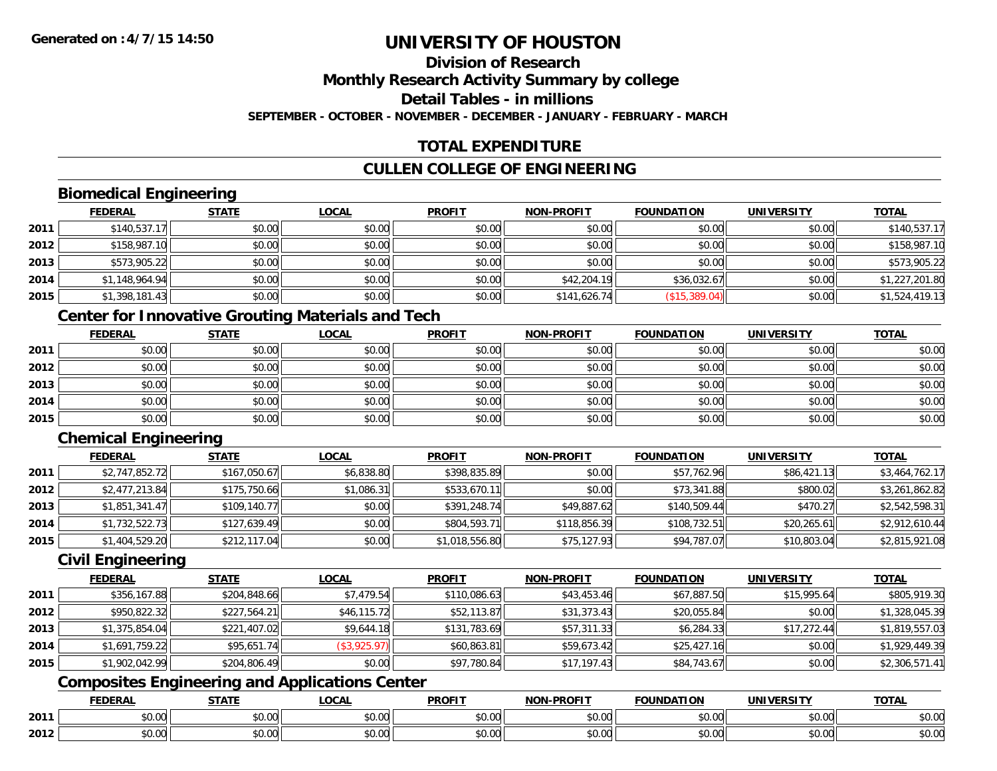#### **Division of ResearchMonthly Research Activity Summary by college Detail Tables - in millions**

**SEPTEMBER - OCTOBER - NOVEMBER - DECEMBER - JANUARY - FEBRUARY - MARCH**

### **TOTAL EXPENDITURE**

### **CULLEN COLLEGE OF ENGINEERING**

### **Biomedical Engineering**

|      | <b>FEDERAL</b> | <b>STATE</b> | <b>LOCAL</b> | <b>PROFIT</b> | NON-PROFIT   | <b>FOUNDATION</b> | <b>UNIVERSITY</b> | <b>TOTAL</b>   |
|------|----------------|--------------|--------------|---------------|--------------|-------------------|-------------------|----------------|
| 2011 | \$140,537.17   | \$0.00       | \$0.00       | \$0.00        | \$0.00       | \$0.00            | \$0.00            | \$140,537.17   |
| 2012 | \$158,987.10   | \$0.00       | \$0.00       | \$0.00        | \$0.00       | \$0.00            | \$0.00            | \$158,987.10   |
| 2013 | \$573,905.22   | \$0.00       | \$0.00       | \$0.00        | \$0.00       | \$0.00            | \$0.00            | \$573,905.22   |
| 2014 | \$1,148,964.94 | \$0.00       | \$0.00       | \$0.00        | \$42,204.19  | \$36,032.67       | \$0.00            | \$1,227,201.80 |
| 2015 | \$1,398,181.43 | \$0.00       | \$0.00       | \$0.00        | \$141,626.74 | (\$15,389.04)     | \$0.00            | \$1,524,419.13 |

### **Center for Innovative Grouting Materials and Tech**

|      | <b>FEDERAL</b> | <b>STATE</b> | <u>LOCAL</u> | <b>PROFIT</b> | <b>NON-PROFIT</b> | <b>FOUNDATION</b> | <b>UNIVERSITY</b> | <b>TOTAL</b> |
|------|----------------|--------------|--------------|---------------|-------------------|-------------------|-------------------|--------------|
| 2011 | \$0.00         | \$0.00       | \$0.00       | \$0.00        | \$0.00            | \$0.00            | \$0.00            | \$0.00       |
| 2012 | \$0.00         | \$0.00       | \$0.00       | \$0.00        | \$0.00            | \$0.00            | \$0.00            | \$0.00       |
| 2013 | \$0.00         | \$0.00       | \$0.00       | \$0.00        | \$0.00            | \$0.00            | \$0.00            | \$0.00       |
| 2014 | \$0.00         | \$0.00       | \$0.00       | \$0.00        | \$0.00            | \$0.00            | \$0.00            | \$0.00       |
| 2015 | \$0.00         | \$0.00       | \$0.00       | \$0.00        | \$0.00            | \$0.00            | \$0.00            | \$0.00       |

### **Chemical Engineering**

|      | <b>FEDERAL</b> | <b>STATE</b> | <b>LOCAL</b> | <b>PROFIT</b>  | <b>NON-PROFIT</b> | <b>FOUNDATION</b> | <b>UNIVERSITY</b> | <b>TOTAL</b>   |
|------|----------------|--------------|--------------|----------------|-------------------|-------------------|-------------------|----------------|
| 2011 | \$2,747,852.72 | \$167,050.67 | \$6,838.80   | \$398,835.89   | \$0.00            | \$57,762.96       | \$86,421.13       | \$3,464,762.17 |
| 2012 | \$2,477,213.84 | \$175,750.66 | \$1,086.31   | \$533,670.11   | \$0.00            | \$73,341.88       | \$800.02          | \$3,261,862.82 |
| 2013 | \$1,851,341.47 | \$109,140.77 | \$0.00       | \$391,248.74   | \$49,887.62       | \$140,509.44      | \$470.27          | \$2,542,598.31 |
| 2014 | \$1,732,522.73 | \$127,639.49 | \$0.00       | \$804,593.71   | \$118,856.39      | \$108,732.51      | \$20,265.61       | \$2,912,610.44 |
| 2015 | \$1,404,529.20 | \$212,117.04 | \$0.00       | \$1,018,556.80 | \$75,127.93       | \$94,787.07       | \$10,803.04       | \$2,815,921.08 |

#### **Civil Engineering**

|      | <b>FEDERAL</b> | <b>STATE</b> | <b>LOCAL</b> | <b>PROFIT</b> | <b>NON-PROFIT</b> | <b>FOUNDATION</b> | <b>UNIVERSITY</b> | <b>TOTAL</b>   |
|------|----------------|--------------|--------------|---------------|-------------------|-------------------|-------------------|----------------|
| 2011 | \$356,167.88   | \$204,848.66 | \$7.479.54   | \$110,086.63  | \$43,453.46       | \$67,887.50       | \$15,995.64       | \$805,919.30   |
| 2012 | \$950,822.32   | \$227,564.21 | \$46,115.72  | \$52,113.87   | \$31,373.43       | \$20,055.84       | \$0.00            | \$1,328,045.39 |
| 2013 | \$1,375,854.04 | \$221,407.02 | \$9,644.18   | \$131,783.69  | \$57,311.33       | \$6,284.33        | \$17,272.44       | \$1,819,557.03 |
| 2014 | \$1,691,759.22 | \$95,651.74  | (\$3,925.97) | \$60,863.81   | \$59,673.42       | \$25,427.16       | \$0.00            | \$1,929,449.39 |
| 2015 | \$1,902,042.99 | \$204,806.49 | \$0.00       | \$97,780.84   | \$17,197.43       | \$84,743.67       | \$0.00            | \$2,306,571.41 |

### **Composites Engineering and Applications Center**

|      | DERAI  | CTATI     | .OCAL     | <b>PROFIT</b> | <b>DDOCIT</b><br><b>ארות</b> | ΓΙΩΝ    | UNIVERSITY                                   | <b>TOTAL</b> |
|------|--------|-----------|-----------|---------------|------------------------------|---------|----------------------------------------------|--------------|
| 2011 | $\sim$ | $\sim$    | $\sim$    | $\cdots$      | 0.00                         | 0.00    | $\mathsf{A} \cap \mathsf{A} \cap \mathsf{A}$ | 0000         |
|      | ∕∪.∪∪  | JU.UU     | vv.vv     | vu.vu         | vu.vu                        | - JU.UU | PO.OO                                        | <b>JU.UU</b> |
|      | 0.00   | $\sim$ 00 | $\sim$ 00 | $\cdots$      | 0.00                         | 0.00    | $\sim$ 00                                    | $\cdots$     |
| 2012 | וט.טי  | JU.L      | JU.UU     | vv.vv         | JU.UU                        | ww.uu   | PO.OO                                        | <b>JU.UU</b> |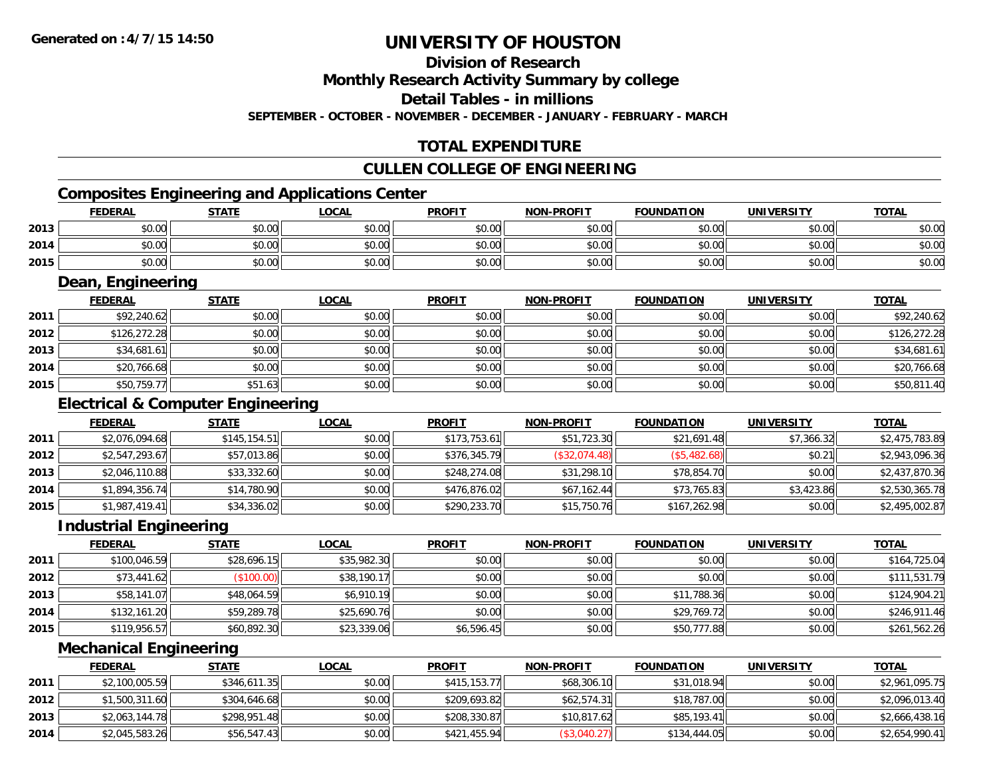### **Division of Research**

**Monthly Research Activity Summary by college**

**Detail Tables - in millions**

**SEPTEMBER - OCTOBER - NOVEMBER - DECEMBER - JANUARY - FEBRUARY - MARCH**

### **TOTAL EXPENDITURE**

#### **CULLEN COLLEGE OF ENGINEERING**

### **Composites Engineering and Applications Center**

|      | <b>FEDERAL</b> | <b>STATE</b> | <u>LOCAL</u> | <b>PROFIT</b> | <b>NON-PROFIT</b> | <b>FOUNDATION</b> | <b>UNIVERSITY</b> | <b>TOTAL</b> |
|------|----------------|--------------|--------------|---------------|-------------------|-------------------|-------------------|--------------|
| 2013 | \$0.00         | \$0.00       | \$0.00       | \$0.00        | \$0.00            | \$0.00            | \$0.00            | \$0.00       |
| 2014 | \$0.00         | \$0.00       | \$0.00       | \$0.00        | \$0.00            | \$0.00            | \$0.00            | \$0.00       |
| 2015 | \$0.00         | \$0.00       | \$0.00       | \$0.00        | \$0.00            | \$0.00            | \$0.00            | \$0.00       |

<u> 1989 - Johann Stoff, deutscher Stoffen und der Stoffen und der Stoffen und der Stoffen und der Stoffen und der</u>

#### **Dean, Engineering**

|      | <b>FEDERAL</b> | <b>STATE</b> | <b>LOCAL</b> | <b>PROFIT</b> | <b>NON-PROFIT</b> | <b>FOUNDATION</b> | <b>UNIVERSITY</b> | <b>TOTAL</b> |
|------|----------------|--------------|--------------|---------------|-------------------|-------------------|-------------------|--------------|
| 2011 | \$92,240.62    | \$0.00       | \$0.00       | \$0.00        | \$0.00            | \$0.00            | \$0.00            | \$92,240.62  |
| 2012 | \$126,272.28   | \$0.00       | \$0.00       | \$0.00        | \$0.00            | \$0.00            | \$0.00            | \$126,272.28 |
| 2013 | \$34,681.61    | \$0.00       | \$0.00       | \$0.00        | \$0.00            | \$0.00            | \$0.00            | \$34,681.61  |
| 2014 | \$20,766.68    | \$0.00       | \$0.00       | \$0.00        | \$0.00            | \$0.00            | \$0.00            | \$20,766.68  |
| 2015 | \$50,759.77    | \$51.63      | \$0.00       | \$0.00        | \$0.00            | \$0.00            | \$0.00            | \$50,811.40  |

#### **Electrical & Computer Engineering**

|      | <b>FEDERAL</b> | <b>STATE</b> | <b>LOCAL</b> | <b>PROFIT</b> | <b>NON-PROFIT</b> | <b>FOUNDATION</b> | UNIVERSITY | <b>TOTAL</b>   |
|------|----------------|--------------|--------------|---------------|-------------------|-------------------|------------|----------------|
| 2011 | \$2,076,094.68 | \$145,154.51 | \$0.00       | \$173,753.61  | \$51,723.30       | \$21,691.48       | \$7,366.32 | \$2,475,783.89 |
| 2012 | \$2,547,293.67 | \$57,013.86  | \$0.00       | \$376,345.79  | (\$32,074.48)     | (\$5,482.68)      | \$0.21     | \$2,943,096.36 |
| 2013 | \$2,046,110.88 | \$33,332.60  | \$0.00       | \$248,274.08  | \$31,298.10       | \$78,854.70       | \$0.00     | \$2,437,870.36 |
| 2014 | \$1,894,356.74 | \$14,780.90  | \$0.00       | \$476,876.02  | \$67.162.44       | \$73,765.83       | \$3,423.86 | \$2,530,365.78 |
| 2015 | \$1,987,419.41 | \$34,336.02  | \$0.00       | \$290,233.70  | \$15,750.76       | \$167,262.98      | \$0.00     | \$2,495,002.87 |

#### **Industrial Engineering**

|      | <b>FEDERAL</b> | <b>STATE</b> | <u>LOCAL</u> | <b>PROFIT</b> | <b>NON-PROFIT</b> | <b>FOUNDATION</b> | <b>UNIVERSITY</b> | <b>TOTAL</b> |
|------|----------------|--------------|--------------|---------------|-------------------|-------------------|-------------------|--------------|
| 2011 | \$100,046.59   | \$28,696.15  | \$35,982.30  | \$0.00        | \$0.00            | \$0.00            | \$0.00            | \$164,725.04 |
| 2012 | \$73,441.62    | (\$100.00)   | \$38,190.17  | \$0.00        | \$0.00            | \$0.00            | \$0.00            | \$111,531.79 |
| 2013 | \$58,141.07    | \$48,064.59  | \$6,910.19   | \$0.00        | \$0.00            | \$11,788.36       | \$0.00            | \$124,904.21 |
| 2014 | \$132,161.20   | \$59,289.78  | \$25,690.76  | \$0.00        | \$0.00            | \$29,769.72       | \$0.00            | \$246,911.46 |
| 2015 | \$119,956.57   | \$60,892.30  | \$23,339.06  | \$6,596.45    | \$0.00            | \$50,777.88       | \$0.00            | \$261,562.26 |

#### **Mechanical Engineering**

|      | <b>FEDERAL</b> | <u>STATE</u> | <u>LOCAL</u> | <b>PROFIT</b> | <b>NON-PROFIT</b> | <b>FOUNDATION</b> | UNIVERSITY | <b>TOTAL</b>   |
|------|----------------|--------------|--------------|---------------|-------------------|-------------------|------------|----------------|
| 2011 | \$2,100,005.59 | \$346,611.35 | \$0.00       | \$415,153,77  | \$68,306.10       | \$31,018.94       | \$0.00     | \$2,961,095.75 |
| 2012 | \$1,500,311.60 | \$304,646.68 | \$0.00       | \$209,693.82  | \$62.574.31       | \$18,787.00       | \$0.00     | \$2,096,013.40 |
| 2013 | \$2,063,144.78 | \$298,951.48 | \$0.00       | \$208,330.87  | \$10,817.62       | \$85,193.41       | \$0.00     | \$2,666,438.16 |
| 2014 | \$2,045,583.26 | \$56,547.43  | \$0.00       | \$421,455.94  | (\$3,040.27)      | \$134,444.05      | \$0.00     | \$2,654,990.41 |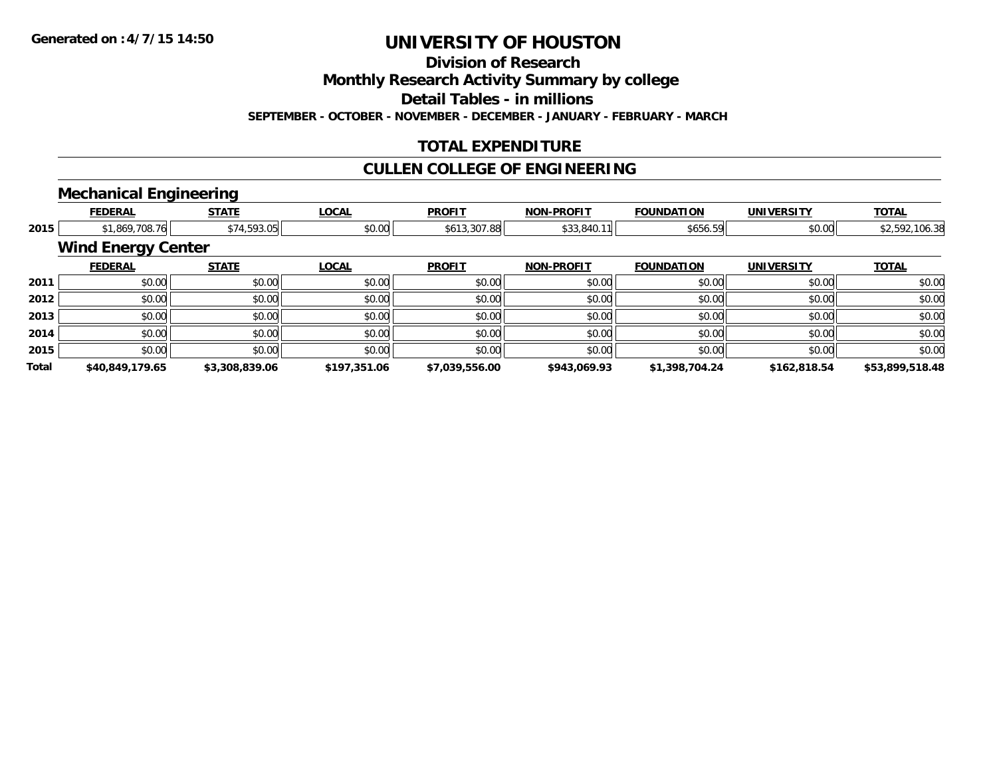**Division of Research**

**Monthly Research Activity Summary by college**

**Detail Tables - in millions**

**SEPTEMBER - OCTOBER - NOVEMBER - DECEMBER - JANUARY - FEBRUARY - MARCH**

### **TOTAL EXPENDITURE**

#### **CULLEN COLLEGE OF ENGINEERING**

### **Mechanical Engineering**

|       | <b>FEDERAL</b>            | <b>STATE</b>   | <b>LOCAL</b> | <b>PROFIT</b>  | <b>NON-PROFIT</b> | <b>FOUNDATION</b> | <b>UNIVERSITY</b> | <b>TOTAL</b>    |
|-------|---------------------------|----------------|--------------|----------------|-------------------|-------------------|-------------------|-----------------|
| 2015  | \$1,869,708.76            | \$74,593.05    | \$0.00       | \$613,307.88   | \$33,840.11       | \$656.59          | \$0.00            | \$2,592,106.38  |
|       | <b>Wind Energy Center</b> |                |              |                |                   |                   |                   |                 |
|       | <b>FEDERAL</b>            | <b>STATE</b>   | <b>LOCAL</b> | <b>PROFIT</b>  | <b>NON-PROFIT</b> | <b>FOUNDATION</b> | <b>UNIVERSITY</b> | <b>TOTAL</b>    |
| 2011  | \$0.00                    | \$0.00         | \$0.00       | \$0.00         | \$0.00            | \$0.00            | \$0.00            | \$0.00          |
| 2012  | \$0.00                    | \$0.00         | \$0.00       | \$0.00         | \$0.00            | \$0.00            | \$0.00            | \$0.00          |
| 2013  | \$0.00                    | \$0.00         | \$0.00       | \$0.00         | \$0.00            | \$0.00            | \$0.00            | \$0.00          |
| 2014  | \$0.00                    | \$0.00         | \$0.00       | \$0.00         | \$0.00            | \$0.00            | \$0.00            | \$0.00          |
| 2015  | \$0.00                    | \$0.00         | \$0.00       | \$0.00         | \$0.00            | \$0.00            | \$0.00            | \$0.00          |
| Total | \$40,849,179.65           | \$3,308,839.06 | \$197,351.06 | \$7,039,556.00 | \$943,069.93      | \$1,398,704.24    | \$162,818.54      | \$53,899,518.48 |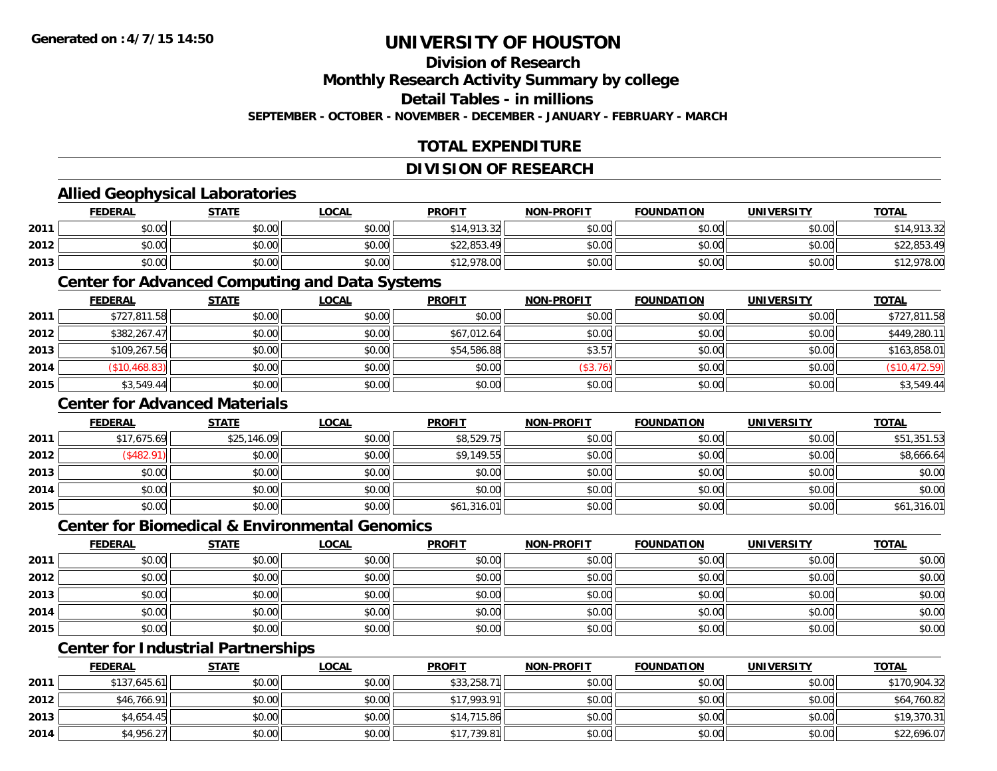### **Division of Research**

**Monthly Research Activity Summary by college**

**Detail Tables - in millions**

**SEPTEMBER - OCTOBER - NOVEMBER - DECEMBER - JANUARY - FEBRUARY - MARCH**

### **TOTAL EXPENDITURE**

#### **DIVISION OF RESEARCH**

#### **Allied Geophysical Laboratories**

|      | <b>FEDERAL</b> | <u>STATE</u> | <u>LOCAL</u> | <b>PROFIT</b> | <b>NON-PROFIT</b> | <b>FOUNDATION</b> | <b>UNIVERSITY</b> | <b>TOTAL</b> |
|------|----------------|--------------|--------------|---------------|-------------------|-------------------|-------------------|--------------|
| 2011 | \$0.00         | \$0.00       | \$0.00       | \$14,913.32   | \$0.00            | \$0.00            | \$0.00            | ,913.32      |
| 2012 | \$0.00         | \$0.00       | \$0.00       | \$22,853.49   | \$0.00            | \$0.00            | \$0.00            | \$22,853.49  |
| 2013 | \$0.00         | \$0.00       | \$0.00       | \$12,978.00   | \$0.00            | \$0.00            | \$0.00            | \$12,978.00  |

#### **Center for Advanced Computing and Data Systems**

|      | <b>FEDERAL</b> | <b>STATE</b> | <b>LOCAL</b> | <b>PROFIT</b> | <b>NON-PROFIT</b> | <b>FOUNDATION</b> | <b>UNIVERSITY</b> | <b>TOTAL</b>  |
|------|----------------|--------------|--------------|---------------|-------------------|-------------------|-------------------|---------------|
| 2011 | \$727,811.58   | \$0.00       | \$0.00       | \$0.00        | \$0.00            | \$0.00            | \$0.00            | \$727,811.58  |
| 2012 | \$382,267.47   | \$0.00       | \$0.00       | \$67,012.64   | \$0.00            | \$0.00            | \$0.00            | \$449,280.11  |
| 2013 | \$109,267.56   | \$0.00       | \$0.00       | \$54,586.88   | \$3.57            | \$0.00            | \$0.00            | \$163,858.01  |
| 2014 | (\$10,468.83)  | \$0.00       | \$0.00       | \$0.00        | (\$3.76)          | \$0.00            | \$0.00            | (\$10,472.59) |
| 2015 | \$3,549.44     | \$0.00       | \$0.00       | \$0.00        | \$0.00            | \$0.00            | \$0.00            | \$3,549.44    |

#### **Center for Advanced Materials**

|      | <b>FEDERAL</b> | <b>STATE</b> | <u>LOCAL</u> | <b>PROFIT</b> | <b>NON-PROFIT</b> | <b>FOUNDATION</b> | <b>UNIVERSITY</b> | <b>TOTAL</b> |
|------|----------------|--------------|--------------|---------------|-------------------|-------------------|-------------------|--------------|
| 2011 | \$17,675.69    | \$25,146.09  | \$0.00       | \$8,529.75    | \$0.00            | \$0.00            | \$0.00            | \$51,351.53  |
| 2012 | \$482.91       | \$0.00       | \$0.00       | \$9,149.55    | \$0.00            | \$0.00            | \$0.00            | \$8,666.64   |
| 2013 | \$0.00         | \$0.00       | \$0.00       | \$0.00        | \$0.00            | \$0.00            | \$0.00            | \$0.00       |
| 2014 | \$0.00         | \$0.00       | \$0.00       | \$0.00        | \$0.00            | \$0.00            | \$0.00            | \$0.00       |
| 2015 | \$0.00         | \$0.00       | \$0.00       | \$61,316.01   | \$0.00            | \$0.00            | \$0.00            | \$61,316.01  |

#### **Center for Biomedical & Environmental Genomics**

|      | <u>FEDERAL</u> | <b>STATE</b> | <b>LOCAL</b> | <b>PROFIT</b> | NON-PROFIT | <b>FOUNDATION</b> | <b>UNIVERSITY</b> | <b>TOTAL</b> |
|------|----------------|--------------|--------------|---------------|------------|-------------------|-------------------|--------------|
| 2011 | \$0.00         | \$0.00       | \$0.00       | \$0.00        | \$0.00     | \$0.00            | \$0.00            | \$0.00       |
| 2012 | \$0.00         | \$0.00       | \$0.00       | \$0.00        | \$0.00     | \$0.00            | \$0.00            | \$0.00       |
| 2013 | \$0.00         | \$0.00       | \$0.00       | \$0.00        | \$0.00     | \$0.00            | \$0.00            | \$0.00       |
| 2014 | \$0.00         | \$0.00       | \$0.00       | \$0.00        | \$0.00     | \$0.00            | \$0.00            | \$0.00       |
| 2015 | \$0.00         | \$0.00       | \$0.00       | \$0.00        | \$0.00     | \$0.00            | \$0.00            | \$0.00       |

### **Center for Industrial Partnerships**

|      | <b>FEDERAL</b> | <b>STATE</b> | <u>LOCAL</u> | <b>PROFIT</b> | <b>NON-PROFIT</b> | <b>FOUNDATION</b> | <b>UNIVERSITY</b> | <b>TOTAL</b> |
|------|----------------|--------------|--------------|---------------|-------------------|-------------------|-------------------|--------------|
| 2011 | \$137,645.61   | \$0.00       | \$0.00       | \$33,258.71   | \$0.00            | \$0.00            | \$0.00            | \$170,904.32 |
| 2012 | \$46,766.91    | \$0.00       | \$0.00       | \$17,993.91   | \$0.00            | \$0.00            | \$0.00            | \$64,760.82  |
| 2013 | \$4,654.45     | \$0.00       | \$0.00       | \$14,715.86   | \$0.00            | \$0.00            | \$0.00            | \$19,370.31  |
| 2014 | \$4,956.27     | \$0.00       | \$0.00       | \$17,739.81   | \$0.00            | \$0.00            | \$0.00            | \$22,696.07  |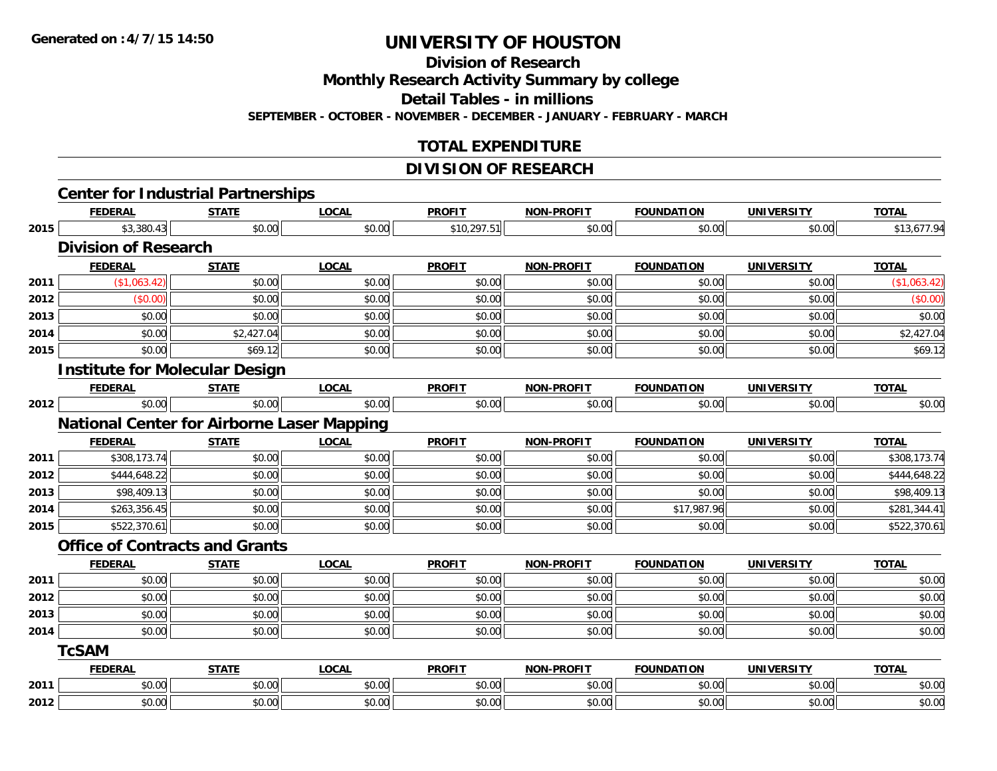**Division of Research**

**Monthly Research Activity Summary by college**

**Detail Tables - in millions**

**SEPTEMBER - OCTOBER - NOVEMBER - DECEMBER - JANUARY - FEBRUARY - MARCH**

#### **TOTAL EXPENDITURE**

#### **DIVISION OF RESEARCH**

|      | <b>Center for Industrial Partnerships</b>         |              |              |               |                   |                   |                   |              |
|------|---------------------------------------------------|--------------|--------------|---------------|-------------------|-------------------|-------------------|--------------|
|      | <b>FEDERAL</b>                                    | <b>STATE</b> | <b>LOCAL</b> | <b>PROFIT</b> | <b>NON-PROFIT</b> | <b>FOUNDATION</b> | <b>UNIVERSITY</b> | <b>TOTAL</b> |
| 2015 | \$3,380.43                                        | \$0.00       | \$0.00       | \$10,297.51   | \$0.00            | \$0.00            | \$0.00            | \$13,677.94  |
|      | <b>Division of Research</b>                       |              |              |               |                   |                   |                   |              |
|      | <b>FEDERAL</b>                                    | <b>STATE</b> | <b>LOCAL</b> | <b>PROFIT</b> | <b>NON-PROFIT</b> | <b>FOUNDATION</b> | <b>UNIVERSITY</b> | <b>TOTAL</b> |
| 2011 | (\$1,063.42)                                      | \$0.00       | \$0.00       | \$0.00        | \$0.00            | \$0.00            | \$0.00            | (\$1,063.42) |
| 2012 | (\$0.00)                                          | \$0.00       | \$0.00       | \$0.00        | \$0.00            | \$0.00            | \$0.00            | (\$0.00)     |
| 2013 | \$0.00                                            | \$0.00       | \$0.00       | \$0.00        | \$0.00            | \$0.00            | \$0.00            | \$0.00       |
| 2014 | \$0.00                                            | \$2,427.04   | \$0.00       | \$0.00        | \$0.00            | \$0.00            | \$0.00            | \$2,427.04   |
| 2015 | \$0.00                                            | \$69.12      | \$0.00       | \$0.00        | \$0.00            | \$0.00            | \$0.00            | \$69.12      |
|      | <b>Institute for Molecular Design</b>             |              |              |               |                   |                   |                   |              |
|      | <b>FEDERAL</b>                                    | <b>STATE</b> | <b>LOCAL</b> | <b>PROFIT</b> | <b>NON-PROFIT</b> | <b>FOUNDATION</b> | <b>UNIVERSITY</b> | <b>TOTAL</b> |
| 2012 | \$0.00                                            | \$0.00       | \$0.00       | \$0.00        | \$0.00            | \$0.00            | \$0.00            | \$0.00       |
|      | <b>National Center for Airborne Laser Mapping</b> |              |              |               |                   |                   |                   |              |
|      | <b>FEDERAL</b>                                    | <b>STATE</b> | <b>LOCAL</b> | <b>PROFIT</b> | <b>NON-PROFIT</b> | <b>FOUNDATION</b> | <b>UNIVERSITY</b> | <b>TOTAL</b> |
| 2011 | \$308,173.74                                      | \$0.00       | \$0.00       | \$0.00        | \$0.00            | \$0.00            | \$0.00            | \$308,173.74 |
| 2012 | \$444,648.22                                      | \$0.00       | \$0.00       | \$0.00        | \$0.00            | \$0.00            | \$0.00            | \$444,648.22 |
| 2013 | \$98,409.13                                       | \$0.00       | \$0.00       | \$0.00        | \$0.00            | \$0.00            | \$0.00            | \$98,409.13  |
| 2014 | \$263,356.45                                      | \$0.00       | \$0.00       | \$0.00        | \$0.00            | \$17,987.96       | \$0.00            | \$281,344.41 |
| 2015 | \$522,370.61                                      | \$0.00       | \$0.00       | \$0.00        | \$0.00            | \$0.00            | \$0.00            | \$522,370.61 |
|      | <b>Office of Contracts and Grants</b>             |              |              |               |                   |                   |                   |              |
|      | <b>FEDERAL</b>                                    | <b>STATE</b> | <b>LOCAL</b> | <b>PROFIT</b> | <b>NON-PROFIT</b> | <b>FOUNDATION</b> | <b>UNIVERSITY</b> | <b>TOTAL</b> |
| 2011 | \$0.00                                            | \$0.00       | \$0.00       | \$0.00        | \$0.00            | \$0.00            | \$0.00            | \$0.00       |
| 2012 | \$0.00                                            | \$0.00       | \$0.00       | \$0.00        | \$0.00            | \$0.00            | \$0.00            | \$0.00       |
| 2013 | \$0.00                                            | \$0.00       | \$0.00       | \$0.00        | \$0.00            | \$0.00            | \$0.00            | \$0.00       |
| 2014 | \$0.00                                            | \$0.00       | \$0.00       | \$0.00        | \$0.00            | \$0.00            | \$0.00            | \$0.00       |
|      | <b>TcSAM</b>                                      |              |              |               |                   |                   |                   |              |
|      | <b>FEDERAL</b>                                    | <b>STATE</b> | <b>LOCAL</b> | <b>PROFIT</b> | <b>NON-PROFIT</b> | <b>FOUNDATION</b> | <b>UNIVERSITY</b> | <b>TOTAL</b> |
| 2011 | \$0.00                                            | \$0.00       | \$0.00       | \$0.00        | \$0.00            | \$0.00            | \$0.00            | \$0.00       |
| 2012 | \$0.00                                            | \$0.00       | \$0.00       | \$0.00        | \$0.00            | \$0.00            | \$0.00            | \$0.00       |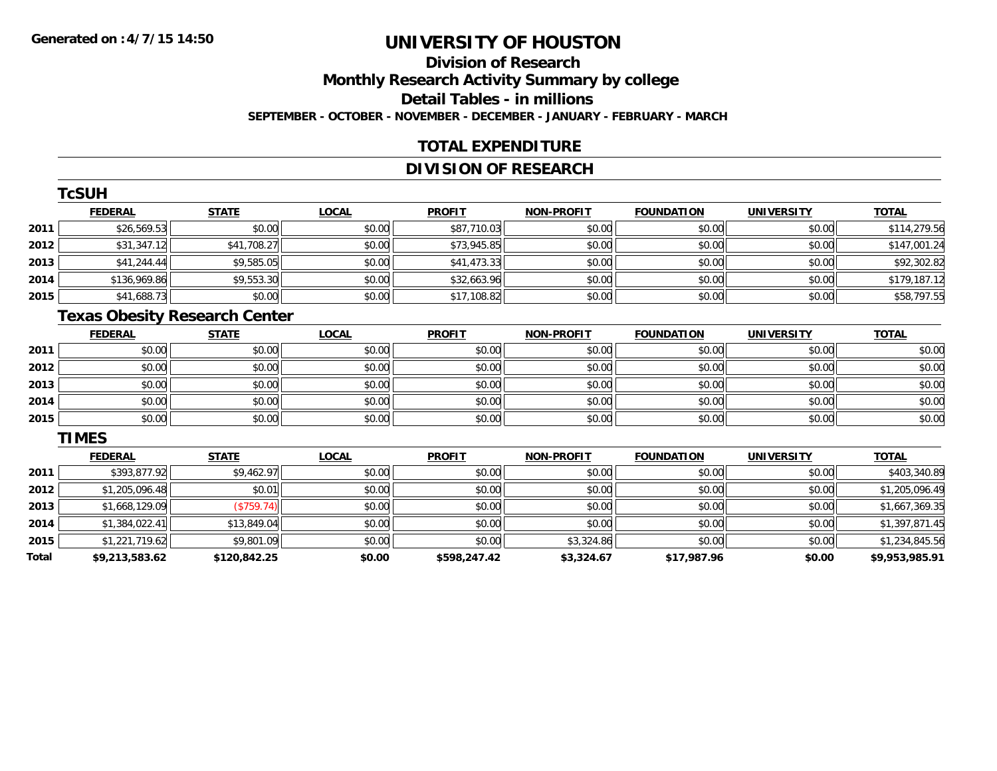### **Division of ResearchMonthly Research Activity Summary by college Detail Tables - in millions SEPTEMBER - OCTOBER - NOVEMBER - DECEMBER - JANUARY - FEBRUARY - MARCH**

#### **TOTAL EXPENDITURE**

#### **DIVISION OF RESEARCH**

|      | <b>TcSUH</b>   |              |              |               |                   |                   |                   |              |
|------|----------------|--------------|--------------|---------------|-------------------|-------------------|-------------------|--------------|
|      | <b>FEDERAL</b> | <b>STATE</b> | <b>LOCAL</b> | <b>PROFIT</b> | <b>NON-PROFIT</b> | <b>FOUNDATION</b> | <b>UNIVERSITY</b> | <b>TOTAL</b> |
| 2011 | \$26,569.53    | \$0.00       | \$0.00       | \$87,710.03   | \$0.00            | \$0.00            | \$0.00            | \$114,279.56 |
| 2012 | \$31,347.12    | \$41,708.27  | \$0.00       | \$73,945.85   | \$0.00            | \$0.00            | \$0.00            | \$147,001.24 |
| 2013 | \$41,244.44    | \$9,585.05   | \$0.00       | \$41,473.33   | \$0.00            | \$0.00            | \$0.00            | \$92,302.82  |
| 2014 | \$136,969.86   | \$9,553.30   | \$0.00       | \$32,663.96   | \$0.00            | \$0.00            | \$0.00            | \$179,187.12 |
| 2015 | \$41,688.73    | \$0.00       | \$0.00       | \$17,108.82   | \$0.00            | \$0.00            | \$0.00            | \$58,797.55  |

## **Texas Obesity Research Center**

|      | <b>FEDERAL</b> | <b>STATE</b> | <u>LOCAL</u> | <b>PROFIT</b> | <b>NON-PROFIT</b> | <b>FOUNDATION</b> | <b>UNIVERSITY</b> | <b>TOTAL</b> |
|------|----------------|--------------|--------------|---------------|-------------------|-------------------|-------------------|--------------|
| 2011 | \$0.00         | \$0.00       | \$0.00       | \$0.00        | \$0.00            | \$0.00            | \$0.00            | \$0.00       |
| 2012 | \$0.00         | \$0.00       | \$0.00       | \$0.00        | \$0.00            | \$0.00            | \$0.00            | \$0.00       |
| 2013 | \$0.00         | \$0.00       | \$0.00       | \$0.00        | \$0.00            | \$0.00            | \$0.00            | \$0.00       |
| 2014 | \$0.00         | \$0.00       | \$0.00       | \$0.00        | \$0.00            | \$0.00            | \$0.00            | \$0.00       |
| 2015 | \$0.00         | \$0.00       | \$0.00       | \$0.00        | \$0.00            | \$0.00            | \$0.00            | \$0.00       |

#### **TIMES**

|       | <b>FEDERAL</b> | <b>STATE</b> | <b>LOCAL</b> | <b>PROFIT</b> | <b>NON-PROFIT</b> | <b>FOUNDATION</b> | <b>UNIVERSITY</b> | <b>TOTAL</b>   |
|-------|----------------|--------------|--------------|---------------|-------------------|-------------------|-------------------|----------------|
| 2011  | \$393,877.92   | \$9,462.97   | \$0.00       | \$0.00        | \$0.00            | \$0.00            | \$0.00            | \$403,340.89   |
| 2012  | \$1,205,096.48 | \$0.01       | \$0.00       | \$0.00        | \$0.00            | \$0.00            | \$0.00            | \$1,205,096.49 |
| 2013  | \$1,668,129.09 | (\$759.74)   | \$0.00       | \$0.00        | \$0.00            | \$0.00            | \$0.00            | \$1,667,369.35 |
| 2014  | \$1,384,022.41 | \$13,849.04  | \$0.00       | \$0.00        | \$0.00            | \$0.00            | \$0.00            | \$1,397,871.45 |
| 2015  | \$1,221,719.62 | \$9,801.09   | \$0.00       | \$0.00        | \$3,324.86        | \$0.00            | \$0.00            | \$1,234,845.56 |
| Total | \$9,213,583.62 | \$120,842.25 | \$0.00       | \$598,247.42  | \$3,324.67        | \$17,987.96       | \$0.00            | \$9,953,985.91 |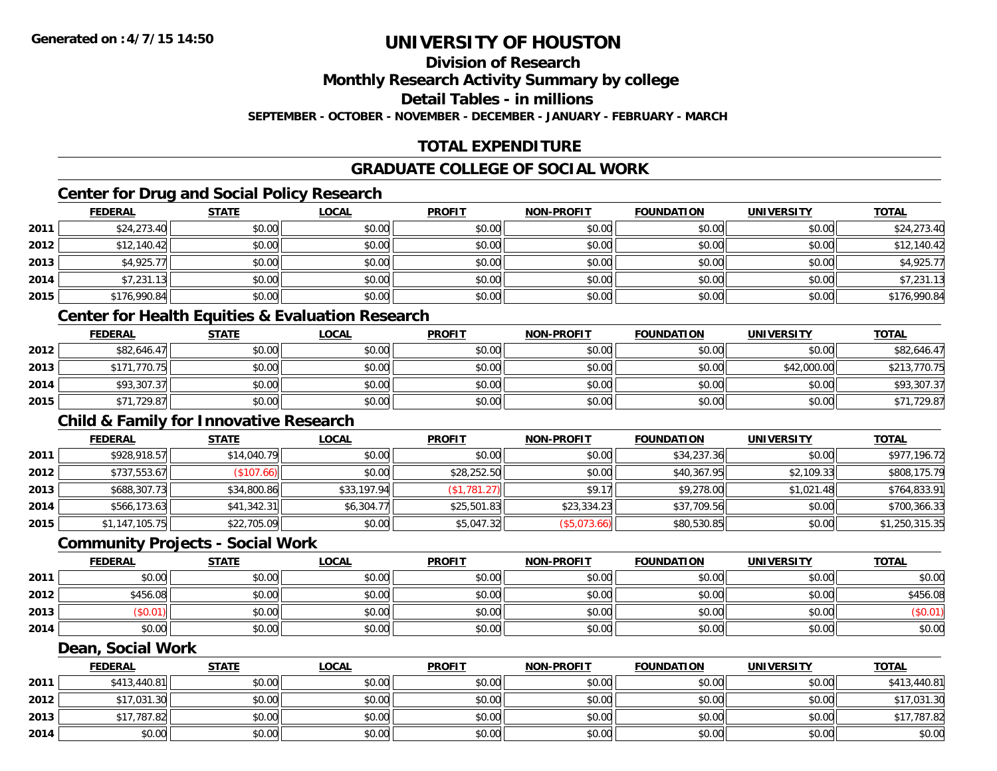### **Division of Research**

**Monthly Research Activity Summary by college**

**Detail Tables - in millions**

**SEPTEMBER - OCTOBER - NOVEMBER - DECEMBER - JANUARY - FEBRUARY - MARCH**

### **TOTAL EXPENDITURE**

#### **GRADUATE COLLEGE OF SOCIAL WORK**

### **Center for Drug and Social Policy Research**

|      | <b>FEDERAL</b> | <b>STATE</b> | <u>LOCAL</u> | <b>PROFIT</b> | <b>NON-PROFIT</b> | <b>FOUNDATION</b> | <b>UNIVERSITY</b> | <b>TOTAL</b> |
|------|----------------|--------------|--------------|---------------|-------------------|-------------------|-------------------|--------------|
| 2011 | \$24,273.40    | \$0.00       | \$0.00       | \$0.00        | \$0.00            | \$0.00            | \$0.00            | \$24,273.40  |
| 2012 | \$12,140.42    | \$0.00       | \$0.00       | \$0.00        | \$0.00            | \$0.00            | \$0.00            | \$12,140.42  |
| 2013 | \$4,925.77     | \$0.00       | \$0.00       | \$0.00        | \$0.00            | \$0.00            | \$0.00            | \$4,925.77   |
| 2014 | \$7,231.13     | \$0.00       | \$0.00       | \$0.00        | \$0.00            | \$0.00            | \$0.00            | \$7,231.13   |
| 2015 | \$176,990.84   | \$0.00       | \$0.00       | \$0.00        | \$0.00            | \$0.00            | \$0.00            | \$176,990.84 |

#### **Center for Health Equities & Evaluation Research**

|      | <b>FEDERAL</b> | <b>STATE</b> | <u>LOCAL</u> | <b>PROFIT</b> | <b>NON-PROFIT</b> | <b>FOUNDATION</b> | <b>UNIVERSITY</b> | <b>TOTAL</b> |
|------|----------------|--------------|--------------|---------------|-------------------|-------------------|-------------------|--------------|
| 2012 | \$82,646.47    | \$0.00       | \$0.00       | \$0.00        | \$0.00            | \$0.00            | \$0.00            | \$82,646.47  |
| 2013 | \$171,770.75   | \$0.00       | \$0.00       | \$0.00        | \$0.00            | \$0.00            | \$42,000.00       | \$213,770.75 |
| 2014 | \$93,307.37    | \$0.00       | \$0.00       | \$0.00        | \$0.00            | \$0.00            | \$0.00            | \$93,307.37  |
| 2015 | \$71,729.87    | \$0.00       | \$0.00       | \$0.00        | \$0.00            | \$0.00            | \$0.00            | \$71,729.87  |

#### **Child & Family for Innovative Research**

|      | <b>FEDERAL</b> | <b>STATE</b> | <u>LOCAL</u> | <b>PROFIT</b> | <b>NON-PROFIT</b> | <b>FOUNDATION</b> | <b>UNIVERSITY</b> | <b>TOTAL</b>   |
|------|----------------|--------------|--------------|---------------|-------------------|-------------------|-------------------|----------------|
| 2011 | \$928,918.57   | \$14,040.79  | \$0.00       | \$0.00        | \$0.00            | \$34,237.36       | \$0.00            | \$977,196.72   |
| 2012 | \$737,553.67   | (\$107.66)   | \$0.00       | \$28,252.50   | \$0.00            | \$40,367.95       | \$2,109.33        | \$808,175.79   |
| 2013 | \$688,307.73   | \$34,800.86  | \$33,197.94  | (\$1,781.27)  | \$9.17            | \$9,278.00        | \$1,021.48        | \$764,833.91   |
| 2014 | \$566,173.63   | \$41,342.31  | \$6,304.77   | \$25,501.83   | \$23,334.23       | \$37,709.56       | \$0.00            | \$700,366.33   |
| 2015 | \$1,147,105.75 | \$22,705.09  | \$0.00       | \$5,047.32    | (\$5,073.66)      | \$80,530.85       | \$0.00            | \$1,250,315.35 |

#### **Community Projects - Social Work**

|      | <b>FEDERAL</b> | <u>STATE</u> | <b>LOCAL</b> | <b>PROFIT</b> | <b>NON-PROFIT</b> | <b>FOUNDATION</b> | <b>UNIVERSITY</b> | <b>TOTAL</b> |
|------|----------------|--------------|--------------|---------------|-------------------|-------------------|-------------------|--------------|
| 2011 | \$0.00         | \$0.00       | \$0.00       | \$0.00        | \$0.00            | \$0.00            | \$0.00            | \$0.00       |
| 2012 | \$456.08       | \$0.00       | \$0.00       | \$0.00        | \$0.00            | \$0.00            | \$0.00            | \$456.08     |
| 2013 | \$0.01         | \$0.00       | \$0.00       | \$0.00        | \$0.00            | \$0.00            | \$0.00            | (\$0.01)     |
| 2014 | \$0.00         | \$0.00       | \$0.00       | \$0.00        | \$0.00            | \$0.00            | \$0.00            | \$0.00       |

#### **Dean, Social Work**

|      | <b>FEDERAL</b> | <b>STATE</b> | <u>LOCAL</u> | <b>PROFIT</b> | <b>NON-PROFIT</b> | <b>FOUNDATION</b> | <b>UNIVERSITY</b> | <b>TOTAL</b> |
|------|----------------|--------------|--------------|---------------|-------------------|-------------------|-------------------|--------------|
| 2011 | \$413,440.81   | \$0.00       | \$0.00       | \$0.00        | \$0.00            | \$0.00            | \$0.00            | \$413,440.81 |
| 2012 | \$17,031.30    | \$0.00       | \$0.00       | \$0.00        | \$0.00            | \$0.00            | \$0.00            | \$17,031.30  |
| 2013 | \$17,787.82    | \$0.00       | \$0.00       | \$0.00        | \$0.00            | \$0.00            | \$0.00            | \$17,787.82  |
| 2014 | \$0.00         | \$0.00       | \$0.00       | \$0.00        | \$0.00            | \$0.00            | \$0.00            | \$0.00       |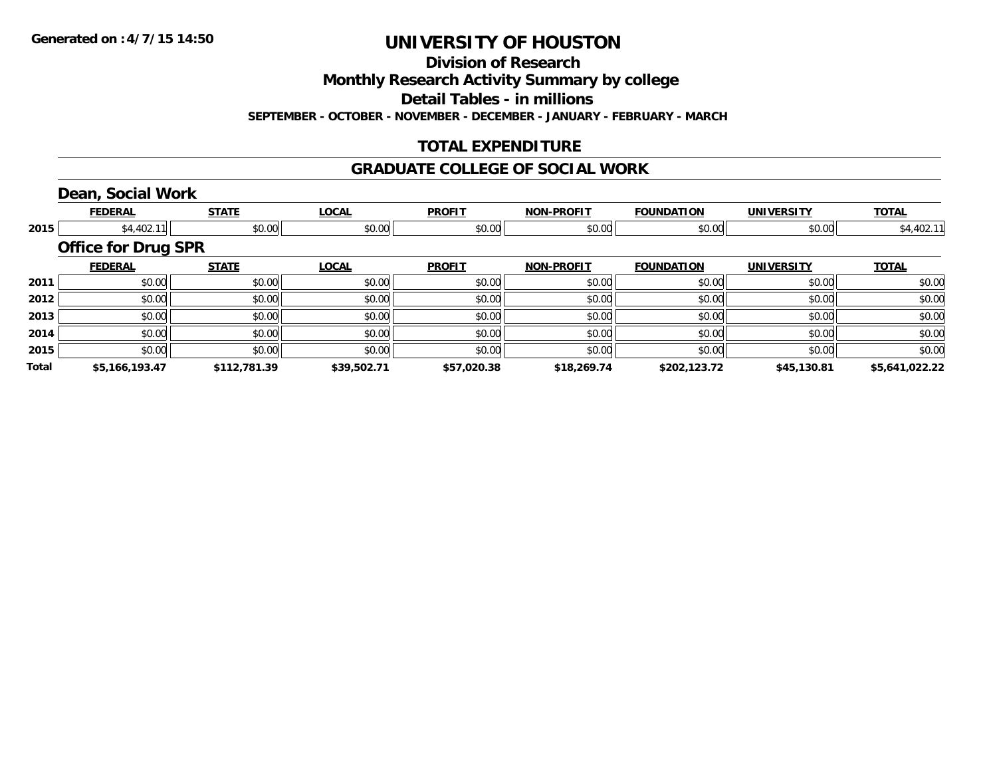**Division of Research**

**Monthly Research Activity Summary by college**

**Detail Tables - in millions**

**SEPTEMBER - OCTOBER - NOVEMBER - DECEMBER - JANUARY - FEBRUARY - MARCH**

### **TOTAL EXPENDITURE**

#### **GRADUATE COLLEGE OF SOCIAL WORK**

### **Dean, Social Work**

|       | <b>FEDERAL</b>             | <b>STATE</b> | <b>LOCAL</b> | <b>PROFIT</b> | <b>NON-PROFIT</b> | <b>FOUNDATION</b> | <b>UNIVERSITY</b> | <b>TOTAL</b>   |
|-------|----------------------------|--------------|--------------|---------------|-------------------|-------------------|-------------------|----------------|
| 2015  | \$4,402.11                 | \$0.00       | \$0.00       | \$0.00        | \$0.00            | \$0.00            | \$0.00            | \$4,402.11     |
|       | <b>Office for Drug SPR</b> |              |              |               |                   |                   |                   |                |
|       | <b>FEDERAL</b>             | <b>STATE</b> | <b>LOCAL</b> | <b>PROFIT</b> | <b>NON-PROFIT</b> | <b>FOUNDATION</b> | <b>UNIVERSITY</b> | <b>TOTAL</b>   |
| 2011  | \$0.00                     | \$0.00       | \$0.00       | \$0.00        | \$0.00            | \$0.00            | \$0.00            | \$0.00         |
| 2012  | \$0.00                     | \$0.00       | \$0.00       | \$0.00        | \$0.00            | \$0.00            | \$0.00            | \$0.00         |
| 2013  | \$0.00                     | \$0.00       | \$0.00       | \$0.00        | \$0.00            | \$0.00            | \$0.00            | \$0.00         |
| 2014  | \$0.00                     | \$0.00       | \$0.00       | \$0.00        | \$0.00            | \$0.00            | \$0.00            | \$0.00         |
| 2015  | \$0.00                     | \$0.00       | \$0.00       | \$0.00        | \$0.00            | \$0.00            | \$0.00            | \$0.00         |
| Total | \$5,166,193.47             | \$112,781.39 | \$39,502.71  | \$57,020.38   | \$18,269.74       | \$202,123.72      | \$45,130.81       | \$5,641,022.22 |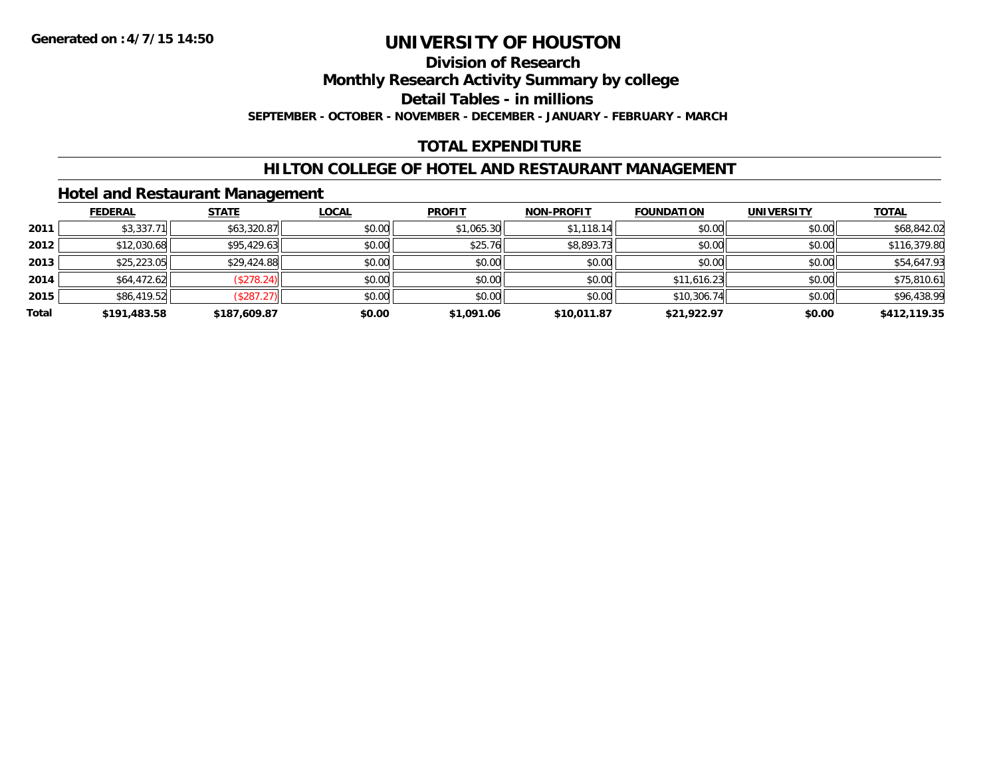### **Division of Research**

**Monthly Research Activity Summary by college**

**Detail Tables - in millions**

**SEPTEMBER - OCTOBER - NOVEMBER - DECEMBER - JANUARY - FEBRUARY - MARCH**

#### **TOTAL EXPENDITURE**

#### **HILTON COLLEGE OF HOTEL AND RESTAURANT MANAGEMENT**

#### **Hotel and Restaurant Management**

|       | <b>FEDERAL</b> | <b>STATE</b> | <u>LOCAL</u> | <b>PROFIT</b> | <b>NON-PROFIT</b> | <b>FOUNDATION</b> | <b>UNIVERSITY</b> | <b>TOTAL</b> |
|-------|----------------|--------------|--------------|---------------|-------------------|-------------------|-------------------|--------------|
| 2011  | \$3,337.71     | \$63,320.87  | \$0.00       | \$1,065.30    | \$1,118.14        | \$0.00            | \$0.00            | \$68,842.02  |
| 2012  | \$12,030.68    | \$95,429.63  | \$0.00       | \$25.76       | \$8,893.73        | \$0.00            | \$0.00            | \$116,379.80 |
| 2013  | \$25,223.05    | \$29,424.88  | \$0.00       | \$0.00        | \$0.00            | \$0.00            | \$0.00            | \$54,647.93  |
| 2014  | \$64,472.62    | (\$278.24)   | \$0.00       | \$0.00        | \$0.00            | \$11,616.23       | \$0.00            | \$75,810.61  |
| 2015  | \$86,419.52    | (\$287.27)   | \$0.00       | \$0.00        | \$0.00            | \$10,306.74       | \$0.00            | \$96,438.99  |
| Total | \$191,483.58   | \$187,609.87 | \$0.00       | \$1,091.06    | \$10,011.87       | \$21,922.97       | \$0.00            | \$412,119.35 |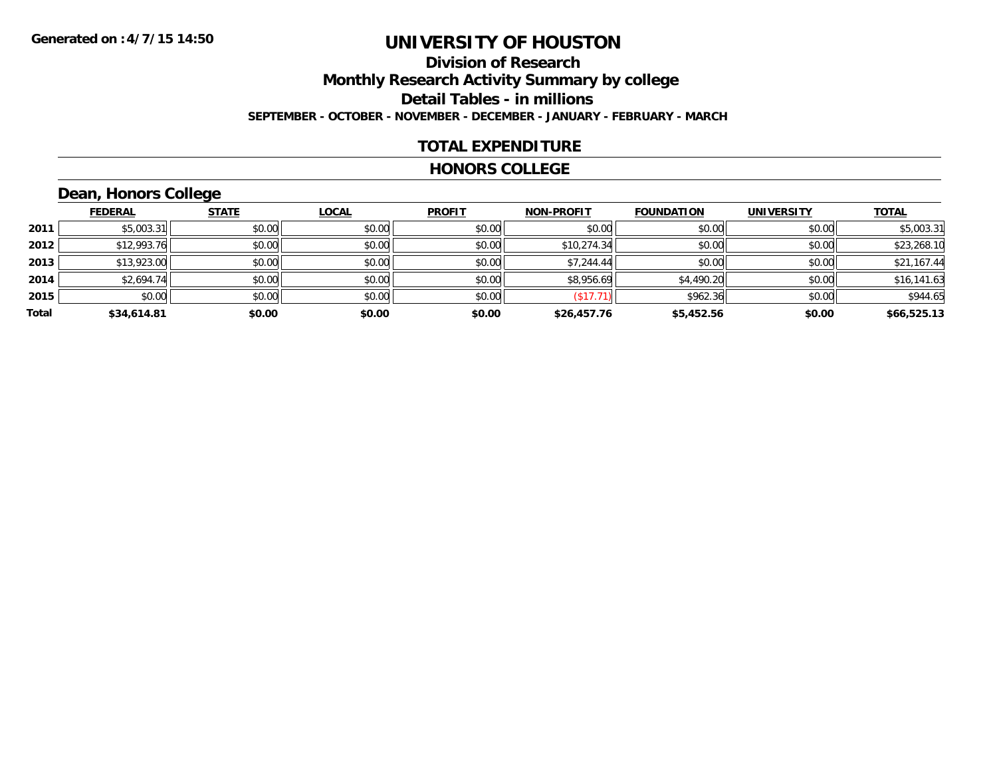### **Division of ResearchMonthly Research Activity Summary by college Detail Tables - in millions SEPTEMBER - OCTOBER - NOVEMBER - DECEMBER - JANUARY - FEBRUARY - MARCH**

#### **TOTAL EXPENDITURE**

#### **HONORS COLLEGE**

### **Dean, Honors College**

|       |                | $\sim$       |              |               |                   |                   |                   |              |
|-------|----------------|--------------|--------------|---------------|-------------------|-------------------|-------------------|--------------|
|       | <b>FEDERAL</b> | <b>STATE</b> | <b>LOCAL</b> | <b>PROFIT</b> | <b>NON-PROFIT</b> | <b>FOUNDATION</b> | <b>UNIVERSITY</b> | <b>TOTAL</b> |
| 2011  | \$5,003.31     | \$0.00       | \$0.00       | \$0.00        | \$0.00            | \$0.00            | \$0.00            | \$5,003.31   |
| 2012  | \$12,993.76    | \$0.00       | \$0.00       | \$0.00        | \$10,274.34       | \$0.00            | \$0.00            | \$23,268.10  |
| 2013  | \$13,923.00    | \$0.00       | \$0.00       | \$0.00        | \$7,244.44        | \$0.00            | \$0.00            | \$21,167.44  |
| 2014  | \$2,694.74     | \$0.00       | \$0.00       | \$0.00        | \$8,956.69        | \$4,490.20        | \$0.00            | \$16,141.63  |
| 2015  | \$0.00         | \$0.00       | \$0.00       | \$0.00        | \$17.71           | \$962.36          | \$0.00            | \$944.65     |
| Total | \$34,614.81    | \$0.00       | \$0.00       | \$0.00        | \$26,457.76       | \$5,452.56        | \$0.00            | \$66,525.13  |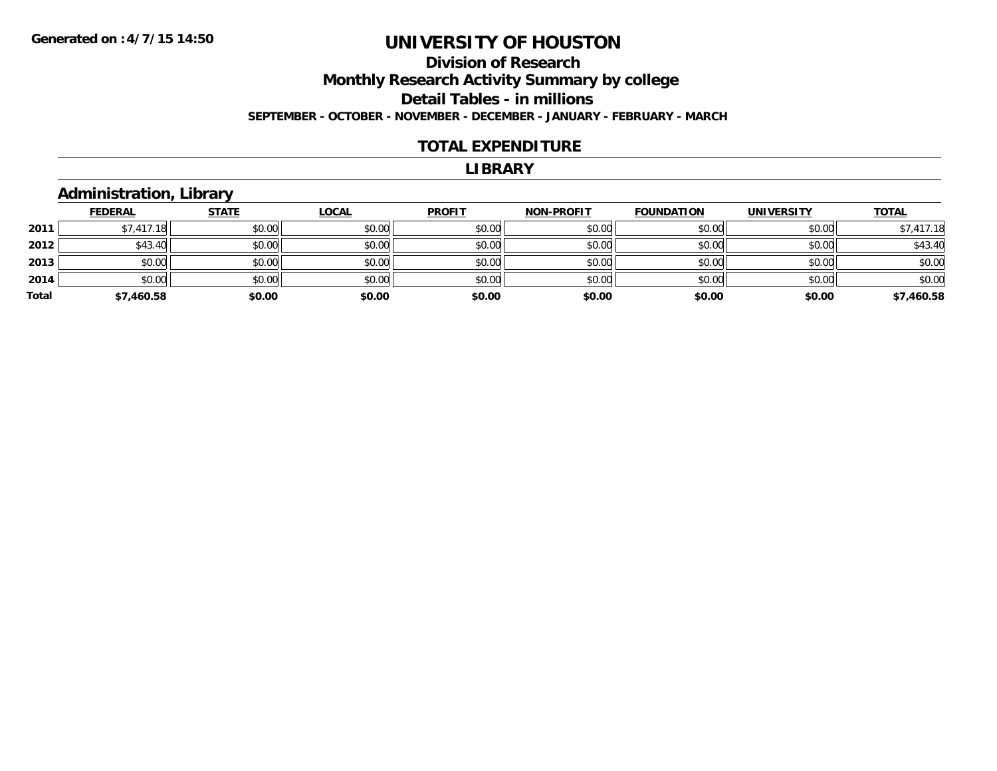#### **Division of Research Monthly Research Activity Summary by college Detail Tables - in millions SEPTEMBER - OCTOBER - NOVEMBER - DECEMBER - JANUARY - FEBRUARY - MARCH**

#### **TOTAL EXPENDITURE**

#### **LIBRARY**

#### **Administration, Library**

|       | <b>FEDERAL</b> | <b>STATE</b> | <u>LOCAL</u> | <b>PROFIT</b> | <b>NON-PROFIT</b> | <b>FOUNDATION</b> | <b>UNIVERSITY</b> | <b>TOTAL</b> |
|-------|----------------|--------------|--------------|---------------|-------------------|-------------------|-------------------|--------------|
| 2011  | \$7,417.18     | \$0.00       | \$0.00       | \$0.00        | \$0.00            | \$0.00            | \$0.00            | \$7,417.18   |
| 2012  | \$43.40        | \$0.00       | \$0.00       | \$0.00        | \$0.00            | \$0.00            | \$0.00            | \$43.40      |
| 2013  | \$0.00         | \$0.00       | \$0.00       | \$0.00        | \$0.00            | \$0.00            | \$0.00            | \$0.00       |
| 2014  | \$0.00         | \$0.00       | \$0.00       | \$0.00        | \$0.00            | \$0.00            | \$0.00            | \$0.00       |
| Total | \$7,460.58     | \$0.00       | \$0.00       | \$0.00        | \$0.00            | \$0.00            | \$0.00            | \$7,460.58   |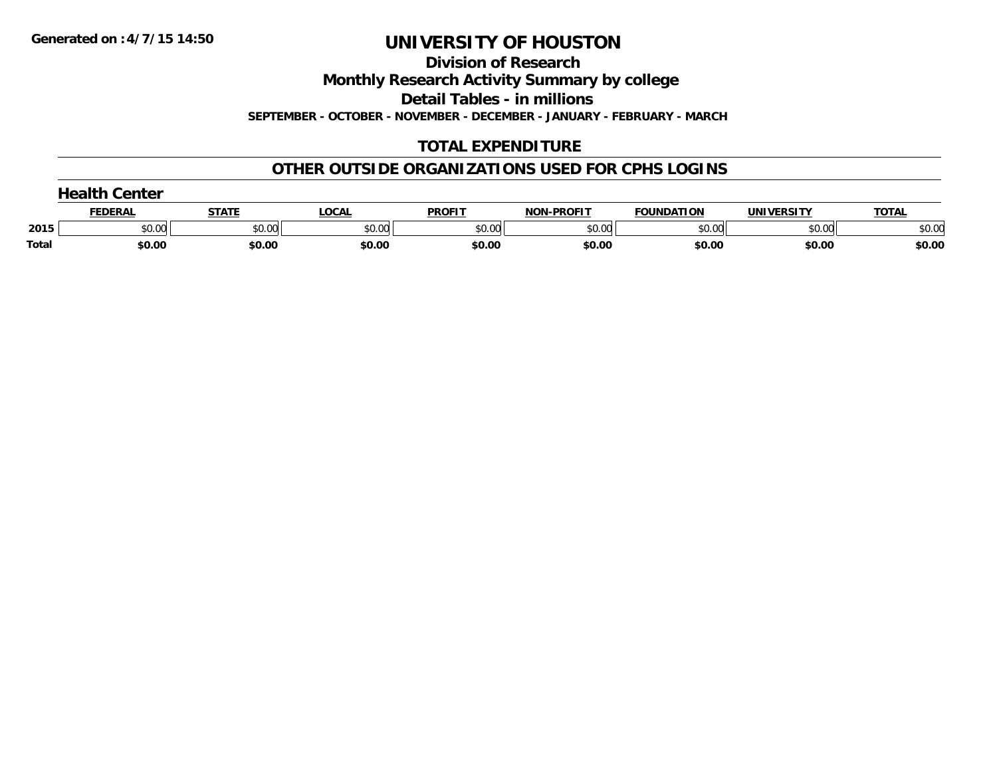**Division of Research**

**Monthly Research Activity Summary by college**

**Detail Tables - in millions**

**SEPTEMBER - OCTOBER - NOVEMBER - DECEMBER - JANUARY - FEBRUARY - MARCH**

### **TOTAL EXPENDITURE**

### **OTHER OUTSIDE ORGANIZATIONS USED FOR CPHS LOGINS**

|       | コつっけト<br>Center |        |        |               |                   |                   |                   |              |
|-------|-----------------|--------|--------|---------------|-------------------|-------------------|-------------------|--------------|
|       | <b>FEDERAL</b>  | STATI  | LOCAL  | <b>PROFIT</b> | <b>NON-PROFIT</b> | <b>FOUNDATION</b> | <b>UNIVERSITY</b> | <b>TOTAL</b> |
| 2015  | \$0.00          | \$0.00 | \$0.00 | \$0.00        | \$0.00            | \$0.00            | \$0.00            | \$0.00       |
| Total | \$0.00          | \$0.00 | \$0.00 | \$0.00        | \$0.00            | \$0.00            | \$0.00            | \$0.00       |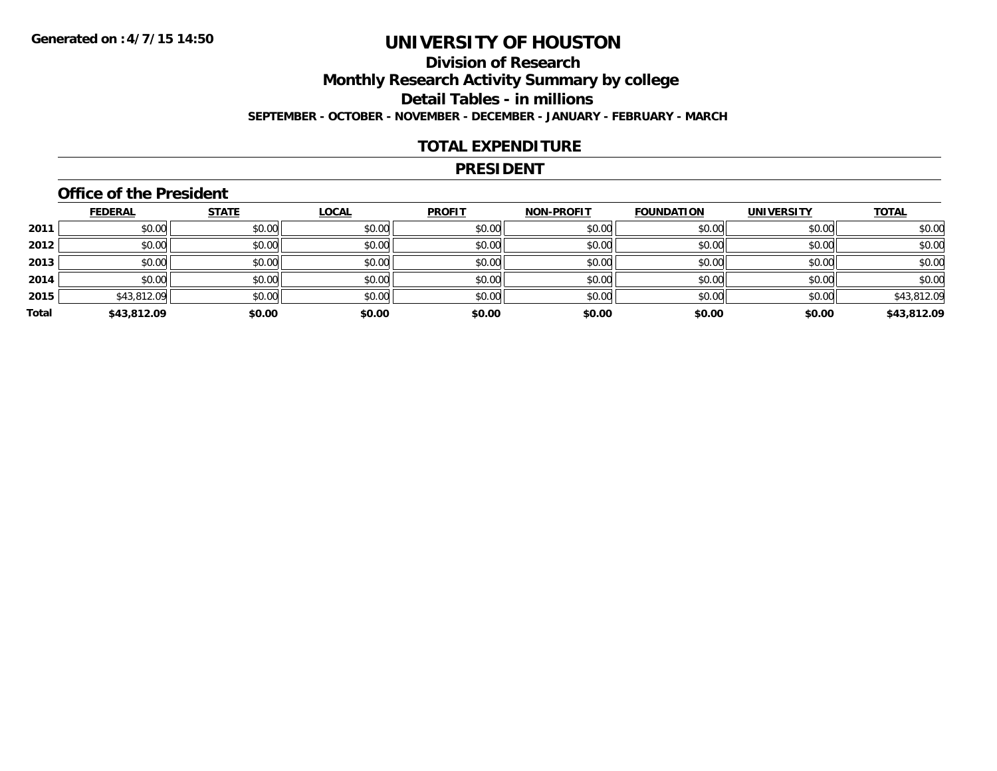### **Division of ResearchMonthly Research Activity Summary by college Detail Tables - in millions SEPTEMBER - OCTOBER - NOVEMBER - DECEMBER - JANUARY - FEBRUARY - MARCH**

#### **TOTAL EXPENDITURE**

#### **PRESIDENT**

#### **Office of the President**

|       | <b>FEDERAL</b> | <b>STATE</b> | <b>LOCAL</b> | <b>PROFIT</b> | <b>NON-PROFIT</b> | <b>FOUNDATION</b> | <b>UNIVERSITY</b> | <b>TOTAL</b> |
|-------|----------------|--------------|--------------|---------------|-------------------|-------------------|-------------------|--------------|
| 2011  | \$0.00         | \$0.00       | \$0.00       | \$0.00        | \$0.00            | \$0.00            | \$0.00            | \$0.00       |
| 2012  | \$0.00         | \$0.00       | \$0.00       | \$0.00        | \$0.00            | \$0.00            | \$0.00            | \$0.00       |
| 2013  | \$0.00         | \$0.00       | \$0.00       | \$0.00        | \$0.00            | \$0.00            | \$0.00            | \$0.00       |
| 2014  | \$0.00         | \$0.00       | \$0.00       | \$0.00        | \$0.00            | \$0.00            | \$0.00            | \$0.00       |
| 2015  | \$43,812.09    | \$0.00       | \$0.00       | \$0.00        | \$0.00            | \$0.00            | \$0.00            | \$43,812.09  |
| Total | \$43,812.09    | \$0.00       | \$0.00       | \$0.00        | \$0.00            | \$0.00            | \$0.00            | \$43,812.09  |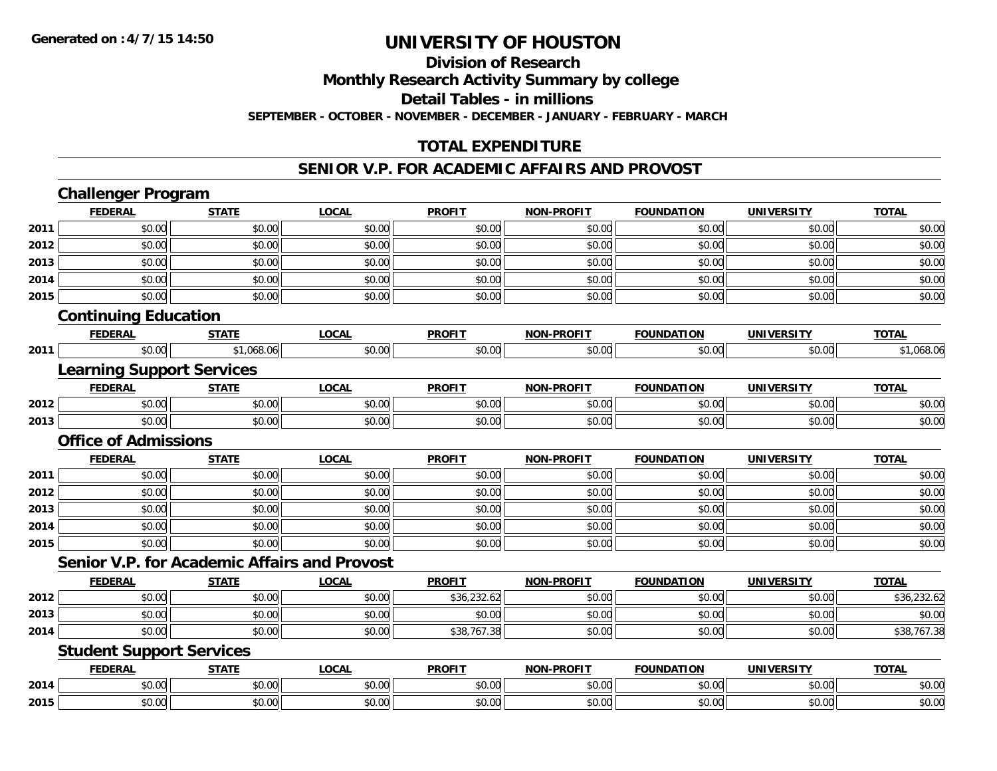#### **Division of Research**

**Monthly Research Activity Summary by college**

**Detail Tables - in millions**

**SEPTEMBER - OCTOBER - NOVEMBER - DECEMBER - JANUARY - FEBRUARY - MARCH**

#### **TOTAL EXPENDITURE**

#### **SENIOR V.P. FOR ACADEMIC AFFAIRS AND PROVOST**

|      | <b>Challenger Program</b>                           |              |              |               |                   |                   |                   |              |
|------|-----------------------------------------------------|--------------|--------------|---------------|-------------------|-------------------|-------------------|--------------|
|      | <b>FEDERAL</b>                                      | <b>STATE</b> | <b>LOCAL</b> | <b>PROFIT</b> | <b>NON-PROFIT</b> | <b>FOUNDATION</b> | <b>UNIVERSITY</b> | <b>TOTAL</b> |
| 2011 | \$0.00                                              | \$0.00       | \$0.00       | \$0.00        | \$0.00            | \$0.00            | \$0.00            | \$0.00       |
| 2012 | \$0.00                                              | \$0.00       | \$0.00       | \$0.00        | \$0.00            | \$0.00            | \$0.00            | \$0.00       |
| 2013 | \$0.00                                              | \$0.00       | \$0.00       | \$0.00        | \$0.00            | \$0.00            | \$0.00            | \$0.00       |
| 2014 | \$0.00                                              | \$0.00       | \$0.00       | \$0.00        | \$0.00            | \$0.00            | \$0.00            | \$0.00       |
| 2015 | \$0.00                                              | \$0.00       | \$0.00       | \$0.00        | \$0.00            | \$0.00            | \$0.00            | \$0.00       |
|      | <b>Continuing Education</b>                         |              |              |               |                   |                   |                   |              |
|      | <b>FEDERAL</b>                                      | <b>STATE</b> | <b>LOCAL</b> | <b>PROFIT</b> | <b>NON-PROFIT</b> | <b>FOUNDATION</b> | <b>UNIVERSITY</b> | <b>TOTAL</b> |
| 2011 | \$0.00                                              | \$1,068.06   | \$0.00       | \$0.00        | \$0.00            | \$0.00            | \$0.00            | \$1,068.06   |
|      | <b>Learning Support Services</b>                    |              |              |               |                   |                   |                   |              |
|      | <b>FEDERAL</b>                                      | <b>STATE</b> | <b>LOCAL</b> | <b>PROFIT</b> | <b>NON-PROFIT</b> | <b>FOUNDATION</b> | <b>UNIVERSITY</b> | <b>TOTAL</b> |
| 2012 | \$0.00                                              | \$0.00       | \$0.00       | \$0.00        | \$0.00            | \$0.00            | \$0.00            | \$0.00       |
| 2013 | \$0.00                                              | \$0.00       | \$0.00       | \$0.00        | \$0.00            | \$0.00            | \$0.00            | \$0.00       |
|      | <b>Office of Admissions</b>                         |              |              |               |                   |                   |                   |              |
|      | <b>FEDERAL</b>                                      | <b>STATE</b> | <b>LOCAL</b> | <b>PROFIT</b> | <b>NON-PROFIT</b> | <b>FOUNDATION</b> | <b>UNIVERSITY</b> | <b>TOTAL</b> |
| 2011 | \$0.00                                              | \$0.00       | \$0.00       | \$0.00        | \$0.00            | \$0.00            | \$0.00            | \$0.00       |
| 2012 | \$0.00                                              | \$0.00       | \$0.00       | \$0.00        | \$0.00            | \$0.00            | \$0.00            | \$0.00       |
| 2013 | \$0.00                                              | \$0.00       | \$0.00       | \$0.00        | \$0.00            | \$0.00            | \$0.00            | \$0.00       |
| 2014 | \$0.00                                              | \$0.00       | \$0.00       | \$0.00        | \$0.00            | \$0.00            | \$0.00            | \$0.00       |
| 2015 | \$0.00                                              | \$0.00       | \$0.00       | \$0.00        | \$0.00            | \$0.00            | \$0.00            | \$0.00       |
|      | <b>Senior V.P. for Academic Affairs and Provost</b> |              |              |               |                   |                   |                   |              |
|      | <b>FEDERAL</b>                                      | <b>STATE</b> | <b>LOCAL</b> | <b>PROFIT</b> | <b>NON-PROFIT</b> | <b>FOUNDATION</b> | <b>UNIVERSITY</b> | <b>TOTAL</b> |
| 2012 | \$0.00                                              | \$0.00       | \$0.00       | \$36,232.62   | \$0.00            | \$0.00            | \$0.00            | \$36,232.62  |
| 2013 | \$0.00                                              | \$0.00       | \$0.00       | \$0.00        | \$0.00            | \$0.00            | \$0.00            | \$0.00       |
| 2014 | \$0.00                                              | \$0.00       | \$0.00       | \$38,767.38   | \$0.00            | \$0.00            | \$0.00            | \$38,767.38  |
|      | <b>Student Support Services</b>                     |              |              |               |                   |                   |                   |              |
|      | <b>FEDERAL</b>                                      | <b>STATE</b> | <b>LOCAL</b> | <b>PROFIT</b> | <b>NON-PROFIT</b> | <b>FOUNDATION</b> | <b>UNIVERSITY</b> | <b>TOTAL</b> |
| 2014 | \$0.00                                              | \$0.00       | \$0.00       | \$0.00        | \$0.00            | \$0.00            | \$0.00            | \$0.00       |
| 2015 | \$0.00                                              | \$0.00       | \$0.00       | \$0.00        | \$0.00            | \$0.00            | \$0.00            | \$0.00       |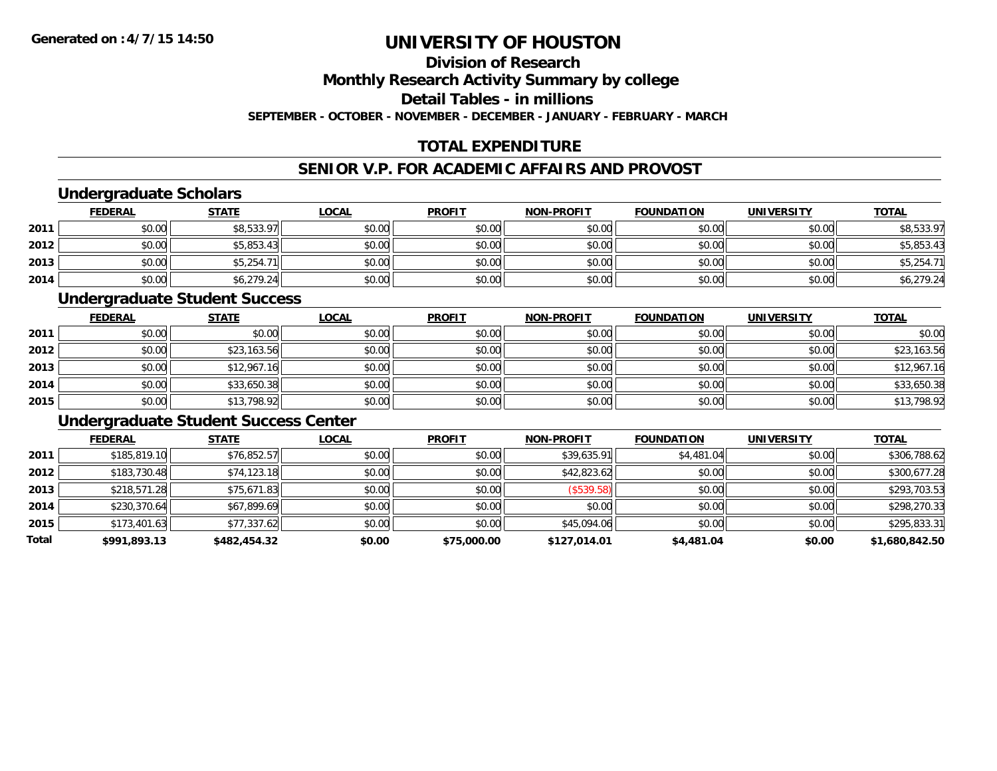### **Division of Research**

**Monthly Research Activity Summary by college**

**Detail Tables - in millions**

**SEPTEMBER - OCTOBER - NOVEMBER - DECEMBER - JANUARY - FEBRUARY - MARCH**

### **TOTAL EXPENDITURE**

#### **SENIOR V.P. FOR ACADEMIC AFFAIRS AND PROVOST**

#### **Undergraduate Scholars**

|      | <b>FEDERAL</b> | <b>STATE</b> | <u>LOCAL</u> | <b>PROFIT</b> | <b>NON-PROFIT</b> | <b>FOUNDATION</b> | <b>UNIVERSITY</b> | <b>TOTAL</b> |
|------|----------------|--------------|--------------|---------------|-------------------|-------------------|-------------------|--------------|
| 2011 | \$0.00         | \$8,533.97   | \$0.00       | \$0.00        | \$0.00            | \$0.00            | \$0.00            | \$8,533.97   |
| 2012 | \$0.00         | \$5,853.43   | \$0.00       | \$0.00        | \$0.00            | \$0.00            | \$0.00            | \$5,853.43   |
| 2013 | \$0.00         | \$5,254.7    | \$0.00       | \$0.00        | \$0.00            | \$0.00            | \$0.00            | \$5,254.71   |
| 2014 | \$0.00         | \$6,279.24   | \$0.00       | \$0.00        | \$0.00            | \$0.00            | \$0.00            | \$6,279.24   |

#### **Undergraduate Student Success**

|      | <b>FEDERAL</b> | <b>STATE</b> | <u>LOCAL</u> | <b>PROFIT</b> | <b>NON-PROFIT</b> | <b>FOUNDATION</b> | <b>UNIVERSITY</b> | <b>TOTAL</b> |
|------|----------------|--------------|--------------|---------------|-------------------|-------------------|-------------------|--------------|
| 2011 | \$0.00         | \$0.00       | \$0.00       | \$0.00        | \$0.00            | \$0.00            | \$0.00            | \$0.00       |
| 2012 | \$0.00         | \$23,163.56  | \$0.00       | \$0.00        | \$0.00            | \$0.00            | \$0.00            | \$23,163.56  |
| 2013 | \$0.00         | \$12,967.16  | \$0.00       | \$0.00        | \$0.00            | \$0.00            | \$0.00            | \$12,967.16  |
| 2014 | \$0.00         | \$33,650.38  | \$0.00       | \$0.00        | \$0.00            | \$0.00            | \$0.00            | \$33,650.38  |
| 2015 | \$0.00         | \$13,798.92  | \$0.00       | \$0.00        | \$0.00            | \$0.00            | \$0.00            | \$13,798.92  |

### **Undergraduate Student Success Center**

|       | <b>FEDERAL</b> | <b>STATE</b> | <b>LOCAL</b> | <b>PROFIT</b> | <b>NON-PROFIT</b> | <b>FOUNDATION</b> | <b>UNIVERSITY</b> | <u>TOTAL</u>   |
|-------|----------------|--------------|--------------|---------------|-------------------|-------------------|-------------------|----------------|
| 2011  | \$185,819.10   | \$76,852.57  | \$0.00       | \$0.00        | \$39,635.91       | \$4,481.04        | \$0.00            | \$306,788.62   |
| 2012  | \$183,730.48   | \$74,123.18  | \$0.00       | \$0.00        | \$42,823.62       | \$0.00            | \$0.00            | \$300,677.28   |
| 2013  | \$218,571.28   | \$75,671.83  | \$0.00       | \$0.00        | (S539.58)         | \$0.00            | \$0.00            | \$293,703.53   |
| 2014  | \$230,370.64   | \$67,899.69  | \$0.00       | \$0.00        | \$0.00            | \$0.00            | \$0.00            | \$298,270.33   |
| 2015  | \$173,401.63   | \$77,337.62  | \$0.00       | \$0.00        | \$45,094.06       | \$0.00            | \$0.00            | \$295,833.31   |
| Total | \$991,893.13   | \$482,454.32 | \$0.00       | \$75,000.00   | \$127,014.01      | \$4,481.04        | \$0.00            | \$1,680,842.50 |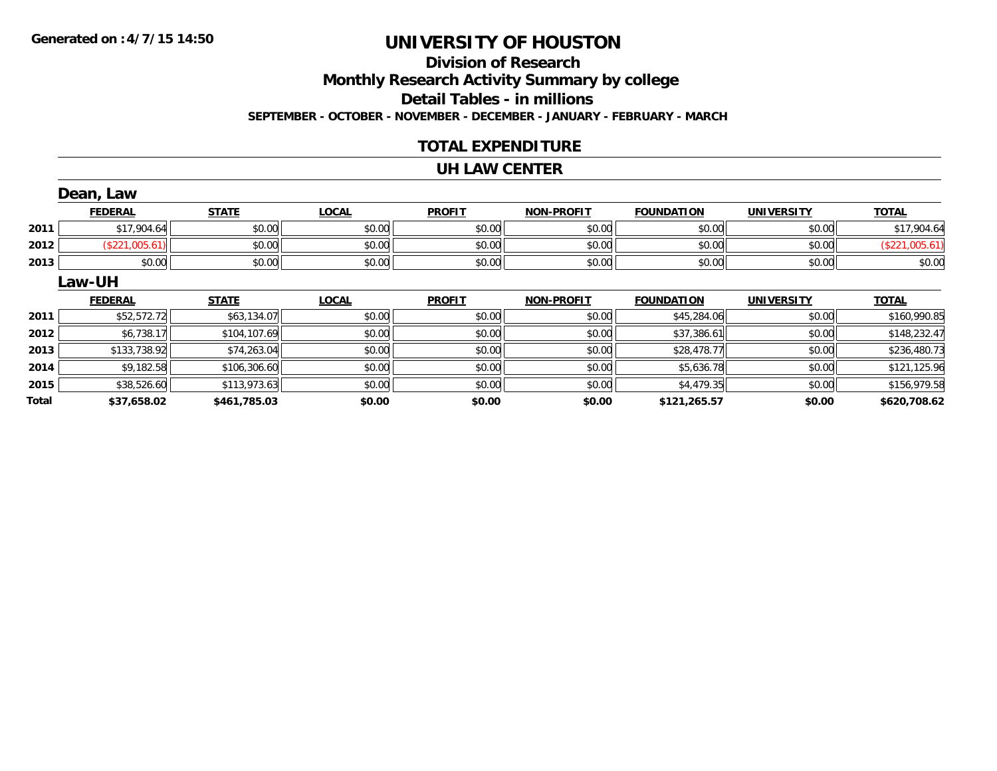### **Division of ResearchMonthly Research Activity Summary by college Detail Tables - in millions SEPTEMBER - OCTOBER - NOVEMBER - DECEMBER - JANUARY - FEBRUARY - MARCH**

#### **TOTAL EXPENDITURE**

#### **UH LAW CENTER**

|              | Dean, Law      |              |              |               |                   |                   |                   |                |
|--------------|----------------|--------------|--------------|---------------|-------------------|-------------------|-------------------|----------------|
|              | <b>FEDERAL</b> | <b>STATE</b> | <b>LOCAL</b> | <b>PROFIT</b> | <b>NON-PROFIT</b> | <b>FOUNDATION</b> | <b>UNIVERSITY</b> | <b>TOTAL</b>   |
| 2011         | \$17,904.64    | \$0.00       | \$0.00       | \$0.00        | \$0.00            | \$0.00            | \$0.00            | \$17,904.64    |
| 2012         | (\$221,005.61) | \$0.00       | \$0.00       | \$0.00        | \$0.00            | \$0.00            | \$0.00            | (\$221,005.61) |
| 2013         | \$0.00         | \$0.00       | \$0.00       | \$0.00        | \$0.00            | \$0.00            | \$0.00            | \$0.00         |
|              | <b>Law-UH</b>  |              |              |               |                   |                   |                   |                |
|              | <b>FEDERAL</b> | <b>STATE</b> | <b>LOCAL</b> | <b>PROFIT</b> | <b>NON-PROFIT</b> | <b>FOUNDATION</b> | <b>UNIVERSITY</b> | <b>TOTAL</b>   |
| 2011         | \$52,572.72    | \$63,134.07  | \$0.00       | \$0.00        | \$0.00            | \$45,284.06       | \$0.00            | \$160,990.85   |
| 2012         | \$6,738.17     | \$104,107.69 | \$0.00       | \$0.00        | \$0.00            | \$37,386.61       | \$0.00            | \$148,232.47   |
| 2013         | \$133,738.92   | \$74,263.04  | \$0.00       | \$0.00        | \$0.00            | \$28,478.77       | \$0.00            | \$236,480.73   |
| 2014         | \$9,182.58     | \$106,306.60 | \$0.00       | \$0.00        | \$0.00            | \$5,636.78        | \$0.00            | \$121,125.96   |
| 2015         | \$38,526.60    | \$113,973.63 | \$0.00       | \$0.00        | \$0.00            | \$4,479.35        | \$0.00            | \$156,979.58   |
| <b>Total</b> | \$37,658.02    | \$461,785.03 | \$0.00       | \$0.00        | \$0.00            | \$121,265.57      | \$0.00            | \$620,708.62   |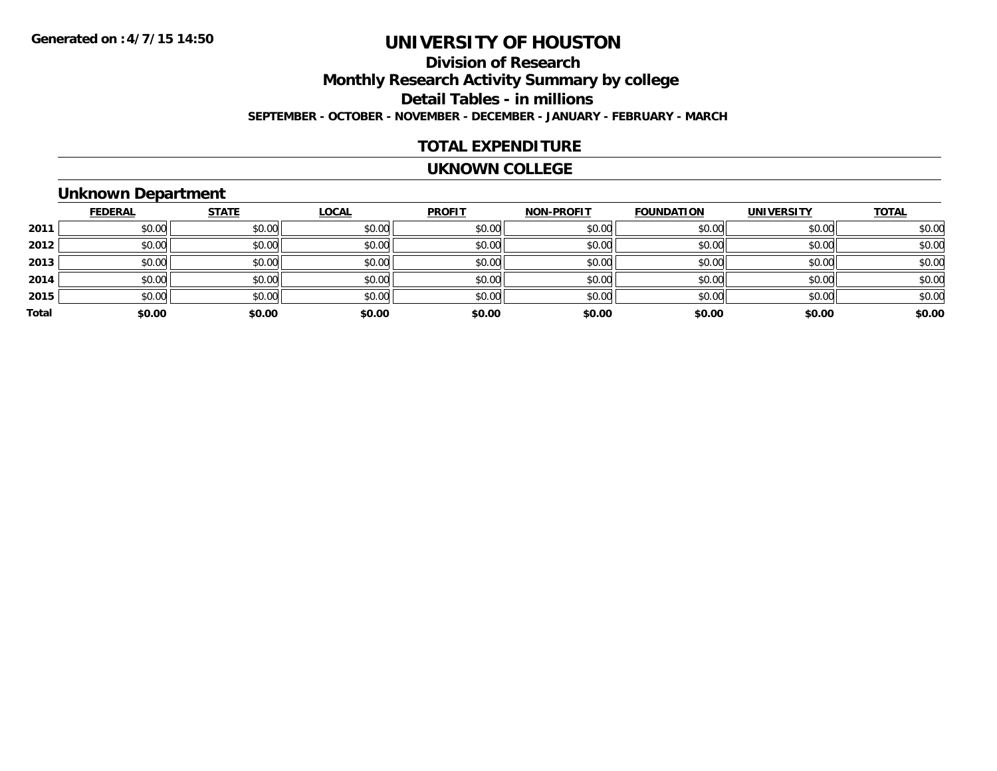### **Division of ResearchMonthly Research Activity Summary by college Detail Tables - in millions SEPTEMBER - OCTOBER - NOVEMBER - DECEMBER - JANUARY - FEBRUARY - MARCH**

#### **TOTAL EXPENDITURE**

#### **UKNOWN COLLEGE**

### **Unknown Department**

|       | <b>FEDERAL</b> | <b>STATE</b> | <u>LOCAL</u> | <b>PROFIT</b> | <b>NON-PROFIT</b> | <b>FOUNDATION</b> | <b>UNIVERSITY</b> | <b>TOTAL</b> |
|-------|----------------|--------------|--------------|---------------|-------------------|-------------------|-------------------|--------------|
| 2011  | \$0.00         | \$0.00       | \$0.00       | \$0.00        | \$0.00            | \$0.00            | \$0.00            | \$0.00       |
| 2012  | \$0.00         | \$0.00       | \$0.00       | \$0.00        | \$0.00            | \$0.00            | \$0.00            | \$0.00       |
| 2013  | \$0.00         | \$0.00       | \$0.00       | \$0.00        | \$0.00            | \$0.00            | \$0.00            | \$0.00       |
| 2014  | \$0.00         | \$0.00       | \$0.00       | \$0.00        | \$0.00            | \$0.00            | \$0.00            | \$0.00       |
| 2015  | \$0.00         | \$0.00       | \$0.00       | \$0.00        | \$0.00            | \$0.00            | \$0.00            | \$0.00       |
| Total | \$0.00         | \$0.00       | \$0.00       | \$0.00        | \$0.00            | \$0.00            | \$0.00            | \$0.00       |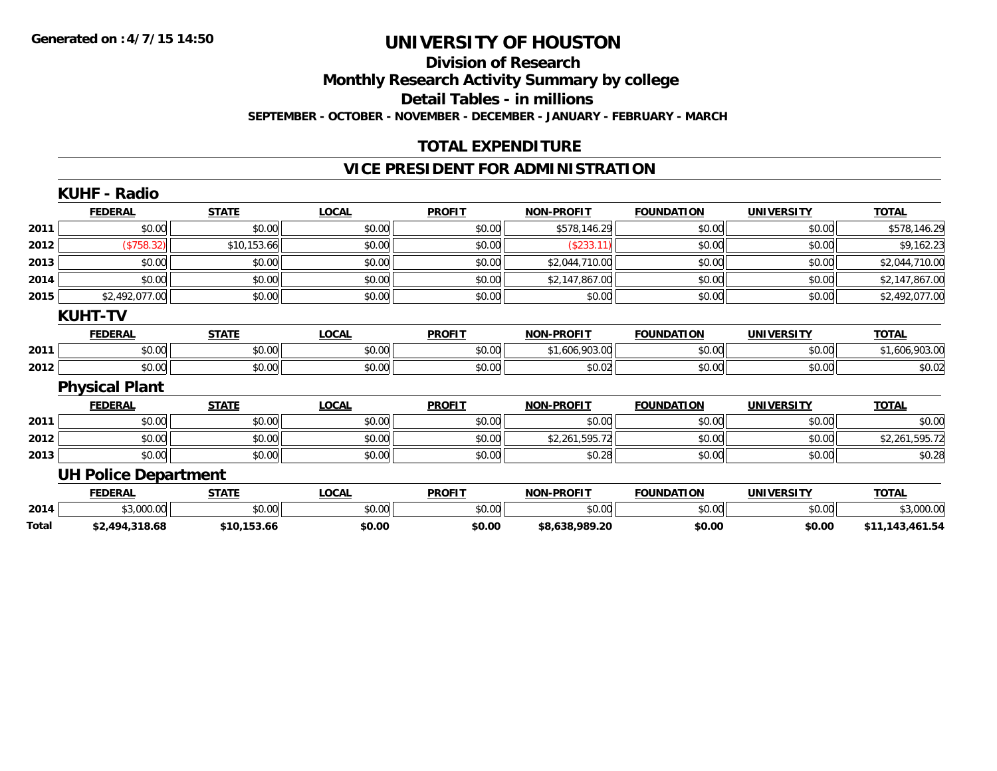## **Division of Research Monthly Research Activity Summary by college**

**Detail Tables - in millions**

**SEPTEMBER - OCTOBER - NOVEMBER - DECEMBER - JANUARY - FEBRUARY - MARCH**

## **TOTAL EXPENDITURE**

### **VICE PRESIDENT FOR ADMINISTRATION**

|       | <b>KUHF - Radio</b>         |              |              |               |                   |                   |                   |                 |
|-------|-----------------------------|--------------|--------------|---------------|-------------------|-------------------|-------------------|-----------------|
|       | <b>FEDERAL</b>              | <b>STATE</b> | <b>LOCAL</b> | <b>PROFIT</b> | <b>NON-PROFIT</b> | <b>FOUNDATION</b> | <b>UNIVERSITY</b> | <b>TOTAL</b>    |
| 2011  | \$0.00                      | \$0.00       | \$0.00       | \$0.00        | \$578,146.29      | \$0.00            | \$0.00            | \$578,146.29    |
| 2012  | (\$758.32)                  | \$10,153.66  | \$0.00       | \$0.00        | (\$233.11)        | \$0.00            | \$0.00            | \$9,162.23      |
| 2013  | \$0.00                      | \$0.00       | \$0.00       | \$0.00        | \$2,044,710.00    | \$0.00            | \$0.00            | \$2,044,710.00  |
| 2014  | \$0.00                      | \$0.00       | \$0.00       | \$0.00        | \$2,147,867.00    | \$0.00            | \$0.00            | \$2,147,867.00  |
| 2015  | \$2,492,077.00              | \$0.00       | \$0.00       | \$0.00        | \$0.00            | \$0.00            | \$0.00            | \$2,492,077.00  |
|       | <b>KUHT-TV</b>              |              |              |               |                   |                   |                   |                 |
|       | <b>FEDERAL</b>              | <b>STATE</b> | <b>LOCAL</b> | <b>PROFIT</b> | <b>NON-PROFIT</b> | <b>FOUNDATION</b> | <b>UNIVERSITY</b> | <b>TOTAL</b>    |
| 2011  | \$0.00                      | \$0.00       | \$0.00       | \$0.00        | \$1,606,903.00    | \$0.00            | \$0.00            | \$1,606,903.00  |
| 2012  | \$0.00                      | \$0.00       | \$0.00       | \$0.00        | \$0.02            | \$0.00            | \$0.00            | \$0.02          |
|       | <b>Physical Plant</b>       |              |              |               |                   |                   |                   |                 |
|       | <b>FEDERAL</b>              | <b>STATE</b> | <b>LOCAL</b> | <b>PROFIT</b> | <b>NON-PROFIT</b> | <b>FOUNDATION</b> | <b>UNIVERSITY</b> | <b>TOTAL</b>    |
| 2011  | \$0.00                      | \$0.00       | \$0.00       | \$0.00        | \$0.00            | \$0.00            | \$0.00            | \$0.00          |
| 2012  | \$0.00                      | \$0.00       | \$0.00       | \$0.00        | \$2,261,595.72    | \$0.00            | \$0.00            | \$2,261,595.72  |
| 2013  | \$0.00                      | \$0.00       | \$0.00       | \$0.00        | \$0.28            | \$0.00            | \$0.00            | \$0.28          |
|       | <b>UH Police Department</b> |              |              |               |                   |                   |                   |                 |
|       | <b>FEDERAL</b>              | <b>STATE</b> | <b>LOCAL</b> | <b>PROFIT</b> | <b>NON-PROFIT</b> | <b>FOUNDATION</b> | <b>UNIVERSITY</b> | <b>TOTAL</b>    |
| 2014  | \$3,000.00                  | \$0.00       | \$0.00       | \$0.00        | \$0.00            | \$0.00            | \$0.00            | \$3,000.00      |
| Total | \$2,494,318.68              | \$10,153.66  | \$0.00       | \$0.00        | \$8,638,989.20    | \$0.00            | \$0.00            | \$11,143,461.54 |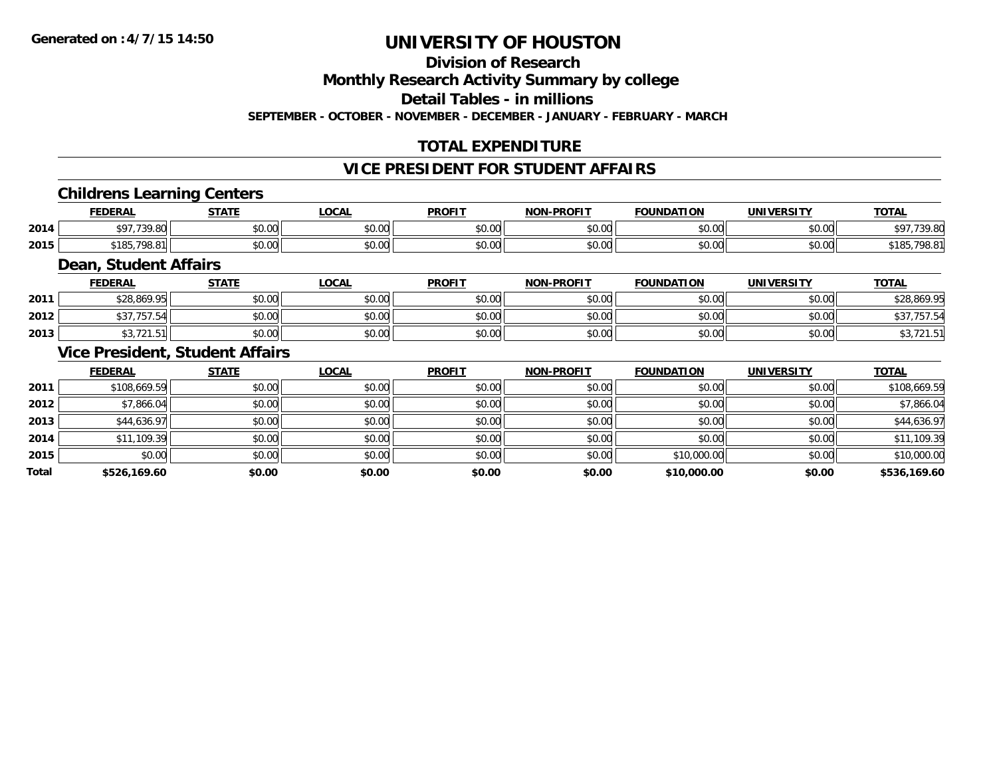#### **Division of Research**

**Monthly Research Activity Summary by college**

**Detail Tables - in millions**

**SEPTEMBER - OCTOBER - NOVEMBER - DECEMBER - JANUARY - FEBRUARY - MARCH**

### **TOTAL EXPENDITURE**

#### **VICE PRESIDENT FOR STUDENT AFFAIRS**

#### **Childrens Learning Centers**

|      | <b>FEDERAL</b>       | <b>CTATE</b>   | <b>OCAL</b>   | <b>PROFIT</b>                            | <b>NON-PROFIT</b>       | <b>FOUNDATION</b> | <b>UNIVERSITY</b> | <b>TOTAL</b>                 |
|------|----------------------|----------------|---------------|------------------------------------------|-------------------------|-------------------|-------------------|------------------------------|
| 2014 | 720.80               | ልስ ስስ<br>JU.UU | 0000<br>JU.UU | 0 <sup>n</sup><br>JU.J                   | 0 <sup>n</sup><br>vv.vv | 0000<br>,u.uu     | \$0.00            | <b>¢07 720 00</b><br>. 7.OU" |
| 2015 | 798.<br><b>01 OB</b> | ტი იი<br>JU.UU | 0000<br>JU.UU | $\uparrow$ $\uparrow$ $\uparrow$<br>υυ., | 0000<br>PO.OO           | 0000<br>ww.       | \$0.00            | $\sim$                       |

#### **Dean, Student Affairs**

|      | <b>FEDERAL</b>                 | <b>STATE</b> | <b>LOCAL</b> | <b>PROFIT</b> | <b>NON-PROFIT</b> | <b>FOUNDATION</b> | <b>UNIVERSITY</b> | <b>TOTAL</b>                             |
|------|--------------------------------|--------------|--------------|---------------|-------------------|-------------------|-------------------|------------------------------------------|
| 2011 | \$28,869.95                    | \$0.00       | \$0.00       | \$0.00        | \$0.00            | mn n¢<br>JU.UU    | \$0.00            | \$28,869.95                              |
| 2012 | $\cdots$<br>.757.54<br>. ب     | \$0.00       | \$0.00       | \$0.00        | \$0.00            | en uu<br>งบ.บบ    | \$0.00            | ,, ,,                                    |
| 2013 | $\sim$ $\sim$ $\sim$<br>ں ، اے | \$0.00       | \$0.00       | \$0.00        | \$0.00            | \$0.00            | \$0.00            | $\overline{\phantom{a}}$<br>70, 12 I . J |

#### **Vice President, Student Affairs**

|              | <b>FEDERAL</b> | <b>STATE</b> | <u>LOCAL</u> | <b>PROFIT</b> | <b>NON-PROFIT</b> | <b>FOUNDATION</b> | <b>UNIVERSITY</b> | <b>TOTAL</b> |
|--------------|----------------|--------------|--------------|---------------|-------------------|-------------------|-------------------|--------------|
| 2011         | \$108,669.59   | \$0.00       | \$0.00       | \$0.00        | \$0.00            | \$0.00            | \$0.00            | \$108,669.59 |
| 2012         | \$7,866.04     | \$0.00       | \$0.00       | \$0.00        | \$0.00            | \$0.00            | \$0.00            | \$7,866.04   |
| 2013         | \$44,636.97    | \$0.00       | \$0.00       | \$0.00        | \$0.00            | \$0.00            | \$0.00            | \$44,636.97  |
| 2014         | \$11,109.39    | \$0.00       | \$0.00       | \$0.00        | \$0.00            | \$0.00            | \$0.00            | \$11,109.39  |
| 2015         | \$0.00         | \$0.00       | \$0.00       | \$0.00        | \$0.00            | \$10,000.00       | \$0.00            | \$10,000.00  |
| <b>Total</b> | \$526,169.60   | \$0.00       | \$0.00       | \$0.00        | \$0.00            | \$10,000.00       | \$0.00            | \$536,169.60 |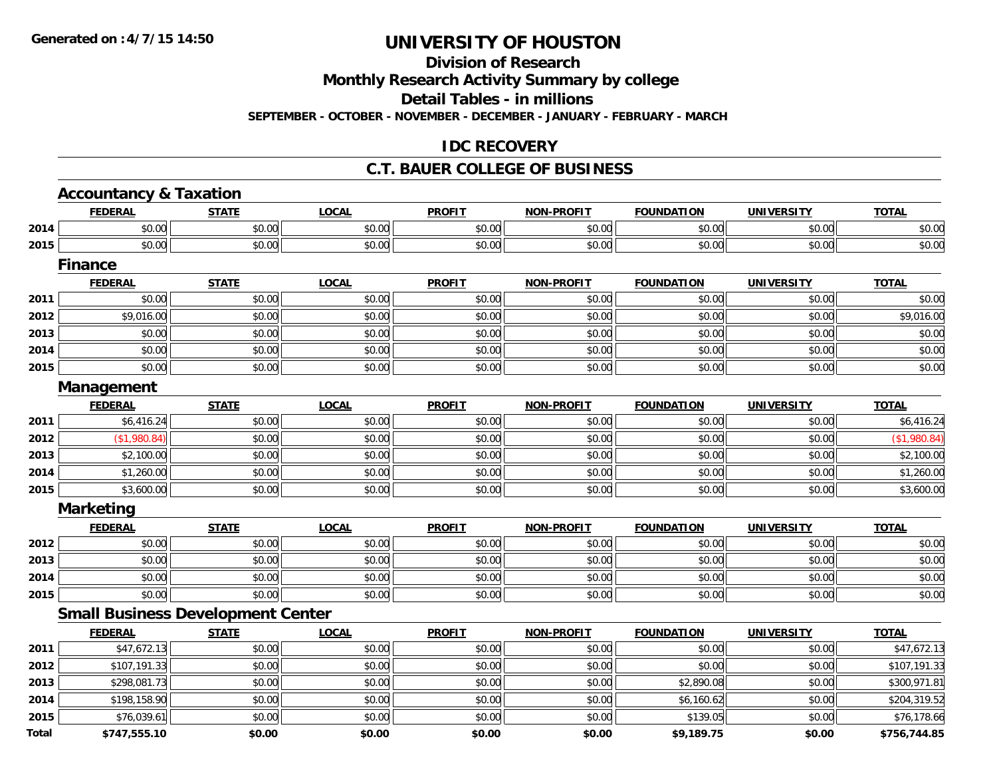#### **Division of Research**

**Monthly Research Activity Summary by college**

**Detail Tables - in millions**

**SEPTEMBER - OCTOBER - NOVEMBER - DECEMBER - JANUARY - FEBRUARY - MARCH**

#### **IDC RECOVERY**

#### **C.T. BAUER COLLEGE OF BUSINESS**

|              | <b>Accountancy &amp; Taxation</b>        |              |              |               |                   |                   |                   |              |
|--------------|------------------------------------------|--------------|--------------|---------------|-------------------|-------------------|-------------------|--------------|
|              | <b>FEDERAL</b>                           | <b>STATE</b> | <b>LOCAL</b> | <b>PROFIT</b> | <b>NON-PROFIT</b> | <b>FOUNDATION</b> | <b>UNIVERSITY</b> | <b>TOTAL</b> |
| 2014         | \$0.00                                   | \$0.00       | \$0.00       | \$0.00        | \$0.00            | \$0.00            | \$0.00            | \$0.00       |
| 2015         | \$0.00                                   | \$0.00       | \$0.00       | \$0.00        | \$0.00            | \$0.00            | \$0.00            | \$0.00       |
|              | <b>Finance</b>                           |              |              |               |                   |                   |                   |              |
|              | <b>FEDERAL</b>                           | <b>STATE</b> | <b>LOCAL</b> | <b>PROFIT</b> | <b>NON-PROFIT</b> | <b>FOUNDATION</b> | <b>UNIVERSITY</b> | <b>TOTAL</b> |
| 2011         | \$0.00                                   | \$0.00       | \$0.00       | \$0.00        | \$0.00            | \$0.00            | \$0.00            | \$0.00       |
| 2012         | \$9,016.00                               | \$0.00       | \$0.00       | \$0.00        | \$0.00            | \$0.00            | \$0.00            | \$9,016.00   |
| 2013         | \$0.00                                   | \$0.00       | \$0.00       | \$0.00        | \$0.00            | \$0.00            | \$0.00            | \$0.00       |
| 2014         | \$0.00                                   | \$0.00       | \$0.00       | \$0.00        | \$0.00            | \$0.00            | \$0.00            | \$0.00       |
| 2015         | \$0.00                                   | \$0.00       | \$0.00       | \$0.00        | \$0.00            | \$0.00            | \$0.00            | \$0.00       |
|              | Management                               |              |              |               |                   |                   |                   |              |
|              | <b>FEDERAL</b>                           | <b>STATE</b> | <b>LOCAL</b> | <b>PROFIT</b> | <b>NON-PROFIT</b> | <b>FOUNDATION</b> | <b>UNIVERSITY</b> | <b>TOTAL</b> |
| 2011         | \$6,416.24                               | \$0.00       | \$0.00       | \$0.00        | \$0.00            | \$0.00            | \$0.00            | \$6,416.24   |
| 2012         | (\$1,980.84)                             | \$0.00       | \$0.00       | \$0.00        | \$0.00            | \$0.00            | \$0.00            | (\$1,980.84) |
| 2013         | \$2,100.00                               | \$0.00       | \$0.00       | \$0.00        | \$0.00            | \$0.00            | \$0.00            | \$2,100.00   |
| 2014         | \$1,260.00                               | \$0.00       | \$0.00       | \$0.00        | \$0.00            | \$0.00            | \$0.00            | \$1,260.00   |
| 2015         | \$3,600.00                               | \$0.00       | \$0.00       | \$0.00        | \$0.00            | \$0.00            | \$0.00            | \$3,600.00   |
|              | <b>Marketing</b>                         |              |              |               |                   |                   |                   |              |
|              | <b>FEDERAL</b>                           | <b>STATE</b> | <b>LOCAL</b> | <b>PROFIT</b> | <b>NON-PROFIT</b> | <b>FOUNDATION</b> | <b>UNIVERSITY</b> | <b>TOTAL</b> |
| 2012         | \$0.00                                   | \$0.00       | \$0.00       | \$0.00        | \$0.00            | \$0.00            | \$0.00            | \$0.00       |
| 2013         | \$0.00                                   | \$0.00       | \$0.00       | \$0.00        | \$0.00            | \$0.00            | \$0.00            | \$0.00       |
| 2014         | \$0.00                                   | \$0.00       | \$0.00       | \$0.00        | \$0.00            | \$0.00            | \$0.00            | \$0.00       |
| 2015         | \$0.00                                   | \$0.00       | \$0.00       | \$0.00        | \$0.00            | \$0.00            | \$0.00            | \$0.00       |
|              | <b>Small Business Development Center</b> |              |              |               |                   |                   |                   |              |
|              | <b>FEDERAL</b>                           | <b>STATE</b> | <b>LOCAL</b> | <b>PROFIT</b> | <b>NON-PROFIT</b> | <b>FOUNDATION</b> | <b>UNIVERSITY</b> | <b>TOTAL</b> |
| 2011         | \$47,672.13                              | \$0.00       | \$0.00       | \$0.00        | \$0.00            | \$0.00            | \$0.00            | \$47,672.13  |
| 2012         | \$107,191.33                             | \$0.00       | \$0.00       | \$0.00        | \$0.00            | \$0.00            | \$0.00            | \$107,191.33 |
| 2013         | \$298,081.73                             | \$0.00       | \$0.00       | \$0.00        | \$0.00            | \$2,890.08        | \$0.00            | \$300,971.81 |
| 2014         | \$198,158.90                             | \$0.00       | \$0.00       | \$0.00        | \$0.00            | \$6,160.62        | \$0.00            | \$204,319.52 |
| 2015         | \$76,039.61                              | \$0.00       | \$0.00       | \$0.00        | \$0.00            | \$139.05          | \$0.00            | \$76,178.66  |
| <b>Total</b> | \$747.555.10                             | \$0.00       | \$0.00       | \$0.00        | \$0.00            | \$9,189.75        | \$0.00            | \$756.744.85 |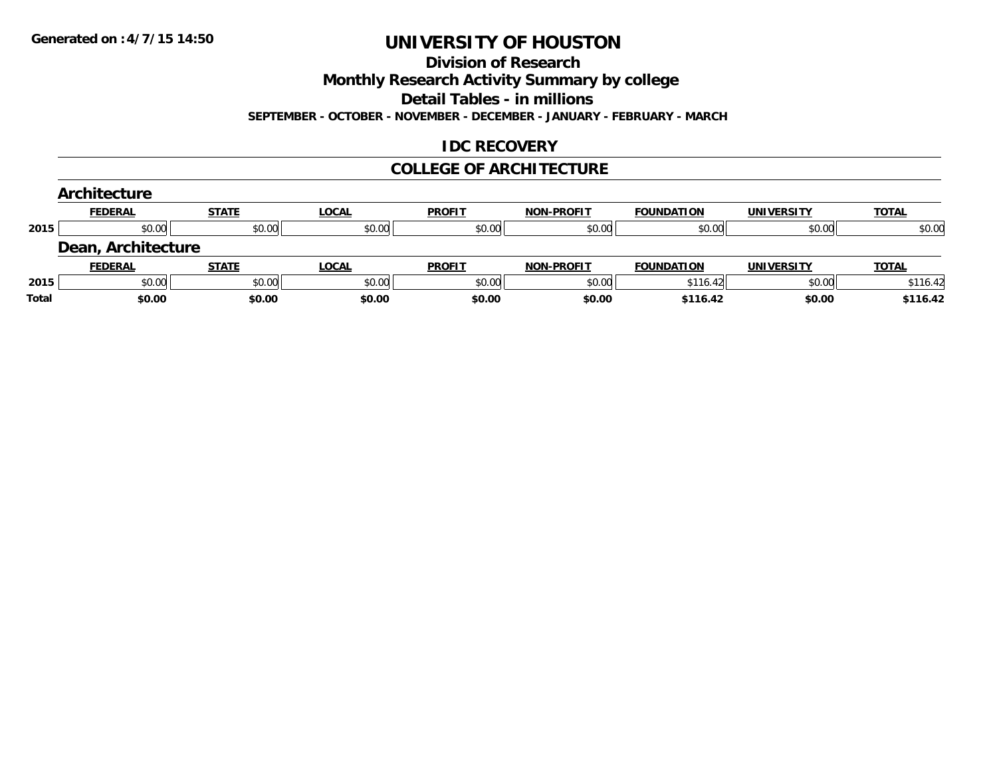#### **Division of Research**

**Monthly Research Activity Summary by college**

**Detail Tables - in millions**

**SEPTEMBER - OCTOBER - NOVEMBER - DECEMBER - JANUARY - FEBRUARY - MARCH**

#### **IDC RECOVERY**

#### **COLLEGE OF ARCHITECTURE**

|       | Architecture       |              |              |               |                   |                   |                   |              |
|-------|--------------------|--------------|--------------|---------------|-------------------|-------------------|-------------------|--------------|
|       | <b>FEDERAL</b>     | <b>STATE</b> | <b>LOCAL</b> | <b>PROFIT</b> | <b>NON-PROFIT</b> | <b>FOUNDATION</b> | <b>UNIVERSITY</b> | <b>TOTAL</b> |
| 2015  | \$0.00             | \$0.00       | \$0.00       | \$0.00        | \$0.00            | \$0.00            | \$0.00            | \$0.00       |
|       | Dean, Architecture |              |              |               |                   |                   |                   |              |
|       | <b>FEDERAL</b>     | <b>STATE</b> | <b>LOCAL</b> | <b>PROFIT</b> | <b>NON-PROFIT</b> | <b>FOUNDATION</b> | <b>UNIVERSITY</b> | <b>TOTAL</b> |
| 2015  | \$0.00             | \$0.00       | \$0.00       | \$0.00        | \$0.00            | \$116.42          | \$0.00            | \$116.42     |
| Total | \$0.00             | \$0.00       | \$0.00       | \$0.00        | \$0.00            | \$116.42          | \$0.00            | \$116.42     |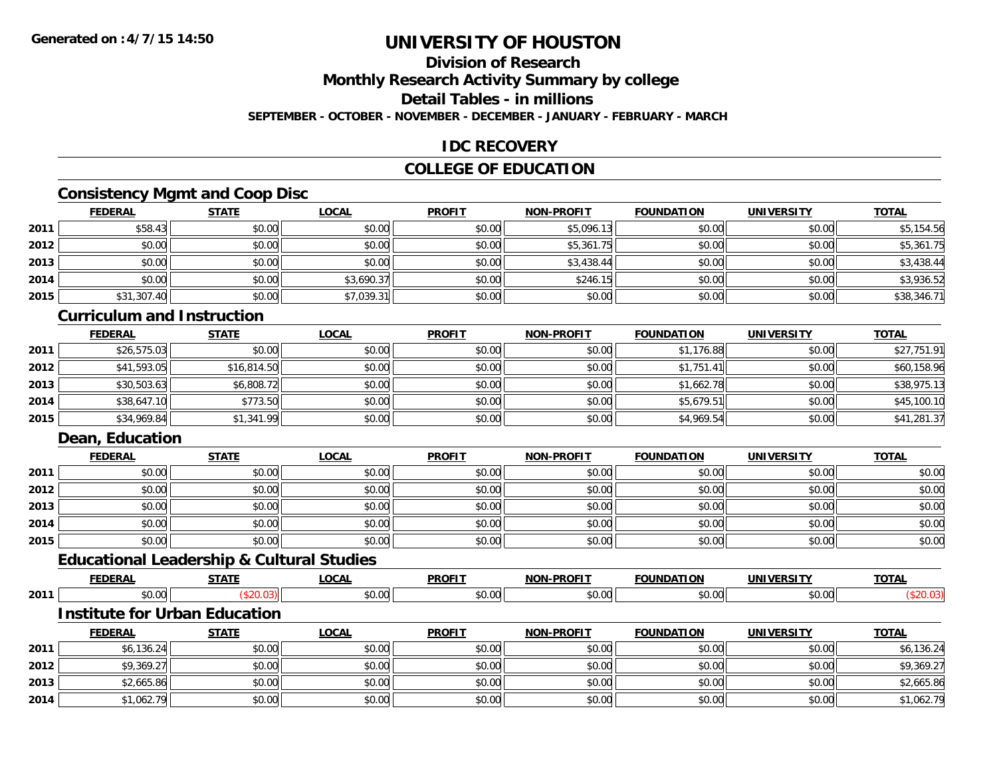### **Division of Research**

**Monthly Research Activity Summary by college**

**Detail Tables - in millions**

**SEPTEMBER - OCTOBER - NOVEMBER - DECEMBER - JANUARY - FEBRUARY - MARCH**

#### **IDC RECOVERY**

#### **COLLEGE OF EDUCATION**

### **Consistency Mgmt and Coop Disc**

|      | <b>FEDERAL</b> | <b>STATE</b> | <b>LOCAL</b> | <b>PROFIT</b> | NON-PROFIT | <b>FOUNDATION</b> | <b>UNIVERSITY</b> | <b>TOTAL</b> |
|------|----------------|--------------|--------------|---------------|------------|-------------------|-------------------|--------------|
| 2011 | \$58.43        | \$0.00       | \$0.00       | \$0.00        | \$5,096.13 | \$0.00            | \$0.00            | \$5,154.56   |
| 2012 | \$0.00         | \$0.00       | \$0.00       | \$0.00        | \$5,361.75 | \$0.00            | \$0.00            | \$5,361.75   |
| 2013 | \$0.00         | \$0.00       | \$0.00       | \$0.00        | \$3,438.44 | \$0.00            | \$0.00            | \$3,438.44   |
| 2014 | \$0.00         | \$0.00       | \$3,690.37   | \$0.00        | \$246.15   | \$0.00            | \$0.00            | \$3,936.52   |
| 2015 | \$31,307.40    | \$0.00       | \$7.039.31   | \$0.00        | \$0.00     | \$0.00            | \$0.00            | \$38,346.71  |

#### **Curriculum and Instruction**

|      | <u>FEDERAL</u> | <u>STATE</u> | <u>LOCAL</u> | <b>PROFIT</b> | NON-PROFIT | <b>FOUNDATION</b> | <b>UNIVERSITY</b> | <b>TOTAL</b> |
|------|----------------|--------------|--------------|---------------|------------|-------------------|-------------------|--------------|
| 2011 | \$26,575.03    | \$0.00       | \$0.00       | \$0.00        | \$0.00     | \$1,176.88        | \$0.00            | \$27,751.91  |
| 2012 | \$41,593.05    | \$16,814.50  | \$0.00       | \$0.00        | \$0.00     | \$1.751.41        | \$0.00            | \$60,158.96  |
| 2013 | \$30,503.63    | \$6,808.72   | \$0.00       | \$0.00        | \$0.00     | \$1,662.78        | \$0.00            | \$38,975.13  |
| 2014 | \$38,647.10    | \$773.50     | \$0.00       | \$0.00        | \$0.00     | \$5,679.51        | \$0.00            | \$45,100.10  |
| 2015 | \$34,969.84    | \$1,341.99   | \$0.00       | \$0.00        | \$0.00     | \$4,969.54        | \$0.00            | \$41,281.37  |

#### **Dean, Education**

|      | <b>FEDERAL</b> | <b>STATE</b> | <b>LOCAL</b> | <b>PROFIT</b> | <b>NON-PROFIT</b> | <b>FOUNDATION</b> | <b>UNIVERSITY</b> | <b>TOTAL</b> |
|------|----------------|--------------|--------------|---------------|-------------------|-------------------|-------------------|--------------|
| 2011 | \$0.00         | \$0.00       | \$0.00       | \$0.00        | \$0.00            | \$0.00            | \$0.00            | \$0.00       |
| 2012 | \$0.00         | \$0.00       | \$0.00       | \$0.00        | \$0.00            | \$0.00            | \$0.00            | \$0.00       |
| 2013 | \$0.00         | \$0.00       | \$0.00       | \$0.00        | \$0.00            | \$0.00            | \$0.00            | \$0.00       |
| 2014 | \$0.00         | \$0.00       | \$0.00       | \$0.00        | \$0.00            | \$0.00            | \$0.00            | \$0.00       |
| 2015 | \$0.00         | \$0.00       | \$0.00       | \$0.00        | \$0.00            | \$0.00            | \$0.00            | \$0.00       |

### **Educational Leadership & Cultural Studies**

|      | ------ | ----- | $\sim$ $\sim$ $\sim$ | <b>DDOEI</b> | -----<br>וחו          |            | INII       | TAT |
|------|--------|-------|----------------------|--------------|-----------------------|------------|------------|-----|
| 2011 |        |       | $\sim$ 00<br>v.vv    | JU.UU        | $\sim$ $\sim$<br>ישיע | $\sim$ 000 | 0.00<br>uu |     |

#### **Institute for Urban Education**

|      | <b>FEDERAL</b> | STATE  | <u>LOCAL</u> | <b>PROFIT</b> | <b>NON-PROFIT</b> | <b>FOUNDATION</b> | UNIVERSITY | <b>TOTAL</b> |
|------|----------------|--------|--------------|---------------|-------------------|-------------------|------------|--------------|
| 2011 | \$6.136.24     | \$0.00 | \$0.00       | \$0.00        | \$0.00            | \$0.00            | \$0.00     | \$6,136.24   |
| 2012 | \$9,369.27     | \$0.00 | \$0.00       | \$0.00        | \$0.00            | \$0.00            | \$0.00     | \$9,369.27   |
| 2013 | \$2,665.86     | \$0.00 | \$0.00       | \$0.00        | \$0.00            | \$0.00            | \$0.00     | \$2,665.86   |
| 2014 | \$1,062.79     | \$0.00 | \$0.00       | \$0.00        | \$0.00            | \$0.00            | \$0.00     | \$1,062.79   |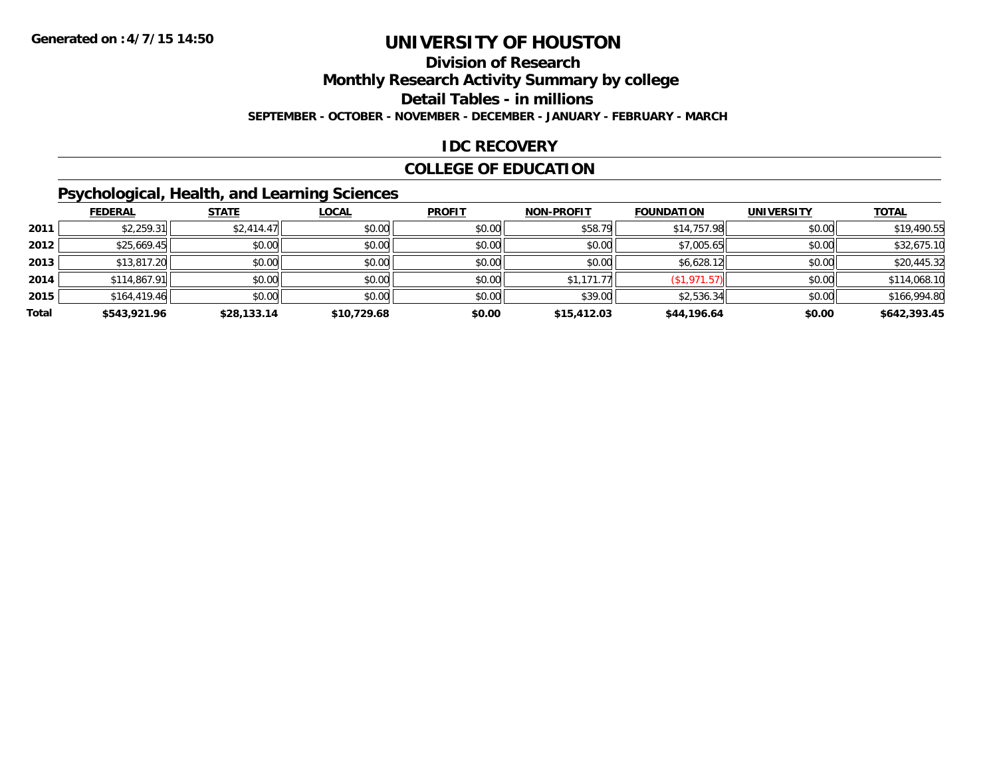#### **Division of Research**

**Monthly Research Activity Summary by college**

**Detail Tables - in millions**

**SEPTEMBER - OCTOBER - NOVEMBER - DECEMBER - JANUARY - FEBRUARY - MARCH**

### **IDC RECOVERY**

#### **COLLEGE OF EDUCATION**

## **Psychological, Health, and Learning Sciences**

|       | <b>FEDERAL</b> | <b>STATE</b> | <b>LOCAL</b> | <b>PROFIT</b> | <b>NON-PROFIT</b> | <b>FOUNDATION</b> | <b>UNIVERSITY</b> | <b>TOTAL</b> |
|-------|----------------|--------------|--------------|---------------|-------------------|-------------------|-------------------|--------------|
| 2011  | \$2,259.31     | \$2,414.47   | \$0.00       | \$0.00        | \$58.79           | \$14,757.98       | \$0.00            | \$19,490.55  |
| 2012  | \$25,669.45    | \$0.00       | \$0.00       | \$0.00        | \$0.00            | \$7,005.65        | \$0.00            | \$32,675.10  |
| 2013  | \$13,817.20    | \$0.00       | \$0.00       | \$0.00        | \$0.00            | \$6,628.12        | \$0.00            | \$20,445.32  |
| 2014  | \$114,867.91   | \$0.00       | \$0.00       | \$0.00        | \$1,171.77        | (\$1,971.57)      | \$0.00            | \$114,068.10 |
| 2015  | \$164,419.46   | \$0.00       | \$0.00       | \$0.00        | \$39.00           | \$2,536.34        | \$0.00            | \$166,994.80 |
| Total | \$543,921.96   | \$28,133.14  | \$10,729.68  | \$0.00        | \$15,412.03       | \$44,196.64       | \$0.00            | \$642,393.45 |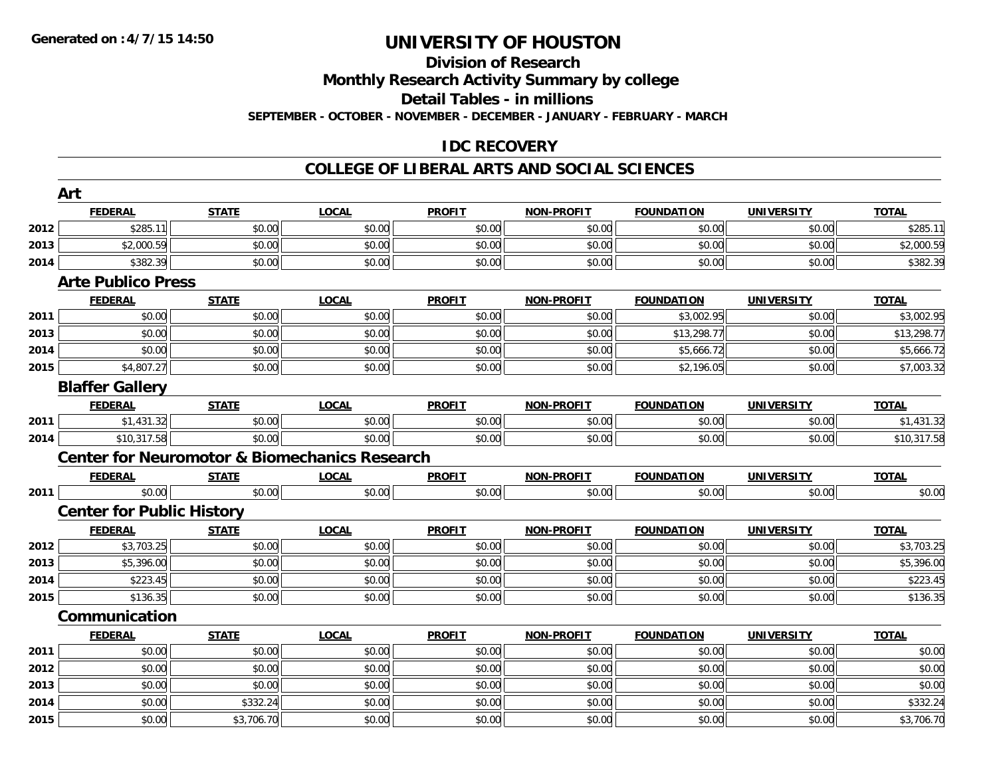## **Division of Research**

**Monthly Research Activity Summary by college**

**Detail Tables - in millions**

**SEPTEMBER - OCTOBER - NOVEMBER - DECEMBER - JANUARY - FEBRUARY - MARCH**

#### **IDC RECOVERY**

|      | Art                                                      |              |              |               |                   |                   |                   |              |
|------|----------------------------------------------------------|--------------|--------------|---------------|-------------------|-------------------|-------------------|--------------|
|      | <b>FEDERAL</b>                                           | <b>STATE</b> | <b>LOCAL</b> | <b>PROFIT</b> | <b>NON-PROFIT</b> | <b>FOUNDATION</b> | <b>UNIVERSITY</b> | <b>TOTAL</b> |
| 2012 | \$285.11                                                 | \$0.00       | \$0.00       | \$0.00        | \$0.00            | \$0.00            | \$0.00            | \$285.11     |
| 2013 | \$2,000.59                                               | \$0.00       | \$0.00       | \$0.00        | \$0.00            | \$0.00            | \$0.00            | \$2,000.59   |
| 2014 | \$382.39                                                 | \$0.00       | \$0.00       | \$0.00        | \$0.00            | \$0.00            | \$0.00            | \$382.39     |
|      | <b>Arte Publico Press</b>                                |              |              |               |                   |                   |                   |              |
|      | <b>FEDERAL</b>                                           | <b>STATE</b> | <b>LOCAL</b> | <b>PROFIT</b> | <b>NON-PROFIT</b> | <b>FOUNDATION</b> | <b>UNIVERSITY</b> | <b>TOTAL</b> |
| 2011 | \$0.00                                                   | \$0.00       | \$0.00       | \$0.00        | \$0.00            | \$3,002.95        | \$0.00            | \$3,002.95   |
| 2013 | \$0.00                                                   | \$0.00       | \$0.00       | \$0.00        | \$0.00            | \$13,298.77       | \$0.00            | \$13,298.77  |
| 2014 | \$0.00                                                   | \$0.00       | \$0.00       | \$0.00        | \$0.00            | \$5,666.72        | \$0.00            | \$5,666.72   |
| 2015 | \$4,807.27                                               | \$0.00       | \$0.00       | \$0.00        | \$0.00            | \$2,196.05        | \$0.00            | \$7,003.32   |
|      | <b>Blaffer Gallery</b>                                   |              |              |               |                   |                   |                   |              |
|      | <b>FEDERAL</b>                                           | <b>STATE</b> | <b>LOCAL</b> | <b>PROFIT</b> | <b>NON-PROFIT</b> | <b>FOUNDATION</b> | <b>UNIVERSITY</b> | <b>TOTAL</b> |
| 2011 | \$1,431.32                                               | \$0.00       | \$0.00       | \$0.00        | \$0.00            | \$0.00            | \$0.00            | \$1,431.32   |
| 2014 | \$10,317.58                                              | \$0.00       | \$0.00       | \$0.00        | \$0.00            | \$0.00            | \$0.00            | \$10,317.58  |
|      | <b>Center for Neuromotor &amp; Biomechanics Research</b> |              |              |               |                   |                   |                   |              |
|      | <b>FEDERAL</b>                                           | <b>STATE</b> | <b>LOCAL</b> | <b>PROFIT</b> | <b>NON-PROFIT</b> | <b>FOUNDATION</b> | <b>UNIVERSITY</b> | <b>TOTAL</b> |
| 2011 | \$0.00                                                   | \$0.00       | \$0.00       | \$0.00        | \$0.00            | \$0.00            | \$0.00            | \$0.00       |
|      | <b>Center for Public History</b>                         |              |              |               |                   |                   |                   |              |
|      | <b>FEDERAL</b>                                           | <b>STATE</b> | <b>LOCAL</b> | <b>PROFIT</b> | <b>NON-PROFIT</b> | <b>FOUNDATION</b> | <b>UNIVERSITY</b> | <b>TOTAL</b> |
| 2012 | \$3,703.25                                               | \$0.00       | \$0.00       | \$0.00        | \$0.00            | \$0.00            | \$0.00            | \$3,703.25   |
| 2013 | \$5,396.00                                               | \$0.00       | \$0.00       | \$0.00        | \$0.00            | \$0.00            | \$0.00            | \$5,396.00   |
| 2014 | \$223.45                                                 | \$0.00       | \$0.00       | \$0.00        | \$0.00            | \$0.00            | \$0.00            | \$223.45     |
| 2015 | \$136.35                                                 | \$0.00       | \$0.00       | \$0.00        | \$0.00            | \$0.00            | \$0.00            | \$136.35     |
|      | Communication                                            |              |              |               |                   |                   |                   |              |
|      | <b>FEDERAL</b>                                           | <b>STATE</b> | <b>LOCAL</b> | <b>PROFIT</b> | <b>NON-PROFIT</b> | <b>FOUNDATION</b> | <b>UNIVERSITY</b> | <b>TOTAL</b> |
| 2011 | \$0.00                                                   | \$0.00       | \$0.00       | \$0.00        | \$0.00            | \$0.00            | \$0.00            | \$0.00       |
| 2012 | \$0.00                                                   | \$0.00       | \$0.00       | \$0.00        | \$0.00            | \$0.00            | \$0.00            | \$0.00       |
| 2013 | \$0.00                                                   | \$0.00       | \$0.00       | \$0.00        | \$0.00            | \$0.00            | \$0.00            | \$0.00       |
| 2014 | \$0.00                                                   | \$332.24     | \$0.00       | \$0.00        | \$0.00            | \$0.00            | \$0.00            | \$332.24     |
| 2015 | \$0.00                                                   | \$3,706.70   | \$0.00       | \$0.00        | \$0.00            | \$0.00            | \$0.00            | \$3,706.70   |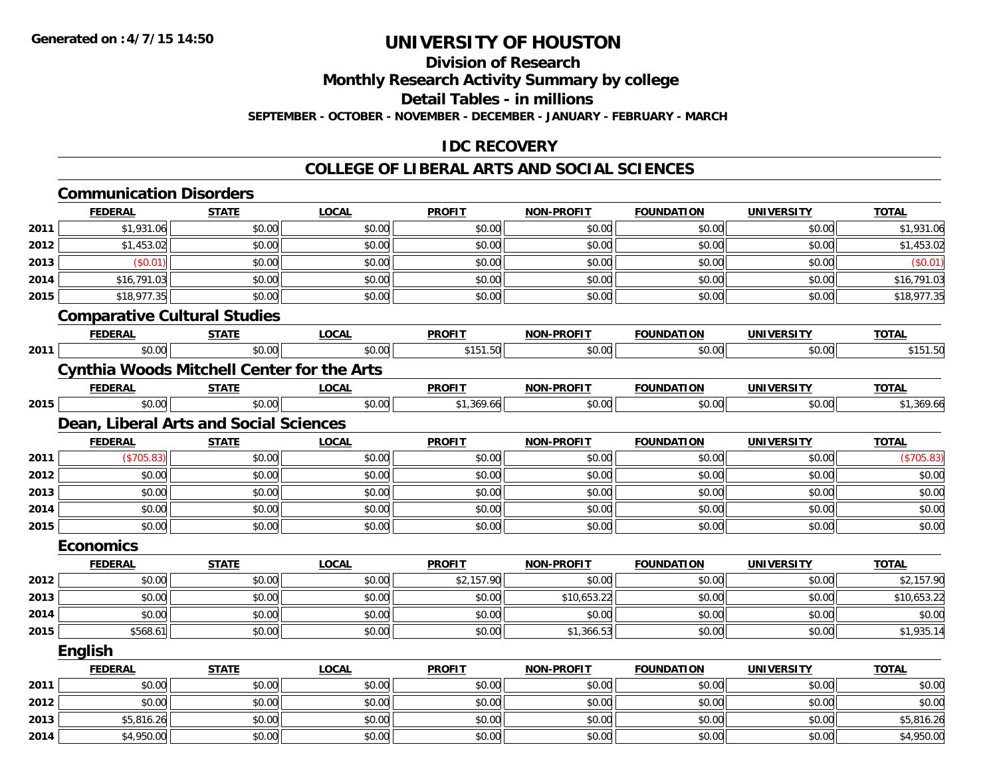**Division of Research**

**Monthly Research Activity Summary by college**

**Detail Tables - in millions**

**SEPTEMBER - OCTOBER - NOVEMBER - DECEMBER - JANUARY - FEBRUARY - MARCH**

#### **IDC RECOVERY**

|      | <b>Communication Disorders</b>                    |              |              |               |                   |                   |                   |              |
|------|---------------------------------------------------|--------------|--------------|---------------|-------------------|-------------------|-------------------|--------------|
|      | <b>FEDERAL</b>                                    | <b>STATE</b> | <b>LOCAL</b> | <b>PROFIT</b> | <b>NON-PROFIT</b> | <b>FOUNDATION</b> | <b>UNIVERSITY</b> | <b>TOTAL</b> |
| 2011 | \$1,931.06                                        | \$0.00       | \$0.00       | \$0.00        | \$0.00            | \$0.00            | \$0.00            | \$1,931.06   |
| 2012 | \$1,453.02                                        | \$0.00       | \$0.00       | \$0.00        | \$0.00            | \$0.00            | \$0.00            | \$1,453.02   |
| 2013 | (\$0.01)                                          | \$0.00       | \$0.00       | \$0.00        | \$0.00            | \$0.00            | \$0.00            | (\$0.01)     |
| 2014 | \$16,791.03                                       | \$0.00       | \$0.00       | \$0.00        | \$0.00            | \$0.00            | \$0.00            | \$16,791.03  |
| 2015 | \$18,977.35                                       | \$0.00       | \$0.00       | \$0.00        | \$0.00            | \$0.00            | \$0.00            | \$18,977.35  |
|      | <b>Comparative Cultural Studies</b>               |              |              |               |                   |                   |                   |              |
|      | <b>FEDERAL</b>                                    | <b>STATE</b> | <b>LOCAL</b> | <b>PROFIT</b> | <b>NON-PROFIT</b> | <b>FOUNDATION</b> | <b>UNIVERSITY</b> | <b>TOTAL</b> |
| 2011 | \$0.00                                            | \$0.00       | \$0.00       | \$151.50      | \$0.00            | \$0.00            | \$0.00            | \$151.50     |
|      | <b>Cynthia Woods Mitchell Center for the Arts</b> |              |              |               |                   |                   |                   |              |
|      | <b>FEDERAL</b>                                    | <b>STATE</b> | <b>LOCAL</b> | <b>PROFIT</b> | <b>NON-PROFIT</b> | <b>FOUNDATION</b> | <b>UNIVERSITY</b> | <b>TOTAL</b> |
| 2015 | \$0.00                                            | \$0.00       | \$0.00       | \$1,369.66    | \$0.00            | \$0.00            | \$0.00            | \$1,369.66   |
|      | Dean, Liberal Arts and Social Sciences            |              |              |               |                   |                   |                   |              |
|      | <b>FEDERAL</b>                                    | <b>STATE</b> | <b>LOCAL</b> | <b>PROFIT</b> | <b>NON-PROFIT</b> | <b>FOUNDATION</b> | <b>UNIVERSITY</b> | <b>TOTAL</b> |
| 2011 | (\$705.83)                                        | \$0.00       | \$0.00       | \$0.00        | \$0.00            | \$0.00            | \$0.00            | (\$705.83)   |
| 2012 | \$0.00                                            | \$0.00       | \$0.00       | \$0.00        | \$0.00            | \$0.00            | \$0.00            | \$0.00       |
| 2013 | \$0.00                                            | \$0.00       | \$0.00       | \$0.00        | \$0.00            | \$0.00            | \$0.00            | \$0.00       |
| 2014 | \$0.00                                            | \$0.00       | \$0.00       | \$0.00        | \$0.00            | \$0.00            | \$0.00            | \$0.00       |
| 2015 | \$0.00                                            | \$0.00       | \$0.00       | \$0.00        | \$0.00            | \$0.00            | \$0.00            | \$0.00       |
|      | <b>Economics</b>                                  |              |              |               |                   |                   |                   |              |
|      | <b>FEDERAL</b>                                    | <b>STATE</b> | <b>LOCAL</b> | <b>PROFIT</b> | <b>NON-PROFIT</b> | <b>FOUNDATION</b> | <b>UNIVERSITY</b> | <b>TOTAL</b> |
| 2012 | \$0.00                                            | \$0.00       | \$0.00       | \$2,157.90    | \$0.00            | \$0.00            | \$0.00            | \$2,157.90   |
| 2013 | \$0.00                                            | \$0.00       | \$0.00       | \$0.00        | \$10,653.22       | \$0.00            | \$0.00            | \$10,653.22  |
| 2014 | \$0.00                                            | \$0.00       | \$0.00       | \$0.00        | \$0.00            | \$0.00            | \$0.00            | \$0.00       |
| 2015 | \$568.61                                          | \$0.00       | \$0.00       | \$0.00        | \$1,366.53        | \$0.00            | \$0.00            | \$1,935.14   |
|      | English                                           |              |              |               |                   |                   |                   |              |
|      | <b>FEDERAL</b>                                    | <b>STATE</b> | <b>LOCAL</b> | <b>PROFIT</b> | <b>NON-PROFIT</b> | <b>FOUNDATION</b> | <b>UNIVERSITY</b> | <b>TOTAL</b> |
| 2011 | \$0.00                                            | \$0.00       | \$0.00       | \$0.00        | \$0.00            | \$0.00            | \$0.00            | \$0.00       |
| 2012 | \$0.00                                            | \$0.00       | \$0.00       | \$0.00        | \$0.00            | \$0.00            | \$0.00            | \$0.00       |
| 2013 | \$5,816.26                                        | \$0.00       | \$0.00       | \$0.00        | \$0.00            | \$0.00            | \$0.00            | \$5,816.26   |
| 2014 | \$4,950.00                                        | \$0.00       | \$0.00       | \$0.00        | \$0.00            | \$0.00            | \$0.00            | \$4,950.00   |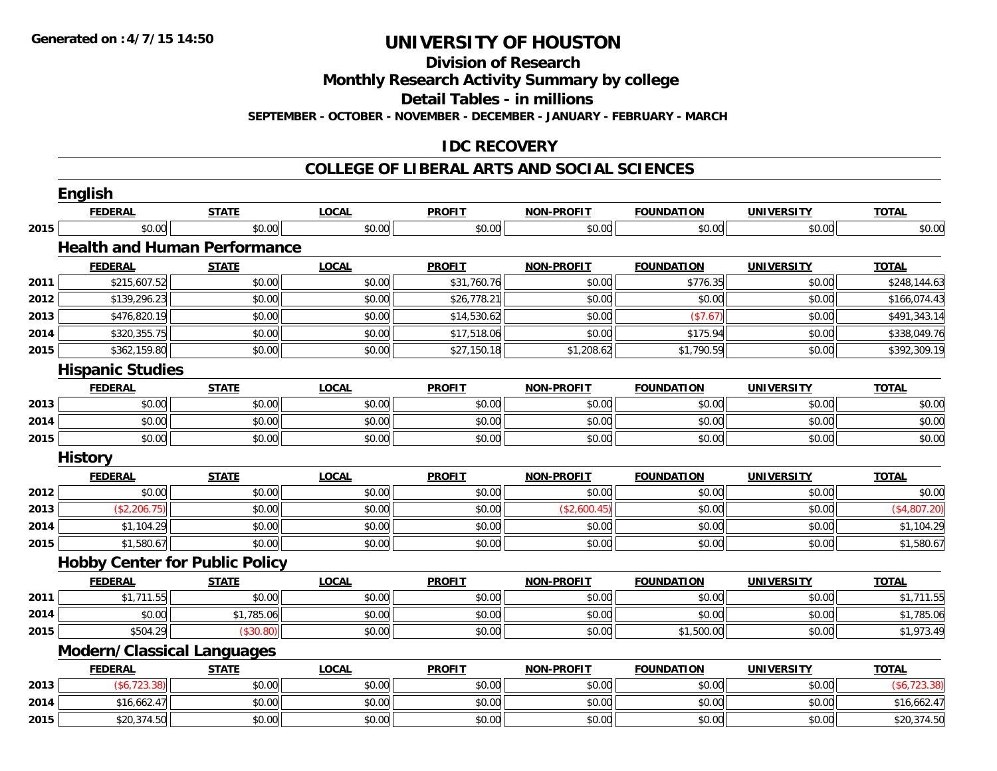**Division of Research**

**Monthly Research Activity Summary by college**

**Detail Tables - in millions**

**SEPTEMBER - OCTOBER - NOVEMBER - DECEMBER - JANUARY - FEBRUARY - MARCH**

#### **IDC RECOVERY**

|      | <b>English</b>                        |              |              |               |                   |                   |                   |              |
|------|---------------------------------------|--------------|--------------|---------------|-------------------|-------------------|-------------------|--------------|
|      | <b>FEDERAL</b>                        | <b>STATE</b> | <b>LOCAL</b> | <b>PROFIT</b> | <b>NON-PROFIT</b> | <b>FOUNDATION</b> | <b>UNIVERSITY</b> | <b>TOTAL</b> |
| 2015 | \$0.00                                | \$0.00       | \$0.00       | \$0.00        | \$0.00            | \$0.00            | \$0.00            | \$0.00       |
|      | <b>Health and Human Performance</b>   |              |              |               |                   |                   |                   |              |
|      | <b>FEDERAL</b>                        | <b>STATE</b> | <b>LOCAL</b> | <b>PROFIT</b> | <b>NON-PROFIT</b> | <b>FOUNDATION</b> | <b>UNIVERSITY</b> | <b>TOTAL</b> |
| 2011 | \$215,607.52                          | \$0.00       | \$0.00       | \$31,760.76   | \$0.00            | \$776.35          | \$0.00            | \$248,144.63 |
| 2012 | \$139,296.23                          | \$0.00       | \$0.00       | \$26,778.21   | \$0.00            | \$0.00            | \$0.00            | \$166,074.43 |
| 2013 | \$476,820.19                          | \$0.00       | \$0.00       | \$14,530.62   | \$0.00            | (\$7.67)          | \$0.00            | \$491,343.14 |
| 2014 | \$320,355.75                          | \$0.00       | \$0.00       | \$17,518.06   | \$0.00            | \$175.94          | \$0.00            | \$338,049.76 |
| 2015 | \$362,159.80                          | \$0.00       | \$0.00       | \$27,150.18   | \$1,208.62        | \$1,790.59        | \$0.00            | \$392,309.19 |
|      | <b>Hispanic Studies</b>               |              |              |               |                   |                   |                   |              |
|      | <b>FEDERAL</b>                        | <b>STATE</b> | <b>LOCAL</b> | <b>PROFIT</b> | <b>NON-PROFIT</b> | <b>FOUNDATION</b> | <b>UNIVERSITY</b> | <b>TOTAL</b> |
| 2013 | \$0.00                                | \$0.00       | \$0.00       | \$0.00        | \$0.00            | \$0.00            | \$0.00            | \$0.00       |
| 2014 | \$0.00                                | \$0.00       | \$0.00       | \$0.00        | \$0.00            | \$0.00            | \$0.00            | \$0.00       |
| 2015 | \$0.00                                | \$0.00       | \$0.00       | \$0.00        | \$0.00            | \$0.00            | \$0.00            | \$0.00       |
|      | <b>History</b>                        |              |              |               |                   |                   |                   |              |
|      |                                       |              |              |               |                   |                   |                   |              |
|      | <b>FEDERAL</b>                        | <b>STATE</b> | <b>LOCAL</b> | <b>PROFIT</b> | <b>NON-PROFIT</b> | <b>FOUNDATION</b> | <b>UNIVERSITY</b> | <b>TOTAL</b> |
| 2012 | \$0.00                                | \$0.00       | \$0.00       | \$0.00        | \$0.00            | \$0.00            | \$0.00            | \$0.00       |
| 2013 | (\$2,206.75)                          | \$0.00       | \$0.00       | \$0.00        | (\$2,600.45)      | \$0.00            | \$0.00            | (\$4,807.20) |
| 2014 | \$1,104.29                            | \$0.00       | \$0.00       | \$0.00        | \$0.00            | \$0.00            | \$0.00            | \$1,104.29   |
| 2015 | \$1,580.67                            | \$0.00       | \$0.00       | \$0.00        | \$0.00            | \$0.00            | \$0.00            | \$1,580.67   |
|      | <b>Hobby Center for Public Policy</b> |              |              |               |                   |                   |                   |              |
|      | <b>FEDERAL</b>                        | <b>STATE</b> | <b>LOCAL</b> | <b>PROFIT</b> | <b>NON-PROFIT</b> | <b>FOUNDATION</b> | <b>UNIVERSITY</b> | <b>TOTAL</b> |
| 2011 | \$1,711.55                            | \$0.00       | \$0.00       | \$0.00        | \$0.00            | \$0.00            | \$0.00            | \$1,711.55   |
| 2014 | \$0.00                                | \$1,785.06   | \$0.00       | \$0.00        | \$0.00            | \$0.00            | \$0.00            | \$1,785.06   |
| 2015 | \$504.29                              | (\$30.80)    | \$0.00       | \$0.00        | \$0.00            | \$1,500.00        | \$0.00            | \$1,973.49   |
|      | <b>Modern/Classical Languages</b>     |              |              |               |                   |                   |                   |              |
|      | <b>FEDERAL</b>                        | <b>STATE</b> | <b>LOCAL</b> | <b>PROFIT</b> | <b>NON-PROFIT</b> | <b>FOUNDATION</b> | <b>UNIVERSITY</b> | <b>TOTAL</b> |
| 2013 | (\$6,723.38)                          | \$0.00       | \$0.00       | \$0.00        | \$0.00            | \$0.00            | \$0.00            | (\$6,723.38) |
| 2014 | \$16,662.47                           | \$0.00       | \$0.00       | \$0.00        | \$0.00            | \$0.00            | \$0.00            | \$16,662.47  |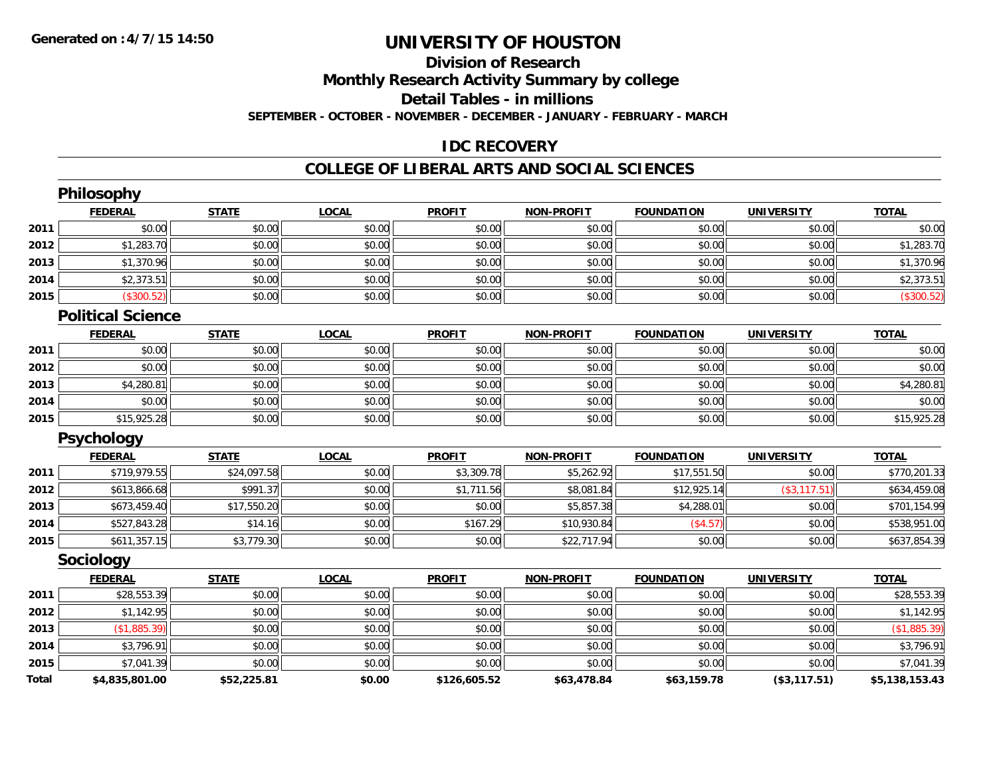## **Division of Research**

**Monthly Research Activity Summary by college**

**Detail Tables - in millions**

**SEPTEMBER - OCTOBER - NOVEMBER - DECEMBER - JANUARY - FEBRUARY - MARCH**

### **IDC RECOVERY**

|              | Philosophy               |              |              |               |                   |                   |                   |                |
|--------------|--------------------------|--------------|--------------|---------------|-------------------|-------------------|-------------------|----------------|
|              | <b>FEDERAL</b>           | <b>STATE</b> | <b>LOCAL</b> | <b>PROFIT</b> | <b>NON-PROFIT</b> | <b>FOUNDATION</b> | <b>UNIVERSITY</b> | <b>TOTAL</b>   |
| 2011         | \$0.00                   | \$0.00       | \$0.00       | \$0.00        | \$0.00            | \$0.00            | \$0.00            | \$0.00         |
| 2012         | \$1,283.70               | \$0.00       | \$0.00       | \$0.00        | \$0.00            | \$0.00            | \$0.00            | \$1,283.70     |
| 2013         | \$1,370.96               | \$0.00       | \$0.00       | \$0.00        | \$0.00            | \$0.00            | \$0.00            | \$1,370.96     |
| 2014         | \$2,373.51               | \$0.00       | \$0.00       | \$0.00        | \$0.00            | \$0.00            | \$0.00            | \$2,373.51     |
| 2015         | (\$300.52)               | \$0.00       | \$0.00       | \$0.00        | \$0.00            | \$0.00            | \$0.00            | (\$300.52)     |
|              | <b>Political Science</b> |              |              |               |                   |                   |                   |                |
|              | <b>FEDERAL</b>           | <b>STATE</b> | <b>LOCAL</b> | <b>PROFIT</b> | <b>NON-PROFIT</b> | <b>FOUNDATION</b> | <b>UNIVERSITY</b> | <b>TOTAL</b>   |
| 2011         | \$0.00                   | \$0.00       | \$0.00       | \$0.00        | \$0.00            | \$0.00            | \$0.00            | \$0.00         |
| 2012         | \$0.00                   | \$0.00       | \$0.00       | \$0.00        | \$0.00            | \$0.00            | \$0.00            | \$0.00         |
| 2013         | \$4,280.81               | \$0.00       | \$0.00       | \$0.00        | \$0.00            | \$0.00            | \$0.00            | \$4,280.81     |
| 2014         | \$0.00                   | \$0.00       | \$0.00       | \$0.00        | \$0.00            | \$0.00            | \$0.00            | \$0.00         |
| 2015         | \$15,925.28              | \$0.00       | \$0.00       | \$0.00        | \$0.00            | \$0.00            | \$0.00            | \$15,925.28    |
|              | <b>Psychology</b>        |              |              |               |                   |                   |                   |                |
|              | <b>FEDERAL</b>           | <b>STATE</b> | <b>LOCAL</b> | <b>PROFIT</b> | <b>NON-PROFIT</b> | <b>FOUNDATION</b> | <b>UNIVERSITY</b> | <b>TOTAL</b>   |
| 2011         | \$719,979.55             | \$24,097.58  | \$0.00       | \$3,309.78    | \$5,262.92        | \$17,551.50       | \$0.00            | \$770,201.33   |
| 2012         | \$613,866.68             | \$991.37     | \$0.00       | \$1,711.56    | \$8,081.84        | \$12,925.14       | (\$3, 117.51)     | \$634,459.08   |
| 2013         | \$673,459.40             | \$17,550.20  | \$0.00       | \$0.00        | \$5,857.38        | \$4,288.01        | \$0.00            | \$701,154.99   |
| 2014         | \$527,843.28             | \$14.16      | \$0.00       | \$167.29      | \$10,930.84       | (\$4.57)          | \$0.00            | \$538,951.00   |
| 2015         | \$611,357.15             | \$3,779.30   | \$0.00       | \$0.00        | \$22,717.94       | \$0.00            | \$0.00            | \$637,854.39   |
|              | Sociology                |              |              |               |                   |                   |                   |                |
|              | <b>FEDERAL</b>           | <b>STATE</b> | <b>LOCAL</b> | <b>PROFIT</b> | <b>NON-PROFIT</b> | <b>FOUNDATION</b> | <b>UNIVERSITY</b> | <b>TOTAL</b>   |
| 2011         | \$28,553.39              | \$0.00       | \$0.00       | \$0.00        | \$0.00            | \$0.00            | \$0.00            | \$28,553.39    |
| 2012         | \$1,142.95               | \$0.00       | \$0.00       | \$0.00        | \$0.00            | \$0.00            | \$0.00            | \$1,142.95     |
| 2013         | (\$1,885.39)             | \$0.00       | \$0.00       | \$0.00        | \$0.00            | \$0.00            | \$0.00            | (\$1,885.39)   |
| 2014         | \$3,796.91               | \$0.00       | \$0.00       | \$0.00        | \$0.00            | \$0.00            | \$0.00            | \$3,796.91     |
| 2015         | \$7,041.39               | \$0.00       | \$0.00       | \$0.00        | \$0.00            | \$0.00            | \$0.00            | \$7,041.39     |
| <b>Total</b> | \$4,835,801.00           | \$52,225.81  | \$0.00       | \$126,605.52  | \$63,478.84       | \$63,159.78       | (\$3,117.51)      | \$5,138,153.43 |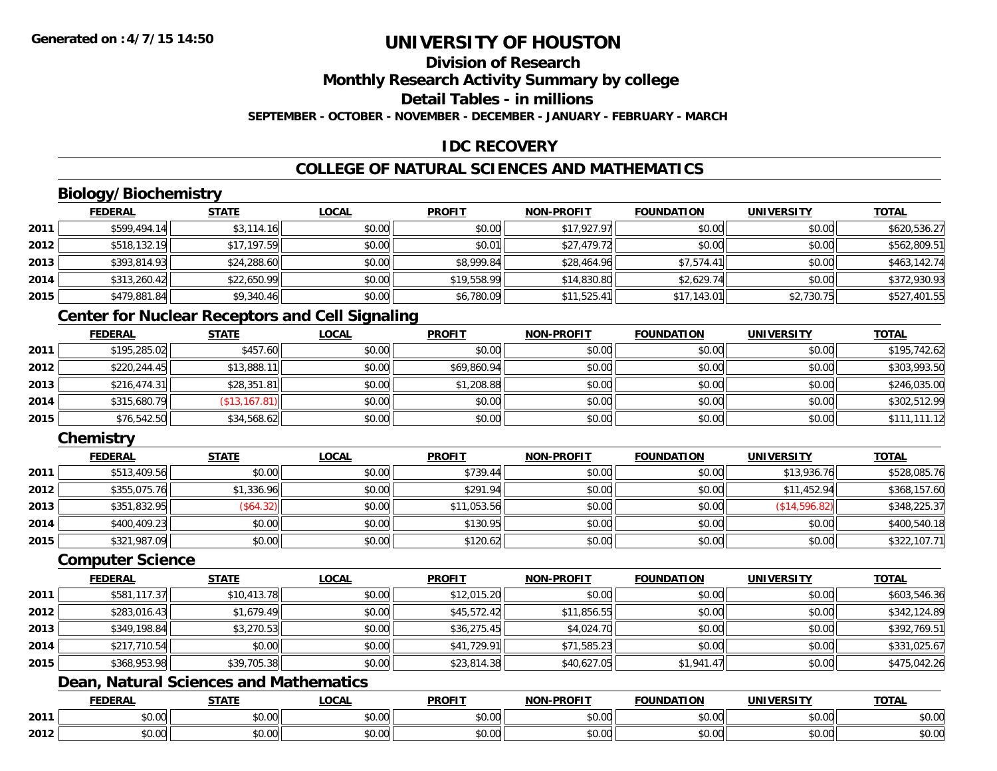## **Division of Research**

**Monthly Research Activity Summary by college**

**Detail Tables - in millions**

**SEPTEMBER - OCTOBER - NOVEMBER - DECEMBER - JANUARY - FEBRUARY - MARCH**

### **IDC RECOVERY**

### **COLLEGE OF NATURAL SCIENCES AND MATHEMATICS**

### **Biology/Biochemistry**

|      | <b>FEDERAL</b> | <b>STATE</b> | <u>LOCAL</u> | <b>PROFIT</b> | <b>NON-PROFIT</b> | <b>FOUNDATION</b> | <b>UNIVERSITY</b> | <b>TOTAL</b> |
|------|----------------|--------------|--------------|---------------|-------------------|-------------------|-------------------|--------------|
| 2011 | \$599,494.14   | \$3,114.16   | \$0.00       | \$0.00        | \$17,927.97       | \$0.00            | \$0.00            | \$620,536.27 |
| 2012 | \$518,132.19   | \$17,197.59  | \$0.00       | \$0.01        | \$27,479.72       | \$0.00            | \$0.00            | \$562,809.51 |
| 2013 | \$393,814.93   | \$24,288.60  | \$0.00       | \$8,999.84    | \$28,464.96       | \$7,574.41        | \$0.00            | \$463,142.74 |
| 2014 | \$313,260.42   | \$22,650.99  | \$0.00       | \$19,558.99   | \$14,830.80       | \$2,629.74        | \$0.00            | \$372,930.93 |
| 2015 | \$479,881.84   | \$9,340.46   | \$0.00       | \$6,780.09    | \$11,525.41       | \$17,143.01       | \$2,730.75        | \$527,401.55 |

### **Center for Nuclear Receptors and Cell Signaling**

|      | <b>FEDERAL</b> | STATE         | <b>LOCAL</b> | <b>PROFIT</b> | <b>NON-PROFIT</b> | <b>FOUNDATION</b> | <b>UNIVERSITY</b> | <b>TOTAL</b> |
|------|----------------|---------------|--------------|---------------|-------------------|-------------------|-------------------|--------------|
| 2011 | \$195,285.02   | \$457.60      | \$0.00       | \$0.00        | \$0.00            | \$0.00            | \$0.00            | \$195,742.62 |
| 2012 | \$220, 244.45  | \$13,888.11   | \$0.00       | \$69,860.94   | \$0.00            | \$0.00            | \$0.00            | \$303,993.50 |
| 2013 | \$216.474.31   | \$28,351.81   | \$0.00       | \$1,208.88    | \$0.00            | \$0.00            | \$0.00            | \$246,035.00 |
| 2014 | \$315,680.79   | (\$13,167.81) | \$0.00       | \$0.00        | \$0.00            | \$0.00            | \$0.00            | \$302,512.99 |
| 2015 | \$76,542.50    | \$34,568.62   | \$0.00       | \$0.00        | \$0.00            | \$0.00            | \$0.00            | \$111,111.12 |

### **Chemistry**

|      | <b>FEDERAL</b> | <u>STATE</u> | <b>LOCAL</b> | <b>PROFIT</b> | <b>NON-PROFIT</b> | <b>FOUNDATION</b> | <b>UNIVERSITY</b> | <b>TOTAL</b> |
|------|----------------|--------------|--------------|---------------|-------------------|-------------------|-------------------|--------------|
| 2011 | \$513,409.56   | \$0.00       | \$0.00       | \$739.44      | \$0.00            | \$0.00            | \$13,936.76       | \$528,085.76 |
| 2012 | \$355,075.76   | \$1,336.96   | \$0.00       | \$291.94      | \$0.00            | \$0.00            | \$11,452.94       | \$368,157.60 |
| 2013 | \$351,832.95   | (\$64.32)    | \$0.00       | \$11,053.56   | \$0.00            | \$0.00            | (\$14,596.82)     | \$348,225.37 |
| 2014 | \$400,409.23   | \$0.00       | \$0.00       | \$130.95      | \$0.00            | \$0.00            | \$0.00            | \$400,540.18 |
| 2015 | \$321,987.09   | \$0.00       | \$0.00       | \$120.62      | \$0.00            | \$0.00            | \$0.00            | \$322,107.71 |

#### **Computer Science**

|      | <b>FEDERAL</b> | <b>STATE</b> | <b>LOCAL</b> | <b>PROFIT</b> | <b>NON-PROFIT</b> | <b>FOUNDATION</b> | <b>UNIVERSITY</b> | <b>TOTAL</b> |
|------|----------------|--------------|--------------|---------------|-------------------|-------------------|-------------------|--------------|
| 2011 | \$581,117.37   | \$10,413.78  | \$0.00       | \$12,015.20   | \$0.00            | \$0.00            | \$0.00            | \$603,546.36 |
| 2012 | \$283,016.43   | \$1,679.49   | \$0.00       | \$45,572.42   | \$11,856.55       | \$0.00            | \$0.00            | \$342,124.89 |
| 2013 | \$349,198.84   | \$3,270.53   | \$0.00       | \$36,275.45   | \$4,024.70        | \$0.00            | \$0.00            | \$392,769.51 |
| 2014 | \$217,710.54   | \$0.00       | \$0.00       | \$41,729.91   | \$71,585.23       | \$0.00            | \$0.00            | \$331,025.67 |
| 2015 | \$368,953.98   | \$39,705.38  | \$0.00       | \$23,814.38   | \$40,627.05       | \$1,941.47        | \$0.00            | \$475,042.26 |

### **Dean, Natural Sciences and Mathematics**

|      | <b>FEBER!</b><br>LI\ <i>r</i> | $C = A$                  | $\bigcap_{n=1}^{\infty}$<br>.OCAI   | <b>PROFIT</b>          | יוחמחח<br><b>BIOB</b>         | ាកា<br>I ) Д                                 | . <i></i><br>.JIV∶ | <b>TOTAL</b>                                          |
|------|-------------------------------|--------------------------|-------------------------------------|------------------------|-------------------------------|----------------------------------------------|--------------------|-------------------------------------------------------|
| 2011 | 0.00<br>שט.טע                 | $\sim$ 0.0 $\sim$<br>ט.ט | $\sim$ 00<br>וטטוע                  | $\sim$ $\sim$<br>וטטוע | $\sim$ $\sim$ $\sim$<br>vv.vv | $\triangle$ $\triangle$ $\triangle$<br>wu.uu | 0.00<br>PU.UU      | $\mathbf{A} \cap \mathbf{A} \cap \mathbf{A}$<br>JU.UU |
| 2012 | 0000<br>JU.UU                 | <b>↑∩</b><br>JU.U        | $\uparrow$ $\land$ $\land$<br>PU.UU | $\sim$ 00<br>⊸ ∿ບ.ບບ⊩  | $\sim$<br>$\sim$<br>vv.vv     | $\sim$<br>JU.UU                              | 0000<br>JU.UU      | JU.UU                                                 |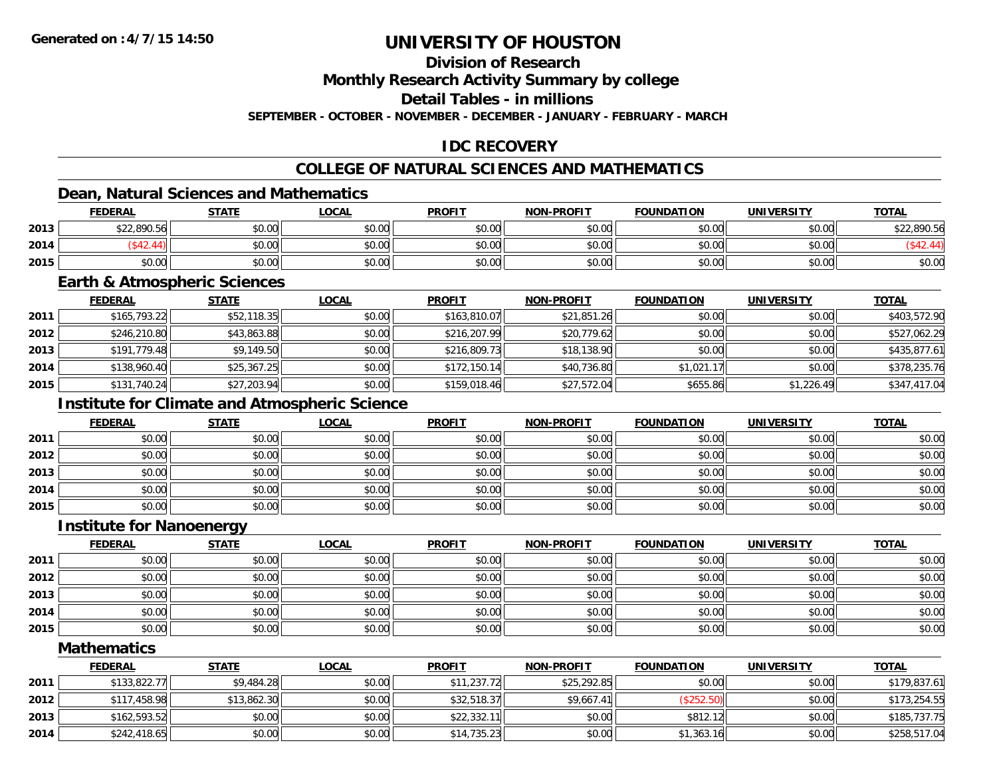### **Division of Research**

**Monthly Research Activity Summary by college**

**Detail Tables - in millions**

**SEPTEMBER - OCTOBER - NOVEMBER - DECEMBER - JANUARY - FEBRUARY - MARCH**

### **IDC RECOVERY**

### **COLLEGE OF NATURAL SCIENCES AND MATHEMATICS**

#### **Dean, Natural Sciences and Mathematics**

|      | <b>FEDERAL</b> | <b>STATE</b> | <u>LOCAL</u> | <b>PROFIT</b> | <b>NON-PROFIT</b> | <b>FOUNDATION</b> | <b>UNIVERSITY</b> | <b>TOTAL</b> |
|------|----------------|--------------|--------------|---------------|-------------------|-------------------|-------------------|--------------|
| 2013 | \$22,890.56    | \$0.00       | \$0.00       | \$0.00        | \$0.00            | \$0.00            | \$0.00            | \$22,890.56  |
| 2014 | 10.10          | \$0.00       | \$0.00       | \$0.00        | \$0.00            | \$0.00            | \$0.00            |              |
| 2015 | \$0.00         | \$0.00       | \$0.00       | \$0.00        | \$0.00            | \$0.00            | \$0.00            | \$0.00       |

#### **Earth & Atmospheric Sciences**

|      | <b>FEDERAL</b> | <b>STATE</b> | <b>LOCAL</b> | <b>PROFIT</b> | <b>NON-PROFIT</b> | <b>FOUNDATION</b> | <b>UNIVERSITY</b> | <b>TOTAL</b> |
|------|----------------|--------------|--------------|---------------|-------------------|-------------------|-------------------|--------------|
| 2011 | \$165.793.22   | \$52,118.35  | \$0.00       | \$163,810.07  | \$21,851.26       | \$0.00            | \$0.00            | \$403,572.90 |
| 2012 | \$246,210.80   | \$43,863.88  | \$0.00       | \$216,207.99  | \$20,779.62       | \$0.00            | \$0.00            | \$527,062.29 |
| 2013 | \$191,779.48   | \$9,149.50   | \$0.00       | \$216,809.73  | \$18,138.90       | \$0.00            | \$0.00            | \$435,877.61 |
| 2014 | \$138,960.40   | \$25,367.25  | \$0.00       | \$172,150.14  | \$40,736.80       | \$1,021.17        | \$0.00            | \$378,235.76 |
| 2015 | \$131,740.24   | \$27,203.94  | \$0.00       | \$159,018.46  | \$27,572.04       | \$655.86          | \$1,226.49        | \$347,417.04 |

### **Institute for Climate and Atmospheric Science**

|      | <b>FEDERAL</b> | <b>STATE</b> | <u>LOCAL</u> | <b>PROFIT</b> | <b>NON-PROFIT</b> | <b>FOUNDATION</b> | <b>UNIVERSITY</b> | <b>TOTAL</b> |
|------|----------------|--------------|--------------|---------------|-------------------|-------------------|-------------------|--------------|
| 2011 | \$0.00         | \$0.00       | \$0.00       | \$0.00        | \$0.00            | \$0.00            | \$0.00            | \$0.00       |
| 2012 | \$0.00         | \$0.00       | \$0.00       | \$0.00        | \$0.00            | \$0.00            | \$0.00            | \$0.00       |
| 2013 | \$0.00         | \$0.00       | \$0.00       | \$0.00        | \$0.00            | \$0.00            | \$0.00            | \$0.00       |
| 2014 | \$0.00         | \$0.00       | \$0.00       | \$0.00        | \$0.00            | \$0.00            | \$0.00            | \$0.00       |
| 2015 | \$0.00         | \$0.00       | \$0.00       | \$0.00        | \$0.00            | \$0.00            | \$0.00            | \$0.00       |

#### **Institute for Nanoenergy**

|      | <u>FEDERAL</u> | <b>STATE</b> | <b>LOCAL</b> | <b>PROFIT</b> | <b>NON-PROFIT</b> | <b>FOUNDATION</b> | <b>UNIVERSITY</b> | <b>TOTAL</b> |
|------|----------------|--------------|--------------|---------------|-------------------|-------------------|-------------------|--------------|
| 2011 | \$0.00         | \$0.00       | \$0.00       | \$0.00        | \$0.00            | \$0.00            | \$0.00            | \$0.00       |
| 2012 | \$0.00         | \$0.00       | \$0.00       | \$0.00        | \$0.00            | \$0.00            | \$0.00            | \$0.00       |
| 2013 | \$0.00         | \$0.00       | \$0.00       | \$0.00        | \$0.00            | \$0.00            | \$0.00            | \$0.00       |
| 2014 | \$0.00         | \$0.00       | \$0.00       | \$0.00        | \$0.00            | \$0.00            | \$0.00            | \$0.00       |
| 2015 | \$0.00         | \$0.00       | \$0.00       | \$0.00        | \$0.00            | \$0.00            | \$0.00            | \$0.00       |

#### **Mathematics**

|      | <b>FEDERAL</b> | <u>STATE</u> | <u>LOCAL</u> | <b>PROFIT</b> | <b>NON-PROFIT</b> | <b>FOUNDATION</b> | UNIVERSITY | <b>TOTAL</b> |
|------|----------------|--------------|--------------|---------------|-------------------|-------------------|------------|--------------|
| 2011 | \$133,822.77   | \$9,484.28   | \$0.00       | \$11,237.72   | \$25,292.85       | \$0.00            | \$0.00     | \$179,837.61 |
| 2012 | \$117,458.98   | \$13,862.30  | \$0.00       | \$32,518.37   | \$9,667.41        | (\$252.50)        | \$0.00     | \$173,254.55 |
| 2013 | \$162,593.52   | \$0.00       | \$0.00       | \$22,332.11   | \$0.00            | \$812.12          | \$0.00     | \$185,737.75 |
| 2014 | \$242,418.65   | \$0.00       | \$0.00       | \$14,735.23   | \$0.00            | \$1,363.16        | \$0.00     | \$258,517.04 |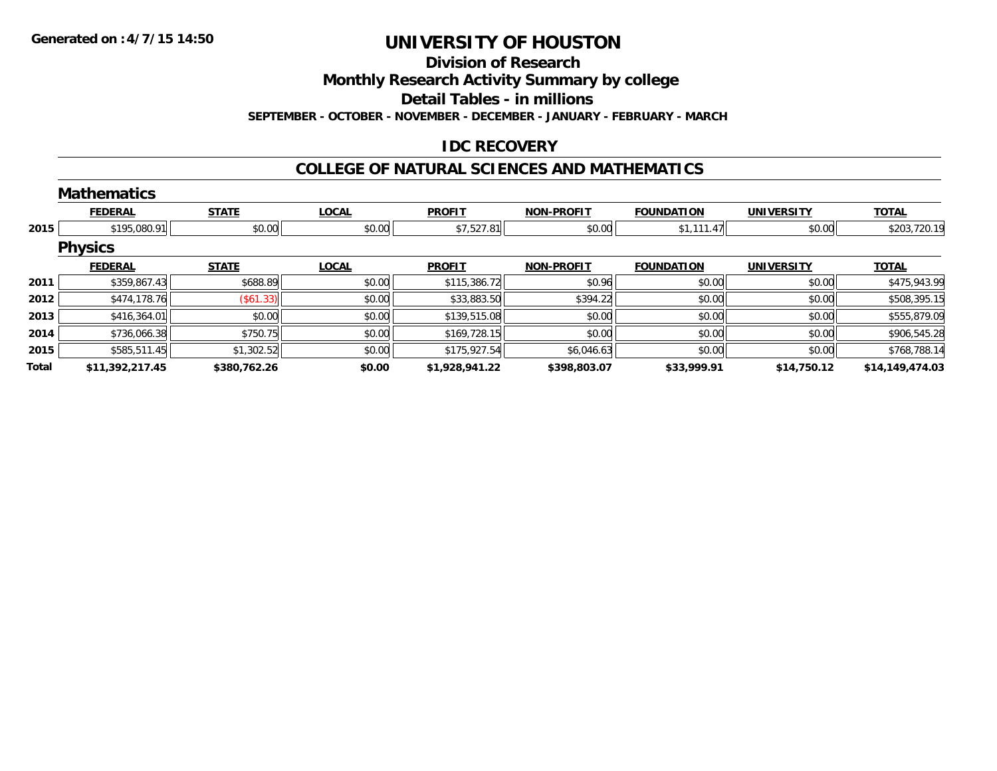#### **Division of Research**

**Monthly Research Activity Summary by college**

**Detail Tables - in millions**

**SEPTEMBER - OCTOBER - NOVEMBER - DECEMBER - JANUARY - FEBRUARY - MARCH**

### **IDC RECOVERY**

#### **COLLEGE OF NATURAL SCIENCES AND MATHEMATICS**

|       | <b>Mathematics</b> |              |              |                |                   |                   |                   |                 |
|-------|--------------------|--------------|--------------|----------------|-------------------|-------------------|-------------------|-----------------|
|       | <b>FEDERAL</b>     | <b>STATE</b> | <b>LOCAL</b> | <b>PROFIT</b>  | <b>NON-PROFIT</b> | <b>FOUNDATION</b> | <b>UNIVERSITY</b> | <b>TOTAL</b>    |
| 2015  | \$195,080.91       | \$0.00       | \$0.00       | \$7,527.81     | \$0.00            | \$1,111.47        | \$0.00            | \$203,720.19    |
|       | <b>Physics</b>     |              |              |                |                   |                   |                   |                 |
|       | <b>FEDERAL</b>     | <b>STATE</b> | <b>LOCAL</b> | <b>PROFIT</b>  | <b>NON-PROFIT</b> | <b>FOUNDATION</b> | <b>UNIVERSITY</b> | <b>TOTAL</b>    |
| 2011  | \$359,867.43       | \$688.89     | \$0.00       | \$115,386.72   | \$0.96            | \$0.00            | \$0.00            | \$475,943.99    |
| 2012  | \$474,178.76       | (\$61.33)    | \$0.00       | \$33,883.50    | \$394.22          | \$0.00            | \$0.00            | \$508,395.15    |
| 2013  | \$416,364.01       | \$0.00       | \$0.00       | \$139,515.08   | \$0.00            | \$0.00            | \$0.00            | \$555,879.09    |
| 2014  | \$736,066.38       | \$750.75     | \$0.00       | \$169,728.15   | \$0.00            | \$0.00            | \$0.00            | \$906,545.28    |
| 2015  | \$585,511.45       | \$1,302.52   | \$0.00       | \$175,927.54   | \$6,046.63        | \$0.00            | \$0.00            | \$768,788.14    |
| Total | \$11,392,217.45    | \$380,762.26 | \$0.00       | \$1,928,941.22 | \$398,803.07      | \$33,999.91       | \$14,750.12       | \$14,149,474.03 |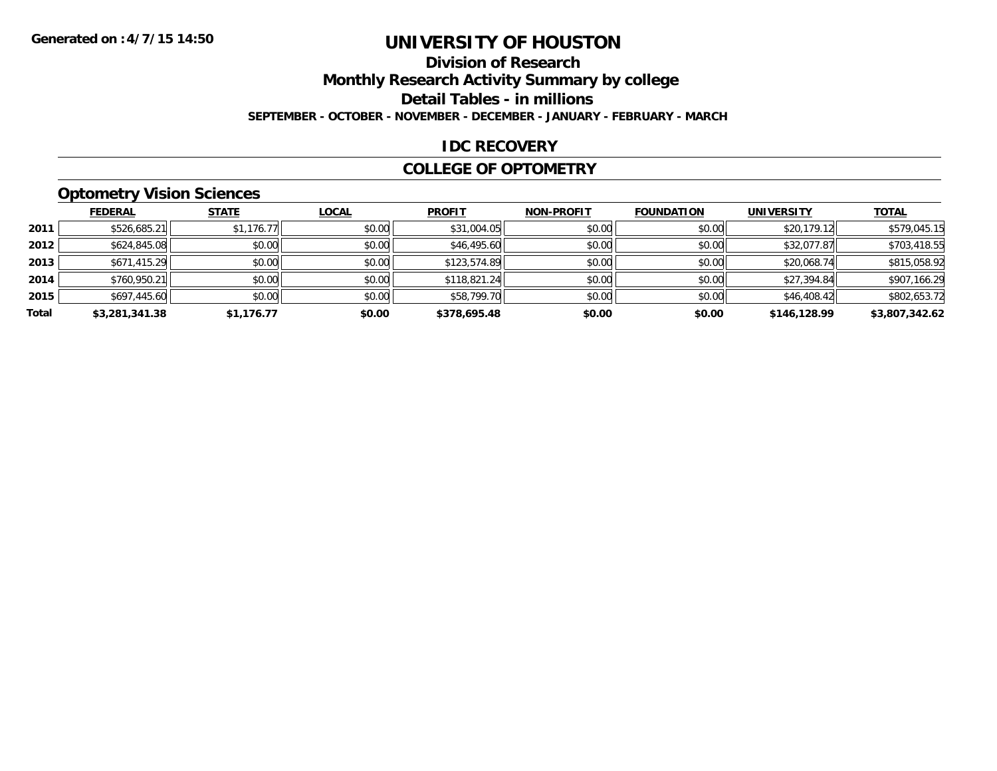## **Division of Research**

**Monthly Research Activity Summary by college**

**Detail Tables - in millions**

**SEPTEMBER - OCTOBER - NOVEMBER - DECEMBER - JANUARY - FEBRUARY - MARCH**

#### **IDC RECOVERY**

#### **COLLEGE OF OPTOMETRY**

### **Optometry Vision Sciences**

|       | <b>FEDERAL</b> | <b>STATE</b> | <b>LOCAL</b> | <b>PROFIT</b> | <b>NON-PROFIT</b> | <b>FOUNDATION</b> | <b>UNIVERSITY</b> | <b>TOTAL</b>   |
|-------|----------------|--------------|--------------|---------------|-------------------|-------------------|-------------------|----------------|
| 2011  | \$526,685.21   | \$1,176.77   | \$0.00       | \$31,004.05   | \$0.00            | \$0.00            | \$20,179.12       | \$579,045.15   |
| 2012  | \$624,845.08   | \$0.00       | \$0.00       | \$46,495.60   | \$0.00            | \$0.00            | \$32,077.87       | \$703,418.55   |
| 2013  | \$671,415.29   | \$0.00       | \$0.00       | \$123,574.89  | \$0.00            | \$0.00            | \$20,068.74       | \$815,058.92   |
| 2014  | \$760,950.21   | \$0.00       | \$0.00       | \$118,821.24  | \$0.00            | \$0.00            | \$27,394.84       | \$907,166.29   |
| 2015  | \$697,445.60   | \$0.00       | \$0.00       | \$58,799.70   | \$0.00            | \$0.00            | \$46,408.42       | \$802,653.72   |
| Total | \$3,281,341.38 | \$1,176.77   | \$0.00       | \$378,695.48  | \$0.00            | \$0.00            | \$146,128.99      | \$3,807,342.62 |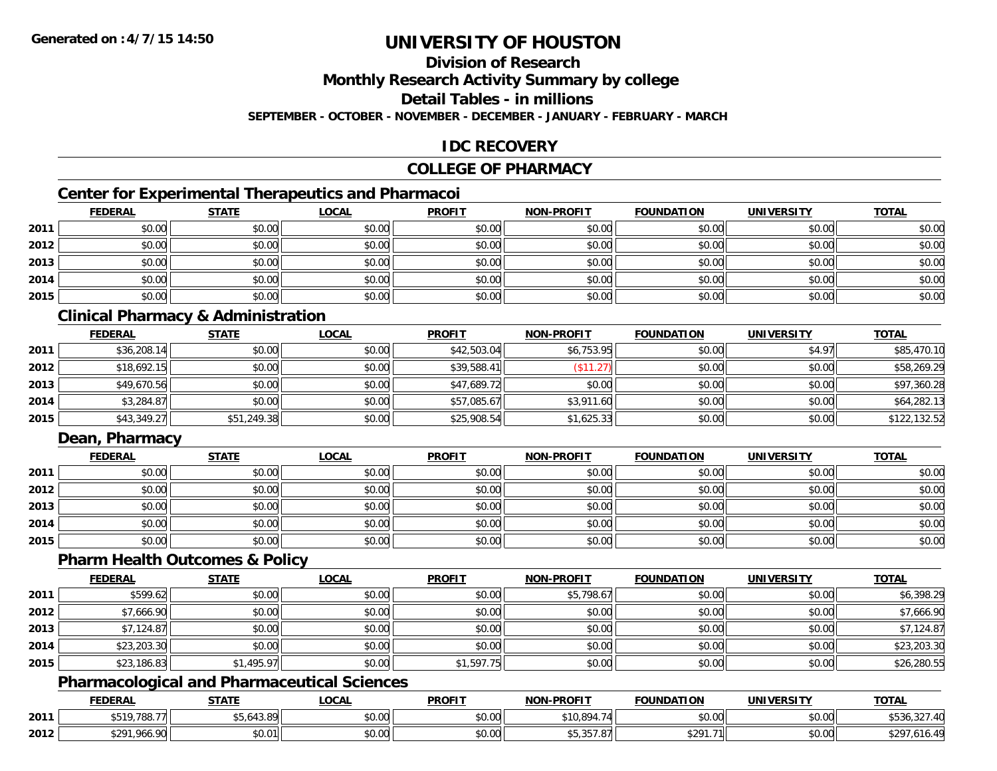### **Division of Research**

**Monthly Research Activity Summary by college**

**Detail Tables - in millions**

**SEPTEMBER - OCTOBER - NOVEMBER - DECEMBER - JANUARY - FEBRUARY - MARCH**

### **IDC RECOVERY**

#### **COLLEGE OF PHARMACY**

### **Center for Experimental Therapeutics and Pharmacoi**

|      | <b>FEDERAL</b> | <b>STATE</b> | <b>LOCAL</b> | <b>PROFIT</b> | <b>NON-PROFIT</b> | <b>FOUNDATION</b> | <b>UNIVERSITY</b> | <b>TOTAL</b> |
|------|----------------|--------------|--------------|---------------|-------------------|-------------------|-------------------|--------------|
| 2011 | \$0.00         | \$0.00       | \$0.00       | \$0.00        | \$0.00            | \$0.00            | \$0.00            | \$0.00       |
| 2012 | \$0.00         | \$0.00       | \$0.00       | \$0.00        | \$0.00            | \$0.00            | \$0.00            | \$0.00       |
| 2013 | \$0.00         | \$0.00       | \$0.00       | \$0.00        | \$0.00            | \$0.00            | \$0.00            | \$0.00       |
| 2014 | \$0.00         | \$0.00       | \$0.00       | \$0.00        | \$0.00            | \$0.00            | \$0.00            | \$0.00       |
| 2015 | \$0.00         | \$0.00       | \$0.00       | \$0.00        | \$0.00            | \$0.00            | \$0.00            | \$0.00       |

### **Clinical Pharmacy & Administration**

|      | <b>FEDERAL</b> | <b>STATE</b> | <b>LOCAL</b> | <b>PROFIT</b> | <b>NON-PROFIT</b> | <b>FOUNDATION</b> | <b>UNIVERSITY</b> | <b>TOTAL</b> |
|------|----------------|--------------|--------------|---------------|-------------------|-------------------|-------------------|--------------|
| 2011 | \$36,208.14    | \$0.00       | \$0.00       | \$42,503.04   | \$6,753.95        | \$0.00            | \$4.97            | \$85,470.10  |
| 2012 | \$18,692.15    | \$0.00       | \$0.00       | \$39,588.41   | (S11.27)          | \$0.00            | \$0.00            | \$58,269.29  |
| 2013 | \$49,670.56    | \$0.00       | \$0.00       | \$47,689.72   | \$0.00            | \$0.00            | \$0.00            | \$97,360.28  |
| 2014 | \$3,284.87     | \$0.00       | \$0.00       | \$57,085.67   | \$3,911.60        | \$0.00            | \$0.00            | \$64,282.13  |
| 2015 | \$43,349.27    | \$51,249.38  | \$0.00       | \$25,908.54   | \$1,625.33        | \$0.00            | \$0.00            | \$122,132.52 |

### **Dean, Pharmacy**

|      | <u>FEDERAL</u> | <u>STATE</u> | <u>LOCAL</u> | <b>PROFIT</b> | <b>NON-PROFIT</b> | <b>FOUNDATION</b> | <b>UNIVERSITY</b> | <b>TOTAL</b> |
|------|----------------|--------------|--------------|---------------|-------------------|-------------------|-------------------|--------------|
| 2011 | \$0.00         | \$0.00       | \$0.00       | \$0.00        | \$0.00            | \$0.00            | \$0.00            | \$0.00       |
| 2012 | \$0.00         | \$0.00       | \$0.00       | \$0.00        | \$0.00            | \$0.00            | \$0.00            | \$0.00       |
| 2013 | \$0.00         | \$0.00       | \$0.00       | \$0.00        | \$0.00            | \$0.00            | \$0.00            | \$0.00       |
| 2014 | \$0.00         | \$0.00       | \$0.00       | \$0.00        | \$0.00            | \$0.00            | \$0.00            | \$0.00       |
| 2015 | \$0.00         | \$0.00       | \$0.00       | \$0.00        | \$0.00            | \$0.00            | \$0.00            | \$0.00       |

#### **Pharm Health Outcomes & Policy**

|      | <b>FEDERAL</b> | <b>STATE</b> | <u>LOCAL</u> | <b>PROFIT</b> | <b>NON-PROFIT</b> | <b>FOUNDATION</b> | <b>UNIVERSITY</b> | <b>TOTAL</b> |
|------|----------------|--------------|--------------|---------------|-------------------|-------------------|-------------------|--------------|
| 2011 | \$599.62       | \$0.00       | \$0.00       | \$0.00        | \$5,798.67        | \$0.00            | \$0.00            | \$6,398.29   |
| 2012 | \$7,666.90     | \$0.00       | \$0.00       | \$0.00        | \$0.00            | \$0.00            | \$0.00            | \$7,666.90   |
| 2013 | \$7,124.87     | \$0.00       | \$0.00       | \$0.00        | \$0.00            | \$0.00            | \$0.00            | \$7,124.87   |
| 2014 | \$23,203.30    | \$0.00       | \$0.00       | \$0.00        | \$0.00            | \$0.00            | \$0.00            | \$23,203.30  |
| 2015 | \$23,186.83    | \$1,495.97   | \$0.00       | \$1,597.75    | \$0.00            | \$0.00            | \$0.00            | \$26,280.55  |

### **Pharmacological and Pharmaceutical Sciences**

|      | <b>FEDERAL</b>                        | C T A T C                                   | .OCAI              | <b>PROFIT</b>             | -PROFIT<br><b>NIONI</b>            | <b>FOUNDATION</b> | UNIVERSITY             | <b>TOTA</b>                 |
|------|---------------------------------------|---------------------------------------------|--------------------|---------------------------|------------------------------------|-------------------|------------------------|-----------------------------|
| 2011 | \$F10,700,7"                          | $\overline{\phantom{a}}$<br>$\sim$<br>13.O' | 0.000<br>וטט.      | ሐሴ ሰሰ<br>JU.UU            | <b>C LOO OLA</b><br>ю              | \$0.00            | no ooll<br>งบ.บบ       | \$536.327.40                |
| 2012 | $\uparrow$ $\cap$ $\cap$<br>nr<br>71. | $\uparrow$ $\uparrow$<br>\$0.0 <sup>1</sup> | $\sim$ 00<br>vv.vv | $\sim$<br>$\sim$<br>JU.UU | $\sim$ $ \sim$ $\sim$<br>$\cdot$ . | <b>¢ ገበ</b> 1     | no ool<br><b>DU.UU</b> | $\overline{a}$<br>o16.4°، . |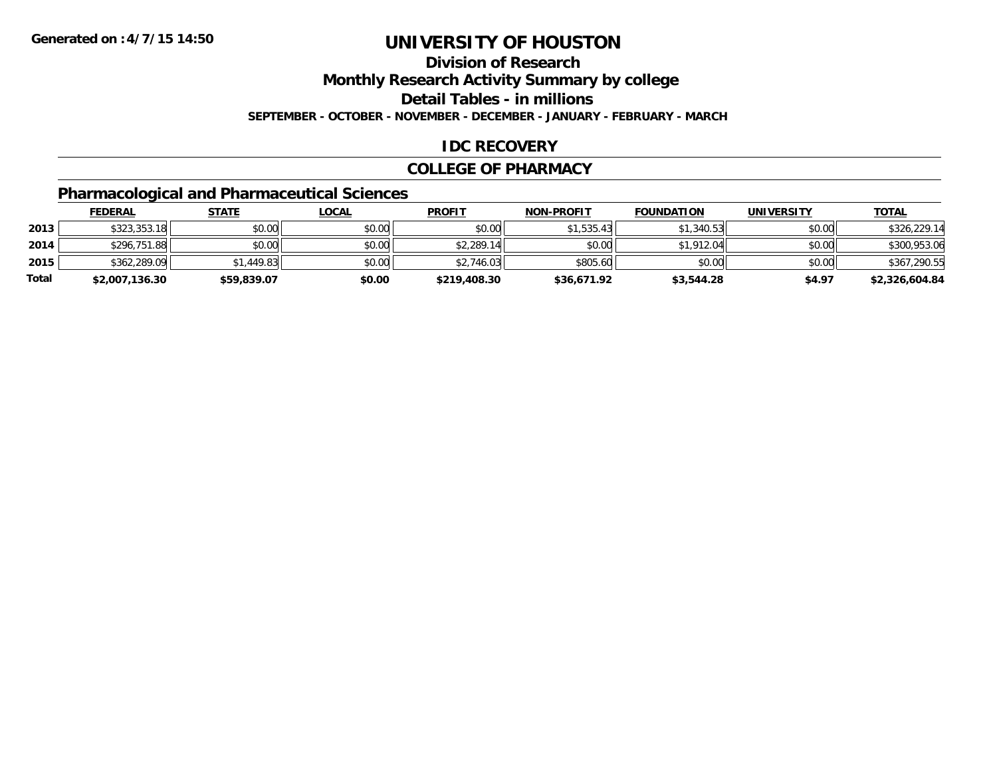## **Division of Research**

**Monthly Research Activity Summary by college**

**Detail Tables - in millions**

**SEPTEMBER - OCTOBER - NOVEMBER - DECEMBER - JANUARY - FEBRUARY - MARCH**

### **IDC RECOVERY**

#### **COLLEGE OF PHARMACY**

## **Pharmacological and Pharmaceutical Sciences**

|       | <b>FEDERAL</b> | <u>STATE</u> | <u>LOCAL</u> | <b>PROFIT</b> | <b>NON-PROFIT</b> | <b>FOUNDATION</b> | UNIVERSITY | <b>TOTAL</b>   |
|-------|----------------|--------------|--------------|---------------|-------------------|-------------------|------------|----------------|
| 2013  | \$323,353.18   | \$0.00       | \$0.00       | \$0.00        | \$1,535.43        | \$1,340.53        | \$0.00     | \$326,229.14   |
| 2014  | \$296,751.88   | \$0.00       | \$0.00       | \$2,289.14    | \$0.00            | \$1,912.04        | \$0.00     | \$300,953.06   |
| 2015  | \$362,289.09   | \$1,449.83   | \$0.00       | \$2,746.03    | \$805.60          | \$0.00            | \$0.00     | \$367,290.55   |
| Total | \$2,007,136.30 | \$59,839.07  | \$0.00       | \$219,408.30  | \$36,671.92       | \$3,544.28        | \$4.97     | \$2,326,604.84 |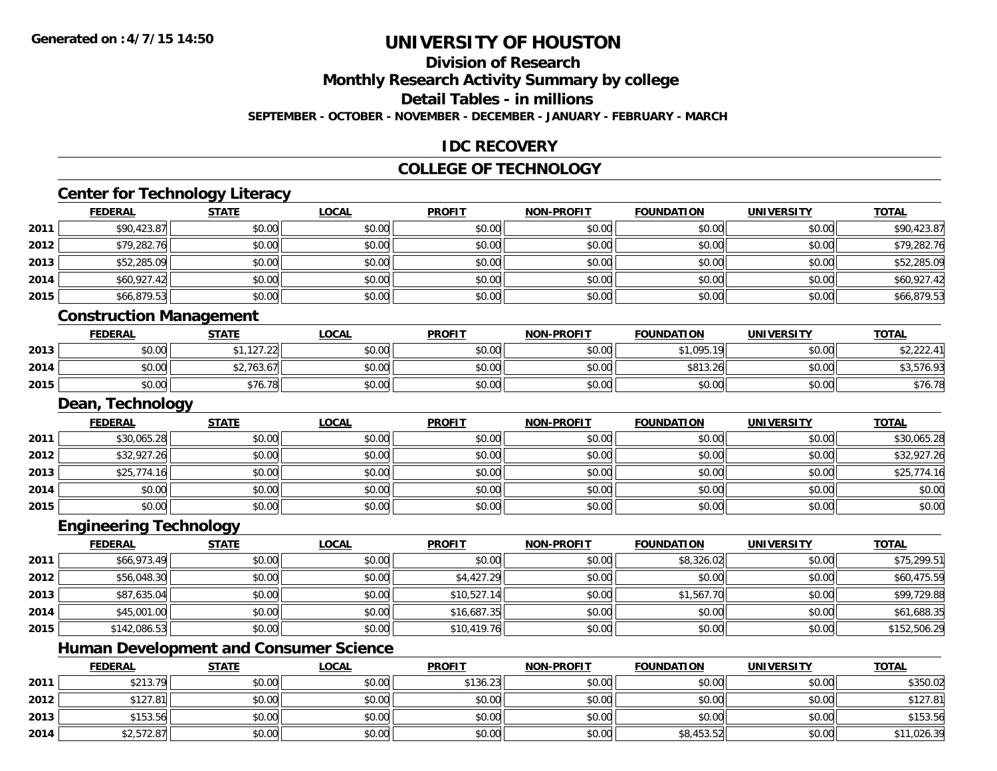## **Division of Research**

**Monthly Research Activity Summary by college**

**Detail Tables - in millions**

**SEPTEMBER - OCTOBER - NOVEMBER - DECEMBER - JANUARY - FEBRUARY - MARCH**

### **IDC RECOVERY**

#### **COLLEGE OF TECHNOLOGY**

# **Center for Technology Literacy**

|      | <b>FEDERAL</b> | <b>STATE</b> | <u>LOCAL</u> | <b>PROFIT</b> | <b>NON-PROFIT</b> | <b>FOUNDATION</b> | <b>UNIVERSITY</b> | <b>TOTAL</b> |
|------|----------------|--------------|--------------|---------------|-------------------|-------------------|-------------------|--------------|
| 2011 | \$90,423.87    | \$0.00       | \$0.00       | \$0.00        | \$0.00            | \$0.00            | \$0.00            | \$90,423.87  |
| 2012 | \$79,282.76    | \$0.00       | \$0.00       | \$0.00        | \$0.00            | \$0.00            | \$0.00            | \$79,282.76  |
| 2013 | \$52,285.09    | \$0.00       | \$0.00       | \$0.00        | \$0.00            | \$0.00            | \$0.00            | \$52,285.09  |
| 2014 | \$60,927.42    | \$0.00       | \$0.00       | \$0.00        | \$0.00            | \$0.00            | \$0.00            | \$60,927.42  |
| 2015 | \$66,879.53    | \$0.00       | \$0.00       | \$0.00        | \$0.00            | \$0.00            | \$0.00            | \$66,879.53  |
|      |                |              |              |               |                   |                   |                   |              |

#### **Construction Management**

|      | <b>FEDERAL</b> | <b>STATE</b>             | <b>_OCAL</b> | <b>PROFIT</b> | <b>NON-PROFIT</b> | <b>FOUNDATION</b> | <b>UNIVERSITY</b> | <b>TOTAL</b>                                   |
|------|----------------|--------------------------|--------------|---------------|-------------------|-------------------|-------------------|------------------------------------------------|
| 2013 | \$0.00         | $AA$ $AOZ$ $OO$<br>, 121 | \$0.00       | \$0.00        | \$0.00            | \$1,095.19        | \$0.00            | $\uparrow$ $\uparrow$ $\uparrow$<br>\$2,222.41 |
| 2014 | \$0.00         | $A \cap T$<br>42,163.61  | \$0.00       | \$0.00        | \$0.00            | \$813.26          | \$0.00            | \$3,576.93                                     |
| 2015 | \$0.00         | \$76.78                  | \$0.00       | \$0.00        | \$0.00            | \$0.00            | \$0.00            | \$76.78                                        |

#### **Dean, Technology**

|      | <b>FEDERAL</b> | <b>STATE</b> | <u>LOCAL</u> | <b>PROFIT</b> | <b>NON-PROFIT</b> | <b>FOUNDATION</b> | <b>UNIVERSITY</b> | <b>TOTAL</b> |
|------|----------------|--------------|--------------|---------------|-------------------|-------------------|-------------------|--------------|
| 2011 | \$30,065.28    | \$0.00       | \$0.00       | \$0.00        | \$0.00            | \$0.00            | \$0.00            | \$30,065.28  |
| 2012 | \$32,927.26    | \$0.00       | \$0.00       | \$0.00        | \$0.00            | \$0.00            | \$0.00            | \$32,927.26  |
| 2013 | \$25,774.16    | \$0.00       | \$0.00       | \$0.00        | \$0.00            | \$0.00            | \$0.00            | \$25,774.16  |
| 2014 | \$0.00         | \$0.00       | \$0.00       | \$0.00        | \$0.00            | \$0.00            | \$0.00            | \$0.00       |
| 2015 | \$0.00         | \$0.00       | \$0.00       | \$0.00        | \$0.00            | \$0.00            | \$0.00            | \$0.00       |

#### **Engineering Technology**

|      | <u>FEDERAL</u> | <b>STATE</b> | <u>LOCAL</u> | <b>PROFIT</b> | <b>NON-PROFIT</b> | <b>FOUNDATION</b> | <b>UNIVERSITY</b> | <b>TOTAL</b> |
|------|----------------|--------------|--------------|---------------|-------------------|-------------------|-------------------|--------------|
| 2011 | \$66,973.49    | \$0.00       | \$0.00       | \$0.00        | \$0.00            | \$8,326.02        | \$0.00            | \$75,299.51  |
| 2012 | \$56,048.30    | \$0.00       | \$0.00       | \$4,427.29    | \$0.00            | \$0.00            | \$0.00            | \$60,475.59  |
| 2013 | \$87,635.04    | \$0.00       | \$0.00       | \$10,527.14   | \$0.00            | \$1,567.70        | \$0.00            | \$99,729.88  |
| 2014 | \$45,001.00    | \$0.00       | \$0.00       | \$16,687.35   | \$0.00            | \$0.00            | \$0.00            | \$61,688.35  |
| 2015 | \$142,086.53   | \$0.00       | \$0.00       | \$10,419.76   | \$0.00            | \$0.00            | \$0.00            | \$152,506.29 |

### **Human Development and Consumer Science**

|      | <b>FEDERAL</b> | STATE  | <u>LOCAL</u> | <b>PROFIT</b> | <b>NON-PROFIT</b> | <b>FOUNDATION</b> | UNIVERSITY | <b>TOTAL</b> |
|------|----------------|--------|--------------|---------------|-------------------|-------------------|------------|--------------|
| 2011 | \$213.79       | \$0.00 | \$0.00       | \$136.23      | \$0.00            | \$0.00            | \$0.00     | \$350.02     |
| 2012 | \$127.81       | \$0.00 | \$0.00       | \$0.00        | \$0.00            | \$0.00            | \$0.00     | \$127.81     |
| 2013 | \$153.56       | \$0.00 | \$0.00       | \$0.00        | \$0.00            | \$0.00            | \$0.00     | \$153.56     |
| 2014 | \$2,572.87     | \$0.00 | \$0.00       | \$0.00        | \$0.00            | \$8,453.52        | \$0.00     | \$11,026.39  |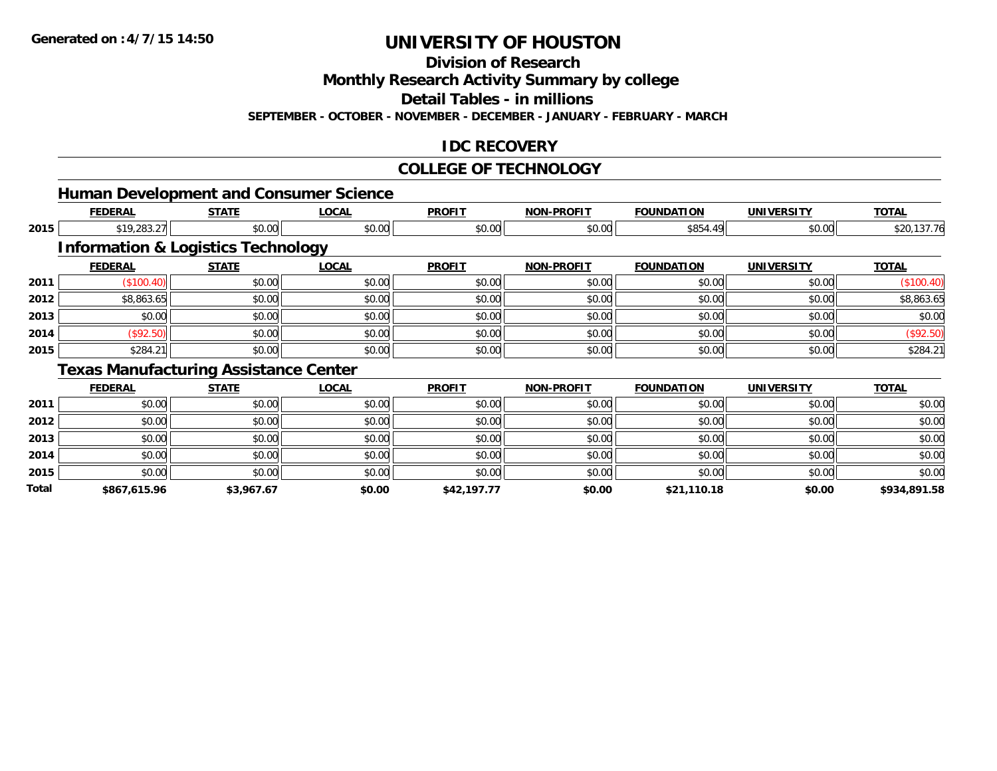**Division of Research**

**Monthly Research Activity Summary by college**

**Detail Tables - in millions**

**SEPTEMBER - OCTOBER - NOVEMBER - DECEMBER - JANUARY - FEBRUARY - MARCH**

### **IDC RECOVERY**

#### **COLLEGE OF TECHNOLOGY**

|       |                | <b>Human Development and Consumer Science</b> |              |               |                   |                   |                   |              |
|-------|----------------|-----------------------------------------------|--------------|---------------|-------------------|-------------------|-------------------|--------------|
|       | <b>FEDERAL</b> | <b>STATE</b>                                  | <b>LOCAL</b> | <b>PROFIT</b> | <b>NON-PROFIT</b> | <b>FOUNDATION</b> | <b>UNIVERSITY</b> | <b>TOTAL</b> |
| 2015  | \$19,283.27    | \$0.00                                        | \$0.00       | \$0.00        | \$0.00            | \$854.49          | \$0.00            | \$20,137.76  |
|       |                | <b>Information &amp; Logistics Technology</b> |              |               |                   |                   |                   |              |
|       | <b>FEDERAL</b> | <b>STATE</b>                                  | <b>LOCAL</b> | <b>PROFIT</b> | <b>NON-PROFIT</b> | <b>FOUNDATION</b> | <b>UNIVERSITY</b> | <b>TOTAL</b> |
| 2011  | (\$100.40)     | \$0.00                                        | \$0.00       | \$0.00        | \$0.00            | \$0.00            | \$0.00            | (\$100.40)   |
| 2012  | \$8,863.65     | \$0.00                                        | \$0.00       | \$0.00        | \$0.00            | \$0.00            | \$0.00            | \$8,863.65   |
| 2013  | \$0.00         | \$0.00                                        | \$0.00       | \$0.00        | \$0.00            | \$0.00            | \$0.00            | \$0.00       |
| 2014  | (\$92.50)      | \$0.00                                        | \$0.00       | \$0.00        | \$0.00            | \$0.00            | \$0.00            | (\$92.50)    |
| 2015  | \$284.21       | \$0.00                                        | \$0.00       | \$0.00        | \$0.00            | \$0.00            | \$0.00            | \$284.21     |
|       |                | <b>Texas Manufacturing Assistance Center</b>  |              |               |                   |                   |                   |              |
|       | <b>FEDERAL</b> | <b>STATE</b>                                  | <b>LOCAL</b> | <b>PROFIT</b> | <b>NON-PROFIT</b> | <b>FOUNDATION</b> | <b>UNIVERSITY</b> | <b>TOTAL</b> |
| 2011  | \$0.00         | \$0.00                                        | \$0.00       | \$0.00        | \$0.00            | \$0.00            | \$0.00            | \$0.00       |
| 2012  | \$0.00         | \$0.00                                        | \$0.00       | \$0.00        | \$0.00            | \$0.00            | \$0.00            | \$0.00       |
| 2013  | \$0.00         | \$0.00                                        | \$0.00       | \$0.00        | \$0.00            | \$0.00            | \$0.00            | \$0.00       |
| 2014  | \$0.00         | \$0.00                                        | \$0.00       | \$0.00        | \$0.00            | \$0.00            | \$0.00            | \$0.00       |
| 2015  | \$0.00         | \$0.00                                        | \$0.00       | \$0.00        | \$0.00            | \$0.00            | \$0.00            | \$0.00       |
| Total | \$867,615.96   | \$3,967.67                                    | \$0.00       | \$42,197.77   | \$0.00            | \$21,110.18       | \$0.00            | \$934,891.58 |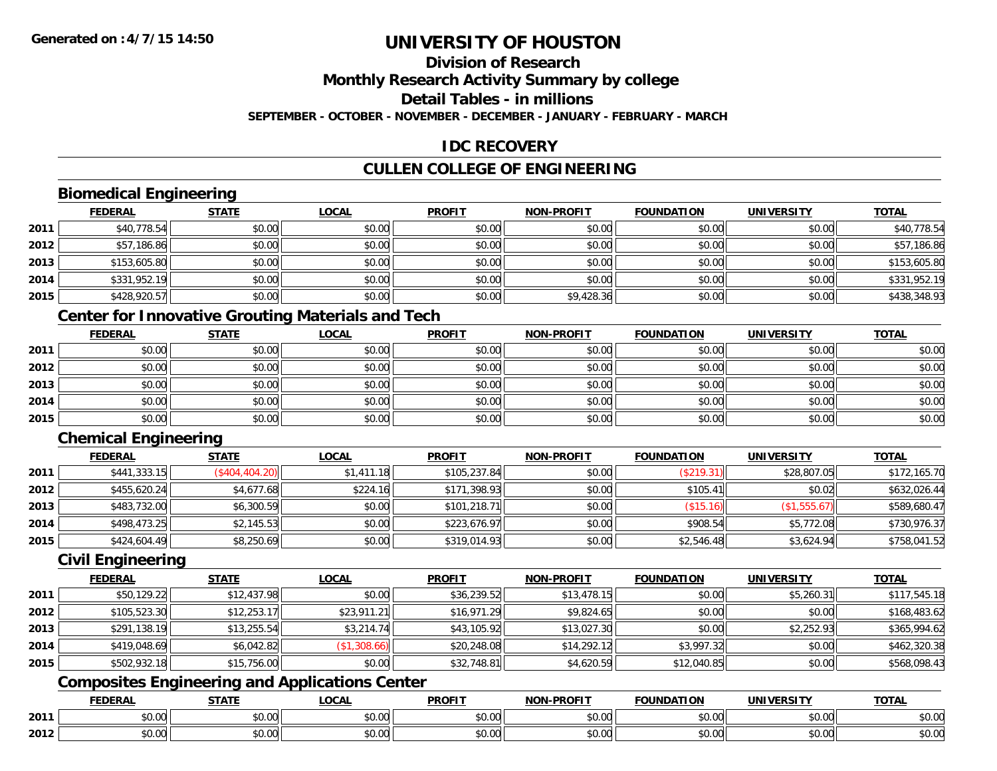# **Division of Research**

**Monthly Research Activity Summary by college**

**Detail Tables - in millions**

**SEPTEMBER - OCTOBER - NOVEMBER - DECEMBER - JANUARY - FEBRUARY - MARCH**

### **IDC RECOVERY**

### **CULLEN COLLEGE OF ENGINEERING**

### **Biomedical Engineering**

|      | <b>FEDERAL</b> | <b>STATE</b> | <b>LOCAL</b> | <b>PROFIT</b> | <b>NON-PROFIT</b> | <b>FOUNDATION</b> | <b>UNIVERSITY</b> | <b>TOTAL</b> |
|------|----------------|--------------|--------------|---------------|-------------------|-------------------|-------------------|--------------|
| 2011 | \$40,778.54    | \$0.00       | \$0.00       | \$0.00        | \$0.00            | \$0.00            | \$0.00            | \$40,778.54  |
| 2012 | \$57,186.86    | \$0.00       | \$0.00       | \$0.00        | \$0.00            | \$0.00            | \$0.00            | \$57,186.86  |
| 2013 | \$153,605.80   | \$0.00       | \$0.00       | \$0.00        | \$0.00            | \$0.00            | \$0.00            | \$153,605.80 |
| 2014 | \$331,952.19   | \$0.00       | \$0.00       | \$0.00        | \$0.00            | \$0.00            | \$0.00            | \$331,952.19 |
| 2015 | \$428,920.57   | \$0.00       | \$0.00       | \$0.00        | \$9,428.36        | \$0.00            | \$0.00            | \$438,348.93 |

### **Center for Innovative Grouting Materials and Tech**

|      | <b>FEDERAL</b> | <b>STATE</b> | <u>LOCAL</u> | <b>PROFIT</b> | <b>NON-PROFIT</b> | <b>FOUNDATION</b> | <b>UNIVERSITY</b> | <b>TOTAL</b> |
|------|----------------|--------------|--------------|---------------|-------------------|-------------------|-------------------|--------------|
| 2011 | \$0.00         | \$0.00       | \$0.00       | \$0.00        | \$0.00            | \$0.00            | \$0.00            | \$0.00       |
| 2012 | \$0.00         | \$0.00       | \$0.00       | \$0.00        | \$0.00            | \$0.00            | \$0.00            | \$0.00       |
| 2013 | \$0.00         | \$0.00       | \$0.00       | \$0.00        | \$0.00            | \$0.00            | \$0.00            | \$0.00       |
| 2014 | \$0.00         | \$0.00       | \$0.00       | \$0.00        | \$0.00            | \$0.00            | \$0.00            | \$0.00       |
| 2015 | \$0.00         | \$0.00       | \$0.00       | \$0.00        | \$0.00            | \$0.00            | \$0.00            | \$0.00       |

### **Chemical Engineering**

|      | <b>FEDERAL</b> | <b>STATE</b>   | <u>LOCAL</u> | <b>PROFIT</b> | <b>NON-PROFIT</b> | <b>FOUNDATION</b> | <b>UNIVERSITY</b> | <b>TOTAL</b> |
|------|----------------|----------------|--------------|---------------|-------------------|-------------------|-------------------|--------------|
| 2011 | \$441,333.15   | (\$404,404.20) | \$1,411.18   | \$105,237.84  | \$0.00            | (\$219.31)        | \$28,807.05       | \$172,165.70 |
| 2012 | \$455,620.24   | \$4,677.68     | \$224.16     | \$171,398.93  | \$0.00            | \$105.41          | \$0.02            | \$632,026.44 |
| 2013 | \$483,732.00   | \$6,300.59     | \$0.00       | \$101,218.71  | \$0.00            | (\$15.16)         | (\$1,555.67)      | \$589,680.47 |
| 2014 | \$498,473.25   | \$2,145.53     | \$0.00       | \$223,676.97  | \$0.00            | \$908.54          | \$5,772.08        | \$730,976.37 |
| 2015 | \$424,604.49   | \$8,250.69     | \$0.00       | \$319,014.93  | \$0.00            | \$2,546.48        | \$3,624.94        | \$758,041.52 |

#### **Civil Engineering**

|      | <b>FEDERAL</b> | <b>STATE</b> | <b>LOCAL</b> | <b>PROFIT</b> | <b>NON-PROFIT</b> | <b>FOUNDATION</b> | <b>UNIVERSITY</b> | <b>TOTAL</b> |
|------|----------------|--------------|--------------|---------------|-------------------|-------------------|-------------------|--------------|
| 2011 | \$50,129.22    | \$12,437.98  | \$0.00       | \$36,239.52   | \$13,478.15       | \$0.00            | \$5,260.31        | \$117,545.18 |
| 2012 | \$105,523.30   | \$12,253.17  | \$23,911.21  | \$16,971.29   | \$9,824.65        | \$0.00            | \$0.00            | \$168,483.62 |
| 2013 | \$291,138.19   | \$13,255.54  | \$3,214.74   | \$43,105.92   | \$13,027.30       | \$0.00            | \$2,252.93        | \$365,994.62 |
| 2014 | \$419,048.69   | \$6,042.82   | (\$1,308.66) | \$20,248.08   | \$14,292.12       | \$3,997.32        | \$0.00            | \$462,320.38 |
| 2015 | \$502,932.18   | \$15,756.00  | \$0.00       | \$32,748.81   | \$4,620.59        | \$12,040.85       | \$0.00            | \$568,098.43 |

### **Composites Engineering and Applications Center**

|      | <b>FFDFDAI</b><br>LIVE         | $- - - - -$        | $\sim$ $\sim$ $\sim$<br>$\cdots$ | <b>PROFIT</b>          | <b>DDOEIT</b><br><b>NION</b>     | מרוחו<br>חנ ו                 | . JIV :       | <b>TOTA</b>                                                                |
|------|--------------------------------|--------------------|----------------------------------|------------------------|----------------------------------|-------------------------------|---------------|----------------------------------------------------------------------------|
| 2011 | $\mathbf{A} \mathbf{A}$<br>ט.ט | $\sim$ 00<br>,,,,, | $\sim$ $\sim$<br>vv.vv           | $\sim$ $\sim$<br>וטטוע | 0 <sub>n</sub><br>vv.vv          | $\sim$ $\sim$ $\sim$<br>JU.UU | 0.00<br>pu.uu | $\begin{array}{c} \uparrow \\ \uparrow \\ \downarrow \end{array}$<br>JU.UL |
| 2012 | ₽∪.∪∪                          | $\sim$<br>ט.ט      | ሶስ ሰሰ<br>vv.vv                   | $\sim$ 00<br>JU.UU     | $\sim$ $\sim$<br>$\sim$<br>PO.OO | $v \cdot v \cdot v$           | 0000<br>JU.UU | JU.UU                                                                      |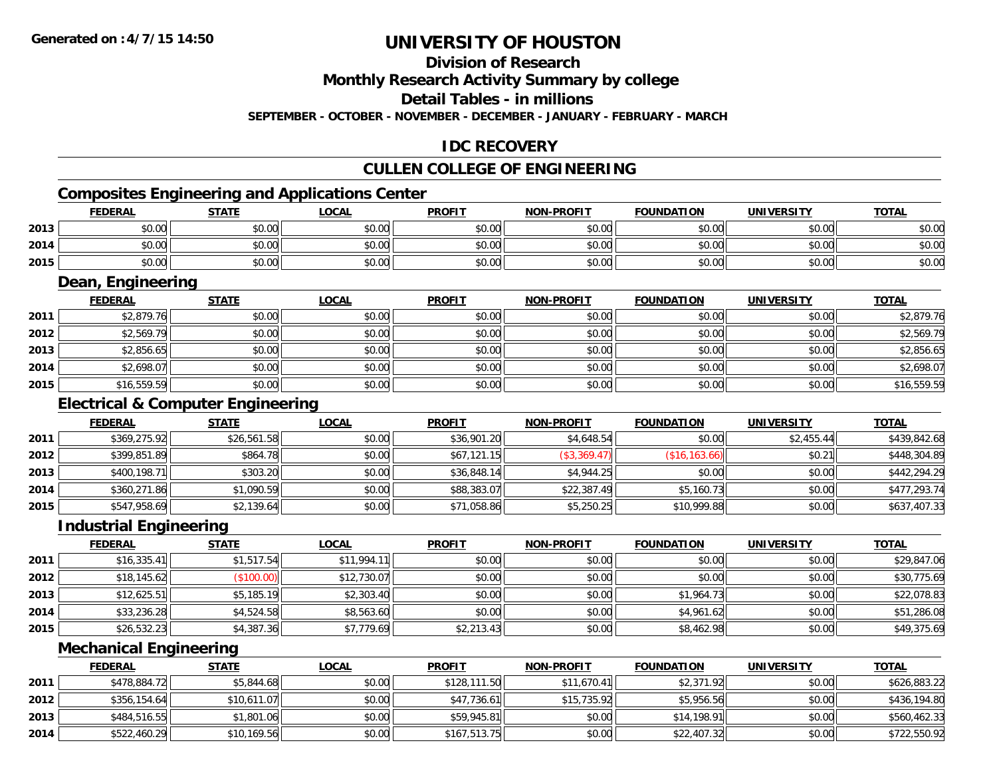### **Division of Research**

**Monthly Research Activity Summary by college**

**Detail Tables - in millions**

**SEPTEMBER - OCTOBER - NOVEMBER - DECEMBER - JANUARY - FEBRUARY - MARCH**

### **IDC RECOVERY**

## **CULLEN COLLEGE OF ENGINEERING**

## **Composites Engineering and Applications Center**

|      | <b>FEDERAL</b> | <b>STATE</b>                                             | LOCAI  | <b>PROFIT</b> | <b>NON-PROFIT</b> | <b>FOUNDATION</b> | <b>UNIVERSITY</b> | <b>TOTAL</b> |
|------|----------------|----------------------------------------------------------|--------|---------------|-------------------|-------------------|-------------------|--------------|
| 2013 | ልስ ለሰ<br>DU.UG | JU.UU                                                    | \$0.00 | \$0.00        | \$0.00            | \$0.00            | \$0.00            | \$0.00       |
| 2014 | \$0.00         | <b>AO OO</b><br>JU.UU                                    | \$0.00 | \$0.00        | \$0.00            | \$0.00            | \$0.00            | \$0.00       |
| 2015 | \$0.00         | $\mathsf{A}\cap\mathsf{A}\cap\mathsf{A}$<br><b>JU.UU</b> | \$0.00 | \$0.00        | \$0.00            | \$0.00            | \$0.00            | \$0.00       |

<u> 1989 - Johann Stoff, deutscher Stoffen und der Stoffen und der Stoffen und der Stoffen und der Stoffen und der</u>

#### **Dean, Engineering**

|      | <b>FEDERAL</b> | <b>STATE</b> | <b>LOCAL</b> | <b>PROFIT</b> | <b>NON-PROFIT</b> | <b>FOUNDATION</b> | <b>UNIVERSITY</b> | <b>TOTAL</b> |
|------|----------------|--------------|--------------|---------------|-------------------|-------------------|-------------------|--------------|
| 2011 | \$2,879.76     | \$0.00       | \$0.00       | \$0.00        | \$0.00            | \$0.00            | \$0.00            | \$2,879.76   |
| 2012 | \$2,569.79     | \$0.00       | \$0.00       | \$0.00        | \$0.00            | \$0.00            | \$0.00            | \$2,569.79   |
| 2013 | \$2,856.65     | \$0.00       | \$0.00       | \$0.00        | \$0.00            | \$0.00            | \$0.00            | \$2,856.65   |
| 2014 | \$2,698.07     | \$0.00       | \$0.00       | \$0.00        | \$0.00            | \$0.00            | \$0.00            | \$2,698.07   |
| 2015 | \$16,559.59    | \$0.00       | \$0.00       | \$0.00        | \$0.00            | \$0.00            | \$0.00            | \$16,559.59  |

### **Electrical & Computer Engineering**

|      | <b>FEDERAL</b> | <b>STATE</b> | <b>LOCAL</b> | <b>PROFIT</b> | <b>NON-PROFIT</b> | <b>FOUNDATION</b> | UNIVERSITY | <b>TOTAL</b> |
|------|----------------|--------------|--------------|---------------|-------------------|-------------------|------------|--------------|
| 2011 | \$369,275.92   | \$26,561.58  | \$0.00       | \$36,901.20   | \$4,648.54        | \$0.00            | \$2,455.44 | \$439,842.68 |
| 2012 | \$399,851.89   | \$864.78     | \$0.00       | \$67,121.15   | (\$3,369.47)      | (\$16, 163.66)    | \$0.21     | \$448,304.89 |
| 2013 | \$400,198.71   | \$303.20     | \$0.00       | \$36,848.14   | \$4.944.25        | \$0.00            | \$0.00     | \$442,294.29 |
| 2014 | \$360,271.86   | \$1,090.59   | \$0.00       | \$88,383.07   | \$22,387.49       | \$5,160.73        | \$0.00     | \$477,293.74 |
| 2015 | \$547,958.69   | \$2,139.64   | \$0.00       | \$71,058.86   | \$5,250.25        | \$10,999.88       | \$0.00     | \$637,407.33 |

#### **Industrial Engineering**

|      | <b>FEDERAL</b> | <b>STATE</b> | <u>LOCAL</u> | <b>PROFIT</b> | <b>NON-PROFIT</b> | <b>FOUNDATION</b> | <b>UNIVERSITY</b> | <b>TOTAL</b> |
|------|----------------|--------------|--------------|---------------|-------------------|-------------------|-------------------|--------------|
| 2011 | \$16,335.41    | \$1,517.54   | \$11,994.11  | \$0.00        | \$0.00            | \$0.00            | \$0.00            | \$29,847.06  |
| 2012 | \$18,145.62    | (\$100.00)   | \$12,730.07  | \$0.00        | \$0.00            | \$0.00            | \$0.00            | \$30,775.69  |
| 2013 | \$12,625.51    | \$5,185.19   | \$2,303.40   | \$0.00        | \$0.00            | \$1,964.73        | \$0.00            | \$22,078.83  |
| 2014 | \$33,236.28    | \$4,524.58   | \$8,563.60   | \$0.00        | \$0.00            | \$4,961.62        | \$0.00            | \$51,286.08  |
| 2015 | \$26,532.23    | \$4,387.36   | \$7,779.69   | \$2,213.43    | \$0.00            | \$8,462.98        | \$0.00            | \$49,375.69  |

#### **Mechanical Engineering**

|      | <b>FEDERAL</b> | <b>STATE</b> | <b>LOCAL</b> | <b>PROFIT</b> | <b>NON-PROFIT</b> | <b>FOUNDATION</b> | <b>UNIVERSITY</b> | <b>TOTAL</b> |
|------|----------------|--------------|--------------|---------------|-------------------|-------------------|-------------------|--------------|
| 2011 | \$478,884.72   | \$5,844.68   | \$0.00       | \$128,111.50  | \$11,670.41       | \$2,371.92        | \$0.00            | \$626,883.22 |
| 2012 | \$356,154.64   | \$10,611.07  | \$0.00       | \$47,736.61   | \$15,735.92       | \$5,956.56        | \$0.00            | \$436,194.80 |
| 2013 | \$484,516.55   | \$1,801.06   | \$0.00       | \$59,945.81   | \$0.00            | \$14,198.91       | \$0.00            | \$560,462.33 |
| 2014 | \$522,460.29   | \$10,169.56  | \$0.00       | \$167,513.75  | \$0.00            | \$22,407.32       | \$0.00            | \$722,550.92 |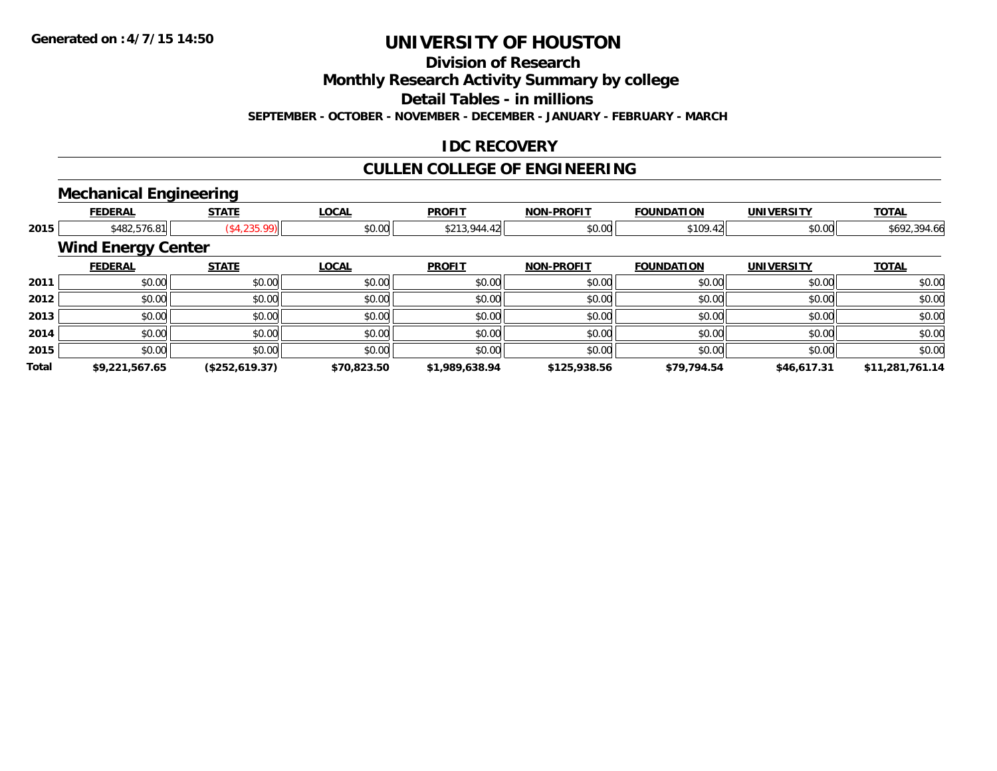**Division of Research**

**Monthly Research Activity Summary by college**

**Detail Tables - in millions**

**SEPTEMBER - OCTOBER - NOVEMBER - DECEMBER - JANUARY - FEBRUARY - MARCH**

### **IDC RECOVERY**

## **CULLEN COLLEGE OF ENGINEERING**

### **Mechanical Engineering**

|       |                           | . .                          |              |                |                   |                   |                   |                 |
|-------|---------------------------|------------------------------|--------------|----------------|-------------------|-------------------|-------------------|-----------------|
|       | <b>FEDERAL</b>            | <b>STATE</b>                 | <b>LOCAL</b> | <b>PROFIT</b>  | <b>NON-PROFIT</b> | <b>FOUNDATION</b> | <b>UNIVERSITY</b> | <b>TOTAL</b>    |
| 2015  |                           | (\$4,235.99)<br>\$482,576.81 | \$0.00       | \$213,944.42   | \$0.00            | \$109.42          | \$0.00            | \$692,394.66    |
|       | <b>Wind Energy Center</b> |                              |              |                |                   |                   |                   |                 |
|       | <b>FEDERAL</b>            | <b>STATE</b>                 | <b>LOCAL</b> | <b>PROFIT</b>  | <b>NON-PROFIT</b> | <b>FOUNDATION</b> | <b>UNIVERSITY</b> | <b>TOTAL</b>    |
| 2011  | \$0.00                    | \$0.00                       | \$0.00       | \$0.00         | \$0.00            | \$0.00            | \$0.00            | \$0.00          |
| 2012  | \$0.00                    | \$0.00                       | \$0.00       | \$0.00         | \$0.00            | \$0.00            | \$0.00            | \$0.00          |
| 2013  | \$0.00                    | \$0.00                       | \$0.00       | \$0.00         | \$0.00            | \$0.00            | \$0.00            | \$0.00          |
| 2014  | \$0.00                    | \$0.00                       | \$0.00       | \$0.00         | \$0.00            | \$0.00            | \$0.00            | \$0.00          |
| 2015  | \$0.00                    | \$0.00                       | \$0.00       | \$0.00         | \$0.00            | \$0.00            | \$0.00            | \$0.00          |
| Total | \$9,221,567.65            | (\$252,619.37)               | \$70,823.50  | \$1,989,638.94 | \$125,938.56      | \$79,794.54       | \$46,617.31       | \$11,281,761.14 |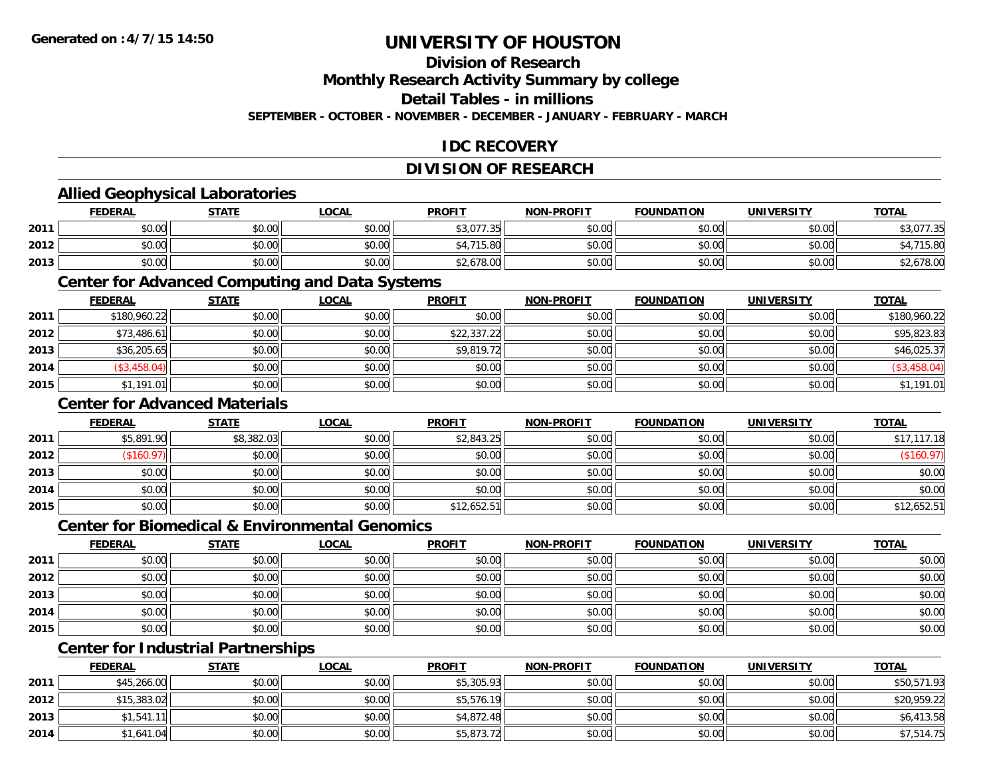### **Division of Research**

**Monthly Research Activity Summary by college**

**Detail Tables - in millions**

**SEPTEMBER - OCTOBER - NOVEMBER - DECEMBER - JANUARY - FEBRUARY - MARCH**

### **IDC RECOVERY**

### **DIVISION OF RESEARCH**

### **Allied Geophysical Laboratories**

|      | <b>FEDERAL</b> | <b>STATE</b>                                | <b>_OCAL</b>  | <b>PROFIT</b>     | <b>NON-PROFIT</b> | <b>FOUNDATION</b> | <b>UNIVERSITY</b> | <b>TOTAL</b> |
|------|----------------|---------------------------------------------|---------------|-------------------|-------------------|-------------------|-------------------|--------------|
| 2011 | \$0.00         | $\mathfrak{e}\cap\mathfrak{e}\cap$<br>JU.UU | \$0.00        | \$3,077.35<br>-26 | \$0.00            | \$0.00            | \$0.00            | 077.35<br>۰  |
| 2012 | \$0.00         | \$0.00                                      | 0.00<br>DU.UG | 74F               | \$0.00            | \$0.00            | \$0.00 l          | 15.80        |
| 2013 | \$0.00         | \$0.00                                      | \$0.00        | 2.678.00          | \$0.00            | \$0.00            | \$0.00            | \$2,678.00   |

#### **Center for Advanced Computing and Data Systems**

|      | <b>FEDERAL</b> | <b>STATE</b> | <u>LOCAL</u> | <b>PROFIT</b> | <b>NON-PROFIT</b> | <b>FOUNDATION</b> | <b>UNIVERSITY</b> | <b>TOTAL</b> |
|------|----------------|--------------|--------------|---------------|-------------------|-------------------|-------------------|--------------|
| 2011 | \$180,960.22   | \$0.00       | \$0.00       | \$0.00        | \$0.00            | \$0.00            | \$0.00            | \$180,960.22 |
| 2012 | \$73,486.61    | \$0.00       | \$0.00       | \$22,337.22   | \$0.00            | \$0.00            | \$0.00            | \$95,823.83  |
| 2013 | \$36,205.65    | \$0.00       | \$0.00       | \$9,819.72    | \$0.00            | \$0.00            | \$0.00            | \$46,025.37  |
| 2014 | (\$3,458.04)   | \$0.00       | \$0.00       | \$0.00        | \$0.00            | \$0.00            | \$0.00            | \$3,458.04"  |
| 2015 | \$1,191.01     | \$0.00       | \$0.00       | \$0.00        | \$0.00            | \$0.00            | \$0.00            | \$1,191.01   |

#### **Center for Advanced Materials**

|      | <b>FEDERAL</b> | <b>STATE</b> | <u>LOCAL</u> | <b>PROFIT</b> | <b>NON-PROFIT</b> | <b>FOUNDATION</b> | <b>UNIVERSITY</b> | <b>TOTAL</b> |
|------|----------------|--------------|--------------|---------------|-------------------|-------------------|-------------------|--------------|
| 2011 | \$5,891.90     | \$8,382.03   | \$0.00       | \$2,843.25    | \$0.00            | \$0.00            | \$0.00            | \$17,117.18  |
| 2012 | \$160.97       | \$0.00       | \$0.00       | \$0.00        | \$0.00            | \$0.00            | \$0.00            | (\$160.97)   |
| 2013 | \$0.00         | \$0.00       | \$0.00       | \$0.00        | \$0.00            | \$0.00            | \$0.00            | \$0.00       |
| 2014 | \$0.00         | \$0.00       | \$0.00       | \$0.00        | \$0.00            | \$0.00            | \$0.00            | \$0.00       |
| 2015 | \$0.00         | \$0.00       | \$0.00       | \$12,652.51   | \$0.00            | \$0.00            | \$0.00            | \$12,652.51  |

#### **Center for Biomedical & Environmental Genomics**

|      | <u>FEDERAL</u> | <b>STATE</b> | <b>LOCAL</b> | <b>PROFIT</b> | NON-PROFIT | <b>FOUNDATION</b> | <b>UNIVERSITY</b> | <b>TOTAL</b> |
|------|----------------|--------------|--------------|---------------|------------|-------------------|-------------------|--------------|
| 2011 | \$0.00         | \$0.00       | \$0.00       | \$0.00        | \$0.00     | \$0.00            | \$0.00            | \$0.00       |
| 2012 | \$0.00         | \$0.00       | \$0.00       | \$0.00        | \$0.00     | \$0.00            | \$0.00            | \$0.00       |
| 2013 | \$0.00         | \$0.00       | \$0.00       | \$0.00        | \$0.00     | \$0.00            | \$0.00            | \$0.00       |
| 2014 | \$0.00         | \$0.00       | \$0.00       | \$0.00        | \$0.00     | \$0.00            | \$0.00            | \$0.00       |
| 2015 | \$0.00         | \$0.00       | \$0.00       | \$0.00        | \$0.00     | \$0.00            | \$0.00            | \$0.00       |

### **Center for Industrial Partnerships**

|      | <b>FEDERAL</b> | <b>STATE</b> | <b>LOCAL</b> | <b>PROFIT</b> | <b>NON-PROFIT</b> | <b>FOUNDATION</b> | <b>UNIVERSITY</b> | <b>TOTAL</b> |
|------|----------------|--------------|--------------|---------------|-------------------|-------------------|-------------------|--------------|
| 2011 | \$45,266.00    | \$0.00       | \$0.00       | \$5,305.93    | \$0.00            | \$0.00            | \$0.00            | \$50,571.93  |
| 2012 | \$15,383.02    | \$0.00       | \$0.00       | \$5,576.19    | \$0.00            | \$0.00            | \$0.00            | \$20,959.22  |
| 2013 | \$1,541.11     | \$0.00       | \$0.00       | \$4,872.48    | \$0.00            | \$0.00            | \$0.00            | \$6,413.58   |
| 2014 | \$1,641.04     | \$0.00       | \$0.00       | \$5,873.72    | \$0.00            | \$0.00            | \$0.00            | \$7,514.75   |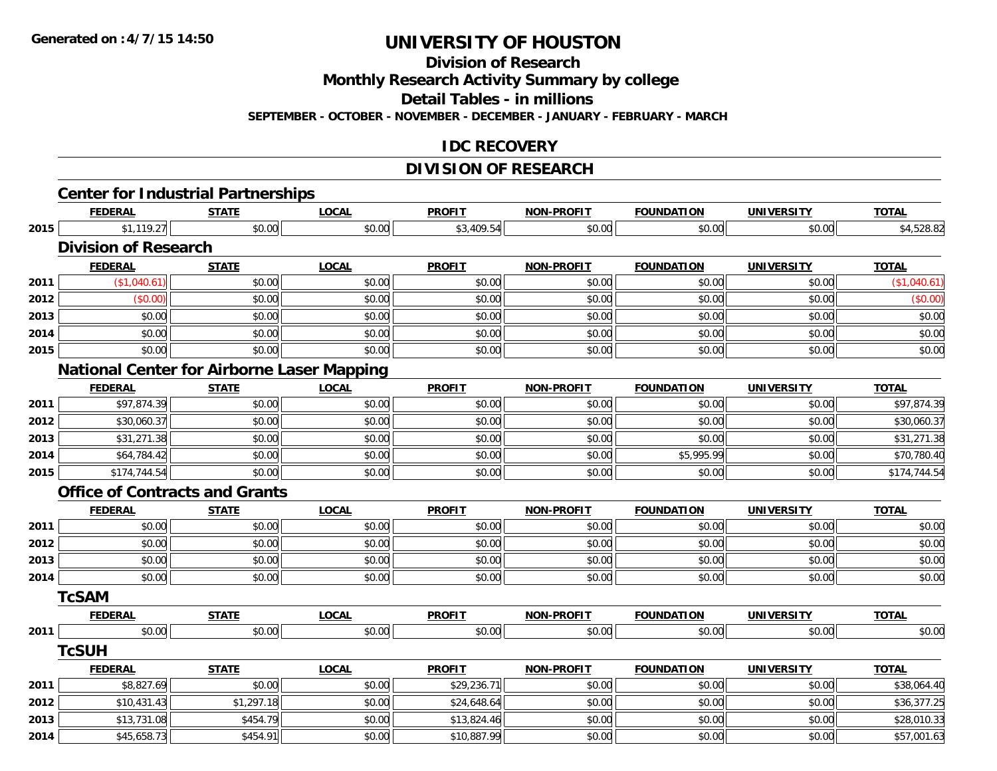**Division of Research**

**Monthly Research Activity Summary by college**

**Detail Tables - in millions**

**SEPTEMBER - OCTOBER - NOVEMBER - DECEMBER - JANUARY - FEBRUARY - MARCH**

### **IDC RECOVERY**

# **DIVISION OF RESEARCH**

|      |                                                             |              |              | <b>DIVISION OF RESEARCH</b> |                   |                   |                   |              |
|------|-------------------------------------------------------------|--------------|--------------|-----------------------------|-------------------|-------------------|-------------------|--------------|
|      | <b>Center for Industrial Partnerships</b><br><b>FEDERAL</b> | <b>STATE</b> | <b>LOCAL</b> | <b>PROFIT</b>               | <b>NON-PROFIT</b> | <b>FOUNDATION</b> | <b>UNIVERSITY</b> | <b>TOTAL</b> |
| 2015 | \$1,119.27                                                  | \$0.00       | \$0.00       | \$3,409.54                  | \$0.00            | \$0.00            | \$0.00            | \$4,528.82   |
|      | <b>Division of Research</b>                                 |              |              |                             |                   |                   |                   |              |
|      | <b>FEDERAL</b>                                              | <b>STATE</b> | <b>LOCAL</b> | <b>PROFIT</b>               | <b>NON-PROFIT</b> | <b>FOUNDATION</b> | <b>UNIVERSITY</b> | <b>TOTAL</b> |
| 2011 | (\$1,040.61)                                                | \$0.00       | \$0.00       | \$0.00                      | \$0.00            | \$0.00            | \$0.00            | (\$1,040.61) |
| 2012 | (\$0.00)                                                    | \$0.00       | \$0.00       | \$0.00                      | \$0.00            | \$0.00            | \$0.00            | (\$0.00)     |
| 2013 | \$0.00                                                      | \$0.00       | \$0.00       | \$0.00                      | \$0.00            | \$0.00            | \$0.00            | \$0.00       |
| 2014 | \$0.00                                                      | \$0.00       | \$0.00       | \$0.00                      | \$0.00            | \$0.00            | \$0.00            | \$0.00       |
| 2015 | \$0.00                                                      | \$0.00       | \$0.00       | \$0.00                      | \$0.00            | \$0.00            | \$0.00            | \$0.00       |
|      | <b>National Center for Airborne Laser Mapping</b>           |              |              |                             |                   |                   |                   |              |
|      | <b>FEDERAL</b>                                              | <b>STATE</b> | <b>LOCAL</b> | <b>PROFIT</b>               | <b>NON-PROFIT</b> | <b>FOUNDATION</b> | <b>UNIVERSITY</b> | <b>TOTAL</b> |
| 2011 | \$97,874.39                                                 | \$0.00       | \$0.00       | \$0.00                      | \$0.00            | \$0.00            | \$0.00            | \$97,874.39  |
| 2012 | \$30,060.37                                                 | \$0.00       | \$0.00       | \$0.00                      | \$0.00            | \$0.00            | \$0.00            | \$30,060.37  |
| 2013 | \$31,271.38                                                 | \$0.00       | \$0.00       | \$0.00                      | \$0.00            | \$0.00            | \$0.00            | \$31,271.38  |
| 2014 | \$64,784.42                                                 | \$0.00       | \$0.00       | \$0.00                      | \$0.00            | \$5,995.99        | \$0.00            | \$70,780.40  |
| 2015 | \$174,744.54                                                | \$0.00       | \$0.00       | \$0.00                      | \$0.00            | \$0.00            | \$0.00            | \$174,744.54 |
|      | <b>Office of Contracts and Grants</b>                       |              |              |                             |                   |                   |                   |              |
|      | <b>FEDERAL</b>                                              | <b>STATE</b> | <b>LOCAL</b> | <b>PROFIT</b>               | <b>NON-PROFIT</b> | <b>FOUNDATION</b> | <b>UNIVERSITY</b> | <b>TOTAL</b> |
| 2011 | \$0.00                                                      | \$0.00       | \$0.00       | \$0.00                      | \$0.00            | \$0.00            | \$0.00            | \$0.00       |
| 2012 | \$0.00                                                      | \$0.00       | \$0.00       | \$0.00                      | \$0.00            | \$0.00            | \$0.00            | \$0.00       |
| 2013 | \$0.00                                                      | \$0.00       | \$0.00       | \$0.00                      | \$0.00            | \$0.00            | \$0.00            | \$0.00       |
| 2014 | \$0.00                                                      | \$0.00       | \$0.00       | \$0.00                      | \$0.00            | \$0.00            | \$0.00            | \$0.00       |
|      | <b>TcSAM</b>                                                |              |              |                             |                   |                   |                   |              |
|      | <b>FEDERAL</b>                                              | <b>STATE</b> | <b>LOCAL</b> | <b>PROFIT</b>               | <b>NON-PROFIT</b> | <b>FOUNDATION</b> | <b>UNIVERSITY</b> | <b>TOTAL</b> |
| 2011 | \$0.00                                                      | \$0.00       | \$0.00       | \$0.00                      | \$0.00            | \$0.00            | \$0.00            | \$0.00       |
|      | <b>TcSUH</b>                                                |              |              |                             |                   |                   |                   |              |
|      | <b>FEDERAL</b>                                              | <b>STATE</b> | <b>LOCAL</b> | <b>PROFIT</b>               | <b>NON-PROFIT</b> | <b>FOUNDATION</b> | <b>UNIVERSITY</b> | <b>TOTAL</b> |
| 2011 | \$8,827.69                                                  | \$0.00       | \$0.00       | \$29,236.71                 | \$0.00            | \$0.00            | \$0.00            | \$38,064.40  |
| 2012 | \$10,431.43                                                 | \$1,297.18   | \$0.00       | \$24,648.64                 | \$0.00            | \$0.00            | \$0.00            | \$36,377.25  |
| 2013 | \$13,731.08                                                 | \$454.79     | \$0.00       | \$13,824.46                 | \$0.00            | \$0.00            | \$0.00            | \$28,010.33  |
| 2014 | \$45,658.73                                                 | \$454.91     | \$0.00       | \$10,887.99                 | \$0.00            | \$0.00            | \$0.00            | \$57,001.63  |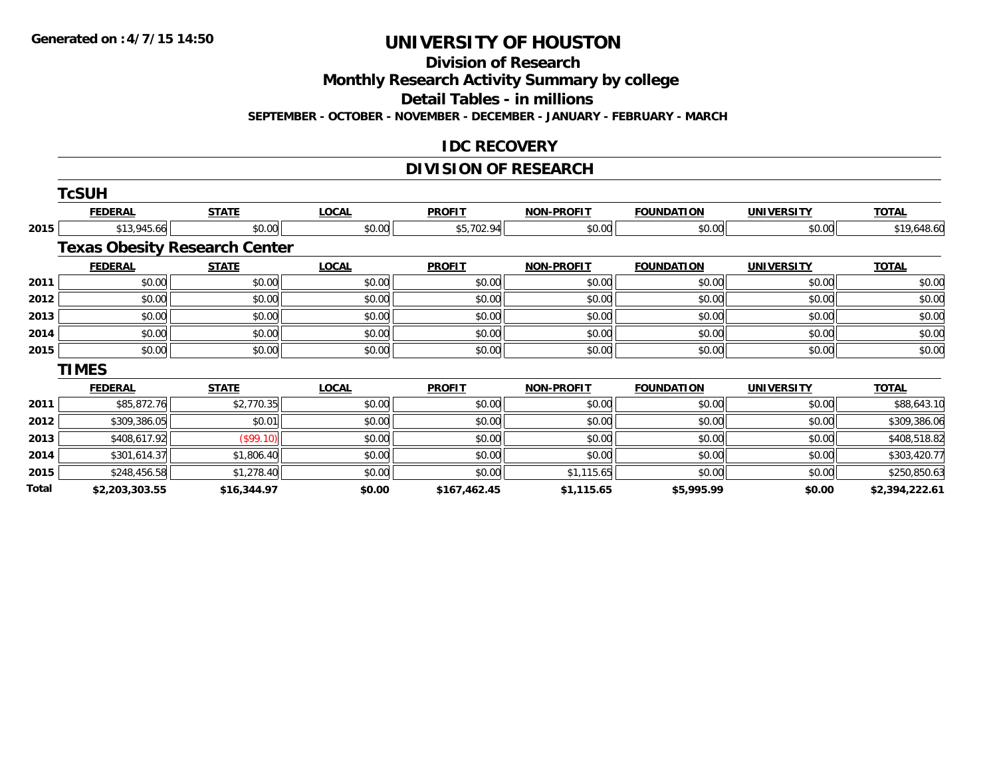**Division of Research**

**Monthly Research Activity Summary by college**

**Detail Tables - in millions**

**SEPTEMBER - OCTOBER - NOVEMBER - DECEMBER - JANUARY - FEBRUARY - MARCH**

#### **IDC RECOVERY**

## **DIVISION OF RESEARCH**

|       | <b>TcSUH</b>                         |              |              |               |                   |                   |                   |                |
|-------|--------------------------------------|--------------|--------------|---------------|-------------------|-------------------|-------------------|----------------|
|       | <b>FEDERAL</b>                       | <b>STATE</b> | <b>LOCAL</b> | <b>PROFIT</b> | <b>NON-PROFIT</b> | <b>FOUNDATION</b> | <b>UNIVERSITY</b> | <b>TOTAL</b>   |
| 2015  | \$13,945.66                          | \$0.00       | \$0.00       | \$5,702.94    | \$0.00            | \$0.00            | \$0.00            | \$19,648.60    |
|       | <b>Texas Obesity Research Center</b> |              |              |               |                   |                   |                   |                |
|       | <b>FEDERAL</b>                       | <b>STATE</b> | <b>LOCAL</b> | <b>PROFIT</b> | <b>NON-PROFIT</b> | <b>FOUNDATION</b> | <b>UNIVERSITY</b> | <b>TOTAL</b>   |
| 2011  | \$0.00                               | \$0.00       | \$0.00       | \$0.00        | \$0.00            | \$0.00            | \$0.00            | \$0.00         |
| 2012  | \$0.00                               | \$0.00       | \$0.00       | \$0.00        | \$0.00            | \$0.00            | \$0.00            | \$0.00         |
| 2013  | \$0.00                               | \$0.00       | \$0.00       | \$0.00        | \$0.00            | \$0.00            | \$0.00            | \$0.00         |
| 2014  | \$0.00                               | \$0.00       | \$0.00       | \$0.00        | \$0.00            | \$0.00            | \$0.00            | \$0.00         |
| 2015  | \$0.00                               | \$0.00       | \$0.00       | \$0.00        | \$0.00            | \$0.00            | \$0.00            | \$0.00         |
|       | <b>TIMES</b>                         |              |              |               |                   |                   |                   |                |
|       | <b>FEDERAL</b>                       | <b>STATE</b> | <b>LOCAL</b> | <b>PROFIT</b> | <b>NON-PROFIT</b> | <b>FOUNDATION</b> | <b>UNIVERSITY</b> | <b>TOTAL</b>   |
| 2011  | \$85,872.76                          | \$2,770.35   | \$0.00       | \$0.00        | \$0.00            | \$0.00            | \$0.00            | \$88,643.10    |
| 2012  | \$309,386.05                         | \$0.01       | \$0.00       | \$0.00        | \$0.00            | \$0.00            | \$0.00            | \$309,386.06   |
| 2013  | \$408,617.92                         | (\$99.10)    | \$0.00       | \$0.00        | \$0.00            | \$0.00            | \$0.00            | \$408,518.82   |
| 2014  | \$301,614.37                         | \$1,806.40   | \$0.00       | \$0.00        | \$0.00            | \$0.00            | \$0.00            | \$303,420.77   |
| 2015  | \$248,456.58                         | \$1,278.40   | \$0.00       | \$0.00        | \$1,115.65        | \$0.00            | \$0.00            | \$250,850.63   |
| Total | \$2,203,303.55                       | \$16,344.97  | \$0.00       | \$167,462.45  | \$1,115.65        | \$5,995.99        | \$0.00            | \$2,394,222.61 |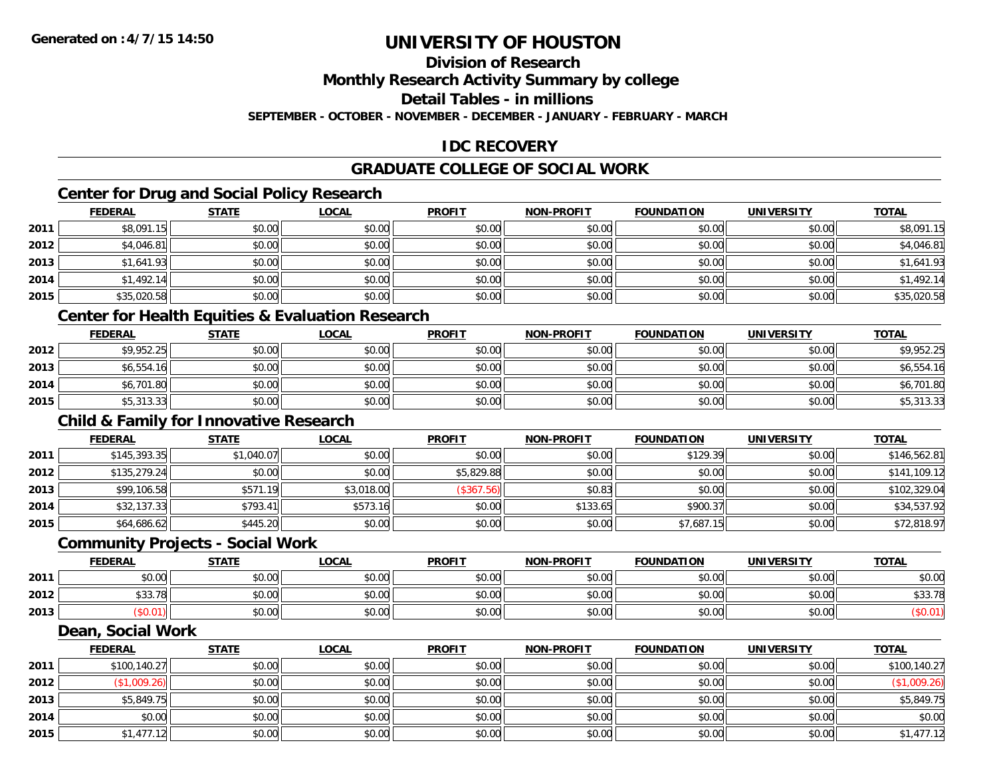### **Division of Research**

**Monthly Research Activity Summary by college**

**Detail Tables - in millions**

**SEPTEMBER - OCTOBER - NOVEMBER - DECEMBER - JANUARY - FEBRUARY - MARCH**

### **IDC RECOVERY**

### **GRADUATE COLLEGE OF SOCIAL WORK**

### **Center for Drug and Social Policy Research**

|      | <b>FEDERAL</b> | <b>STATE</b> | <u>LOCAL</u> | <b>PROFIT</b> | <b>NON-PROFIT</b> | <b>FOUNDATION</b> | <b>UNIVERSITY</b> | <b>TOTAL</b> |
|------|----------------|--------------|--------------|---------------|-------------------|-------------------|-------------------|--------------|
| 2011 | \$8,091.15     | \$0.00       | \$0.00       | \$0.00        | \$0.00            | \$0.00            | \$0.00            | \$8,091.15   |
| 2012 | \$4,046.81     | \$0.00       | \$0.00       | \$0.00        | \$0.00            | \$0.00            | \$0.00            | \$4,046.81   |
| 2013 | \$1,641.93     | \$0.00       | \$0.00       | \$0.00        | \$0.00            | \$0.00            | \$0.00            | \$1,641.93   |
| 2014 | \$1,492.14     | \$0.00       | \$0.00       | \$0.00        | \$0.00            | \$0.00            | \$0.00            | \$1,492.14   |
| 2015 | \$35,020.58    | \$0.00       | \$0.00       | \$0.00        | \$0.00            | \$0.00            | \$0.00            | \$35,020.58  |

#### **Center for Health Equities & Evaluation Research**

|      | <u>FEDERAL</u> | <u>STATE</u> | <u>LOCAL</u> | <b>PROFIT</b> | <b>NON-PROFIT</b> | <b>FOUNDATION</b> | <b>UNIVERSITY</b> | <b>TOTAL</b> |
|------|----------------|--------------|--------------|---------------|-------------------|-------------------|-------------------|--------------|
| 2012 | \$9,952.25     | \$0.00       | \$0.00       | \$0.00        | \$0.00            | \$0.00            | \$0.00            | \$9,952.25   |
| 2013 | \$6,554.16     | \$0.00       | \$0.00       | \$0.00        | \$0.00            | \$0.00            | \$0.00            | \$6,554.16   |
| 2014 | \$6,701.80     | \$0.00       | \$0.00       | \$0.00        | \$0.00            | \$0.00            | \$0.00            | \$6,701.80   |
| 2015 | \$5,313.33     | \$0.00       | \$0.00       | \$0.00        | \$0.00            | \$0.00            | \$0.00            | \$5,313.33   |

#### **Child & Family for Innovative Research**

|      | <b>FEDERAL</b> | <b>STATE</b> | <u>LOCAL</u> | <b>PROFIT</b> | <b>NON-PROFIT</b> | <b>FOUNDATION</b> | <b>UNIVERSITY</b> | <b>TOTAL</b> |
|------|----------------|--------------|--------------|---------------|-------------------|-------------------|-------------------|--------------|
| 2011 | \$145,393.35   | \$1,040.07   | \$0.00       | \$0.00        | \$0.00            | \$129.39          | \$0.00            | \$146,562.81 |
| 2012 | \$135,279.24   | \$0.00       | \$0.00       | \$5,829.88    | \$0.00            | \$0.00            | \$0.00            | \$141,109.12 |
| 2013 | \$99,106.58    | \$571.19     | \$3,018.00   | (\$367.56)    | \$0.83            | \$0.00            | \$0.00            | \$102,329.04 |
| 2014 | \$32,137.33    | \$793.41     | \$573.16     | \$0.00        | \$133.65          | \$900.37          | \$0.00            | \$34,537.92  |
| 2015 | \$64,686.62    | \$445.20     | \$0.00       | \$0.00        | \$0.00            | \$7,687.15        | \$0.00            | \$72,818.97  |

#### **Community Projects - Social Work**

|      | <b>FEDERAL</b> | STATE  | LOCAL  | <b>PROFIT</b> | <b>NON-PROFIT</b> | <b>FOUNDATION</b> | <b>UNIVERSITY</b> | <b>TOTAL</b>                                          |
|------|----------------|--------|--------|---------------|-------------------|-------------------|-------------------|-------------------------------------------------------|
| 2011 | 0000<br>JU.UU  | \$0.00 | \$0.00 | \$0.00        | \$0.00            | \$0.00            | \$0.00            | \$0.00                                                |
| 2012 | \$33.78        | \$0.00 | \$0.00 | \$0.00        | \$0.00            | \$0.00            | \$0.00            | $\uparrow$ $\uparrow$ $\uparrow$ $\uparrow$<br>JJJ. 1 |
| 2013 | .0.01          | \$0.00 | \$0.00 | \$0.00        | \$0.00            | \$0.00            | \$0.00            |                                                       |

#### **Dean, Social Work**

|      | <b>FEDERAL</b> | <b>STATE</b> | <b>LOCAL</b> | <b>PROFIT</b> | <b>NON-PROFIT</b> | <b>FOUNDATION</b> | <b>UNIVERSITY</b> | <b>TOTAL</b> |
|------|----------------|--------------|--------------|---------------|-------------------|-------------------|-------------------|--------------|
| 2011 | \$100,140.27   | \$0.00       | \$0.00       | \$0.00        | \$0.00            | \$0.00            | \$0.00            | \$100,140.27 |
| 2012 | \$1,009.26     | \$0.00       | \$0.00       | \$0.00        | \$0.00            | \$0.00            | \$0.00            | (\$1,009.26) |
| 2013 | \$5,849.75     | \$0.00       | \$0.00       | \$0.00        | \$0.00            | \$0.00            | \$0.00            | \$5,849.75   |
| 2014 | \$0.00         | \$0.00       | \$0.00       | \$0.00        | \$0.00            | \$0.00            | \$0.00            | \$0.00       |
| 2015 | \$1,477.12     | \$0.00       | \$0.00       | \$0.00        | \$0.00            | \$0.00            | \$0.00            | \$1,477.12   |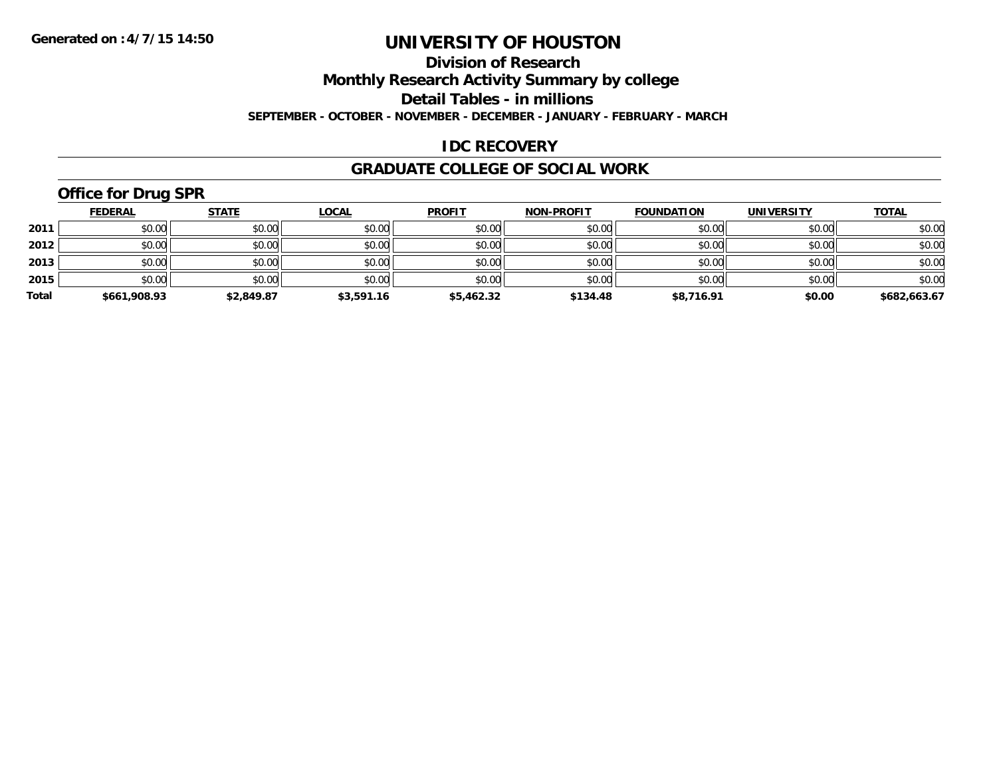#### **Division of Research**

**Monthly Research Activity Summary by college**

**Detail Tables - in millions**

**SEPTEMBER - OCTOBER - NOVEMBER - DECEMBER - JANUARY - FEBRUARY - MARCH**

#### **IDC RECOVERY**

#### **GRADUATE COLLEGE OF SOCIAL WORK**

## **Office for Drug SPR**

|       | <b>FEDERAL</b> | <u>STATE</u> | <b>LOCAL</b> | <b>PROFIT</b> | <b>NON-PROFIT</b> | <b>FOUNDATION</b> | <b>UNIVERSITY</b> | <b>TOTAL</b> |
|-------|----------------|--------------|--------------|---------------|-------------------|-------------------|-------------------|--------------|
| 2011  | \$0.00         | \$0.00       | \$0.00       | \$0.00        | \$0.00            | \$0.00            | \$0.00            | \$0.00       |
| 2012  | \$0.00         | \$0.00       | \$0.00       | \$0.00        | \$0.00            | \$0.00            | \$0.00            | \$0.00       |
| 2013  | \$0.00         | \$0.00       | \$0.00       | \$0.00        | \$0.00            | \$0.00            | \$0.00            | \$0.00       |
| 2015  | \$0.00         | \$0.00       | \$0.00       | \$0.00        | \$0.00            | \$0.00            | \$0.00            | \$0.00       |
| Total | \$661,908.93   | \$2,849.87   | \$3,591.16   | \$5,462.32    | \$134.48          | \$8,716.91        | \$0.00            | \$682,663.67 |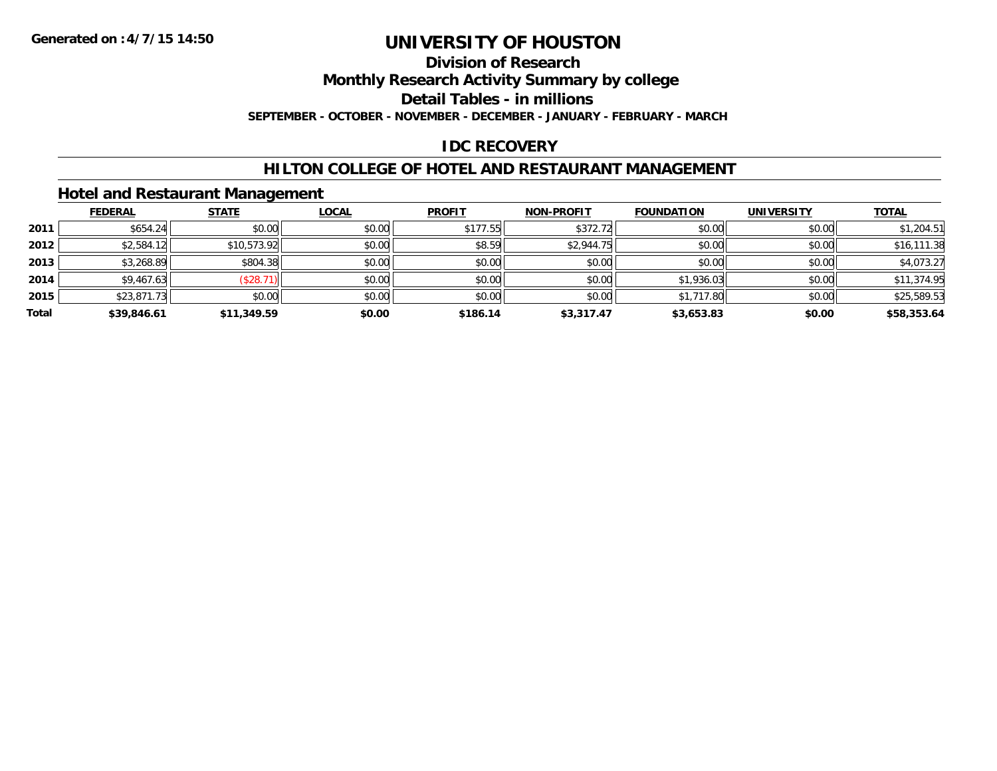### **Division of Research**

**Monthly Research Activity Summary by college**

**Detail Tables - in millions**

**SEPTEMBER - OCTOBER - NOVEMBER - DECEMBER - JANUARY - FEBRUARY - MARCH**

### **IDC RECOVERY**

#### **HILTON COLLEGE OF HOTEL AND RESTAURANT MANAGEMENT**

#### **Hotel and Restaurant Management**

|       | <b>FEDERAL</b> | <b>STATE</b> | <u>LOCAL</u> | <b>PROFIT</b> | <b>NON-PROFIT</b> | <b>FOUNDATION</b> | <b>UNIVERSITY</b> | <b>TOTAL</b> |
|-------|----------------|--------------|--------------|---------------|-------------------|-------------------|-------------------|--------------|
| 2011  | \$654.24       | \$0.00       | \$0.00       | \$177.55      | \$372.72          | \$0.00            | \$0.00            | \$1,204.51   |
| 2012  | \$2,584.12     | \$10,573.92  | \$0.00       | \$8.59        | \$2,944.75        | \$0.00            | \$0.00            | \$16,111.38  |
| 2013  | \$3,268.89     | \$804.38     | \$0.00       | \$0.00        | \$0.00            | \$0.00            | \$0.00            | \$4,073.27   |
| 2014  | \$9,467.63     | (\$28.71)    | \$0.00       | \$0.00        | \$0.00            | \$1,936.03        | \$0.00            | \$11,374.95  |
| 2015  | \$23,871.73    | \$0.00       | \$0.00       | \$0.00        | \$0.00            | \$1,717.80        | \$0.00            | \$25,589.53  |
| Total | \$39,846.61    | \$11,349.59  | \$0.00       | \$186.14      | \$3,317.47        | \$3,653.83        | \$0.00            | \$58,353.64  |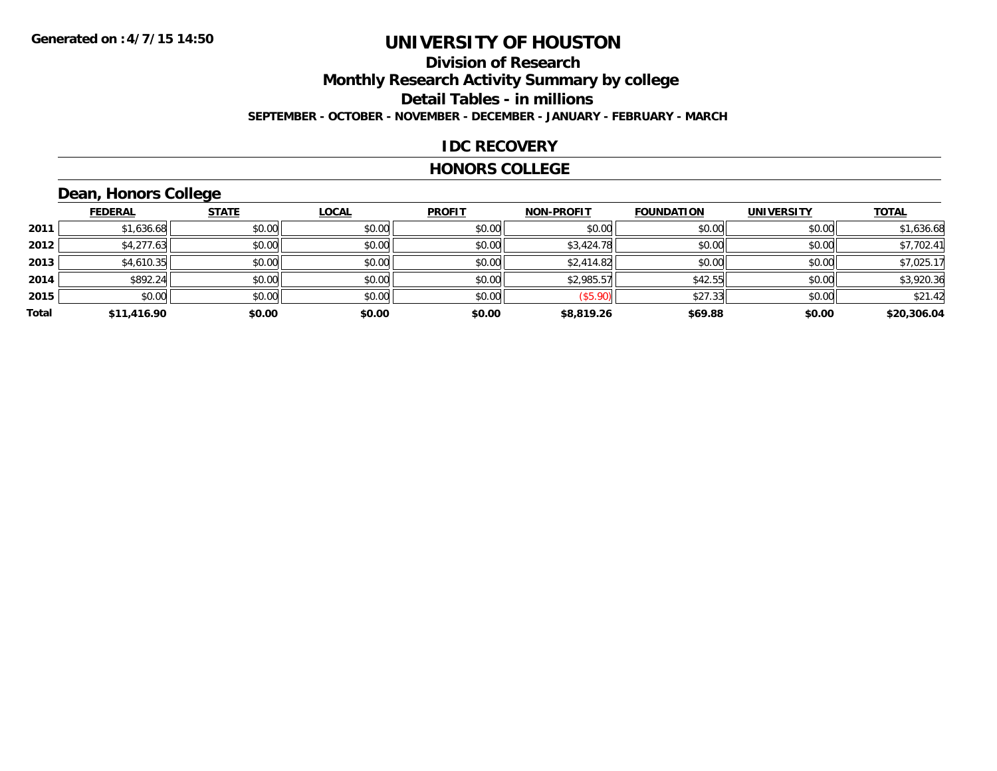### **Division of ResearchMonthly Research Activity Summary by college Detail Tables - in millions SEPTEMBER - OCTOBER - NOVEMBER - DECEMBER - JANUARY - FEBRUARY - MARCH**

#### **IDC RECOVERY**

#### **HONORS COLLEGE**

## **Dean, Honors College**

|       | <b>FEDERAL</b> | <b>STATE</b> | <b>LOCAL</b> | <b>PROFIT</b> | <b>NON-PROFIT</b> | <b>FOUNDATION</b> | <b>UNIVERSITY</b> | <b>TOTAL</b> |
|-------|----------------|--------------|--------------|---------------|-------------------|-------------------|-------------------|--------------|
| 2011  | \$1,636.68     | \$0.00       | \$0.00       | \$0.00        | \$0.00            | \$0.00            | \$0.00            | \$1,636.68   |
| 2012  | \$4,277.63     | \$0.00       | \$0.00       | \$0.00        | \$3,424.78        | \$0.00            | \$0.00            | \$7,702.41   |
| 2013  | \$4,610.35     | \$0.00       | \$0.00       | \$0.00        | \$2,414.82        | \$0.00            | \$0.00            | \$7,025.17   |
| 2014  | \$892.24       | \$0.00       | \$0.00       | \$0.00        | \$2,985.57        | \$42.55           | \$0.00            | \$3,920.36   |
| 2015  | \$0.00         | \$0.00       | \$0.00       | \$0.00        | (\$5.90)          | \$27.33           | \$0.00            | \$21.42      |
| Total | \$11,416.90    | \$0.00       | \$0.00       | \$0.00        | \$8,819.26        | \$69.88           | \$0.00            | \$20,306.04  |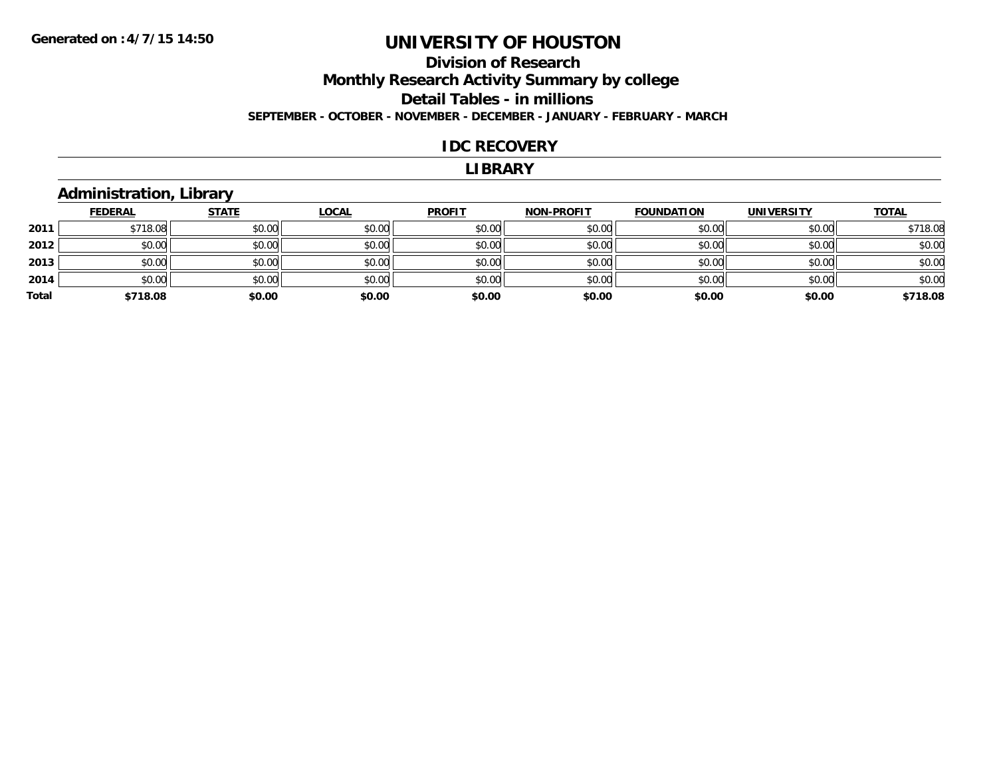### **Division of Research Monthly Research Activity Summary by college Detail Tables - in millions SEPTEMBER - OCTOBER - NOVEMBER - DECEMBER - JANUARY - FEBRUARY - MARCH**

#### **IDC RECOVERY**

#### **LIBRARY**

#### **Administration, Library**

|       | <b>FEDERAL</b> | <b>STATE</b> | <b>LOCAL</b> | <b>PROFIT</b> | <b>NON-PROFIT</b> | <b>FOUNDATION</b> | <b>UNIVERSITY</b> | <b>TOTAL</b> |
|-------|----------------|--------------|--------------|---------------|-------------------|-------------------|-------------------|--------------|
| 2011  | \$718.08       | \$0.00       | \$0.00       | \$0.00        | \$0.00            | \$0.00            | \$0.00            | \$718.08     |
| 2012  | \$0.00         | \$0.00       | \$0.00       | \$0.00        | \$0.00            | \$0.00            | \$0.00            | \$0.00       |
| 2013  | \$0.00         | \$0.00       | \$0.00       | \$0.00        | \$0.00            | \$0.00            | \$0.00            | \$0.00       |
| 2014  | \$0.00         | \$0.00       | \$0.00       | \$0.00        | \$0.00            | \$0.00            | \$0.00            | \$0.00       |
| Total | \$718.08       | \$0.00       | \$0.00       | \$0.00        | \$0.00            | \$0.00            | \$0.00            | \$718.08     |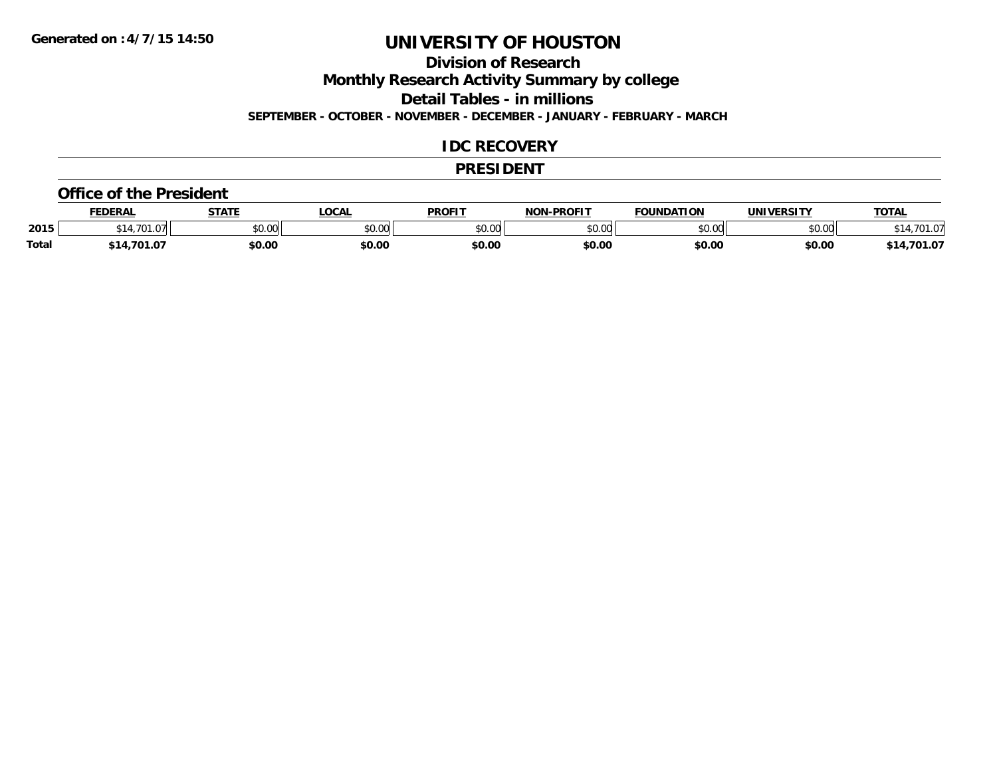### **Division of Research**

**Monthly Research Activity Summary by college**

**Detail Tables - in millions**

**SEPTEMBER - OCTOBER - NOVEMBER - DECEMBER - JANUARY - FEBRUARY - MARCH**

#### **IDC RECOVERY**

#### **PRESIDENT**

#### **Office of the President**

|              | <b>FEDERAL</b> | <b>STATE</b>   | <b>LOCAL</b>  | <b>PROFIT</b>  | -PROFIT<br><b>NON</b> | <b>FOUNDATION</b> | <b>UNIVERSITY</b>                   | <b>TOTAL</b> |
|--------------|----------------|----------------|---------------|----------------|-----------------------|-------------------|-------------------------------------|--------------|
| 2015         | 1.701          | 0.000<br>vu.vu | 0000<br>งบ.บบ | ልስ ሀህ<br>JU.UU | \$0.00                | $\sim$ 00<br>งบ.บ | $\uparrow$ $\land$ $\land$<br>DU.UU | .701         |
| <b>Total</b> | ,701.07<br>14. | \$0.00         | \$0.00        | \$0.00         | \$0.00                | \$0.00            | \$0.00                              | 701.07       |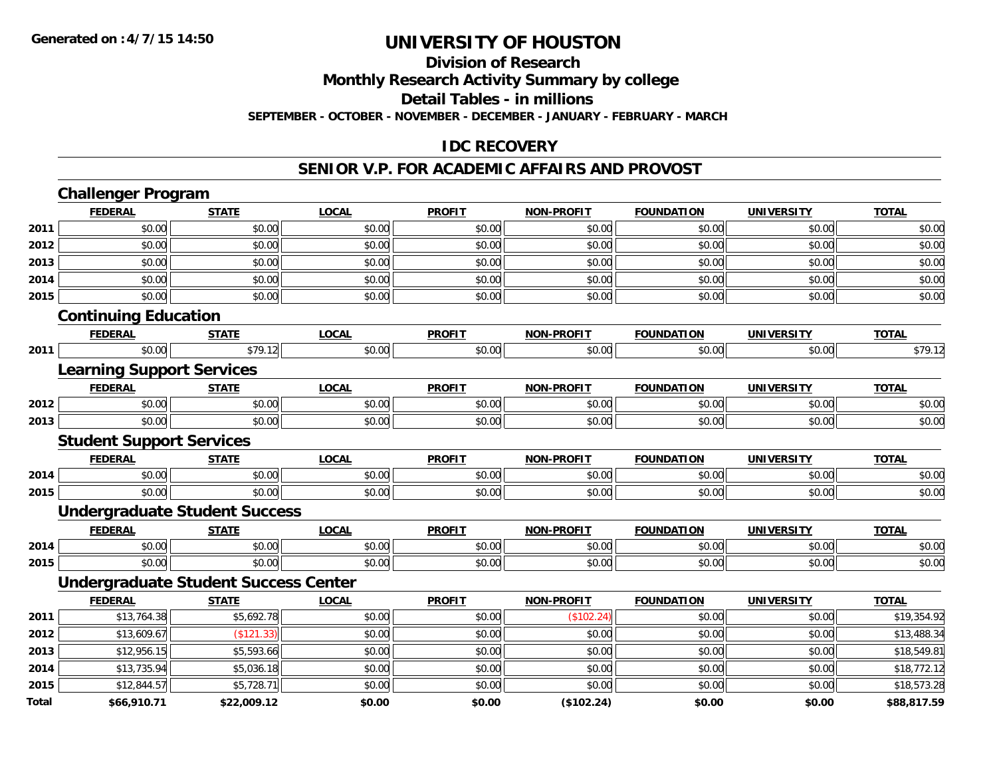#### **Division of Research**

**Monthly Research Activity Summary by college**

**Detail Tables - in millions**

**SEPTEMBER - OCTOBER - NOVEMBER - DECEMBER - JANUARY - FEBRUARY - MARCH**

#### **IDC RECOVERY**

#### **SENIOR V.P. FOR ACADEMIC AFFAIRS AND PROVOST**

|              | <b>Challenger Program</b>                   |              |              |               |                   |                   |                   |              |
|--------------|---------------------------------------------|--------------|--------------|---------------|-------------------|-------------------|-------------------|--------------|
|              | <b>FEDERAL</b>                              | <b>STATE</b> | <b>LOCAL</b> | <b>PROFIT</b> | <b>NON-PROFIT</b> | <b>FOUNDATION</b> | <b>UNIVERSITY</b> | <b>TOTAL</b> |
| 2011         | \$0.00                                      | \$0.00       | \$0.00       | \$0.00        | \$0.00            | \$0.00            | \$0.00            | \$0.00       |
| 2012         | \$0.00                                      | \$0.00       | \$0.00       | \$0.00        | \$0.00            | \$0.00            | \$0.00            | \$0.00       |
| 2013         | \$0.00                                      | \$0.00       | \$0.00       | \$0.00        | \$0.00            | \$0.00            | \$0.00            | \$0.00       |
| 2014         | \$0.00                                      | \$0.00       | \$0.00       | \$0.00        | \$0.00            | \$0.00            | \$0.00            | \$0.00       |
| 2015         | \$0.00                                      | \$0.00       | \$0.00       | \$0.00        | \$0.00            | \$0.00            | \$0.00            | \$0.00       |
|              | <b>Continuing Education</b>                 |              |              |               |                   |                   |                   |              |
|              | <b>FEDERAL</b>                              | <b>STATE</b> | <b>LOCAL</b> | <b>PROFIT</b> | <b>NON-PROFIT</b> | <b>FOUNDATION</b> | <b>UNIVERSITY</b> | <b>TOTAL</b> |
| 2011         | \$0.00                                      | \$79.12      | \$0.00       | \$0.00        | \$0.00            | \$0.00            | \$0.00            | \$79.12      |
|              | <b>Learning Support Services</b>            |              |              |               |                   |                   |                   |              |
|              | <b>FEDERAL</b>                              | <b>STATE</b> | <b>LOCAL</b> | <b>PROFIT</b> | <b>NON-PROFIT</b> | <b>FOUNDATION</b> | <b>UNIVERSITY</b> | <b>TOTAL</b> |
| 2012         | \$0.00                                      | \$0.00       | \$0.00       | \$0.00        | \$0.00            | \$0.00            | \$0.00            | \$0.00       |
| 2013         | \$0.00                                      | \$0.00       | \$0.00       | \$0.00        | \$0.00            | \$0.00            | \$0.00            | \$0.00       |
|              | <b>Student Support Services</b>             |              |              |               |                   |                   |                   |              |
|              | <b>FEDERAL</b>                              | <b>STATE</b> | <b>LOCAL</b> | <b>PROFIT</b> | <b>NON-PROFIT</b> | <b>FOUNDATION</b> | <b>UNIVERSITY</b> | <b>TOTAL</b> |
| 2014         | \$0.00                                      | \$0.00       | \$0.00       | \$0.00        | \$0.00            | \$0.00            | \$0.00            | \$0.00       |
| 2015         | \$0.00                                      | \$0.00       | \$0.00       | \$0.00        | \$0.00            | \$0.00            | \$0.00            | \$0.00       |
|              | <b>Undergraduate Student Success</b>        |              |              |               |                   |                   |                   |              |
|              | <b>FEDERAL</b>                              | <b>STATE</b> | <b>LOCAL</b> | <b>PROFIT</b> | <b>NON-PROFIT</b> | <b>FOUNDATION</b> | <b>UNIVERSITY</b> | <b>TOTAL</b> |
| 2014         | \$0.00                                      | \$0.00       | \$0.00       | \$0.00        | \$0.00            | \$0.00            | \$0.00            | \$0.00       |
| 2015         | \$0.00                                      | \$0.00       | \$0.00       | \$0.00        | \$0.00            | \$0.00            | \$0.00            | \$0.00       |
|              | <b>Undergraduate Student Success Center</b> |              |              |               |                   |                   |                   |              |
|              | <b>FEDERAL</b>                              | <b>STATE</b> | <b>LOCAL</b> | <b>PROFIT</b> | <b>NON-PROFIT</b> | <b>FOUNDATION</b> | <b>UNIVERSITY</b> | <b>TOTAL</b> |
| 2011         | \$13,764.38                                 | \$5,692.78   | \$0.00       | \$0.00        | (\$102.24)        | \$0.00            | \$0.00            | \$19,354.92  |
| 2012         | \$13,609.67                                 | (\$121.33)   | \$0.00       | \$0.00        | \$0.00            | \$0.00            | \$0.00            | \$13,488.34  |
| 2013         | \$12,956.15                                 | \$5,593.66   | \$0.00       | \$0.00        | \$0.00            | \$0.00            | \$0.00            | \$18,549.81  |
| 2014         | \$13,735.94                                 | \$5,036.18   | \$0.00       | \$0.00        | \$0.00            | \$0.00            | \$0.00            | \$18,772.12  |
| 2015         | \$12,844.57                                 | \$5,728.71   | \$0.00       | \$0.00        | \$0.00            | \$0.00            | \$0.00            | \$18,573.28  |
| <b>Total</b> | \$66,910.71                                 | \$22,009.12  | \$0.00       | \$0.00        | (\$102.24)        | \$0.00            | \$0.00            | \$88,817.59  |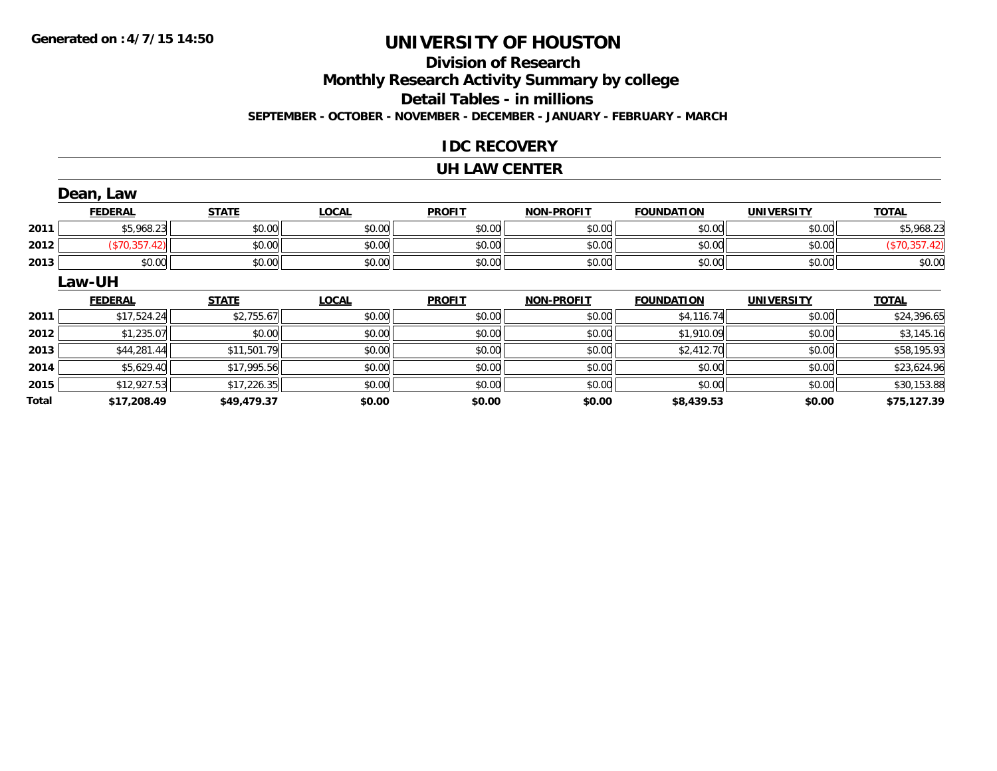### **Division of ResearchMonthly Research Activity Summary by college Detail Tables - in millions SEPTEMBER - OCTOBER - NOVEMBER - DECEMBER - JANUARY - FEBRUARY - MARCH**

#### **IDC RECOVERY**

#### **UH LAW CENTER**

|              | Dean, Law      |              |              |               |                   |                   |                   |               |
|--------------|----------------|--------------|--------------|---------------|-------------------|-------------------|-------------------|---------------|
|              | <b>FEDERAL</b> | <b>STATE</b> | <b>LOCAL</b> | <b>PROFIT</b> | <b>NON-PROFIT</b> | <b>FOUNDATION</b> | <b>UNIVERSITY</b> | <b>TOTAL</b>  |
| 2011         | \$5,968.23     | \$0.00       | \$0.00       | \$0.00        | \$0.00            | \$0.00            | \$0.00            | \$5,968.23    |
| 2012         | (\$70,357.42)  | \$0.00       | \$0.00       | \$0.00        | \$0.00            | \$0.00            | \$0.00            | (\$70,357.42) |
| 2013         | \$0.00         | \$0.00       | \$0.00       | \$0.00        | \$0.00            | \$0.00            | \$0.00            | \$0.00        |
|              | <b>Law-UH</b>  |              |              |               |                   |                   |                   |               |
|              | <b>FEDERAL</b> | <b>STATE</b> | <b>LOCAL</b> | <b>PROFIT</b> | <b>NON-PROFIT</b> | <b>FOUNDATION</b> | <b>UNIVERSITY</b> | <b>TOTAL</b>  |
| 2011         | \$17,524.24    | \$2,755.67   | \$0.00       | \$0.00        | \$0.00            | \$4,116.74        | \$0.00            | \$24,396.65   |
| 2012         | \$1,235.07     | \$0.00       | \$0.00       | \$0.00        | \$0.00            | \$1,910.09        | \$0.00            | \$3,145.16    |
| 2013         | \$44,281.44    | \$11,501.79  | \$0.00       | \$0.00        | \$0.00            | \$2,412.70        | \$0.00            | \$58,195.93   |
| 2014         | \$5,629.40     | \$17,995.56  | \$0.00       | \$0.00        | \$0.00            | \$0.00            | \$0.00            | \$23,624.96   |
| 2015         | \$12,927.53    | \$17,226.35  | \$0.00       | \$0.00        | \$0.00            | \$0.00            | \$0.00            | \$30,153.88   |
| <b>Total</b> | \$17,208.49    | \$49,479.37  | \$0.00       | \$0.00        | \$0.00            | \$8,439.53        | \$0.00            | \$75,127.39   |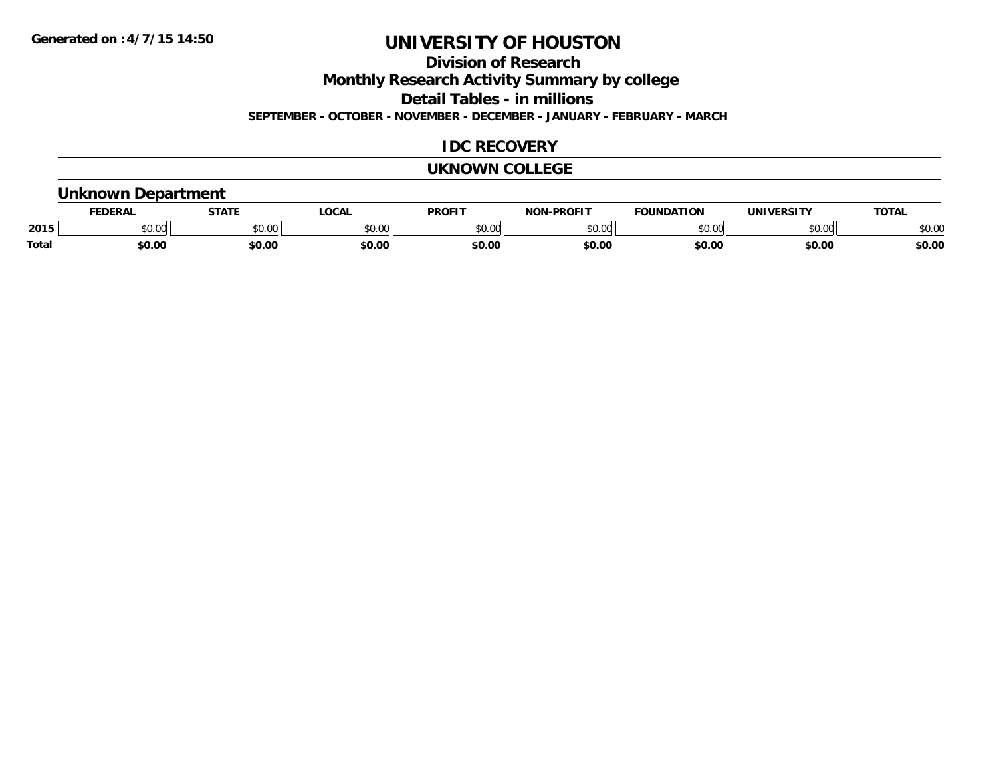**Division of Research**

**Monthly Research Activity Summary by college**

**Detail Tables - in millions**

**SEPTEMBER - OCTOBER - NOVEMBER - DECEMBER - JANUARY - FEBRUARY - MARCH**

### **IDC RECOVERY**

#### **UKNOWN COLLEGE**

#### **Unknown Department**

|       | .<br>- מ     | <b>STATI</b>       | OCA                                                                                    | <b>PROFIT</b> | <b>DDAEIT</b><br><b>BIAB</b> | ΠΟΝ            | <u>urneitv</u><br><b>INIV</b> | TOTA.          |
|-------|--------------|--------------------|----------------------------------------------------------------------------------------|---------------|------------------------------|----------------|-------------------------------|----------------|
| 2015  | 0000<br>u.uu | $\sim$ 0.00<br>υv. | $\begin{array}{c} \hline \text{A} & \text{A} & \text{B} \\ \hline \end{array}$<br>יש.ט | 0000<br>JU.UU | $*$ $\cap$ $\cap$<br>ט.טע    | 0 <sub>n</sub> | \$0.00                        | ልስ ስሰ<br>DU.UU |
| Total | \$0.00       | \$0.00             | \$0.00                                                                                 | ቀስ ሰ<br>Ψv.υ  | \$0.00                       | \$0.00         | \$0.00                        | \$0.00         |